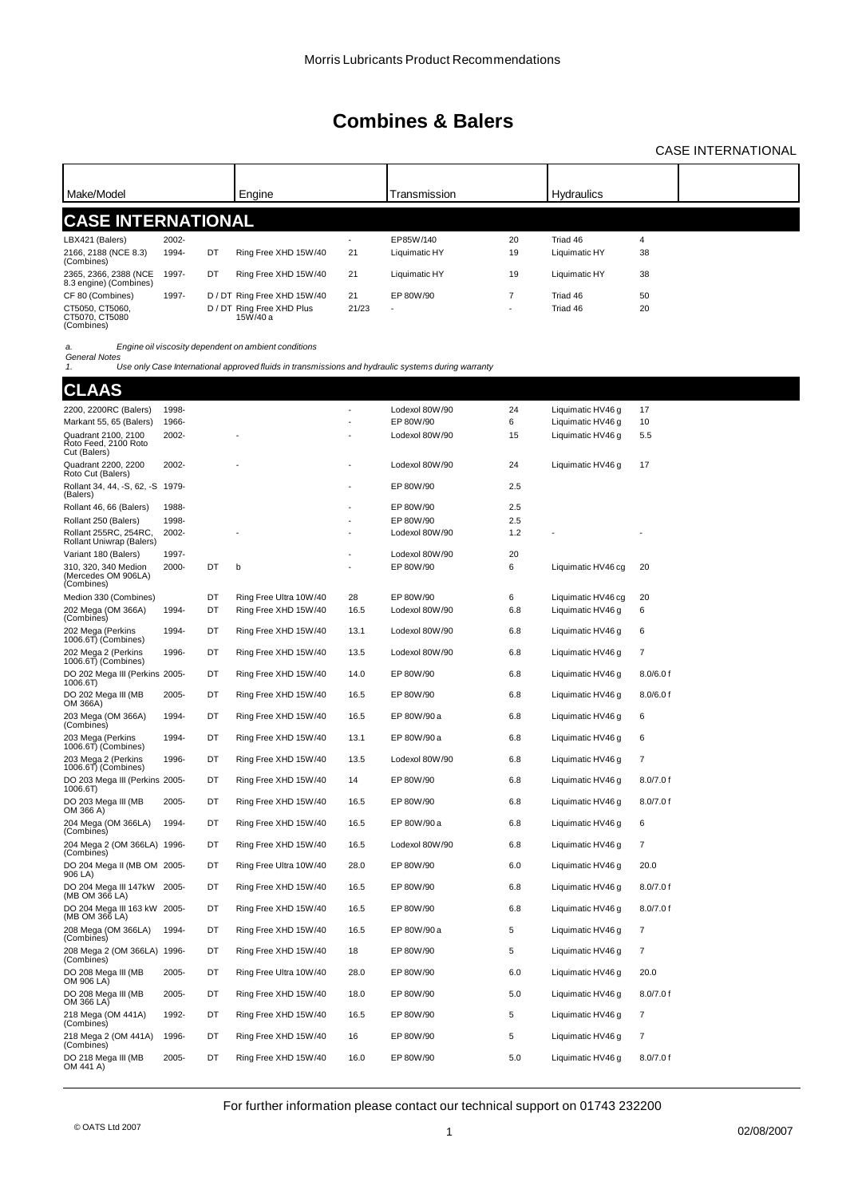### CASE INTERNATIONAL

| Make/Model                                      |       |    |                                       |                          | Transmission             |                          | <b>Hydraulics</b> |    |  |
|-------------------------------------------------|-------|----|---------------------------------------|--------------------------|--------------------------|--------------------------|-------------------|----|--|
|                                                 |       |    | Engine                                |                          |                          |                          |                   |    |  |
| <b>CASE INTERNATIONAL</b>                       |       |    |                                       |                          |                          |                          |                   |    |  |
| LBX421 (Balers)                                 | 2002- |    |                                       | $\overline{\phantom{a}}$ | EP85W/140                | 20                       | Triad 46          | 4  |  |
| 2166, 2188 (NCE 8.3)<br>(Combines)              | 1994- | DT | Ring Free XHD 15W/40                  | 21                       | Liquimatic HY            | 19                       | Liquimatic HY     | 38 |  |
| 2365, 2366, 2388 (NCE<br>8.3 engine) (Combines) | 1997- | DT | Ring Free XHD 15W/40                  | 21                       | Liquimatic HY            | 19                       | Liquimatic HY     | 38 |  |
| CF 80 (Combines)                                | 1997- |    | D / DT Ring Free XHD 15W/40           | 21                       | EP 80W/90                | 7                        | Triad 46          | 50 |  |
| CT5050, CT5060.<br>CT5070, CT5080<br>(Combines) |       |    | D / DT Ring Free XHD Plus<br>15W/40 a | 21/23                    | $\overline{\phantom{a}}$ | $\overline{\phantom{a}}$ | Triad 46          | 20 |  |

*a. Engine oil viscosity dependent on ambient conditions*

*General Notes 1. Use only Case International approved fluids in transmissions and hydraulic systems during warranty*

**CLAAS**

| ULAAJ                                                       |       |    |                        |      |                |     |                    |                |
|-------------------------------------------------------------|-------|----|------------------------|------|----------------|-----|--------------------|----------------|
| 2200, 2200RC (Balers)                                       | 1998- |    |                        |      | Lodexol 80W/90 | 24  | Liquimatic HV46 g  | 17             |
| Markant 55, 65 (Balers)                                     | 1966- |    |                        |      | EP 80W/90      | 6   | Liquimatic HV46 g  | 10             |
| Quadrant 2100, 2100<br>Roto Feed, 2100 Roto<br>Cut (Balers) | 2002- |    |                        |      | Lodexol 80W/90 | 15  | Liquimatic HV46 g  | 5.5            |
| Quadrant 2200, 2200<br>Roto Cut (Balers)                    | 2002- |    |                        |      | Lodexol 80W/90 | 24  | Liquimatic HV46 q  | 17             |
| Rollant 34, 44, -S, 62, -S 1979-<br>(Balers)                |       |    |                        | ÷,   | EP 80W/90      | 2.5 |                    |                |
| Rollant 46, 66 (Balers)                                     | 1988- |    |                        |      | EP 80W/90      | 2.5 |                    |                |
| Rollant 250 (Balers)                                        | 1998- |    |                        |      | EP 80W/90      | 2.5 |                    |                |
| Rollant 255RC, 254RC,<br>Rollant Uniwrap (Balers)           | 2002- |    |                        |      | Lodexol 80W/90 | 1.2 |                    |                |
| Variant 180 (Balers)                                        | 1997- |    |                        |      | Lodexol 80W/90 | 20  |                    |                |
| 310, 320, 340 Medion<br>(Mercedes OM 906LA)<br>(Combines)   | 2000- | DT | b                      |      | EP 80W/90      | 6   | Liquimatic HV46 cg | 20             |
| Medion 330 (Combines)                                       |       | DT | Ring Free Ultra 10W/40 | 28   | EP 80W/90      | 6   | Liquimatic HV46 cg | 20             |
| 202 Mega (OM 366A)<br>(Combines)                            | 1994- | DT | Ring Free XHD 15W/40   | 16.5 | Lodexol 80W/90 | 6.8 | Liquimatic HV46 g  | 6              |
| 202 Mega (Perkins<br>1006.6T) (Combines)                    | 1994- | DT | Ring Free XHD 15W/40   | 13.1 | Lodexol 80W/90 | 6.8 | Liquimatic HV46 g  | 6              |
| 202 Mega 2 (Perkins<br>1006.6T) (Combines)                  | 1996- | DT | Ring Free XHD 15W/40   | 13.5 | Lodexol 80W/90 | 6.8 | Liquimatic HV46 g  | 7              |
| DO 202 Mega III (Perkins 2005-<br>1006.6T)                  |       | DT | Ring Free XHD 15W/40   | 14.0 | EP 80W/90      | 6.8 | Liquimatic HV46 g  | 8.0/6.0 f      |
| DO 202 Mega III (MB<br>OM 366A)                             | 2005- | DT | Ring Free XHD 15W/40   | 16.5 | EP 80W/90      | 6.8 | Liquimatic HV46 q  | 8.0/6.0 f      |
| 203 Mega (OM 366A)<br>(Combines)                            | 1994- | DT | Ring Free XHD 15W/40   | 16.5 | EP 80W/90 a    | 6.8 | Liquimatic HV46 g  | 6              |
| 203 Mega (Perkins<br>1006.6T) (Combines)                    | 1994- | DT | Ring Free XHD 15W/40   | 13.1 | EP 80W/90 a    | 6.8 | Liquimatic HV46 g  | 6              |
| 203 Mega 2 (Perkins<br>1006.6T) (Combines)                  | 1996- | DT | Ring Free XHD 15W/40   | 13.5 | Lodexol 80W/90 | 6.8 | Liquimatic HV46 g  | 7              |
| DO 203 Mega III (Perkins 2005-<br>1006.6T)                  |       | DT | Ring Free XHD 15W/40   | 14   | EP 80W/90      | 6.8 | Liquimatic HV46 g  | 8.0/7.0 f      |
| DO 203 Mega III (MB<br>OM 366 A)                            | 2005- | DT | Ring Free XHD 15W/40   | 16.5 | EP 80W/90      | 6.8 | Liquimatic HV46 g  | 8.0/7.0 f      |
| 204 Mega (OM 366LA)<br>(Combines)                           | 1994- | DT | Ring Free XHD 15W/40   | 16.5 | EP 80W/90 a    | 6.8 | Liquimatic HV46 q  | 6              |
| 204 Mega 2 (OM 366LA) 1996-<br>(Combines)                   |       | DT | Ring Free XHD 15W/40   | 16.5 | Lodexol 80W/90 | 6.8 | Liquimatic HV46 g  | 7              |
| DO 204 Mega II (MB OM 2005-<br>906 LA)                      |       | DT | Ring Free Ultra 10W/40 | 28.0 | EP 80W/90      | 6.0 | Liquimatic HV46 g  | 20.0           |
| DO 204 Mega III 147kW 2005-<br>(MB OM 366 LA)               |       | DT | Ring Free XHD 15W/40   | 16.5 | EP 80W/90      | 6.8 | Liquimatic HV46 g  | 8.0/7.0 f      |
| DO 204 Mega III 163 kW 2005-<br>(MB OM 366 LA)              |       | DT | Ring Free XHD 15W/40   | 16.5 | EP 80W/90      | 6.8 | Liquimatic HV46 g  | 8.0/7.0 f      |
| 208 Mega (OM 366LA)<br>(Combines)                           | 1994- | DT | Ring Free XHD 15W/40   | 16.5 | EP 80W/90 a    | 5   | Liquimatic HV46 g  | $\overline{7}$ |
| 208 Mega 2 (OM 366LA) 1996-<br>(Combines)                   |       | DT | Ring Free XHD 15W/40   | 18   | EP 80W/90      | 5   | Liquimatic HV46 g  | $\overline{7}$ |
| DO 208 Mega III (MB<br>OM 906 LA)                           | 2005- | DT | Ring Free Ultra 10W/40 | 28.0 | EP 80W/90      | 6.0 | Liquimatic HV46 g  | 20.0           |
| DO 208 Mega III (MB<br>OM 366 LA)                           | 2005- | DT | Ring Free XHD 15W/40   | 18.0 | EP 80W/90      | 5.0 | Liquimatic HV46 g  | 8.0/7.0 f      |
| 218 Mega (OM 441A)<br>(Combines)                            | 1992- | DT | Ring Free XHD 15W/40   | 16.5 | EP 80W/90      | 5   | Liquimatic HV46 g  | 7              |
| 218 Mega 2 (OM 441A)<br>(Combines)                          | 1996- | DT | Ring Free XHD 15W/40   | 16   | EP 80W/90      | 5   | Liquimatic HV46 g  | 7              |
| DO 218 Mega III (MB<br>OM 441 A)                            | 2005- | DT | Ring Free XHD 15W/40   | 16.0 | EP 80W/90      | 5.0 | Liquimatic HV46 g  | 8.0/7.0 f      |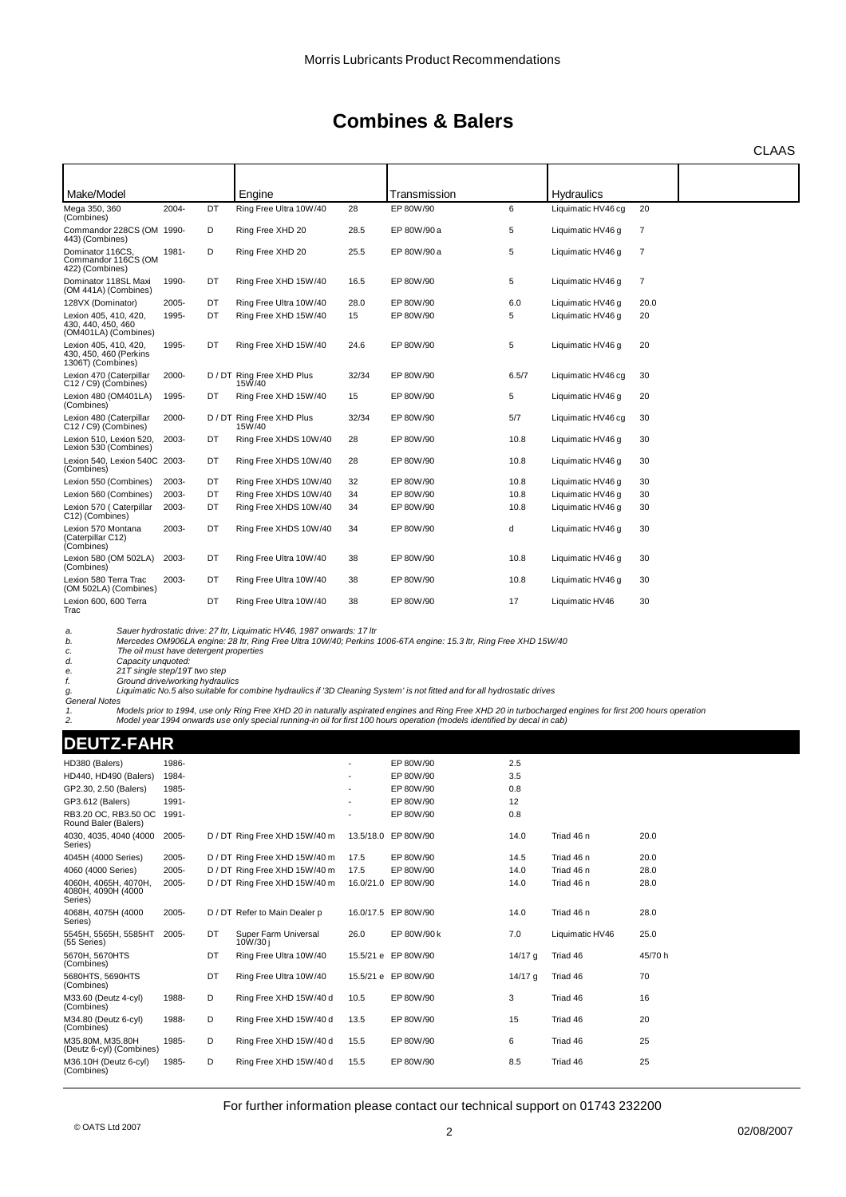CLAAS

| Make/Model                                                           |       |    | Engine                              |       | Transmission |       | <b>Hydraulics</b>  |      |  |
|----------------------------------------------------------------------|-------|----|-------------------------------------|-------|--------------|-------|--------------------|------|--|
| Mega 350, 360<br>(Combines)                                          | 2004- | DT | Ring Free Ultra 10W/40              | 28    | EP 80W/90    | 6     | Liquimatic HV46 cq | 20   |  |
| Commandor 228CS (OM 1990-<br>443) (Combines)                         |       | D  | Ring Free XHD 20                    | 28.5  | EP 80W/90 a  | 5     | Liquimatic HV46 q  | 7    |  |
| Dominator 116CS.<br>Commandor 116CS (OM<br>422) (Combines)           | 1981- | D  | Ring Free XHD 20                    | 25.5  | EP 80W/90 a  | 5     | Liquimatic HV46 q  | 7    |  |
| Dominator 118SL Maxi<br>(OM 441A) (Combines)                         | 1990- | DT | Ring Free XHD 15W/40                | 16.5  | EP 80W/90    | 5     | Liquimatic HV46 q  | 7    |  |
| 128VX (Dominator)                                                    | 2005- | DT | Ring Free Ultra 10W/40              | 28.0  | EP 80W/90    | 6.0   | Liquimatic HV46 g  | 20.0 |  |
| Lexion 405, 410, 420,<br>430, 440, 450, 460<br>(OM401LA) (Combines)  | 1995- | DT | Ring Free XHD 15W/40                | 15    | EP 80W/90    | 5     | Liquimatic HV46 q  | 20   |  |
| Lexion 405, 410, 420,<br>430, 450, 460 (Perkins<br>1306T) (Combines) | 1995- | DT | Ring Free XHD 15W/40                | 24.6  | EP 80W/90    | 5     | Liquimatic HV46 q  | 20   |  |
| Lexion 470 (Caterpillar<br>C12 / C9) (Combines)                      | 2000- |    | D / DT Ring Free XHD Plus<br>15W/40 | 32/34 | EP 80W/90    | 6.5/7 | Liquimatic HV46 cq | 30   |  |
| Lexion 480 (OM401LA)<br>(Combines)                                   | 1995- | DT | Ring Free XHD 15W/40                | 15    | EP 80W/90    | 5     | Liquimatic HV46 g  | 20   |  |
| Lexion 480 (Caterpillar<br>C12 / C9) (Combines)                      | 2000- |    | D / DT Ring Free XHD Plus<br>15W/40 | 32/34 | EP 80W/90    | 5/7   | Liquimatic HV46 cq | 30   |  |
| Lexion 510. Lexion 520.<br>Lexion 530 (Combines)                     | 2003- | DT | Ring Free XHDS 10W/40               | 28    | EP 80W/90    | 10.8  | Liquimatic HV46 q  | 30   |  |
| Lexion 540, Lexion 540C 2003-<br>(Combines)                          |       | DT | Ring Free XHDS 10W/40               | 28    | EP 80W/90    | 10.8  | Liquimatic HV46 q  | 30   |  |
| Lexion 550 (Combines)                                                | 2003- | DT | Ring Free XHDS 10W/40               | 32    | EP 80W/90    | 10.8  | Liquimatic HV46 q  | 30   |  |
| Lexion 560 (Combines)                                                | 2003- | DT | Ring Free XHDS 10W/40               | 34    | EP 80W/90    | 10.8  | Liquimatic HV46 g  | 30   |  |
| Lexion 570 (Caterpillar<br>C12) (Combines)                           | 2003- | DT | Ring Free XHDS 10W/40               | 34    | EP 80W/90    | 10.8  | Liquimatic HV46 q  | 30   |  |
| Lexion 570 Montana<br>(Caterpillar C12)<br>(Combines)                | 2003- | DT | Ring Free XHDS 10W/40               | 34    | EP 80W/90    | d     | Liquimatic HV46 q  | 30   |  |
| Lexion 580 (OM 502LA)<br>(Combines)                                  | 2003- | DT | Ring Free Ultra 10W/40              | 38    | EP 80W/90    | 10.8  | Liquimatic HV46 g  | 30   |  |
| Lexion 580 Terra Trac<br>(OM 502LA) (Combines)                       | 2003- | DT | Ring Free Ultra 10W/40              | 38    | EP 80W/90    | 10.8  | Liquimatic HV46 q  | 30   |  |
| Lexion 600, 600 Terra<br>Trac                                        |       | DT | Ring Free Ultra 10W/40              | 38    | EP 80W/90    | 17    | Liquimatic HV46    | 30   |  |

a. Sauer hydrostatic drive: 27 ltr, Liquimatic HV46, 1987 onwards: 17 ltr<br>b. Mercedes OM906LA engine: 28 ltr, Ring Free Ultra 10W/40; Perkins 1006-6TA engine: 15.3 ltr, Ring Free XHD 15W/40<br>c.

*d. Capacity unquoted: e. 21T single step/19T two step*

f. Ground drive/working hydraulics<br>g. Liquimatic No.5 also suitable for combine hydraulics if '3D Cleaning System' is not fitted and for all hydrostatic drives *General Notes*

1. Models prior to 1994, use only Ring Free XHD 20 in naturally aspirated engines and Ring Free XHD 20 in turbocharged engines for first 200 hours operation<br>2. Model year 1994 onwards use only special r

| = A L<br>ш<br>$\bullet$<br>ı<br>m<br>- 11<br>ш |
|------------------------------------------------|
|------------------------------------------------|

| HD380 (Balers)                                        | 1986- |    |                                 |           | EP 80W/90           | 2.5       |                 |         |
|-------------------------------------------------------|-------|----|---------------------------------|-----------|---------------------|-----------|-----------------|---------|
| HD440, HD490 (Balers)                                 | 1984- |    |                                 |           | EP 80W/90           | 3.5       |                 |         |
| GP2.30, 2.50 (Balers)                                 | 1985- |    |                                 |           | EP 80W/90           | 0.8       |                 |         |
| GP3.612 (Balers)                                      | 1991- |    |                                 |           | EP 80W/90           | 12        |                 |         |
| RB3.20 OC. RB3.50 OC<br>Round Baler (Balers)          | 1991- |    |                                 |           | EP 80W/90           | 0.8       |                 |         |
| 4030, 4035, 4040 (4000<br>Series)                     | 2005- |    | D / DT Ring Free XHD 15W/40 m   |           | 13.5/18.0 EP 80W/90 | 14.0      | Triad 46 n      | 20.0    |
| 4045H (4000 Series)                                   | 2005- |    | D / DT Ring Free XHD 15W/40 m   | 17.5      | EP 80W/90           | 14.5      | Triad 46 n      | 20.0    |
| 4060 (4000 Series)                                    | 2005- |    | D / DT Ring Free XHD 15W/40 m   | 17.5      | EP 80W/90           | 14.0      | Triad 46 n      | 28.0    |
| 4060H, 4065H, 4070H,<br>4080H, 4090H (4000<br>Series) | 2005- |    | D / DT Ring Free XHD 15W/40 m   | 16.0/21.0 | EP 80W/90           | 14.0      | Triad 46 n      | 28.0    |
| 4068H, 4075H (4000<br>Series)                         | 2005- |    | D / DT Refer to Main Dealer p   |           | 16.0/17.5 EP 80W/90 | 14.0      | Triad 46 n      | 28.0    |
| 5545H, 5565H, 5585HT<br>(55 Series)                   | 2005- | DT | Super Farm Universal<br>10W/30i | 26.0      | EP 80W/90 k         | 7.0       | Liquimatic HV46 | 25.0    |
| 5670H, 5670HTS<br>(Combines)                          |       | DT | Ring Free Ultra 10W/40          |           | 15.5/21 e EP 80W/90 | $14/17$ q | Triad 46        | 45/70 h |
| 5680HTS, 5690HTS<br>(Combines)                        |       | DT | Ring Free Ultra 10W/40          |           | 15.5/21 e EP 80W/90 | 14/17 g   | Triad 46        | 70      |
| M33.60 (Deutz 4-cyl)<br>(Combines)                    | 1988- | D  | Ring Free XHD 15W/40 d          | 10.5      | EP 80W/90           | 3         | Triad 46        | 16      |
| M34.80 (Deutz 6-cyl)<br>(Combines)                    | 1988- | D  | Ring Free XHD 15W/40 d          | 13.5      | EP 80W/90           | 15        | Triad 46        | 20      |
| M35.80M, M35.80H<br>(Deutz 6-cyl) (Combines)          | 1985- | D  | Ring Free XHD 15W/40 d          | 15.5      | EP 80W/90           | 6         | Triad 46        | 25      |
| M36.10H (Deutz 6-cvl)<br>(Combines)                   | 1985- | D  | Ring Free XHD 15W/40 d          | 15.5      | EP 80W/90           | 8.5       | Triad 46        | 25      |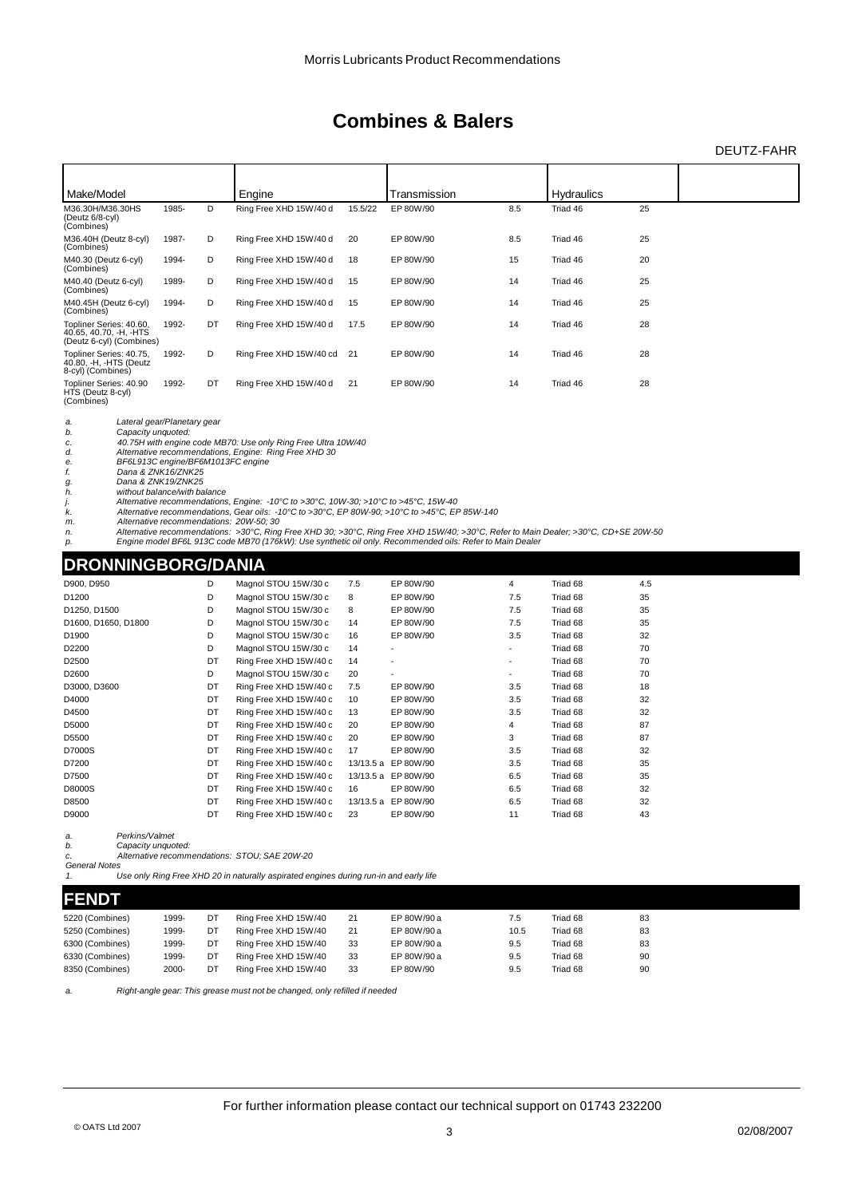#### DEUTZ-FAHR

| Make/Model                                                                    |       |    | Engine                  |         | Transmission |     | <b>Hydraulics</b> |    |  |
|-------------------------------------------------------------------------------|-------|----|-------------------------|---------|--------------|-----|-------------------|----|--|
| M36.30H/M36.30HS<br>(Deutz 6/8-cyl)<br>(Combines)                             | 1985- | D  | Ring Free XHD 15W/40 d  | 15.5/22 | EP 80W/90    | 8.5 | Triad 46          | 25 |  |
| M36.40H (Deutz 8-cyl)<br>(Combines)                                           | 1987- | D  | Ring Free XHD 15W/40 d  | 20      | EP 80W/90    | 8.5 | Triad 46          | 25 |  |
| M40.30 (Deutz 6-cyl)<br>(Combines)                                            | 1994- | D  | Ring Free XHD 15W/40 d  | 18      | EP 80W/90    | 15  | Triad 46          | 20 |  |
| M40.40 (Deutz 6-cyl)<br>(Combines)                                            | 1989- | D  | Ring Free XHD 15W/40 d  | 15      | EP 80W/90    | 14  | Triad 46          | 25 |  |
| M40.45H (Deutz 6-cyl)<br>(Combines)                                           | 1994- | D  | Ring Free XHD 15W/40 d  | 15      | EP 80W/90    | 14  | Triad 46          | 25 |  |
| Topliner Series: 40.60,<br>40.65, 40.70, -H, -HTS<br>(Deutz 6-cyl) (Combines) | 1992- | DT | Ring Free XHD 15W/40 d  | 17.5    | EP 80W/90    | 14  | Triad 46          | 28 |  |
| Topliner Series: 40.75,<br>40.80, -H, -HTS (Deutz<br>8-cyl) (Combines)        | 1992- | D  | Ring Free XHD 15W/40 cd | 21      | EP 80W/90    | 14  | Triad 46          | 28 |  |
| Topliner Series: 40.90<br>HTS (Deutz 8-cyl)<br>(Combines)                     | 1992- | DT | Ring Free XHD 15W/40 d  | 21      | EP 80W/90    | 14  | Triad 46          | 28 |  |

*a. Lateral gear/Planetary gear b. Capacity unquoted:*

c. 40.75H with engine code MB70: Use only Ring Free Ultra 10W/40<br>d. Alternative recommendations, Engine: Ring Free XHD 30<br>e. BF6L913C engine/BF6M1013FC engine<br>f. Dana & ZNK16/ZNK25

*g. Dana & ZNK19/ZNK25 h. without balance/with balance*

j. Alternative recommendations, Engine: -10°C to >30°C, 10W-30; >10°C to >45°C, 15W-40<br>k. Alternative recommendations: Gear oils: -10°C to >30°C, EP 80W-90; >10°C to >45°C, EP 85W-140<br>m. Alternative recommendations: >20ºC

### **DRONNINGBORG/DANIA**

| D900, D950          | D  | Magnol STOU 15W/30 c   | 7.5 | EP 80W/90           | 4   | Triad 68 | 4.5 |
|---------------------|----|------------------------|-----|---------------------|-----|----------|-----|
| D <sub>1200</sub>   | D  | Magnol STOU 15W/30 c   | 8   | EP 80W/90           | 7.5 | Triad 68 | 35  |
| D1250, D1500        | D  | Magnol STOU 15W/30 c   | 8   | EP 80W/90           | 7.5 | Triad 68 | 35  |
| D1600, D1650, D1800 | D  | Magnol STOU 15W/30 c   | 14  | EP 80W/90           | 7.5 | Triad 68 | 35  |
| D <sub>1900</sub>   | D  | Magnol STOU 15W/30 c   | 16  | EP 80W/90           | 3.5 | Triad 68 | 32  |
| D2200               | D  | Magnol STOU 15W/30 c   | 14  |                     |     | Triad 68 | 70  |
| D <sub>2500</sub>   | DT | Ring Free XHD 15W/40 c | 14  |                     |     | Triad 68 | 70  |
| D <sub>2600</sub>   | D  | Magnol STOU 15W/30 c   | 20  | ٠                   |     | Triad 68 | 70  |
| D3000, D3600        | DT | Ring Free XHD 15W/40 c | 7.5 | EP 80W/90           | 3.5 | Triad 68 | 18  |
| D4000               | DT | Ring Free XHD 15W/40 c | 10  | EP 80W/90           | 3.5 | Triad 68 | 32  |
| D4500               | DT | Ring Free XHD 15W/40 c | 13  | EP 80W/90           | 3.5 | Triad 68 | 32  |
| D5000               | DT | Ring Free XHD 15W/40 c | 20  | EP 80W/90           | 4   | Triad 68 | 87  |
| D5500               | DT | Ring Free XHD 15W/40 c | 20  | EP 80W/90           | 3   | Triad 68 | 87  |
| D7000S              | DT | Ring Free XHD 15W/40 c | 17  | EP 80W/90           | 3.5 | Triad 68 | 32  |
| D7200               | DT | Ring Free XHD 15W/40 c |     | 13/13.5 a EP 80W/90 | 3.5 | Triad 68 | 35  |
| D7500               | DT | Ring Free XHD 15W/40 c |     | 13/13.5 a EP 80W/90 | 6.5 | Triad 68 | 35  |
| D8000S              | DT | Ring Free XHD 15W/40 c | 16  | EP 80W/90           | 6.5 | Triad 68 | 32  |
| D8500               | DT | Ring Free XHD 15W/40 c |     | 13/13.5 a EP 80W/90 | 6.5 | Triad 68 | 32  |
| D9000               | DT | Ring Free XHD 15W/40 c | 23  | EP 80W/90           | 11  | Triad 68 | 43  |
|                     |    |                        |     |                     |     |          |     |

*a. Perkins/Valmet*

*b. Capacity unquoted: c. Alternative recommendations: STOU; SAE 20W-20 Geral Note* 

*1. Use only Ring Free XHD 20 in naturally aspirated engines during run-in and early life*

#### **FENDT**

| 5220 (Combines) | 1999- | DT | Ring Free XHD 15W/40 | 21 | EP 80W/90 a | 7.5  | Triad 68 | 83 |  |
|-----------------|-------|----|----------------------|----|-------------|------|----------|----|--|
| 5250 (Combines) | 1999- | DT | Ring Free XHD 15W/40 | 21 | EP 80W/90 a | 10.5 | Triad 68 | 83 |  |
| 6300 (Combines) | 1999- | DT | Ring Free XHD 15W/40 | 33 | EP 80W/90 a | 9.5  | Triad 68 | 83 |  |
| 6330 (Combines) | 1999- | DT | Ring Free XHD 15W/40 | 33 | EP 80W/90 a | 9.5  | Triad 68 | 90 |  |
| 8350 (Combines) | 2000- | DT | Ring Free XHD 15W/40 | 33 | EP 80W/90   | 9.5  | Triad 68 | 90 |  |

*a. Right-angle gear: This grease must not be changed, only refilled if needed*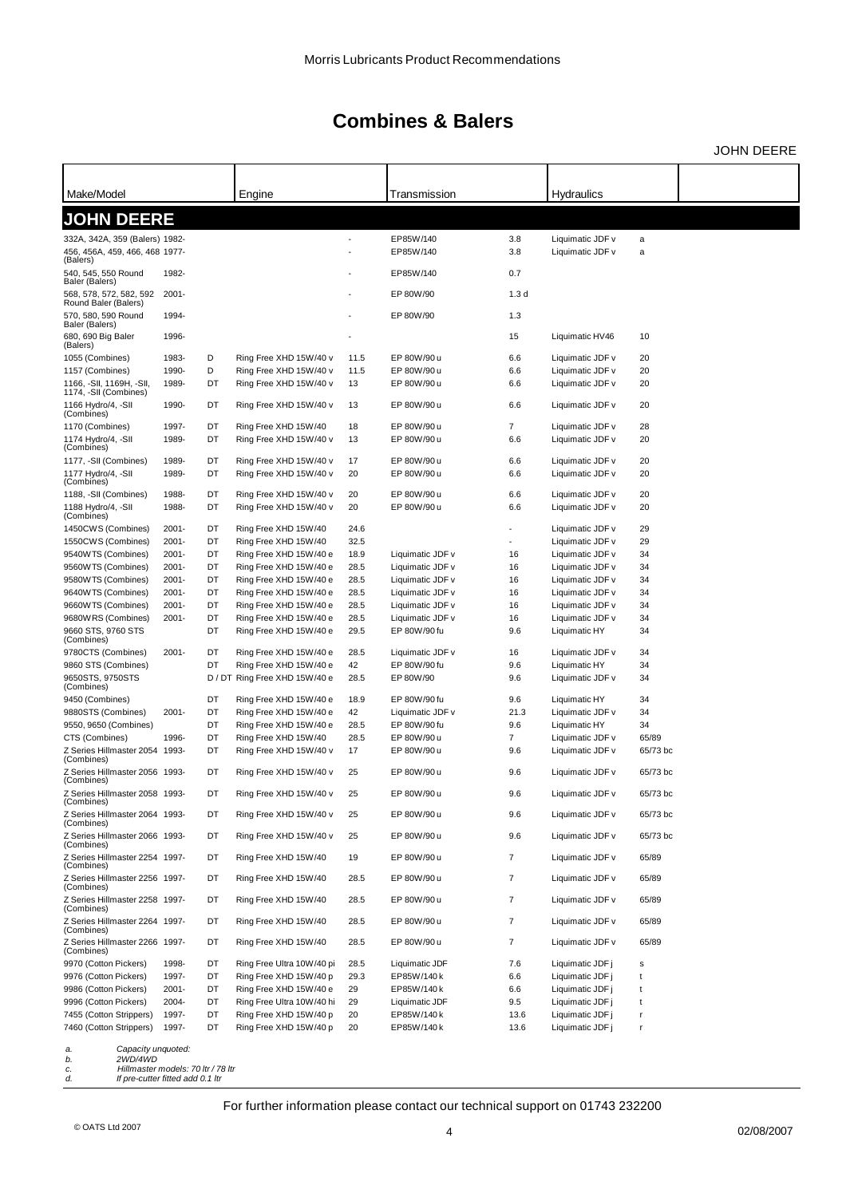JOHN DEERE

| Make/Model                                                                                                                      |          |      | Engine                    |      | Transmission     |                          | Hydraulics       |          |  |
|---------------------------------------------------------------------------------------------------------------------------------|----------|------|---------------------------|------|------------------|--------------------------|------------------|----------|--|
| <b>JOHN DEERE</b>                                                                                                               |          |      |                           |      |                  |                          |                  |          |  |
|                                                                                                                                 |          |      |                           |      |                  |                          |                  |          |  |
| 332A, 342A, 359 (Balers) 1982-                                                                                                  |          |      |                           |      | EP85W/140        | 3.8                      | Liquimatic JDF v | a        |  |
| 456, 456A, 459, 466, 468 1977-<br>(Balers)                                                                                      |          |      |                           |      | EP85W/140        | 3.8                      | Liquimatic JDF v | a        |  |
| 540, 545, 550 Round<br>Baler (Balers)                                                                                           | 1982-    |      |                           |      | EP85W/140        | 0.7                      |                  |          |  |
| 568, 578, 572, 582, 592<br>Round Baler (Balers)                                                                                 | 2001-    |      |                           |      | EP 80W/90        | 1.3 <sub>d</sub>         |                  |          |  |
| 570, 580, 590 Round<br>Baler (Balers)                                                                                           | 1994-    |      |                           |      | EP 80W/90        | 1.3                      |                  |          |  |
| 680, 690 Big Baler<br>(Balers)                                                                                                  | 1996-    |      |                           |      |                  | 15                       | Liquimatic HV46  | 10       |  |
| 1055 (Combines)                                                                                                                 | 1983-    | D    | Ring Free XHD 15W/40 v    | 11.5 | EP 80W/90 u      | 6.6                      | Liquimatic JDF v | 20       |  |
| 1157 (Combines)                                                                                                                 | 1990-    | D    | Ring Free XHD 15W/40 v    | 11.5 | EP 80W/90 u      | 6.6                      | Liquimatic JDF v | 20       |  |
| 1166, -SII, 1169H, -SII,                                                                                                        | 1989-    | DT   | Ring Free XHD 15W/40 v    | 13   | EP 80W/90 u      | 6.6                      | Liquimatic JDF v | 20       |  |
| 1174, -SII (Combines)<br>1166 Hydro/4, -SII                                                                                     | 1990-    | DT   | Ring Free XHD 15W/40 v    | 13   | EP 80W/90 u      | 6.6                      | Liquimatic JDF v | 20       |  |
| (Combines)<br>1170 (Combines)                                                                                                   | 1997-    | DT   | Ring Free XHD 15W/40      | 18   | EP 80W/90 u      | 7                        | Liquimatic JDF v | 28       |  |
| 1174 Hydro/4, -SII                                                                                                              | 1989-    | DT   | Ring Free XHD 15W/40 v    | 13   | EP 80W/90 u      | 6.6                      | Liquimatic JDF v | 20       |  |
| (Combines)                                                                                                                      |          |      |                           |      |                  |                          |                  |          |  |
| 1177, -SII (Combines)                                                                                                           | 1989-    | DT   | Ring Free XHD 15W/40 v    | 17   | EP 80W/90 u      | 6.6                      | Liquimatic JDF v | 20       |  |
| 1177 Hydro/4, -SII<br>(Combines)                                                                                                | 1989-    | DT   | Ring Free XHD 15W/40 v    | 20   | EP 80W/90 u      | 6.6                      | Liquimatic JDF v | 20       |  |
| 1188, -SII (Combines)                                                                                                           | 1988-    | DT   | Ring Free XHD 15W/40 v    | 20   | EP 80W/90 u      | 6.6                      | Liquimatic JDF v | 20       |  |
| 1188 Hydro/4, -SII<br>(Combines)                                                                                                | 1988-    | DT   | Ring Free XHD 15W/40 v    | 20   | EP 80W/90 u      | 6.6                      | Liquimatic JDF v | 20       |  |
| 1450CWS (Combines)                                                                                                              | $2001 -$ | DT   | Ring Free XHD 15W/40      | 24.6 |                  |                          | Liquimatic JDF v | 29       |  |
| 1550CWS (Combines)                                                                                                              | $2001 -$ | DT   | Ring Free XHD 15W/40      | 32.5 |                  |                          | Liquimatic JDF v | 29       |  |
| 9540WTS (Combines)                                                                                                              | 2001-    | DT   | Ring Free XHD 15W/40 e    | 18.9 | Liquimatic JDF v | 16                       | Liquimatic JDF v | 34       |  |
| 9560WTS (Combines)                                                                                                              | 2001-    | DT   | Ring Free XHD 15W/40 e    | 28.5 | Liquimatic JDF v | 16                       | Liquimatic JDF v | 34       |  |
| 9580WTS (Combines)                                                                                                              | 2001-    | DT   | Ring Free XHD 15W/40 e    | 28.5 | Liquimatic JDF v | 16                       | Liquimatic JDF v | 34       |  |
| 9640WTS (Combines)                                                                                                              | 2001-    | DT   | Ring Free XHD 15W/40 e    | 28.5 | Liquimatic JDF v | 16                       | Liquimatic JDF v | 34       |  |
| 9660WTS (Combines)                                                                                                              | 2001-    | DT   | Ring Free XHD 15W/40 e    | 28.5 | Liquimatic JDF v | 16                       | Liquimatic JDF v | 34       |  |
| 9680WRS (Combines)                                                                                                              | 2001-    | DT   | Ring Free XHD 15W/40 e    | 28.5 | Liquimatic JDF v | 16                       | Liquimatic JDF v | 34       |  |
| 9660 STS, 9760 STS<br>(Combines)                                                                                                |          | DT   | Ring Free XHD 15W/40 e    | 29.5 | EP 80W/90 fu     | 9.6                      | Liquimatic HY    | 34       |  |
| 9780CTS (Combines)                                                                                                              | 2001-    | DT   | Ring Free XHD 15W/40 e    | 28.5 | Liquimatic JDF v | 16                       | Liquimatic JDF v | 34       |  |
| 9860 STS (Combines)                                                                                                             |          | DT   | Ring Free XHD 15W/40 e    | 42   | EP 80W/90 fu     | 9.6                      | Liquimatic HY    | 34       |  |
| 9650STS, 9750STS<br>(Combines)                                                                                                  |          | D/DT | Ring Free XHD 15W/40 e    | 28.5 | EP 80W/90        | 9.6                      | Liquimatic JDF v | 34       |  |
| 9450 (Combines)                                                                                                                 |          | DT   | Ring Free XHD 15W/40 e    | 18.9 | EP 80W/90 fu     | 9.6                      | Liquimatic HY    | 34       |  |
| 9880STS (Combines)                                                                                                              | $2001 -$ | DT   | Ring Free XHD 15W/40 e    | 42   | Liquimatic JDF v | 21.3                     | Liquimatic JDF v | 34       |  |
| 9550, 9650 (Combines)                                                                                                           |          | DT   | Ring Free XHD 15W/40 e    | 28.5 | EP 80W/90 fu     | 9.6                      | Liquimatic HY    | 34       |  |
| CTS (Combines)                                                                                                                  | 1996-    | DT   | Ring Free XHD 15W/40      | 28.5 | EP 80W/90 u      | 7                        | Liquimatic JDF v | 65/89    |  |
| Z Series Hillmaster 2054 1993-<br>(Combines)                                                                                    |          | DT   | Ring Free XHD 15W/40 v    | 17   | EP 80W/90 u      | 9.6                      | Liquimatic JDF v | 65/73 bc |  |
| Z Series Hillmaster 2056 1993-<br>(Combines)                                                                                    |          | DT   | Ring Free XHD 15W/40 v    | 25   | EP 80W/90 u      | 9.6                      | Liquimatic JDF v | 65/73 bc |  |
| Z Series Hillmaster 2058 1993-<br>(Combines)                                                                                    |          | DT   | Ring Free XHD 15W/40 v    | 25   | EP 80W/90 u      | 9.6                      | Liquimatic JDF v | 65/73 bc |  |
| Z Series Hillmaster 2064 1993-<br>(Combines)                                                                                    |          | DT   | Ring Free XHD 15W/40 v    | 25   | EP 80W/90 u      | 9.6                      | Liquimatic JDF v | 65/73 bc |  |
| Z Series Hillmaster 2066 1993-<br>(Combines)                                                                                    |          | DT   | Ring Free XHD 15W/40 v    | 25   | EP 80W/90 u      | 9.6                      | Liquimatic JDF v | 65/73 bc |  |
| Z Series Hillmaster 2254 1997-<br>(Combines)                                                                                    |          | DT   | Ring Free XHD 15W/40      | 19   | EP 80W/90 u      | 7                        | Liquimatic JDF v | 65/89    |  |
| Z Series Hillmaster 2256 1997-<br>(Combines)                                                                                    |          | DT   | Ring Free XHD 15W/40      | 28.5 | EP 80W/90 u      | 7                        | Liquimatic JDF v | 65/89    |  |
| Z Series Hillmaster 2258 1997-<br>(Combines)                                                                                    |          | DT   | Ring Free XHD 15W/40      | 28.5 | EP 80W/90 u      | 7                        | Liquimatic JDF v | 65/89    |  |
| Z Series Hillmaster 2264 1997-<br>(Combines)                                                                                    |          | DT   | Ring Free XHD 15W/40      | 28.5 | EP 80W/90 u      | $\overline{\mathcal{I}}$ | Liquimatic JDF v | 65/89    |  |
| Z Series Hillmaster 2266 1997-<br>(Combines)                                                                                    |          | DT   | Ring Free XHD 15W/40      | 28.5 | EP 80W/90 u      | 7                        | Liquimatic JDF v | 65/89    |  |
| 9970 (Cotton Pickers)                                                                                                           | 1998-    | DT   | Ring Free Ultra 10W/40 pi | 28.5 | Liquimatic JDF   | 7.6                      | Liquimatic JDF j | s        |  |
| 9976 (Cotton Pickers)                                                                                                           | 1997-    | DT   | Ring Free XHD 15W/40 p    | 29.3 | EP85W/140 k      | 6.6                      | Liquimatic JDF j | t        |  |
| 9986 (Cotton Pickers)                                                                                                           | $2001 -$ | DT   | Ring Free XHD 15W/40 e    | 29   | EP85W/140 k      | 6.6                      | Liquimatic JDF j | t        |  |
| 9996 (Cotton Pickers)                                                                                                           | 2004-    | DT   | Ring Free Ultra 10W/40 hi | 29   | Liquimatic JDF   | 9.5                      | Liquimatic JDF j | t        |  |
| 7455 (Cotton Strippers)                                                                                                         | 1997-    | DT   | Ring Free XHD 15W/40 p    | 20   | EP85W/140 k      | 13.6                     | Liquimatic JDF j | ŗ        |  |
| 7460 (Cotton Strippers)                                                                                                         | 1997-    | DT   | Ring Free XHD 15W/40 p    | 20   | EP85W/140 k      | 13.6                     | Liquimatic JDF j | r        |  |
| Capacity unquoted:<br>a.<br>2WD/4WD<br>b.<br>Hillmaster models: 70 ltr / 78 ltr<br>c.<br>d.<br>If pre-cutter fitted add 0.1 Itr |          |      |                           |      |                  |                          |                  |          |  |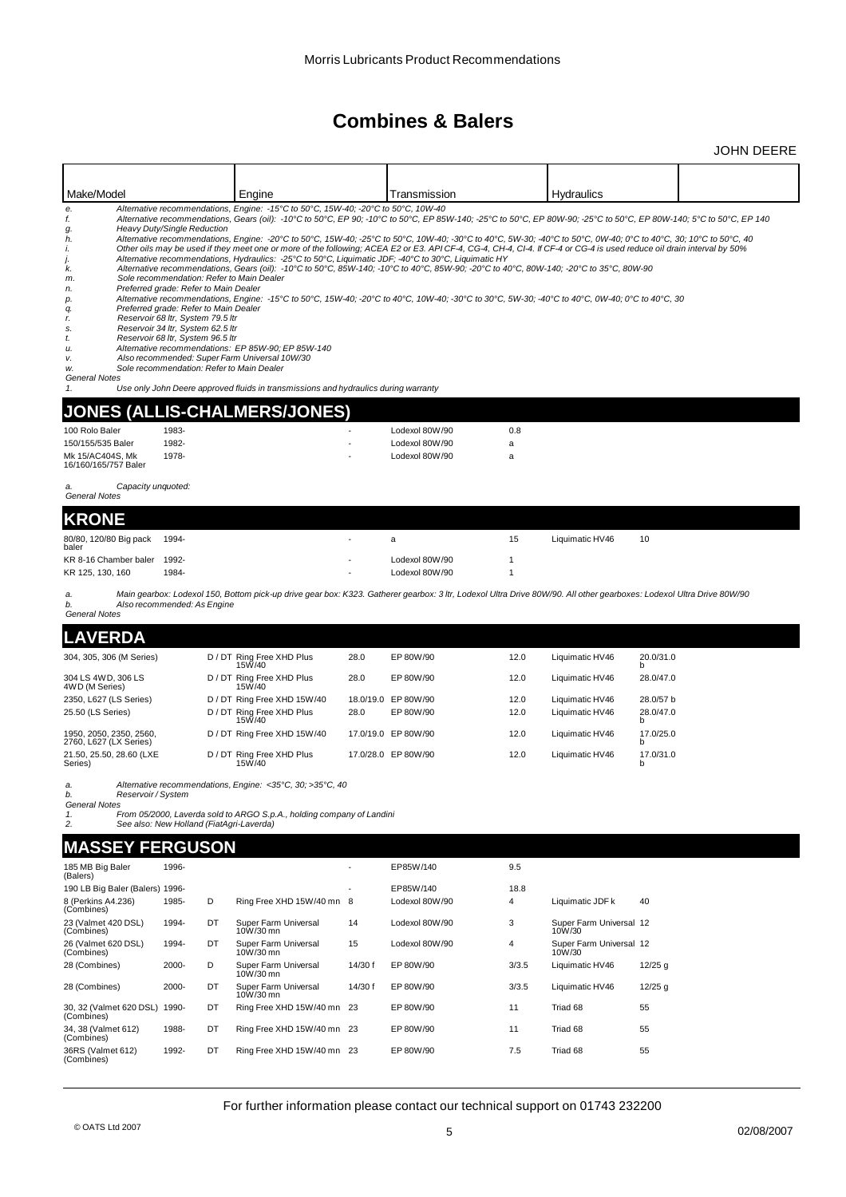|                                                                                                                           |                                                                                                                                                                                                                              |    |                                                                                                                                                                                                                                                                                                                                                                                                                                                                                                                                                                                                                                                                                                                                                                                                                                                                                                                                                         |         |                                  |              |                                    | <b>JOHN DEERE</b>                                                                                                                                                                                                                                                                                                                       |
|---------------------------------------------------------------------------------------------------------------------------|------------------------------------------------------------------------------------------------------------------------------------------------------------------------------------------------------------------------------|----|---------------------------------------------------------------------------------------------------------------------------------------------------------------------------------------------------------------------------------------------------------------------------------------------------------------------------------------------------------------------------------------------------------------------------------------------------------------------------------------------------------------------------------------------------------------------------------------------------------------------------------------------------------------------------------------------------------------------------------------------------------------------------------------------------------------------------------------------------------------------------------------------------------------------------------------------------------|---------|----------------------------------|--------------|------------------------------------|-----------------------------------------------------------------------------------------------------------------------------------------------------------------------------------------------------------------------------------------------------------------------------------------------------------------------------------------|
|                                                                                                                           |                                                                                                                                                                                                                              |    |                                                                                                                                                                                                                                                                                                                                                                                                                                                                                                                                                                                                                                                                                                                                                                                                                                                                                                                                                         |         |                                  |              |                                    |                                                                                                                                                                                                                                                                                                                                         |
| Make/Model                                                                                                                |                                                                                                                                                                                                                              |    | Engine                                                                                                                                                                                                                                                                                                                                                                                                                                                                                                                                                                                                                                                                                                                                                                                                                                                                                                                                                  |         | Transmission                     |              | Hydraulics                         |                                                                                                                                                                                                                                                                                                                                         |
| е.<br>f.<br>g.<br>h.<br>i.<br>j.<br>k.<br>m.<br>n.<br>р.<br>q.<br>r.<br>s.<br>t.<br>u.<br>v.<br>w.<br>General Notes<br>1. | Heavy Duty/Single Reduction<br>Preferred grade: Refer to Main Dealer<br>Preferred grade: Refer to Main Dealer<br>Reservoir 68 ltr, System 79.5 ltr<br>Reservoir 34 ltr, System 62.5 ltr<br>Reservoir 68 ltr, System 96.5 ltr |    | Alternative recommendations, Engine: -15°C to 50°C, 15W-40; -20°C to 50°C, 10W-40<br>Other oils may be used if they meet one or more of the following; ACEA E2 or E3. API CF-4, CG-4, CH-4, CI-4. If CF-4 or CG-4 is used reduce oil drain interval by 50%<br>Alternative recommendations, Hydraulics: - 25°C to 50°C, Liquimatic JDF; -40°C to 30°C, Liquimatic HY<br>Alternative recommendations, Gears (oil): -10°C to 50°C, 85W-140; -10°C to 40°C, 85W-90; -20°C to 40°C, 80W-140; -20°C to 35°C, 80W-90<br>Sole recommendation: Refer to Main Dealer<br>Alternative recommendations, Engine: -15°C to 50°C, 15W-40; -20°C to 40°C, 10W-40; -30°C to 30°C, 5W-30; -40°C to 40°C, 0W-40; 0°C to 40°C, 30<br>Alternative recommendations: EP 85W-90; EP 85W-140<br>Also recommended: Super Farm Universal 10W/30<br>Sole recommendation: Refer to Main Dealer<br>Use only John Deere approved fluids in transmissions and hydraulics during warranty |         |                                  |              |                                    | Alternative recommendations, Gears (oil): -10°C to 50°C, EP 90; -10°C to 50°C, EP 85W-140; -25°C to 50°C, EP 80W-90; -25°C to 50°C, EP 80W-140; 5°C to 50°C, EP 140<br>Alternative recommendations, Engine: -20°C to 50°C, 15W-40; -25°C to 50°C, 10W-40; -30°C to 40°C, 5W-30; -40°C to 50°C, 0W-40; 0°C to 40°C, 30; 10°C to 50°C, 40 |
| <b>JONES</b>                                                                                                              |                                                                                                                                                                                                                              |    | (ALLIS-CHALMERS/JONES)                                                                                                                                                                                                                                                                                                                                                                                                                                                                                                                                                                                                                                                                                                                                                                                                                                                                                                                                  |         |                                  |              |                                    |                                                                                                                                                                                                                                                                                                                                         |
| 100 Rolo Baler                                                                                                            | 1983-                                                                                                                                                                                                                        |    |                                                                                                                                                                                                                                                                                                                                                                                                                                                                                                                                                                                                                                                                                                                                                                                                                                                                                                                                                         |         | Lodexol 80W/90                   | 0.8          |                                    |                                                                                                                                                                                                                                                                                                                                         |
| 150/155/535 Baler                                                                                                         | 1982-                                                                                                                                                                                                                        |    |                                                                                                                                                                                                                                                                                                                                                                                                                                                                                                                                                                                                                                                                                                                                                                                                                                                                                                                                                         |         | Lodexol 80W/90                   | a            |                                    |                                                                                                                                                                                                                                                                                                                                         |
| Mk 15/AC404S, Mk<br>16/160/165/757 Baler                                                                                  | 1978-                                                                                                                                                                                                                        |    |                                                                                                                                                                                                                                                                                                                                                                                                                                                                                                                                                                                                                                                                                                                                                                                                                                                                                                                                                         |         | Lodexol 80W/90                   | a            |                                    |                                                                                                                                                                                                                                                                                                                                         |
| Capacity unquoted:<br>a.<br>General Notes                                                                                 |                                                                                                                                                                                                                              |    |                                                                                                                                                                                                                                                                                                                                                                                                                                                                                                                                                                                                                                                                                                                                                                                                                                                                                                                                                         |         |                                  |              |                                    |                                                                                                                                                                                                                                                                                                                                         |
| <b>KRONE</b>                                                                                                              |                                                                                                                                                                                                                              |    |                                                                                                                                                                                                                                                                                                                                                                                                                                                                                                                                                                                                                                                                                                                                                                                                                                                                                                                                                         |         |                                  |              |                                    |                                                                                                                                                                                                                                                                                                                                         |
| 80/80, 120/80 Big pack<br>baler                                                                                           | 1994-                                                                                                                                                                                                                        |    |                                                                                                                                                                                                                                                                                                                                                                                                                                                                                                                                                                                                                                                                                                                                                                                                                                                                                                                                                         |         | a                                | 15           | Liquimatic HV46                    | 10                                                                                                                                                                                                                                                                                                                                      |
| KR 8-16 Chamber baler 1992-<br>KR 125, 130, 160                                                                           | 1984-                                                                                                                                                                                                                        |    |                                                                                                                                                                                                                                                                                                                                                                                                                                                                                                                                                                                                                                                                                                                                                                                                                                                                                                                                                         |         | Lodexol 80W/90<br>Lodexol 80W/90 | 1<br>1       |                                    |                                                                                                                                                                                                                                                                                                                                         |
| a.<br>b.<br><b>General Notes</b>                                                                                          | Also recommended: As Engine                                                                                                                                                                                                  |    |                                                                                                                                                                                                                                                                                                                                                                                                                                                                                                                                                                                                                                                                                                                                                                                                                                                                                                                                                         |         |                                  |              |                                    | Main gearbox: Lodexol 150, Bottom pick-up drive gear box: K323. Gatherer gearbox: 3 ltr, Lodexol Ultra Drive 80W/90. All other gearboxes: Lodexol Ultra Drive 80W/90                                                                                                                                                                    |
| <b>LAVERDA</b>                                                                                                            |                                                                                                                                                                                                                              |    |                                                                                                                                                                                                                                                                                                                                                                                                                                                                                                                                                                                                                                                                                                                                                                                                                                                                                                                                                         |         |                                  |              |                                    |                                                                                                                                                                                                                                                                                                                                         |
| 304, 305, 306 (M Series)                                                                                                  |                                                                                                                                                                                                                              |    | D / DT Ring Free XHD Plus<br>15W/40                                                                                                                                                                                                                                                                                                                                                                                                                                                                                                                                                                                                                                                                                                                                                                                                                                                                                                                     | 28.0    | EP 80W/90                        | 12.0         | Liquimatic HV46                    | 20.0/31.0<br>b                                                                                                                                                                                                                                                                                                                          |
| 304 LS 4WD, 306 LS<br>4WD (M Series)                                                                                      |                                                                                                                                                                                                                              |    | D / DT Ring Free XHD Plus<br>15W/40                                                                                                                                                                                                                                                                                                                                                                                                                                                                                                                                                                                                                                                                                                                                                                                                                                                                                                                     | 28.0    | EP 80W/90                        | 12.0         | Liquimatic HV46                    | 28.0/47.0                                                                                                                                                                                                                                                                                                                               |
| 2350, L627 (LS Series)<br>25.50 (LS Series)                                                                               |                                                                                                                                                                                                                              |    | D / DT Ring Free XHD 15W/40<br>D / DT Ring Free XHD Plus                                                                                                                                                                                                                                                                                                                                                                                                                                                                                                                                                                                                                                                                                                                                                                                                                                                                                                | 28.0    | 18.0/19.0 EP 80W/90<br>EP 80W/90 | 12.0<br>12.0 | Liquimatic HV46<br>Liquimatic HV46 | 28.0/57 b<br>28.0/47.0                                                                                                                                                                                                                                                                                                                  |
| 1950, 2050, 2350, 2560,<br>2760, L627 (LX Series)                                                                         |                                                                                                                                                                                                                              |    | 15W/40<br>D / DT Ring Free XHD 15W/40                                                                                                                                                                                                                                                                                                                                                                                                                                                                                                                                                                                                                                                                                                                                                                                                                                                                                                                   |         | 17.0/19.0 EP 80W/90              | 12.0         | Liquimatic HV46                    | b<br>17.0/25.0<br>b                                                                                                                                                                                                                                                                                                                     |
| 21.50, 25.50, 28.60 (LXE<br>Series)                                                                                       |                                                                                                                                                                                                                              |    | D / DT Ring Free XHD Plus<br>15W/40                                                                                                                                                                                                                                                                                                                                                                                                                                                                                                                                                                                                                                                                                                                                                                                                                                                                                                                     |         | 17.0/28.0 EP 80W/90              | 12.0         | Liquimatic HV46                    | 17.0/31.0<br>b                                                                                                                                                                                                                                                                                                                          |
| a.<br>b.<br>Reservoir / System<br><b>General Notes</b><br>1.<br>2.                                                        | See also: New Holland (FiatAgri-Laverda)                                                                                                                                                                                     |    | Alternative recommendations, Engine: <35°C, 30; >35°C, 40<br>From 05/2000, Laverda sold to ARGO S.p.A., holding company of Landini                                                                                                                                                                                                                                                                                                                                                                                                                                                                                                                                                                                                                                                                                                                                                                                                                      |         |                                  |              |                                    |                                                                                                                                                                                                                                                                                                                                         |
| MASSEY FERGUSON                                                                                                           |                                                                                                                                                                                                                              |    |                                                                                                                                                                                                                                                                                                                                                                                                                                                                                                                                                                                                                                                                                                                                                                                                                                                                                                                                                         |         |                                  |              |                                    |                                                                                                                                                                                                                                                                                                                                         |
| 185 MB Big Baler<br>(Balers)                                                                                              | 1996-                                                                                                                                                                                                                        |    |                                                                                                                                                                                                                                                                                                                                                                                                                                                                                                                                                                                                                                                                                                                                                                                                                                                                                                                                                         |         | EP85W/140                        | 9.5          |                                    |                                                                                                                                                                                                                                                                                                                                         |
| 190 LB Big Baler (Balers) 1996-<br>8 (Perkins A4.236)<br>(Combines)                                                       | 1985-                                                                                                                                                                                                                        | D  | Ring Free XHD 15W/40 mn 8                                                                                                                                                                                                                                                                                                                                                                                                                                                                                                                                                                                                                                                                                                                                                                                                                                                                                                                               |         | EP85W/140<br>Lodexol 80W/90      | 18.8<br>4    | Liquimatic JDF k                   | 40                                                                                                                                                                                                                                                                                                                                      |
| 23 (Valmet 420 DSL)<br>(Combines)                                                                                         | 1994-                                                                                                                                                                                                                        | DT | Super Farm Universal<br>10W/30 mn                                                                                                                                                                                                                                                                                                                                                                                                                                                                                                                                                                                                                                                                                                                                                                                                                                                                                                                       | 14      | Lodexol 80W/90                   | 3            | Super Farm Universal 12<br>10W/30  |                                                                                                                                                                                                                                                                                                                                         |
| 26 (Valmet 620 DSL)<br>(Combines)                                                                                         | 1994-                                                                                                                                                                                                                        | DT | Super Farm Universal<br>10W/30 mn                                                                                                                                                                                                                                                                                                                                                                                                                                                                                                                                                                                                                                                                                                                                                                                                                                                                                                                       | 15      | Lodexol 80W/90                   | 4            | Super Farm Universal 12<br>10W/30  |                                                                                                                                                                                                                                                                                                                                         |
| 28 (Combines)                                                                                                             | 2000-                                                                                                                                                                                                                        | D  | Super Farm Universal                                                                                                                                                                                                                                                                                                                                                                                                                                                                                                                                                                                                                                                                                                                                                                                                                                                                                                                                    | 14/30 f | EP 80W/90                        | 3/3.5        | Liquimatic HV46                    | $12/25$ g                                                                                                                                                                                                                                                                                                                               |
| 28 (Combines)                                                                                                             | 2000-                                                                                                                                                                                                                        | DT | 10W/30 mn<br>Super Farm Universal<br>10W/30 mn                                                                                                                                                                                                                                                                                                                                                                                                                                                                                                                                                                                                                                                                                                                                                                                                                                                                                                          | 14/30 f | EP 80W/90                        | 3/3.5        | Liquimatic HV46                    | $12/25$ g                                                                                                                                                                                                                                                                                                                               |
| 30, 32 (Valmet 620 DSL) 1990-<br>(Combines)                                                                               |                                                                                                                                                                                                                              | DT | Ring Free XHD 15W/40 mn 23                                                                                                                                                                                                                                                                                                                                                                                                                                                                                                                                                                                                                                                                                                                                                                                                                                                                                                                              |         | EP 80W/90                        | 11           | Triad 68                           | 55                                                                                                                                                                                                                                                                                                                                      |
| 34, 38 (Valmet 612)<br>(Combines)                                                                                         | 1988-                                                                                                                                                                                                                        | DT | Ring Free XHD 15W/40 mn 23                                                                                                                                                                                                                                                                                                                                                                                                                                                                                                                                                                                                                                                                                                                                                                                                                                                                                                                              |         | EP 80W/90                        | 11           | Triad 68                           | 55                                                                                                                                                                                                                                                                                                                                      |
| 36RS (Valmet 612)                                                                                                         | 1992-                                                                                                                                                                                                                        | DT | Ring Free XHD 15W/40 mn 23                                                                                                                                                                                                                                                                                                                                                                                                                                                                                                                                                                                                                                                                                                                                                                                                                                                                                                                              |         | EP 80W/90                        | 7.5          | Triad 68                           | 55                                                                                                                                                                                                                                                                                                                                      |

For further information please contact our technical support on 01743 232200

36RS (Valmet 612) 1992- (Combines)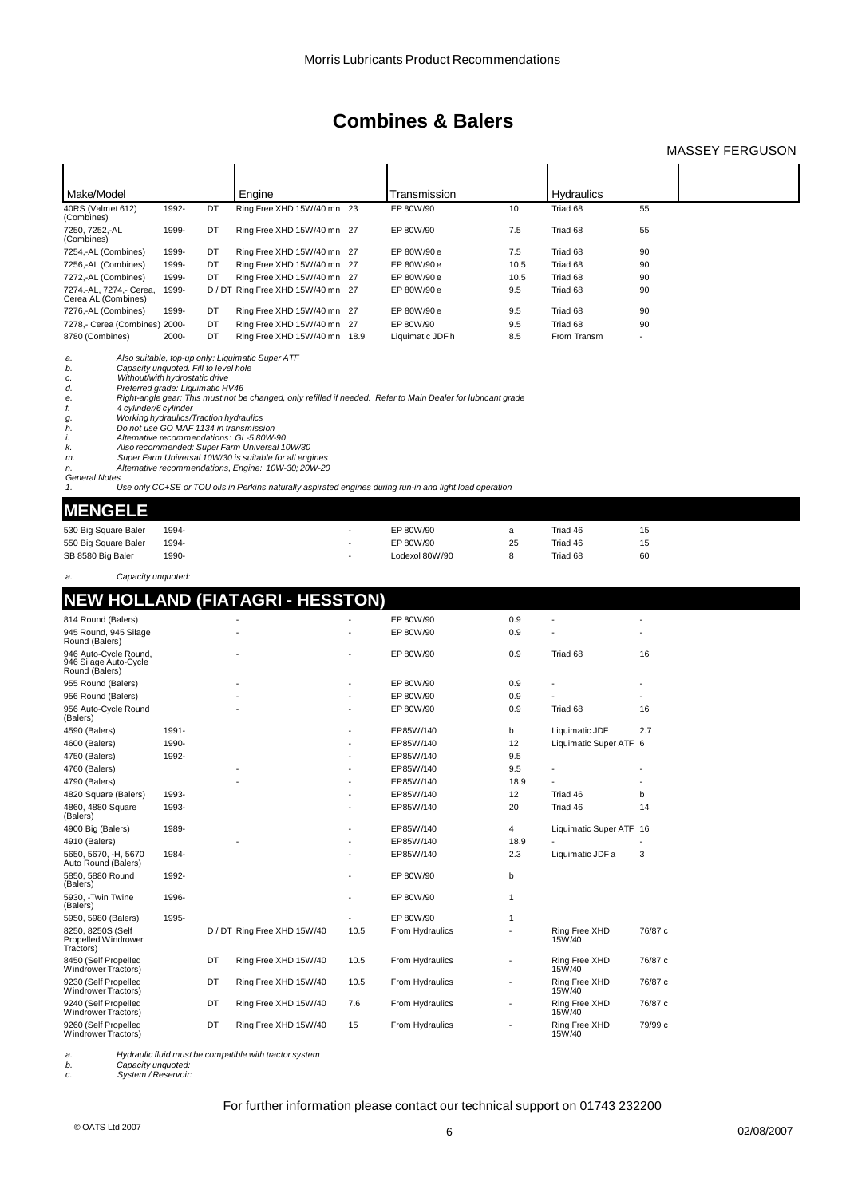### MASSEY FERGUSON

| Make/Model                                                                                                                                                                                                                                                                                                                     |       |    | Engine                                                                                                                                                                                                                                                          |      | Transmission                                                                                                                                                                                                              |                          | Hydraulics              |         |  |
|--------------------------------------------------------------------------------------------------------------------------------------------------------------------------------------------------------------------------------------------------------------------------------------------------------------------------------|-------|----|-----------------------------------------------------------------------------------------------------------------------------------------------------------------------------------------------------------------------------------------------------------------|------|---------------------------------------------------------------------------------------------------------------------------------------------------------------------------------------------------------------------------|--------------------------|-------------------------|---------|--|
| 40RS (Valmet 612)<br>(Combines)                                                                                                                                                                                                                                                                                                | 1992- | DT | Ring Free XHD 15W/40 mn 23                                                                                                                                                                                                                                      |      | EP 80W/90                                                                                                                                                                                                                 | 10                       | Triad 68                | 55      |  |
| 7250, 7252,-AL<br>(Combines)                                                                                                                                                                                                                                                                                                   | 1999- | DT | Ring Free XHD 15W/40 mn 27                                                                                                                                                                                                                                      |      | EP 80W/90                                                                                                                                                                                                                 | 7.5                      | Triad 68                | 55      |  |
| 7254,-AL (Combines)                                                                                                                                                                                                                                                                                                            | 1999- | DT | Ring Free XHD 15W/40 mn 27                                                                                                                                                                                                                                      |      | EP 80W/90 e                                                                                                                                                                                                               | 7.5                      | Triad 68                | 90      |  |
| 7256,-AL (Combines)                                                                                                                                                                                                                                                                                                            | 1999- | DT | Ring Free XHD 15W/40 mn 27                                                                                                                                                                                                                                      |      | EP 80W/90 e                                                                                                                                                                                                               | 10.5                     | Triad 68                | 90      |  |
| 7272,-AL (Combines)                                                                                                                                                                                                                                                                                                            | 1999- | DT | Ring Free XHD 15W/40 mn 27                                                                                                                                                                                                                                      |      | EP 80W/90 e                                                                                                                                                                                                               | 10.5                     | Triad 68                | 90      |  |
| 7274.-AL, 7274,- Cerea,<br>Cerea AL (Combines)                                                                                                                                                                                                                                                                                 | 1999- |    | D / DT Ring Free XHD 15W/40 mn 27                                                                                                                                                                                                                               |      | EP 80W/90 e                                                                                                                                                                                                               | 9.5                      | Triad 68                | 90      |  |
| 7276,-AL (Combines)                                                                                                                                                                                                                                                                                                            | 1999- | DT | Ring Free XHD 15W/40 mn 27                                                                                                                                                                                                                                      |      | EP 80W/90 e                                                                                                                                                                                                               | 9.5                      | Triad 68                | 90      |  |
| 7278,- Cerea (Combines) 2000-                                                                                                                                                                                                                                                                                                  |       | DT | Ring Free XHD 15W/40 mn 27                                                                                                                                                                                                                                      |      | EP 80W/90                                                                                                                                                                                                                 | 9.5                      | Triad 68                | 90      |  |
| 8780 (Combines)                                                                                                                                                                                                                                                                                                                | 2000- | DT | Ring Free XHD 15W/40 mn 18.9                                                                                                                                                                                                                                    |      | Liquimatic JDF h                                                                                                                                                                                                          | 8.5                      | From Transm             |         |  |
| a.<br>Capacity unquoted. Fill to level hole<br>b.<br>Without/with hydrostatic drive<br>с.<br>d.<br>Preferred grade: Liquimatic HV46<br>e.<br>f.<br>4 cylinder/6 cylinder<br>Working hydraulics/Traction hydraulics<br>g.<br>h.<br>Do not use GO MAF 1134 in transmission<br>i.<br>k.<br>m.<br>n.<br><b>General Notes</b><br>1. |       |    | Also suitable, top-up only: Liquimatic Super ATF<br>Alternative recommendations: GL-5 80W-90<br>Also recommended: Super Farm Universal 10W/30<br>Super Farm Universal 10W/30 is suitable for all engines<br>Alternative recommendations, Engine: 10W-30; 20W-20 |      | Right-angle gear: This must not be changed, only refilled if needed. Refer to Main Dealer for lubricant grade<br>Use only CC+SE or TOU oils in Perkins naturally aspirated engines during run-in and light load operation |                          |                         |         |  |
| <b>MENGELE</b>                                                                                                                                                                                                                                                                                                                 |       |    |                                                                                                                                                                                                                                                                 |      |                                                                                                                                                                                                                           |                          |                         |         |  |
| 530 Big Square Baler                                                                                                                                                                                                                                                                                                           | 1994- |    |                                                                                                                                                                                                                                                                 |      | EP 80W/90                                                                                                                                                                                                                 | a                        | Triad 46                | 15      |  |
| 550 Big Square Baler                                                                                                                                                                                                                                                                                                           | 1994- |    |                                                                                                                                                                                                                                                                 |      | EP 80W/90                                                                                                                                                                                                                 | 25                       | Triad 46                | 15      |  |
| SB 8580 Big Baler                                                                                                                                                                                                                                                                                                              | 1990- |    |                                                                                                                                                                                                                                                                 |      | Lodexol 80W/90                                                                                                                                                                                                            | 8                        | Triad 68                | 60      |  |
| Capacity unquoted:<br>a.                                                                                                                                                                                                                                                                                                       |       |    |                                                                                                                                                                                                                                                                 |      |                                                                                                                                                                                                                           |                          |                         |         |  |
|                                                                                                                                                                                                                                                                                                                                |       |    |                                                                                                                                                                                                                                                                 |      |                                                                                                                                                                                                                           |                          |                         |         |  |
|                                                                                                                                                                                                                                                                                                                                |       |    | <b>NEW HOLLAND (FIATAGRI - HESSTON)</b>                                                                                                                                                                                                                         |      |                                                                                                                                                                                                                           |                          |                         |         |  |
| 814 Round (Balers)                                                                                                                                                                                                                                                                                                             |       |    |                                                                                                                                                                                                                                                                 |      | EP 80W/90                                                                                                                                                                                                                 | 0.9                      |                         |         |  |
| 945 Round, 945 Silage<br>Round (Balers)                                                                                                                                                                                                                                                                                        |       |    |                                                                                                                                                                                                                                                                 |      | EP 80W/90                                                                                                                                                                                                                 | 0.9                      |                         |         |  |
| 946 Auto-Cycle Round,<br>946 Silage Auto-Cycle<br>Round (Balers)                                                                                                                                                                                                                                                               |       |    |                                                                                                                                                                                                                                                                 |      | EP 80W/90                                                                                                                                                                                                                 | 0.9                      | Triad 68                | 16      |  |
| 955 Round (Balers)                                                                                                                                                                                                                                                                                                             |       |    |                                                                                                                                                                                                                                                                 |      | EP 80W/90                                                                                                                                                                                                                 | 0.9                      |                         |         |  |
| 956 Round (Balers)                                                                                                                                                                                                                                                                                                             |       |    |                                                                                                                                                                                                                                                                 |      | EP 80W/90                                                                                                                                                                                                                 | 0.9                      |                         |         |  |
| 956 Auto-Cycle Round<br>(Balers)                                                                                                                                                                                                                                                                                               |       |    |                                                                                                                                                                                                                                                                 |      | EP 80W/90                                                                                                                                                                                                                 | 0.9                      | Triad 68                | 16      |  |
| 4590 (Balers)                                                                                                                                                                                                                                                                                                                  | 1991- |    |                                                                                                                                                                                                                                                                 |      | EP85W/140                                                                                                                                                                                                                 | b                        | Liquimatic JDF          | 2.7     |  |
| 4600 (Balers)                                                                                                                                                                                                                                                                                                                  | 1990- |    |                                                                                                                                                                                                                                                                 |      | EP85W/140                                                                                                                                                                                                                 | 12                       | Liquimatic Super ATF 6  |         |  |
| 4750 (Balers)                                                                                                                                                                                                                                                                                                                  | 1992- |    |                                                                                                                                                                                                                                                                 |      | EP85W/140                                                                                                                                                                                                                 | 9.5                      |                         |         |  |
| 4760 (Balers)                                                                                                                                                                                                                                                                                                                  |       |    |                                                                                                                                                                                                                                                                 |      | EP85W/140                                                                                                                                                                                                                 | 9.5                      |                         |         |  |
| 4790 (Balers)                                                                                                                                                                                                                                                                                                                  |       |    |                                                                                                                                                                                                                                                                 |      | EP85W/140                                                                                                                                                                                                                 | 18.9                     |                         |         |  |
| 4820 Square (Balers)                                                                                                                                                                                                                                                                                                           | 1993- |    |                                                                                                                                                                                                                                                                 |      | EP85W/140                                                                                                                                                                                                                 | 12                       | Triad 46                | b       |  |
| 4860, 4880 Square<br>(Balers)                                                                                                                                                                                                                                                                                                  | 1993- |    |                                                                                                                                                                                                                                                                 |      | EP85W/140                                                                                                                                                                                                                 | 20                       | Triad 46                | 14      |  |
| 4900 Big (Balers)                                                                                                                                                                                                                                                                                                              | 1989- |    |                                                                                                                                                                                                                                                                 |      | EP85W/140                                                                                                                                                                                                                 | 4                        | Liquimatic Super ATF 16 |         |  |
| 4910 (Balers)                                                                                                                                                                                                                                                                                                                  |       |    |                                                                                                                                                                                                                                                                 |      | EP85W/140                                                                                                                                                                                                                 | 18.9                     |                         |         |  |
| 5650, 5670, -H, 5670<br>Auto Round (Balers)                                                                                                                                                                                                                                                                                    | 1984- |    |                                                                                                                                                                                                                                                                 |      | EP85W/140                                                                                                                                                                                                                 | 2.3                      | Liquimatic JDF a        | 3       |  |
| 5850, 5880 Round<br>(Balers)                                                                                                                                                                                                                                                                                                   | 1992- |    |                                                                                                                                                                                                                                                                 |      | EP 80W/90                                                                                                                                                                                                                 | b                        |                         |         |  |
| 5930, -Twin Twine<br>(Balers)                                                                                                                                                                                                                                                                                                  | 1996- |    |                                                                                                                                                                                                                                                                 |      | EP 80W/90                                                                                                                                                                                                                 | 1                        |                         |         |  |
| 5950, 5980 (Balers)                                                                                                                                                                                                                                                                                                            | 1995- |    |                                                                                                                                                                                                                                                                 |      | EP 80W/90                                                                                                                                                                                                                 | 1                        |                         |         |  |
| 8250, 8250S (Self<br>Propelled Windrower<br>Tractors)                                                                                                                                                                                                                                                                          |       |    | D / DT Ring Free XHD 15W/40                                                                                                                                                                                                                                     | 10.5 | From Hydraulics                                                                                                                                                                                                           |                          | Ring Free XHD<br>15W/40 | 76/87 c |  |
| 8450 (Self Propelled<br>Windrower Tractors)                                                                                                                                                                                                                                                                                    |       | DT | Ring Free XHD 15W/40                                                                                                                                                                                                                                            | 10.5 | From Hydraulics                                                                                                                                                                                                           |                          | Ring Free XHD<br>15W/40 | 76/87 c |  |
| 9230 (Self Propelled<br>Windrower Tractors)                                                                                                                                                                                                                                                                                    |       | DT | Ring Free XHD 15W/40                                                                                                                                                                                                                                            | 10.5 | From Hydraulics                                                                                                                                                                                                           | $\overline{\phantom{a}}$ | Ring Free XHD<br>15W/40 | 76/87 c |  |
| 9240 (Self Propelled<br>Windrower Tractors)                                                                                                                                                                                                                                                                                    |       | DT | Ring Free XHD 15W/40                                                                                                                                                                                                                                            | 7.6  | From Hydraulics                                                                                                                                                                                                           |                          | Ring Free XHD<br>15W/40 | 76/87 c |  |
| 9260 (Self Propelled<br>Windrower Tractors)                                                                                                                                                                                                                                                                                    |       | DT | Ring Free XHD 15W/40                                                                                                                                                                                                                                            | 15   | From Hydraulics                                                                                                                                                                                                           |                          | Ring Free XHD<br>15W/40 | 79/99 с |  |
|                                                                                                                                                                                                                                                                                                                                |       |    |                                                                                                                                                                                                                                                                 |      |                                                                                                                                                                                                                           |                          |                         |         |  |

*a. Hydraulic fluid must be compatible with tractor system*

*b. Capacity unquoted: c. System / Reservoir:*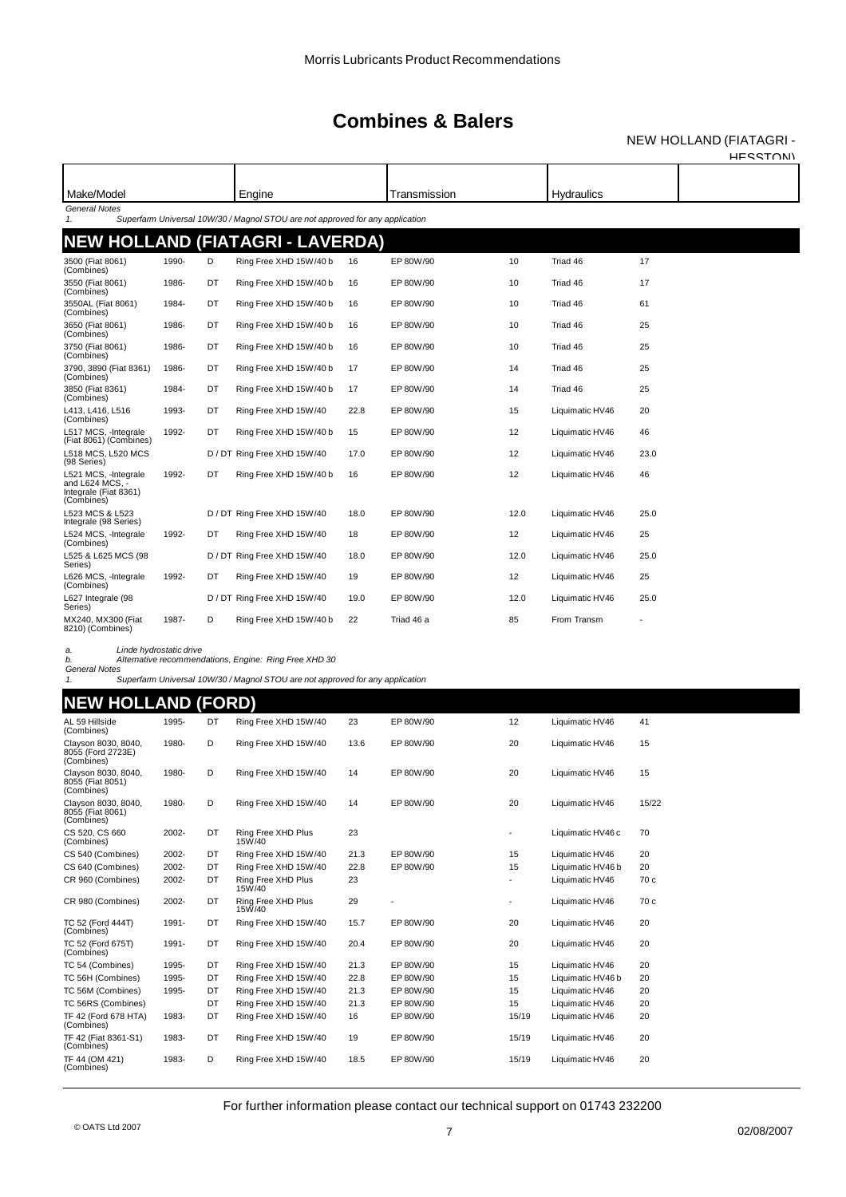NEW HOLLAND (FIATAGRI - HESSTON)

| Make/Model                                                                     |       |    | Engine                                                                        |      | Transmission |      | <b>Hydraulics</b> |      |  |
|--------------------------------------------------------------------------------|-------|----|-------------------------------------------------------------------------------|------|--------------|------|-------------------|------|--|
| General Notes<br>$\mathbf{1}$                                                  |       |    | Superfarm Universal 10W/30 / Magnol STOU are not approved for any application |      |              |      |                   |      |  |
|                                                                                |       |    | NEW HOLLAND (FIATAGRI - LAVERDA)                                              |      |              |      |                   |      |  |
| 3500 (Fiat 8061)<br>(Combines)                                                 | 1990- | D  | Ring Free XHD 15W/40 b                                                        | 16   | EP 80W/90    | 10   | Triad 46          | 17   |  |
| 3550 (Fiat 8061)<br>(Combines)                                                 | 1986- | DT | Ring Free XHD 15W/40 b                                                        | 16   | EP 80W/90    | 10   | Triad 46          | 17   |  |
| 3550AL (Fiat 8061)<br>(Combines)                                               | 1984- | DT | Ring Free XHD 15W/40 b                                                        | 16   | EP 80W/90    | 10   | Triad 46          | 61   |  |
| 3650 (Fiat 8061)<br>(Combines)                                                 | 1986- | DT | Ring Free XHD 15W/40 b                                                        | 16   | EP 80W/90    | 10   | Triad 46          | 25   |  |
| 3750 (Fiat 8061)<br>(Combines)                                                 | 1986- | DT | Ring Free XHD 15W/40 b                                                        | 16   | EP 80W/90    | 10   | Triad 46          | 25   |  |
| 3790. 3890 (Fiat 8361)<br>(Combines)                                           | 1986- | DT | Ring Free XHD 15W/40 b                                                        | 17   | EP 80W/90    | 14   | Triad 46          | 25   |  |
| 3850 (Fiat 8361)<br>(Combines)                                                 | 1984- | DT | Ring Free XHD 15W/40 b                                                        | 17   | EP 80W/90    | 14   | Triad 46          | 25   |  |
| L413, L416, L516<br>(Combines)                                                 | 1993- | DT | Ring Free XHD 15W/40                                                          | 22.8 | EP 80W/90    | 15   | Liquimatic HV46   | 20   |  |
| L517 MCS, -Integrale<br>(Fiat 8061) (Combines)                                 | 1992- | DT | Ring Free XHD 15W/40 b                                                        | 15   | EP 80W/90    | 12   | Liquimatic HV46   | 46   |  |
| L518 MCS, L520 MCS<br>(98 Series)                                              |       |    | D / DT Ring Free XHD 15W/40                                                   | 17.0 | EP 80W/90    | 12   | Liquimatic HV46   | 23.0 |  |
| L521 MCS, -Integrale<br>and L624 MCS. -<br>Integrale (Fiat 8361)<br>(Combines) | 1992- | DT | Ring Free XHD 15W/40 b                                                        | 16   | EP 80W/90    | 12   | Liquimatic HV46   | 46   |  |
| L523 MCS & L523<br>Integrale (98 Series)                                       |       |    | D / DT Ring Free XHD 15W/40                                                   | 18.0 | EP 80W/90    | 12.0 | Liquimatic HV46   | 25.0 |  |
| L524 MCS, -Integrale<br>(Combines)                                             | 1992- | DT | Ring Free XHD 15W/40                                                          | 18   | EP 80W/90    | 12   | Liquimatic HV46   | 25   |  |
| L525 & L625 MCS (98<br>Series)                                                 |       |    | D / DT Ring Free XHD 15W/40                                                   | 18.0 | EP 80W/90    | 12.0 | Liquimatic HV46   | 25.0 |  |
| L626 MCS, -Integrale<br>(Combines)                                             | 1992- | DT | Ring Free XHD 15W/40                                                          | 19   | EP 80W/90    | 12   | Liquimatic HV46   | 25   |  |
| L627 Integrale (98<br>Series)                                                  |       |    | D / DT Ring Free XHD 15W/40                                                   | 19.0 | EP 80W/90    | 12.0 | Liquimatic HV46   | 25.0 |  |
| MX240, MX300 (Fiat<br>8210) (Combines)                                         | 1987- | D  | Ring Free XHD 15W/40 b                                                        | 22   | Triad 46 a   | 85   | From Transm       |      |  |

*a. Linde hydrostatic drive*

*b. Alternative recommendations, Engine: Ring Free XHD 30 General Notes 1. Superfarm Universal 10W/30 / Magnol STOU are not approved for any application*

#### **NEW HOLLAND (FORD)**

| AL 59 Hillside<br>(Combines)                           | 1995- | DT | Ring Free XHD 15W/40         | 23   | EP 80W/90 | 12    | Liquimatic HV46   | 41    |
|--------------------------------------------------------|-------|----|------------------------------|------|-----------|-------|-------------------|-------|
| Clayson 8030, 8040,<br>8055 (Ford 2723E)<br>(Combines) | 1980- | D  | Ring Free XHD 15W/40         | 13.6 | EP 80W/90 | 20    | Liquimatic HV46   | 15    |
| Clayson 8030, 8040,<br>8055 (Fiat 8051)<br>(Combines)  | 1980- | D  | Ring Free XHD 15W/40         | 14   | EP 80W/90 | 20    | Liquimatic HV46   | 15    |
| Clayson 8030, 8040.<br>8055 (Fiat 8061)<br>(Combines)  | 1980- | D  | Ring Free XHD 15W/40         | 14   | EP 80W/90 | 20    | Liquimatic HV46   | 15/22 |
| CS 520, CS 660<br>(Combines)                           | 2002- | DT | Ring Free XHD Plus<br>15W/40 | 23   |           | ۰     | Liquimatic HV46 c | 70    |
| CS 540 (Combines)                                      | 2002- | DT | Ring Free XHD 15W/40         | 21.3 | EP 80W/90 | 15    | Liquimatic HV46   | 20    |
| CS 640 (Combines)                                      | 2002- | DT | Ring Free XHD 15W/40         | 22.8 | EP 80W/90 | 15    | Liquimatic HV46 b | 20    |
| CR 960 (Combines)                                      | 2002- | DT | Ring Free XHD Plus<br>15W/40 | 23   |           | ۰.    | Liquimatic HV46   | 70 c  |
| CR 980 (Combines)                                      | 2002- | DT | Ring Free XHD Plus<br>15W/40 | 29   |           |       | Liquimatic HV46   | 70 c  |
| TC 52 (Ford 444T)<br>(Combines)                        | 1991- | DT | Ring Free XHD 15W/40         | 15.7 | EP 80W/90 | 20    | Liquimatic HV46   | 20    |
| TC 52 (Ford 675T)<br>(Combines)                        | 1991- | DT | Ring Free XHD 15W/40         | 20.4 | EP 80W/90 | 20    | Liquimatic HV46   | 20    |
| TC 54 (Combines)                                       | 1995- | DT | Ring Free XHD 15W/40         | 21.3 | EP 80W/90 | 15    | Liquimatic HV46   | 20    |
| TC 56H (Combines)                                      | 1995- | DT | Ring Free XHD 15W/40         | 22.8 | EP 80W/90 | 15    | Liquimatic HV46 b | 20    |
| TC 56M (Combines)                                      | 1995- | DT | Ring Free XHD 15W/40         | 21.3 | EP 80W/90 | 15    | Liquimatic HV46   | 20    |
| TC 56RS (Combines)                                     |       | DT | Ring Free XHD 15W/40         | 21.3 | EP 80W/90 | 15    | Liquimatic HV46   | 20    |
| TF 42 (Ford 678 HTA)<br>(Combines)                     | 1983- | DT | Ring Free XHD 15W/40         | 16   | EP 80W/90 | 15/19 | Liquimatic HV46   | 20    |
| TF 42 (Fiat 8361-S1)<br>(Combines)                     | 1983- | DT | Ring Free XHD 15W/40         | 19   | EP 80W/90 | 15/19 | Liquimatic HV46   | 20    |
| TF 44 (OM 421)<br>(Combines)                           | 1983- | D  | Ring Free XHD 15W/40         | 18.5 | EP 80W/90 | 15/19 | Liquimatic HV46   | 20    |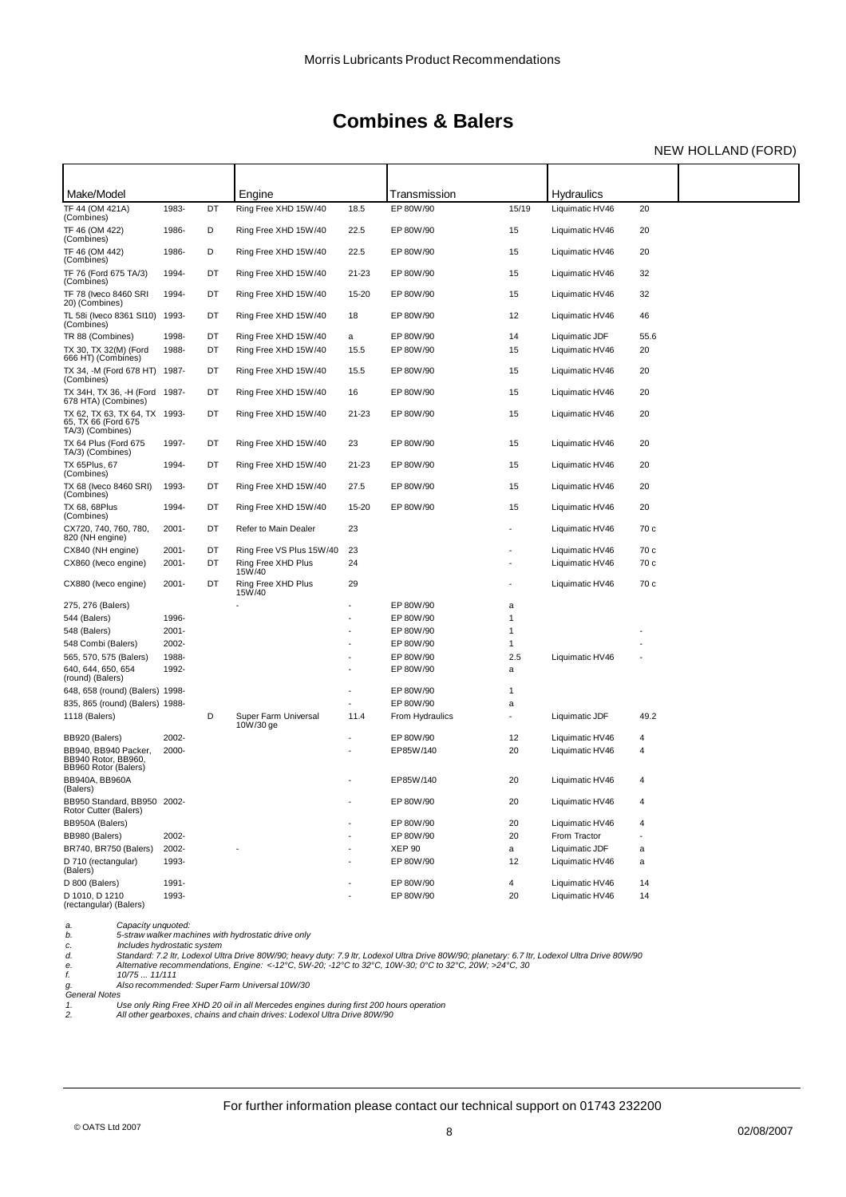### NEW HOLLAND (FORD)

| Make/Model                                                               |          |    | Engine                                              |       | Transmission    |                          | <b>Hydraulics</b> |      |  |
|--------------------------------------------------------------------------|----------|----|-----------------------------------------------------|-------|-----------------|--------------------------|-------------------|------|--|
| TF 44 (OM 421A)<br>(Combines)                                            | 1983-    | DT | Ring Free XHD 15W/40                                | 18.5  | EP 80W/90       | 15/19                    | Liquimatic HV46   | 20   |  |
| TF 46 (OM 422)<br>(Combines)                                             | 1986-    | D  | Ring Free XHD 15W/40                                | 22.5  | EP 80W/90       | 15                       | Liquimatic HV46   | 20   |  |
| TF 46 (OM 442)<br>(Combines)                                             | 1986-    | D  | Ring Free XHD 15W/40                                | 22.5  | EP 80W/90       | 15                       | Liquimatic HV46   | 20   |  |
| TF 76 (Ford 675 TA/3)<br>(Combines)                                      | 1994-    | DT | Ring Free XHD 15W/40                                | 21-23 | EP 80W/90       | 15                       | Liquimatic HV46   | 32   |  |
| TF 78 (Iveco 8460 SRI<br>20) (Combines)                                  | 1994-    | DT | Ring Free XHD 15W/40                                | 15-20 | EP 80W/90       | 15                       | Liquimatic HV46   | 32   |  |
| TL 58i (Iveco 8361 SI10)<br>(Combines)                                   | 1993-    | DT | Ring Free XHD 15W/40                                | 18    | EP 80W/90       | 12                       | Liquimatic HV46   | 46   |  |
| TR 88 (Combines)                                                         | 1998-    | DT | Ring Free XHD 15W/40                                | а     | EP 80W/90       | 14                       | Liquimatic JDF    | 55.6 |  |
| TX 30, TX 32(M) (Ford<br>666 HT) (Combines)                              | 1988-    | DT | Ring Free XHD 15W/40                                | 15.5  | EP 80W/90       | 15                       | Liquimatic HV46   | 20   |  |
| TX 34, -M (Ford 678 HT) 1987-<br>(Combines)                              |          | DT | Ring Free XHD 15W/40                                | 15.5  | EP 80W/90       | 15                       | Liquimatic HV46   | 20   |  |
| TX 34H, TX 36, -H (Ford 1987-<br>678 HTA) (Combines)                     |          | DT | Ring Free XHD 15W/40                                | 16    | EP 80W/90       | 15                       | Liquimatic HV46   | 20   |  |
| TX 62, TX 63, TX 64, TX 1993-<br>65, TX 66 (Ford 675<br>TA/3) (Combines) |          | DT | Ring Free XHD 15W/40                                | 21-23 | EP 80W/90       | 15                       | Liquimatic HV46   | 20   |  |
| TX 64 Plus (Ford 675<br>TA/3) (Combines)                                 | 1997-    | DT | Ring Free XHD 15W/40                                | 23    | EP 80W/90       | 15                       | Liquimatic HV46   | 20   |  |
| TX 65Plus, 67<br>(Combines)                                              | 1994-    | DT | Ring Free XHD 15W/40                                | 21-23 | EP 80W/90       | 15                       | Liquimatic HV46   | 20   |  |
| TX 68 (Iveco 8460 SRI)<br>(Combines)                                     | 1993-    | DT | Ring Free XHD 15W/40                                | 27.5  | EP 80W/90       | 15                       | Liquimatic HV46   | 20   |  |
| TX 68, 68Plus<br>(Combines)                                              | 1994-    | DT | Ring Free XHD 15W/40                                | 15-20 | EP 80W/90       | 15                       | Liquimatic HV46   | 20   |  |
| CX720, 740, 760, 780,<br>820 (NH engine)                                 | $2001 -$ | DT | Refer to Main Dealer                                | 23    |                 |                          | Liquimatic HV46   | 70 c |  |
| CX840 (NH engine)                                                        | $2001 -$ | DT | Ring Free VS Plus 15W/40                            | 23    |                 |                          | Liquimatic HV46   | 70 c |  |
| CX860 (Iveco engine)                                                     | $2001 -$ | DT | Ring Free XHD Plus<br>15W/40                        | 24    |                 |                          | Liquimatic HV46   | 70 c |  |
| CX880 (Iveco engine)                                                     | $2001 -$ | DT | Ring Free XHD Plus<br>15W/40                        | 29    |                 |                          | Liquimatic HV46   | 70 c |  |
| 275, 276 (Balers)                                                        |          |    |                                                     |       | EP 80W/90       | a                        |                   |      |  |
| 544 (Balers)                                                             | 1996-    |    |                                                     |       | EP 80W/90       | 1                        |                   |      |  |
| 548 (Balers)                                                             | $2001 -$ |    |                                                     |       | EP 80W/90       | 1                        |                   |      |  |
| 548 Combi (Balers)                                                       | 2002-    |    |                                                     |       | EP 80W/90       | 1                        |                   |      |  |
| 565, 570, 575 (Balers)                                                   | 1988-    |    |                                                     |       | EP 80W/90       | 2.5                      | Liquimatic HV46   |      |  |
| 640, 644, 650, 654<br>(round) (Balers)                                   | 1992-    |    |                                                     |       | EP 80W/90       | а                        |                   |      |  |
| 648, 658 (round) (Balers) 1998-                                          |          |    |                                                     |       | EP 80W/90       | 1                        |                   |      |  |
| 835, 865 (round) (Balers) 1988-                                          |          |    |                                                     |       | EP 80W/90       | a                        |                   |      |  |
| 1118 (Balers)                                                            |          | D  | Super Farm Universal<br>10W/30 ge                   | 11.4  | From Hydraulics | $\overline{\phantom{a}}$ | Liquimatic JDF    | 49.2 |  |
| BB920 (Balers)                                                           | 2002-    |    |                                                     |       | EP 80W/90       | 12                       | Liquimatic HV46   | 4    |  |
| BB940, BB940 Packer,<br>BB940 Rotor, BB960<br>BB960 Rotor (Balers)       | 2000-    |    |                                                     |       | EP85W/140       | 20                       | Liquimatic HV46   | 4    |  |
| BB940A, BB960A<br>(Balers)                                               |          |    |                                                     |       | EP85W/140       | 20                       | Liquimatic HV46   | 4    |  |
| BB950 Standard, BB950 2002-<br>Rotor Cutter (Balers)                     |          |    |                                                     |       | EP 80W/90       | 20                       | Liquimatic HV46   |      |  |
| BB950A (Balers)                                                          |          |    |                                                     |       | EP 80W/90       | 20                       | Liquimatic HV46   | 4    |  |
| BB980 (Balers)                                                           | 2002-    |    |                                                     |       | EP 80W/90       | 20                       | From Tractor      |      |  |
| BR740, BR750 (Balers)                                                    | 2002-    |    |                                                     |       | <b>XEP 90</b>   | a                        | Liquimatic JDF    | а    |  |
| D 710 (rectangular)<br>(Balers)                                          | 1993-    |    |                                                     |       | EP 80W/90       | 12                       | Liquimatic HV46   | a    |  |
| D 800 (Balers)                                                           | 1991-    |    |                                                     |       | EP 80W/90       | $\overline{4}$           | Liquimatic HV46   | 14   |  |
| D 1010, D 1210<br>(rectangular) (Balers)                                 | 1993-    |    |                                                     |       | EP 80W/90       | 20                       | Liquimatic HV46   | 14   |  |
| Capacity unquoted:<br>a.<br>b.                                           |          |    | 5-straw walker machines with hydrostatic drive only |       |                 |                          |                   |      |  |

*c. Includes hydrostatic system d. Standard: 7.2 ltr, Lodexol Ultra Drive 80W/90; heavy duty: 7.9 ltr, Lodexol Ultra Drive 80W/90; planetary: 6.7 ltr, Lodexol Ultra Drive 80W/90 e. Alternative recommendations, Engine: <-12°C, 5W-20; -12°C to 32°C, 10W-30; 0°C to 32°C, 20W; >24°C, 30 f. 10/75 ... 11/111 g. Also recommended: Super Farm Universal 10W/30*

*General Notes*

1. Use only Ring Free XHD 20 oil in all Mercedes engines during first 200 hours operation<br>2. All other gearboxes, chains and chain drives: Lodexol Ultra Drive 80W/90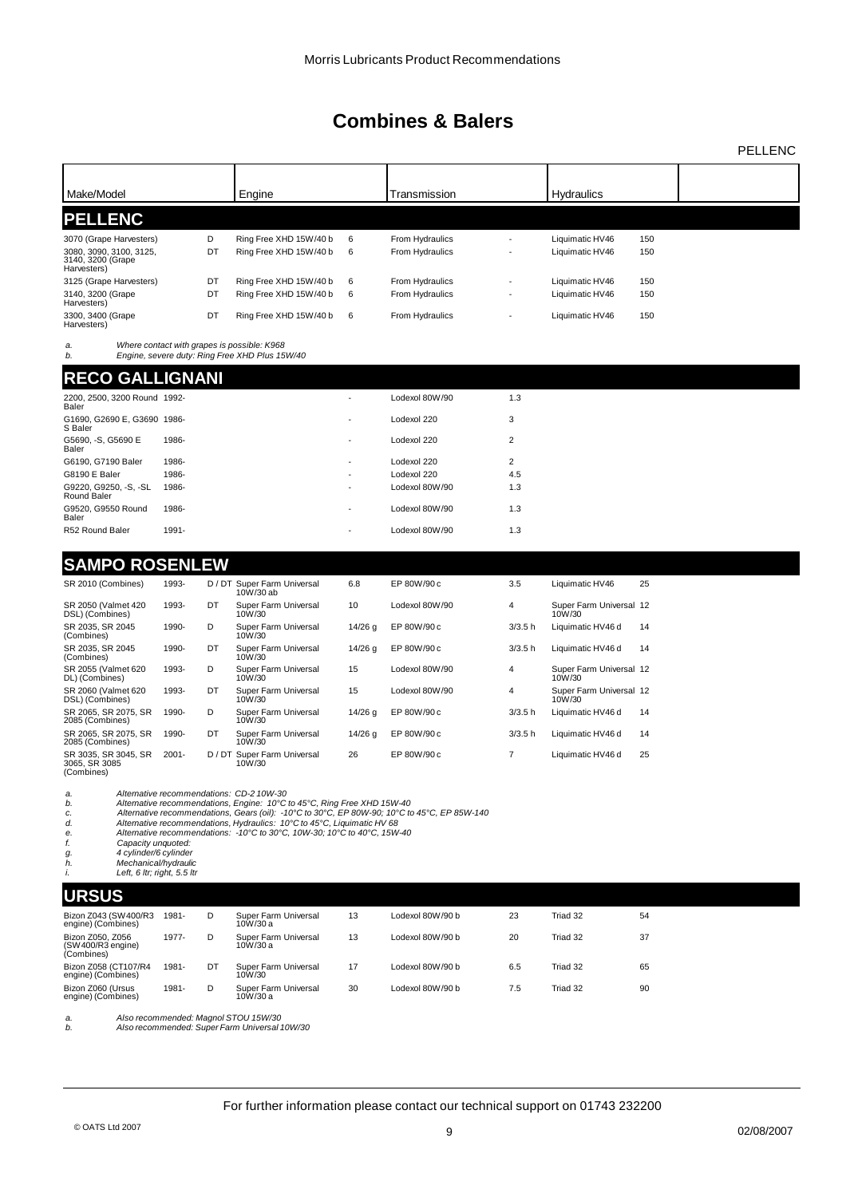| Make/Model                                                                                                                                               |          |         | Engine                                                                                                                                                                                                                                                                                                                                                                     |           | Transmission                       |                | <b>Hydraulics</b>                  |            |  |
|----------------------------------------------------------------------------------------------------------------------------------------------------------|----------|---------|----------------------------------------------------------------------------------------------------------------------------------------------------------------------------------------------------------------------------------------------------------------------------------------------------------------------------------------------------------------------------|-----------|------------------------------------|----------------|------------------------------------|------------|--|
| <b>PELLENC</b>                                                                                                                                           |          |         |                                                                                                                                                                                                                                                                                                                                                                            |           |                                    |                |                                    |            |  |
| 3070 (Grape Harvesters)<br>3080, 3090, 3100, 3125,<br>3140, 3200 (Grape<br>Harvesters)                                                                   |          | D<br>DT | Ring Free XHD 15W/40 b<br>Ring Free XHD 15W/40 b                                                                                                                                                                                                                                                                                                                           | 6<br>6    | From Hydraulics<br>From Hydraulics | ÷,             | Liquimatic HV46<br>Liquimatic HV46 | 150<br>150 |  |
| 3125 (Grape Harvesters)                                                                                                                                  |          | DT      | Ring Free XHD 15W/40 b                                                                                                                                                                                                                                                                                                                                                     | 6         | From Hydraulics                    |                | Liquimatic HV46                    | 150        |  |
| 3140, 3200 (Grape<br>Harvesters)                                                                                                                         |          | DT      | Ring Free XHD 15W/40 b                                                                                                                                                                                                                                                                                                                                                     | 6         | From Hydraulics                    |                | Liquimatic HV46                    | 150        |  |
| 3300, 3400 (Grape<br>Harvesters)                                                                                                                         |          | DT      | Ring Free XHD 15W/40 b                                                                                                                                                                                                                                                                                                                                                     | 6         | From Hydraulics                    |                | Liquimatic HV46                    | 150        |  |
| a.<br>b.                                                                                                                                                 |          |         | Where contact with grapes is possible: K968<br>Engine, severe duty: Ring Free XHD Plus 15W/40                                                                                                                                                                                                                                                                              |           |                                    |                |                                    |            |  |
| RECO GALLIGNANI                                                                                                                                          |          |         |                                                                                                                                                                                                                                                                                                                                                                            |           |                                    |                |                                    |            |  |
| 2200, 2500, 3200 Round 1992-<br>Baler                                                                                                                    |          |         |                                                                                                                                                                                                                                                                                                                                                                            |           | Lodexol 80W/90                     | 1.3            |                                    |            |  |
| G1690, G2690 E, G3690 1986-<br>S Baler                                                                                                                   |          |         |                                                                                                                                                                                                                                                                                                                                                                            |           | Lodexol 220                        | 3              |                                    |            |  |
| G5690, -S, G5690 E<br>Baler                                                                                                                              | 1986-    |         |                                                                                                                                                                                                                                                                                                                                                                            |           | Lodexol 220                        | 2              |                                    |            |  |
| G6190, G7190 Baler                                                                                                                                       | 1986-    |         |                                                                                                                                                                                                                                                                                                                                                                            |           | Lodexol 220                        | $\overline{2}$ |                                    |            |  |
| G8190 E Baler                                                                                                                                            | 1986-    |         |                                                                                                                                                                                                                                                                                                                                                                            |           | Lodexol 220                        | 4.5            |                                    |            |  |
| G9220, G9250, -S, -SL<br>Round Baler                                                                                                                     | 1986-    |         |                                                                                                                                                                                                                                                                                                                                                                            |           | Lodexol 80W/90                     | 1.3            |                                    |            |  |
| G9520, G9550 Round<br>Baler                                                                                                                              | 1986-    |         |                                                                                                                                                                                                                                                                                                                                                                            |           | Lodexol 80W/90                     | 1.3            |                                    |            |  |
| R52 Round Baler                                                                                                                                          | 1991-    |         |                                                                                                                                                                                                                                                                                                                                                                            |           | Lodexol 80W/90                     | 1.3            |                                    |            |  |
|                                                                                                                                                          |          |         |                                                                                                                                                                                                                                                                                                                                                                            |           |                                    |                |                                    |            |  |
| <b>SAMPO ROSENLEW</b>                                                                                                                                    |          |         |                                                                                                                                                                                                                                                                                                                                                                            |           |                                    |                |                                    |            |  |
| SR 2010 (Combines)                                                                                                                                       | 1993-    |         | D / DT Super Farm Universal<br>10W/30 ab                                                                                                                                                                                                                                                                                                                                   | 6.8       | EP 80W/90 c                        | 3.5            | Liquimatic HV46                    | 25         |  |
| SR 2050 (Valmet 420<br>DSL) (Combines)                                                                                                                   | 1993-    | DT      | Super Farm Universal<br>10W/30                                                                                                                                                                                                                                                                                                                                             | 10        | Lodexol 80W/90                     | 4              | Super Farm Universal 12<br>10W/30  |            |  |
| SR 2035, SR 2045<br>(Combines)                                                                                                                           | 1990-    | D       | Super Farm Universal<br>10W/30                                                                                                                                                                                                                                                                                                                                             | $14/26$ g | EP 80W/90 c                        | 3/3.5 h        | Liquimatic HV46 d                  | 14         |  |
| SR 2035, SR 2045<br>(Combines)                                                                                                                           | 1990-    | DT      | Super Farm Universal<br>10W/30                                                                                                                                                                                                                                                                                                                                             | $14/26$ g | EP 80W/90 c                        | 3/3.5 h        | Liquimatic HV46 d                  | 14         |  |
| SR 2055 (Valmet 620<br>DL) (Combines)                                                                                                                    | 1993-    | D       | Super Farm Universal<br>10W/30                                                                                                                                                                                                                                                                                                                                             | 15        | Lodexol 80W/90                     | 4              | Super Farm Universal 12<br>10W/30  |            |  |
| SR 2060 (Valmet 620<br>DSL) (Combines)                                                                                                                   | 1993-    | DT      | Super Farm Universal<br>10W/30                                                                                                                                                                                                                                                                                                                                             | 15        | Lodexol 80W/90                     | 4              | Super Farm Universal 12<br>10W/30  |            |  |
| SR 2065, SR 2075, SR<br>2085 (Combines)                                                                                                                  | 1990-    | D       | Super Farm Universal<br>10W/30                                                                                                                                                                                                                                                                                                                                             | $14/26$ g | EP 80W/90 c                        | 3/3.5 h        | Liquimatic HV46 d                  | 14         |  |
| SR 2065, SR 2075, SR<br>2085 (Combines)                                                                                                                  | 1990-    | DT      | Super Farm Universal<br>10W/30                                                                                                                                                                                                                                                                                                                                             | $14/26$ g | EP 80W/90 c                        | 3/3.5 h        | Liquimatic HV46 d                  | 14         |  |
| SR 3035, SR 3045, SR<br>3065, SR 3085<br>(Combines)                                                                                                      | $2001 -$ |         | D / DT Super Farm Universal<br>10W/30                                                                                                                                                                                                                                                                                                                                      | 26        | EP 80W/90 c                        | 7              | Liquimatic HV46 d                  | 25         |  |
| a.<br>b.<br>c.<br>d.<br>е.<br>f.<br>Capacity unquoted:<br>4 cylinder/6 cylinder<br>g.<br>h.<br>Mechanical/hydraulic<br>Left, 6 ltr; right, 5.5 ltr<br>i. |          |         | Alternative recommendations: CD-2 10W-30<br>Alternative recommendations, Engine: 10°C to 45°C, Ring Free XHD 15W-40<br>Alternative recommendations, Gears (oil): -10°C to 30°C, EP 80W-90; 10°C to 45°C, EP 85W-140<br>Alternative recommendations, Hydraulics: 10°C to 45°C, Liquimatic HV 68<br>Alternative recommendations: -10°C to 30°C, 10W-30; 10°C to 40°C, 15W-40 |           |                                    |                |                                    |            |  |
| URSUS                                                                                                                                                    |          |         |                                                                                                                                                                                                                                                                                                                                                                            |           |                                    |                |                                    |            |  |
| Bizon Z043 (SW 400/R3<br>engine) (Combines)                                                                                                              | 1981-    | D       | Super Farm Universal<br>10W/30 a                                                                                                                                                                                                                                                                                                                                           | 13        | Lodexol 80W/90 b                   | 23             | Triad 32                           | 54         |  |
| Bizon Z050, Z056<br>(SW400/R3 engine)<br>(Combines)                                                                                                      | 1977-    | D       | Super Farm Universal<br>10W/30 a                                                                                                                                                                                                                                                                                                                                           | 13        | Lodexol 80W/90 b                   | 20             | Triad 32                           | 37         |  |

*a. Also recommended: Magnol STOU 15W/30 b. Also recommended: Super Farm Universal 10W/30*

DT Super Farm Universal 17 Lodexol 80W/90 b 6.5 Triad 32 65 10W/30

D Super Farm Universal 30 Lodexol 80W/90 b 7.5 Triad 32 90 10W/30 a

Bizon Z058 (CT107/R4 1981- engine) (Combines)

Bizon Z060 (Ursus 1981- engine) (Combines)

PELLENC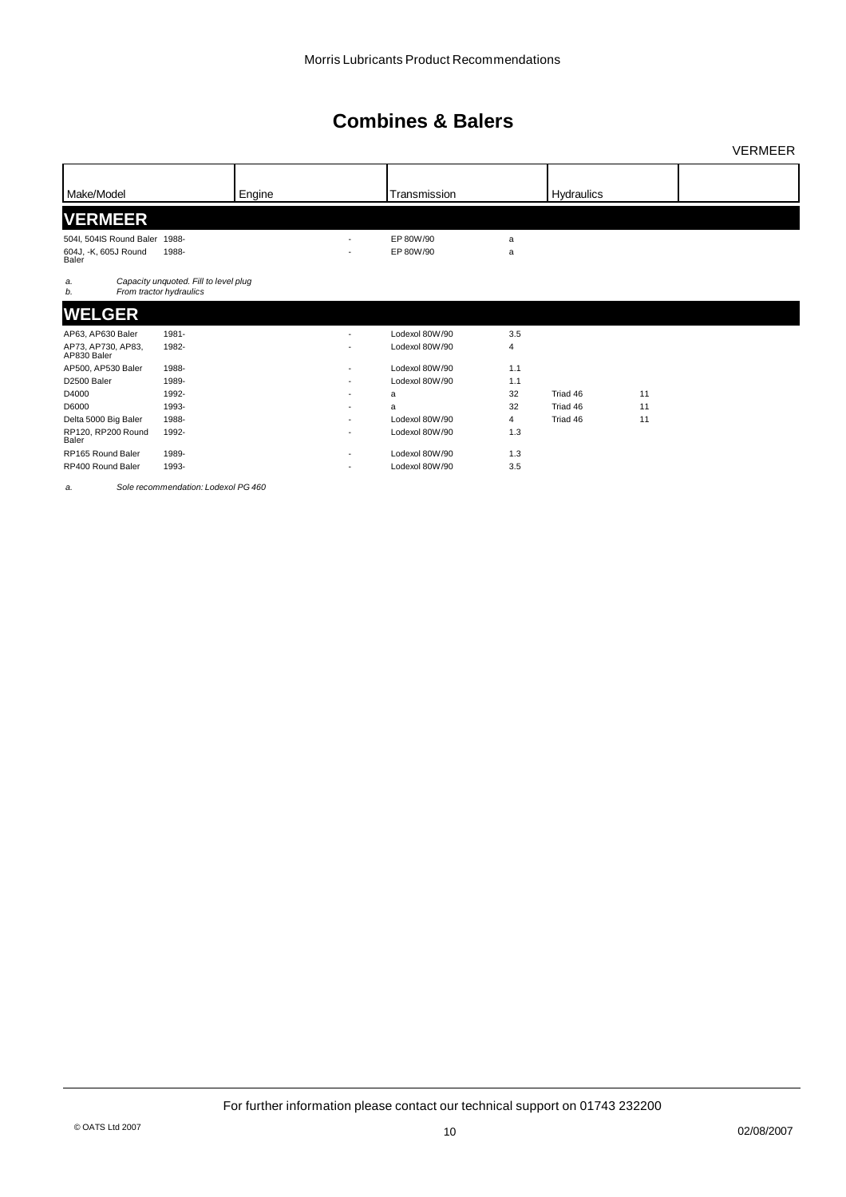|                                           |                                                                  |        |                          |                |                |            |    | <b>VERMEER</b> |
|-------------------------------------------|------------------------------------------------------------------|--------|--------------------------|----------------|----------------|------------|----|----------------|
| Make/Model                                |                                                                  |        |                          | Transmission   |                |            |    |                |
|                                           |                                                                  | Engine |                          |                |                | Hydraulics |    |                |
| <b>VERMEER</b>                            |                                                                  |        |                          |                |                |            |    |                |
| 504I, 504IS Round Baler 1988-             |                                                                  |        | $\overline{\phantom{a}}$ | EP 80W/90      | a              |            |    |                |
| 604J, -K, 605J Round<br>Baler             | 1988-                                                            |        |                          | EP 80W/90      | a              |            |    |                |
| a.<br>b.                                  | Capacity unquoted. Fill to level plug<br>From tractor hydraulics |        |                          |                |                |            |    |                |
| <b>WELGER</b>                             |                                                                  |        |                          |                |                |            |    |                |
| AP63, AP630 Baler                         | 1981-                                                            |        |                          | Lodexol 80W/90 | 3.5            |            |    |                |
| AP73, AP730, AP83,<br>AP830 Baler         | 1982-                                                            |        | ٠                        | Lodexol 80W/90 | $\sqrt{4}$     |            |    |                |
| AP500, AP530 Baler                        | 1988-                                                            |        | ٠                        | Lodexol 80W/90 | 1.1            |            |    |                |
| D2500 Baler                               | 1989-                                                            |        | ٠                        | Lodexol 80W/90 | 1.1            |            |    |                |
| D4000                                     | 1992-                                                            |        |                          | a              | 32             | Triad 46   | 11 |                |
| D6000                                     | 1993-                                                            |        | ٠                        | a              | 32             | Triad 46   | 11 |                |
| Delta 5000 Big Baler                      | 1988-                                                            |        | ٠                        | Lodexol 80W/90 | $\overline{4}$ | Triad 46   | 11 |                |
| RP120, RP200 Round<br>Baler               | 1992-                                                            |        |                          | Lodexol 80W/90 | 1.3            |            |    |                |
| RP165 Round Baler                         | 1989-                                                            |        |                          | Lodexol 80W/90 | 1.3            |            |    |                |
| RP400 Round Baler                         | 1993-                                                            |        | ٠                        | Lodexol 80W/90 | 3.5            |            |    |                |
| <b>Service Contract Contract Contract</b> | $0 - 1 - 2 - 3 - 3 - 4 - 4 - 1 - 1 - 4 - 1 - 1 - 0$              |        |                          |                |                |            |    |                |

*a. Sole recommendation: Lodexol PG 460*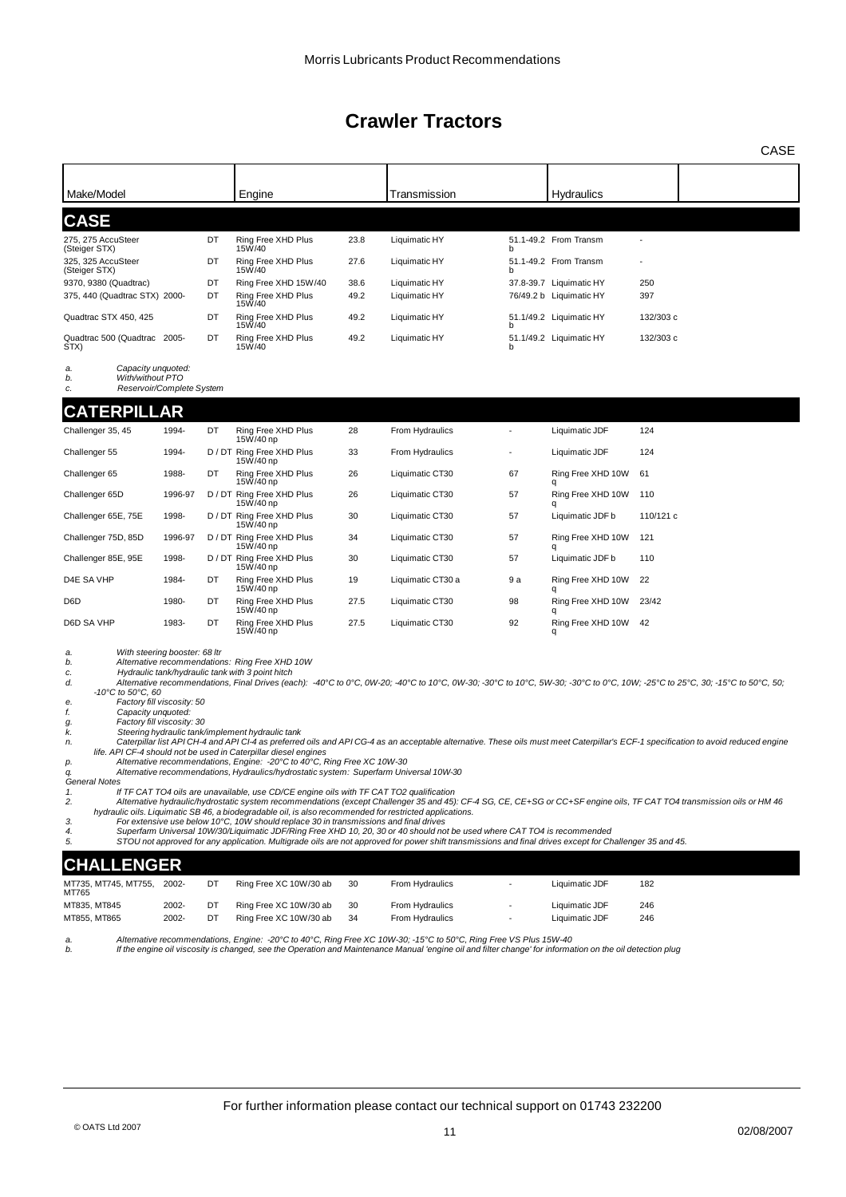| Make/Model                                                                                                                                                                                                                                                                                                                                                                                                                                                                                                                                                                                                                                                                                                                                                                                                                                                                                                                                                                                                                                                                                                                                                                                                                                                                                                                                                                                                                                                                                 |         |    | Engine                                 |      | Transmission                                                                                                                                                                                                                                                                        |     | Hydraulics              |           |  |
|--------------------------------------------------------------------------------------------------------------------------------------------------------------------------------------------------------------------------------------------------------------------------------------------------------------------------------------------------------------------------------------------------------------------------------------------------------------------------------------------------------------------------------------------------------------------------------------------------------------------------------------------------------------------------------------------------------------------------------------------------------------------------------------------------------------------------------------------------------------------------------------------------------------------------------------------------------------------------------------------------------------------------------------------------------------------------------------------------------------------------------------------------------------------------------------------------------------------------------------------------------------------------------------------------------------------------------------------------------------------------------------------------------------------------------------------------------------------------------------------|---------|----|----------------------------------------|------|-------------------------------------------------------------------------------------------------------------------------------------------------------------------------------------------------------------------------------------------------------------------------------------|-----|-------------------------|-----------|--|
| <b>CASE</b>                                                                                                                                                                                                                                                                                                                                                                                                                                                                                                                                                                                                                                                                                                                                                                                                                                                                                                                                                                                                                                                                                                                                                                                                                                                                                                                                                                                                                                                                                |         |    |                                        |      |                                                                                                                                                                                                                                                                                     |     |                         |           |  |
| 275, 275 AccuSteer<br>(Steiger STX)                                                                                                                                                                                                                                                                                                                                                                                                                                                                                                                                                                                                                                                                                                                                                                                                                                                                                                                                                                                                                                                                                                                                                                                                                                                                                                                                                                                                                                                        |         | DT | Ring Free XHD Plus<br>15W/40           | 23.8 | Liquimatic HY                                                                                                                                                                                                                                                                       |     | 51.1-49.2 From Transm   |           |  |
| 325, 325 AccuSteer<br>(Steiger STX)                                                                                                                                                                                                                                                                                                                                                                                                                                                                                                                                                                                                                                                                                                                                                                                                                                                                                                                                                                                                                                                                                                                                                                                                                                                                                                                                                                                                                                                        |         | DT | Ring Free XHD Plus<br>15W/40           | 27.6 | Liquimatic HY                                                                                                                                                                                                                                                                       | b   | 51.1-49.2 From Transm   |           |  |
| 9370, 9380 (Quadtrac)                                                                                                                                                                                                                                                                                                                                                                                                                                                                                                                                                                                                                                                                                                                                                                                                                                                                                                                                                                                                                                                                                                                                                                                                                                                                                                                                                                                                                                                                      |         | DT | Ring Free XHD 15W/40                   | 38.6 | Liquimatic HY                                                                                                                                                                                                                                                                       |     | 37.8-39.7 Liquimatic HY | 250       |  |
| 375, 440 (Quadtrac STX) 2000-                                                                                                                                                                                                                                                                                                                                                                                                                                                                                                                                                                                                                                                                                                                                                                                                                                                                                                                                                                                                                                                                                                                                                                                                                                                                                                                                                                                                                                                              |         | DT | Ring Free XHD Plus<br>15W/40           | 49.2 | Liquimatic HY                                                                                                                                                                                                                                                                       |     | 76/49.2 b Liquimatic HY | 397       |  |
| Quadtrac STX 450, 425                                                                                                                                                                                                                                                                                                                                                                                                                                                                                                                                                                                                                                                                                                                                                                                                                                                                                                                                                                                                                                                                                                                                                                                                                                                                                                                                                                                                                                                                      |         | DT | Ring Free XHD Plus<br>15W/40           | 49.2 | Liquimatic HY                                                                                                                                                                                                                                                                       | h   | 51.1/49.2 Liquimatic HY | 132/303 c |  |
| Quadtrac 500 (Quadtrac 2005-<br>STX)                                                                                                                                                                                                                                                                                                                                                                                                                                                                                                                                                                                                                                                                                                                                                                                                                                                                                                                                                                                                                                                                                                                                                                                                                                                                                                                                                                                                                                                       |         | DT | Ring Free XHD Plus<br>15W/40           | 49.2 | Liquimatic HY                                                                                                                                                                                                                                                                       | b   | 51.1/49.2 Liquimatic HY | 132/303 c |  |
| Capacity unquoted:<br>a.<br>With/without PTO<br>b.<br>Reservoir/Complete System<br>c.                                                                                                                                                                                                                                                                                                                                                                                                                                                                                                                                                                                                                                                                                                                                                                                                                                                                                                                                                                                                                                                                                                                                                                                                                                                                                                                                                                                                      |         |    |                                        |      |                                                                                                                                                                                                                                                                                     |     |                         |           |  |
| <b>CATERPILLAR</b>                                                                                                                                                                                                                                                                                                                                                                                                                                                                                                                                                                                                                                                                                                                                                                                                                                                                                                                                                                                                                                                                                                                                                                                                                                                                                                                                                                                                                                                                         |         |    |                                        |      |                                                                                                                                                                                                                                                                                     |     |                         |           |  |
| Challenger 35, 45                                                                                                                                                                                                                                                                                                                                                                                                                                                                                                                                                                                                                                                                                                                                                                                                                                                                                                                                                                                                                                                                                                                                                                                                                                                                                                                                                                                                                                                                          | 1994-   | DT | Ring Free XHD Plus<br>15W/40 np        | 28   | From Hydraulics                                                                                                                                                                                                                                                                     |     | Liquimatic JDF          | 124       |  |
| Challenger 55                                                                                                                                                                                                                                                                                                                                                                                                                                                                                                                                                                                                                                                                                                                                                                                                                                                                                                                                                                                                                                                                                                                                                                                                                                                                                                                                                                                                                                                                              | 1994-   |    | D / DT Ring Free XHD Plus<br>15W/40 np | 33   | From Hydraulics                                                                                                                                                                                                                                                                     |     | Liquimatic JDF          | 124       |  |
| Challenger 65                                                                                                                                                                                                                                                                                                                                                                                                                                                                                                                                                                                                                                                                                                                                                                                                                                                                                                                                                                                                                                                                                                                                                                                                                                                                                                                                                                                                                                                                              | 1988-   | DT | Ring Free XHD Plus<br>15W/40 np        | 26   | Liquimatic CT30                                                                                                                                                                                                                                                                     | 67  | Ring Free XHD 10W       | 61        |  |
| Challenger 65D                                                                                                                                                                                                                                                                                                                                                                                                                                                                                                                                                                                                                                                                                                                                                                                                                                                                                                                                                                                                                                                                                                                                                                                                                                                                                                                                                                                                                                                                             | 1996-97 |    | D / DT Ring Free XHD Plus<br>15W/40 np | 26   | Liquimatic CT30                                                                                                                                                                                                                                                                     | 57  | Ring Free XHD 10W<br>q  | 110       |  |
| Challenger 65E, 75E                                                                                                                                                                                                                                                                                                                                                                                                                                                                                                                                                                                                                                                                                                                                                                                                                                                                                                                                                                                                                                                                                                                                                                                                                                                                                                                                                                                                                                                                        | 1998-   |    | D / DT Ring Free XHD Plus<br>15W/40 np | 30   | Liquimatic CT30                                                                                                                                                                                                                                                                     | 57  | Liquimatic JDF b        | 110/121 c |  |
| Challenger 75D, 85D                                                                                                                                                                                                                                                                                                                                                                                                                                                                                                                                                                                                                                                                                                                                                                                                                                                                                                                                                                                                                                                                                                                                                                                                                                                                                                                                                                                                                                                                        | 1996-97 |    | D / DT Ring Free XHD Plus<br>15W/40 np | 34   | Liquimatic CT30                                                                                                                                                                                                                                                                     | 57  | Ring Free XHD 10W       | 121       |  |
| Challenger 85E, 95E                                                                                                                                                                                                                                                                                                                                                                                                                                                                                                                                                                                                                                                                                                                                                                                                                                                                                                                                                                                                                                                                                                                                                                                                                                                                                                                                                                                                                                                                        | 1998-   |    | D / DT Ring Free XHD Plus<br>15W/40 np | 30   | Liquimatic CT30                                                                                                                                                                                                                                                                     | 57  | Liquimatic JDF b        | 110       |  |
| D4E SA VHP                                                                                                                                                                                                                                                                                                                                                                                                                                                                                                                                                                                                                                                                                                                                                                                                                                                                                                                                                                                                                                                                                                                                                                                                                                                                                                                                                                                                                                                                                 | 1984-   | DT | Ring Free XHD Plus<br>15W/40 np        | 19   | Liquimatic CT30 a                                                                                                                                                                                                                                                                   | 9 a | Ring Free XHD 10W<br>q  | 22        |  |
| D6D                                                                                                                                                                                                                                                                                                                                                                                                                                                                                                                                                                                                                                                                                                                                                                                                                                                                                                                                                                                                                                                                                                                                                                                                                                                                                                                                                                                                                                                                                        | 1980-   | DT | Ring Free XHD Plus<br>15W/40 np        | 27.5 | Liquimatic CT30                                                                                                                                                                                                                                                                     | 98  | Ring Free XHD 10W<br>q  | 23/42     |  |
| D6D SA VHP                                                                                                                                                                                                                                                                                                                                                                                                                                                                                                                                                                                                                                                                                                                                                                                                                                                                                                                                                                                                                                                                                                                                                                                                                                                                                                                                                                                                                                                                                 | 1983-   | DT | Ring Free XHD Plus<br>15W/40 np        | 27.5 | Liquimatic CT30                                                                                                                                                                                                                                                                     | 92  | Ring Free XHD 10W<br>q  | 42        |  |
| With steering booster: 68 ltr<br>a.<br>Alternative recommendations: Ring Free XHD 10W<br>b.<br>Hydraulic tank/hydraulic tank with 3 point hitch<br>c.<br>Alternative recommendations, Final Drives (each): -40°C to 0°C, 0W-20; -40°C to 10°C, 0W-30; -30°C to 10°C, 5W-30; -30°C to 0°C, 10W; -25°C to 25°C, 30; -15°C to 50°C, 50;<br>d.<br>-10°C to 50°C, 60<br>Factory fill viscosity: 50<br>е.<br>Capacity unquoted:<br>f.<br>Factory fill viscosity: 30<br>g.<br>Steering hydraulic tank/implement hydraulic tank<br>k.<br>Caterpillar list API CH-4 and API CI-4 as preferred oils and API CG-4 as an acceptable alternative. These oils must meet Caterpillar's ECF-1 specification to avoid reduced engine<br>n.<br>life. API CF-4 should not be used in Caterpillar diesel engines<br>Alternative recommendations, Engine: - 20°C to 40°C, Ring Free XC 10W-30<br>р.<br>Alternative recommendations, Hydraulics/hydrostatic system: Superfarm Universal 10W-30<br>q.<br>General Notes<br>If TF CAT TO4 oils are unavailable, use CD/CE engine oils with TF CAT TO2 qualification<br>1.<br>Alternative hydraulic/hydrostatic system recommendations (except Challenger 35 and 45): CF-4 SG, CE, CE+SG or CC+SF engine oils, TF CAT TO4 transmission oils or HM 46<br>2.<br>hydraulic oils. Liquimatic SB 46, a biodegradable oil, is also recommended for restricted applications.<br>For extensive use below 10°C, 10W should replace 30 in transmissions and final drives<br>3. |         |    |                                        |      |                                                                                                                                                                                                                                                                                     |     |                         |           |  |
| 4.<br>5.                                                                                                                                                                                                                                                                                                                                                                                                                                                                                                                                                                                                                                                                                                                                                                                                                                                                                                                                                                                                                                                                                                                                                                                                                                                                                                                                                                                                                                                                                   |         |    |                                        |      | Superfarm Universal 10W/30/Liquimatic JDF/Ring Free XHD 10, 20, 30 or 40 should not be used where CAT TO4 is recommended<br>STOU not approved for any application. Multigrade oils are not approved for power shift transmissions and final drives except for Challenger 35 and 45. |     |                         |           |  |
| <b>CHALLENGER</b>                                                                                                                                                                                                                                                                                                                                                                                                                                                                                                                                                                                                                                                                                                                                                                                                                                                                                                                                                                                                                                                                                                                                                                                                                                                                                                                                                                                                                                                                          |         |    |                                        |      |                                                                                                                                                                                                                                                                                     |     |                         |           |  |
| MT735, MT745, MT755,<br>MT765                                                                                                                                                                                                                                                                                                                                                                                                                                                                                                                                                                                                                                                                                                                                                                                                                                                                                                                                                                                                                                                                                                                                                                                                                                                                                                                                                                                                                                                              | 2002-   | DT | Ring Free XC 10W/30 ab                 | 30   | From Hydraulics                                                                                                                                                                                                                                                                     |     | Liquimatic JDF          | 182       |  |
| MT835, MT845                                                                                                                                                                                                                                                                                                                                                                                                                                                                                                                                                                                                                                                                                                                                                                                                                                                                                                                                                                                                                                                                                                                                                                                                                                                                                                                                                                                                                                                                               | 2002-   | DT | Ring Free XC 10W/30 ab                 | 30   | From Hydraulics                                                                                                                                                                                                                                                                     |     | Liquimatic JDF          | 246       |  |
| MT855, MT865                                                                                                                                                                                                                                                                                                                                                                                                                                                                                                                                                                                                                                                                                                                                                                                                                                                                                                                                                                                                                                                                                                                                                                                                                                                                                                                                                                                                                                                                               | 2002-   | DT | Ring Free XC 10W/30 ab                 | 34   | From Hydraulics                                                                                                                                                                                                                                                                     |     | Liquimatic JDF          | 246       |  |

*a. Alternative recommendations, Engine: -20°C to 40°C, Ring Free XC 10W-30; -15°C to 50°C, Ring Free VS Plus 15W-40 b. If the engine oil viscosity is changed, see the Operation and Maintenance Manual 'engine oil and filter change' for information on the oil detection plug*

CASE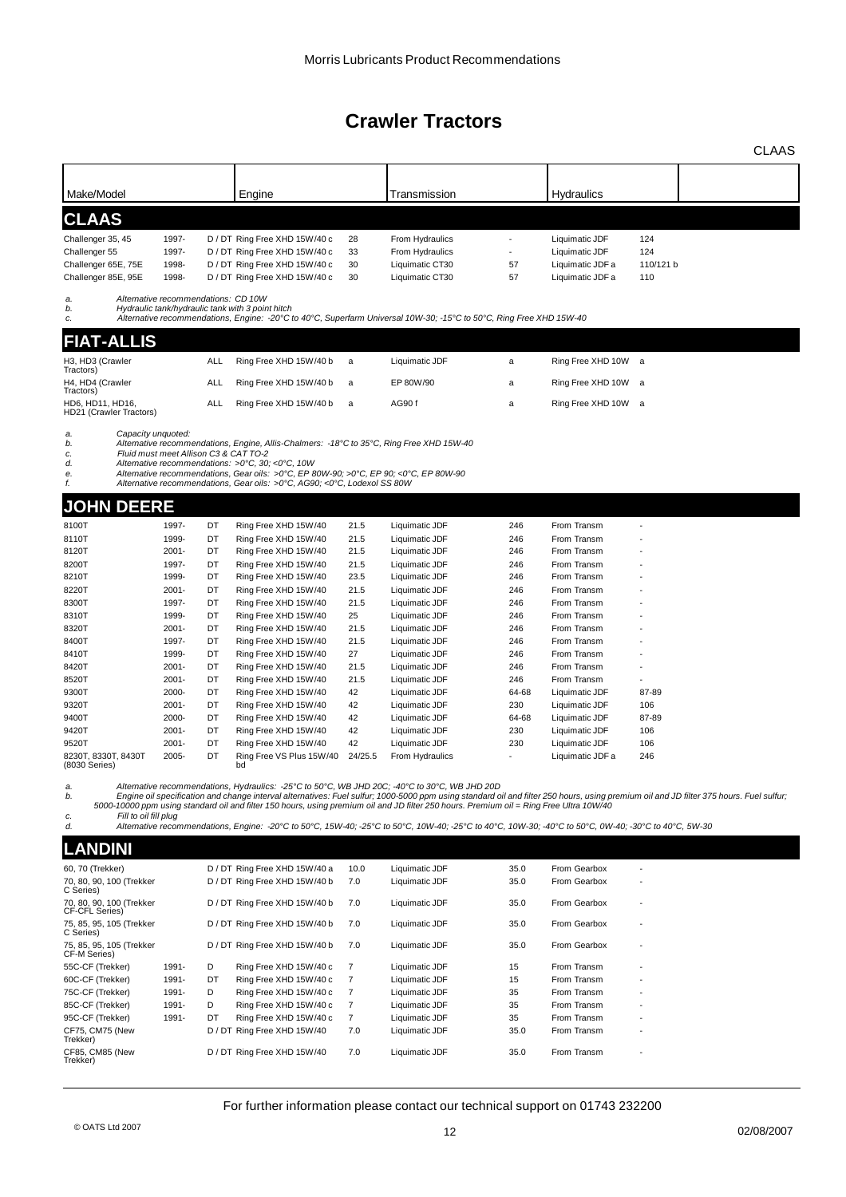|                                            |                                       |            |                                                                                                                                                                                                                                                                                                                                   |                |                                    |            |                                    |                  | CLAAS |
|--------------------------------------------|---------------------------------------|------------|-----------------------------------------------------------------------------------------------------------------------------------------------------------------------------------------------------------------------------------------------------------------------------------------------------------------------------------|----------------|------------------------------------|------------|------------------------------------|------------------|-------|
|                                            |                                       |            |                                                                                                                                                                                                                                                                                                                                   |                |                                    |            |                                    |                  |       |
| Make/Model                                 |                                       |            | Engine                                                                                                                                                                                                                                                                                                                            |                | Transmission                       |            | Hydraulics                         |                  |       |
| <b>CLAAS</b>                               |                                       |            |                                                                                                                                                                                                                                                                                                                                   |                |                                    |            |                                    |                  |       |
| Challenger 35, 45                          | 1997-                                 |            | D / DT Ring Free XHD 15W/40 c                                                                                                                                                                                                                                                                                                     | 28             | From Hydraulics                    |            | Liquimatic JDF                     | 124              |       |
| Challenger 55<br>Challenger 65E, 75E       | 1997-<br>1998-                        |            | D / DT Ring Free XHD 15W/40 c<br>D / DT Ring Free XHD 15W/40 c                                                                                                                                                                                                                                                                    | 33<br>30       | From Hydraulics<br>Liquimatic CT30 | 57         | Liquimatic JDF<br>Liquimatic JDF a | 124<br>110/121 b |       |
| Challenger 85E, 95E                        | 1998-                                 |            | D / DT Ring Free XHD 15W/40 c                                                                                                                                                                                                                                                                                                     | 30             | Liquimatic CT30                    | 57         | Liquimatic JDF a                   | 110              |       |
| a.                                         | Alternative recommendations: CD 10W   |            |                                                                                                                                                                                                                                                                                                                                   |                |                                    |            |                                    |                  |       |
| b.<br>c.                                   |                                       |            | Hydraulic tank/hydraulic tank with 3 point hitch<br>Alternative recommendations, Engine: -20°C to 40°C, Superfarm Universal 10W-30; -15°C to 50°C, Ring Free XHD 15W-40                                                                                                                                                           |                |                                    |            |                                    |                  |       |
| <b>FIAT-ALLIS</b>                          |                                       |            |                                                                                                                                                                                                                                                                                                                                   |                |                                    |            |                                    |                  |       |
| H3, HD3 (Crawler                           |                                       | <b>ALL</b> | Ring Free XHD 15W/40 b                                                                                                                                                                                                                                                                                                            | a              | Liquimatic JDF                     | a          | Ring Free XHD 10W a                |                  |       |
| Tractors)<br>H4, HD4 (Crawler              |                                       | <b>ALL</b> | Ring Free XHD 15W/40 b                                                                                                                                                                                                                                                                                                            | a              | EP 80W/90                          | a          | Ring Free XHD 10W a                |                  |       |
| Tractors)<br>HD6, HD11, HD16,              |                                       | ALL        | Ring Free XHD 15W/40 b                                                                                                                                                                                                                                                                                                            | a              | AG90 f                             | a          | Ring Free XHD 10W a                |                  |       |
| HD21 (Crawler Tractors)                    |                                       |            |                                                                                                                                                                                                                                                                                                                                   |                |                                    |            |                                    |                  |       |
| Capacity unquoted:<br>a.<br>b.             |                                       |            | Alternative recommendations, Engine, Allis-Chalmers: -18°C to 35°C, Ring Free XHD 15W-40                                                                                                                                                                                                                                          |                |                                    |            |                                    |                  |       |
| c.                                         | Fluid must meet Allison C3 & CAT TO-2 |            |                                                                                                                                                                                                                                                                                                                                   |                |                                    |            |                                    |                  |       |
| d.<br>е.                                   |                                       |            | Alternative recommendations: >0°C, 30; <0°C, 10W<br>Alternative recommendations, Gear oils: >0°C, EP 80W-90; >0°C, EP 90; <0°C, EP 80W-90                                                                                                                                                                                         |                |                                    |            |                                    |                  |       |
| f.                                         |                                       |            | Alternative recommendations, Gear oils: >0°C, AG90; <0°C, Lodexol SS 80W                                                                                                                                                                                                                                                          |                |                                    |            |                                    |                  |       |
| <b>JOHN DEERE</b>                          |                                       |            |                                                                                                                                                                                                                                                                                                                                   |                |                                    |            |                                    |                  |       |
| 8100T                                      | 1997-                                 | DT         | Ring Free XHD 15W/40                                                                                                                                                                                                                                                                                                              | 21.5           | Liquimatic JDF                     | 246        | From Transm                        |                  |       |
| 8110T                                      | 1999-                                 | DT         | Ring Free XHD 15W/40                                                                                                                                                                                                                                                                                                              | 21.5           | Liquimatic JDF                     | 246        | From Transm                        |                  |       |
| 8120T                                      | 2001-                                 | DT         | Ring Free XHD 15W/40                                                                                                                                                                                                                                                                                                              | 21.5           | Liquimatic JDF                     | 246        | From Transm                        |                  |       |
| 8200T                                      | 1997-                                 | DT         | Ring Free XHD 15W/40                                                                                                                                                                                                                                                                                                              | 21.5           | Liquimatic JDF                     | 246        | From Transm                        |                  |       |
| 8210T                                      | 1999-                                 | DT         | Ring Free XHD 15W/40                                                                                                                                                                                                                                                                                                              | 23.5           | Liquimatic JDF                     | 246        | From Transm                        |                  |       |
| 8220T                                      | $2001 -$                              | DT         | Ring Free XHD 15W/40                                                                                                                                                                                                                                                                                                              | 21.5           | Liquimatic JDF                     | 246        | From Transm                        |                  |       |
| 8300T                                      | 1997-                                 | DT         | Ring Free XHD 15W/40                                                                                                                                                                                                                                                                                                              | 21.5           | Liquimatic JDF                     | 246        | From Transm                        |                  |       |
| 8310T                                      | 1999-                                 | DT         | Ring Free XHD 15W/40                                                                                                                                                                                                                                                                                                              | 25             | Liquimatic JDF                     | 246        | From Transm                        |                  |       |
| 8320T                                      | 2001-                                 | DT         | Ring Free XHD 15W/40                                                                                                                                                                                                                                                                                                              | 21.5           | Liquimatic JDF                     | 246        | From Transm                        |                  |       |
| 8400T<br>8410T                             | 1997-<br>1999-                        | DT<br>DT   | Ring Free XHD 15W/40<br>Ring Free XHD 15W/40                                                                                                                                                                                                                                                                                      | 21.5<br>27     | Liquimatic JDF<br>Liquimatic JDF   | 246<br>246 | From Transm<br>From Transm         |                  |       |
| 8420T                                      | 2001-                                 | DT         | Ring Free XHD 15W/40                                                                                                                                                                                                                                                                                                              | 21.5           | Liquimatic JDF                     | 246        | From Transm                        |                  |       |
| 8520T                                      | 2001-                                 | DT         | Ring Free XHD 15W/40                                                                                                                                                                                                                                                                                                              | 21.5           | Liquimatic JDF                     | 246        | From Transm                        |                  |       |
| 9300T                                      | 2000-                                 | DT         | Ring Free XHD 15W/40                                                                                                                                                                                                                                                                                                              | 42             | Liquimatic JDF                     | 64-68      | Liquimatic JDF                     | 87-89            |       |
| 9320T                                      | 2001-                                 | DT         | Ring Free XHD 15W/40                                                                                                                                                                                                                                                                                                              | 42             | Liquimatic JDF                     | 230        | Liquimatic JDF                     | 106              |       |
| 9400T                                      | 2000-                                 | DT         | Ring Free XHD 15W/40                                                                                                                                                                                                                                                                                                              | 42             | Liquimatic JDF                     | 64-68      | Liquimatic JDF                     | 87-89            |       |
| 9420T                                      | $2001 -$                              | DT         | Ring Free XHD 15W/40                                                                                                                                                                                                                                                                                                              | 42             | Liquimatic JDF                     | 230        | Liquimatic JDF                     | 106              |       |
| 9520T                                      | 2001-                                 | DT         | Ring Free XHD 15W/40                                                                                                                                                                                                                                                                                                              | 42             | Liquimatic JDF                     | 230        | Liquimatic JDF                     | 106              |       |
| 8230T, 8330T, 8430T<br>(8030 Series)       | 2005-                                 | DT         | Ring Free VS Plus 15W/40<br>bd                                                                                                                                                                                                                                                                                                    | 24/25.5        | From Hydraulics                    |            | Liquimatic JDF a                   | 246              |       |
| a.                                         |                                       |            | Alternative recommendations, Hydraulics: -25°C to 50°C, WB JHD 20C; -40°C to 30°C, WB JHD 20D                                                                                                                                                                                                                                     |                |                                    |            |                                    |                  |       |
| b.                                         |                                       |            | Engine oil specification and change interval alternatives: Fuel sulfur; 1000-5000 ppm using standard oil and filter 250 hours, using premium oil and JD filter 375 hours. Fuel sulfur;<br>5000-10000 ppm using standard oil and filter 150 hours, using premium oil and JD filter 250 hours. Premium oil = Ring Free Ultra 10W/40 |                |                                    |            |                                    |                  |       |
| Fill to oil fill plug<br>с.<br>d.          |                                       |            | Alternative recommendations, Engine: -20°C to 50°C, 15W-40; -25°C to 50°C, 10W-40; -25°C to 40°C, 10W-30; -40°C to 50°C, 0W-40; -30°C to 40°C, 5W-30                                                                                                                                                                              |                |                                    |            |                                    |                  |       |
|                                            |                                       |            |                                                                                                                                                                                                                                                                                                                                   |                |                                    |            |                                    |                  |       |
| <b>LANDINI</b>                             |                                       |            |                                                                                                                                                                                                                                                                                                                                   |                |                                    |            |                                    |                  |       |
| 60, 70 (Trekker)                           |                                       |            | D / DT Ring Free XHD 15W/40 a                                                                                                                                                                                                                                                                                                     | 10.0           | Liquimatic JDF                     | 35.0       | From Gearbox                       |                  |       |
| 70, 80, 90, 100 (Trekker<br>C Series)      |                                       |            | D / DT Ring Free XHD 15W/40 b                                                                                                                                                                                                                                                                                                     | 7.0            | Liquimatic JDF                     | 35.0       | From Gearbox                       |                  |       |
| 70, 80, 90, 100 (Trekker<br>CF-CFL Series) |                                       |            | D / DT Ring Free XHD 15W/40 b                                                                                                                                                                                                                                                                                                     | 7.0            | Liquimatic JDF                     | 35.0       | From Gearbox                       |                  |       |
| 75, 85, 95, 105 (Trekker<br>C Series)      |                                       |            | D / DT Ring Free XHD 15W/40 b                                                                                                                                                                                                                                                                                                     | 7.0            | Liquimatic JDF                     | 35.0       | From Gearbox                       |                  |       |
| 75, 85, 95, 105 (Trekker<br>CF-M Series)   |                                       |            | D / DT Ring Free XHD 15W/40 b                                                                                                                                                                                                                                                                                                     | 7.0            | Liquimatic JDF                     | 35.0       | From Gearbox                       |                  |       |
| 55C-CF (Trekker)                           | 1991-                                 | D          | Ring Free XHD 15W/40 c                                                                                                                                                                                                                                                                                                            | 7              | Liquimatic JDF                     | 15         | From Transm                        |                  |       |
| 60C-CF (Trekker)                           | 1991-                                 | DT         | Ring Free XHD 15W/40 c                                                                                                                                                                                                                                                                                                            | $\overline{7}$ | Liquimatic JDF                     | 15         | From Transm                        |                  |       |
| 75C-CF (Trekker)                           | 1991-                                 | D          | Ring Free XHD 15W/40 c                                                                                                                                                                                                                                                                                                            | $\overline{7}$ | Liquimatic JDF                     | 35         | From Transm                        |                  |       |
| 85C-CF (Trekker)                           | 1991-                                 | D          | Ring Free XHD 15W/40 c                                                                                                                                                                                                                                                                                                            | $\overline{7}$ | Liquimatic JDF                     | 35         | From Transm                        |                  |       |
| 95C-CF (Trekker)                           | 1991-                                 | DT         | Ring Free XHD 15W/40 c                                                                                                                                                                                                                                                                                                            | 7              | Liquimatic JDF                     | 35         | From Transm                        |                  |       |
| CF75, CM75 (New                            |                                       |            | D / DT Ring Free XHD 15W/40                                                                                                                                                                                                                                                                                                       | 7.0            | Liquimatic JDF                     | 35.0       | From Transm                        |                  |       |

CF75, CM75 (New Trekker)

CF85, CM85 (New Trekker)

For further information please contact our technical support on 01743 232200

D / DT Ring Free XHD 15W/40 7.0 Liquimatic JDF 35.0 From Transm -

D / DT Ring Free XHD 15W/40 7.0 Liquimatic JDF 35.0 From Transm -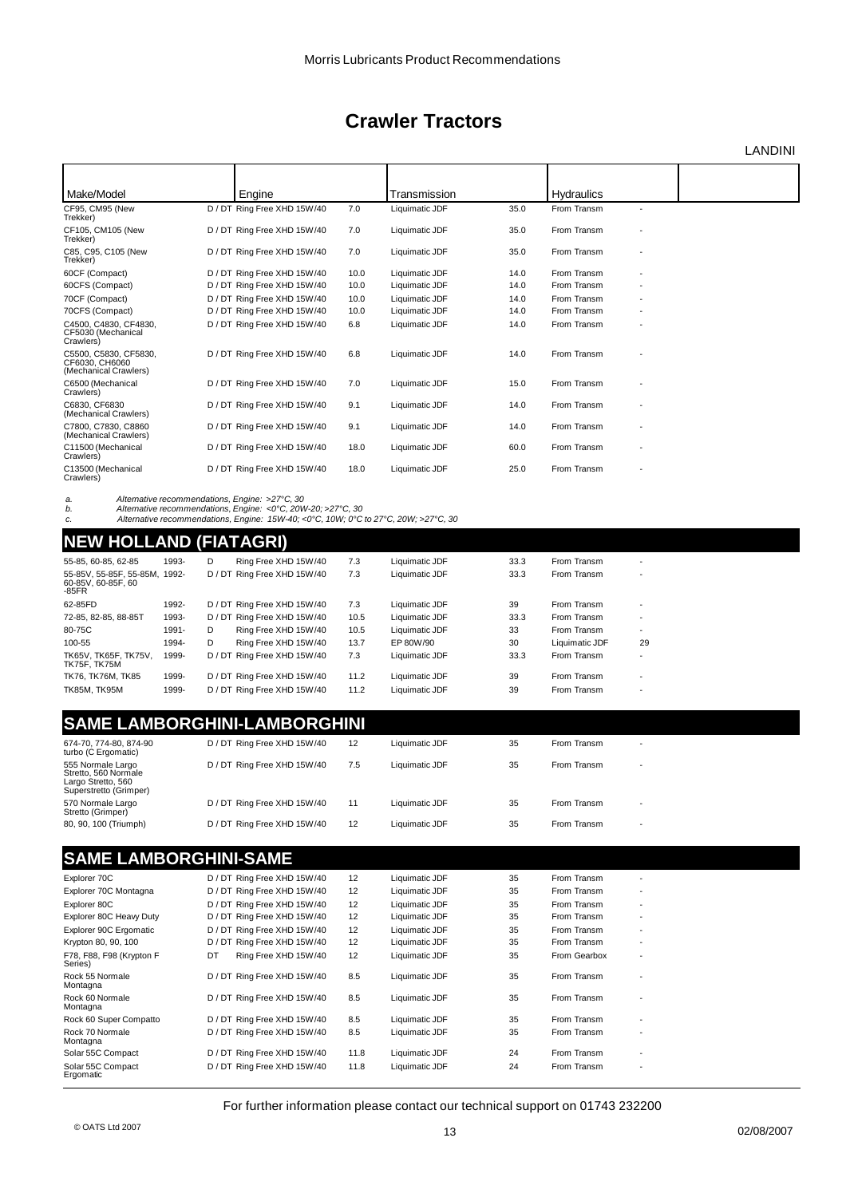LANDINI

| Make/Model                                                       | Engine                      |      | Transmission   |      | <b>Hydraulics</b> |                          |  |
|------------------------------------------------------------------|-----------------------------|------|----------------|------|-------------------|--------------------------|--|
| CF95, CM95 (New<br>Trekker)                                      | D / DT Ring Free XHD 15W/40 | 7.0  | Liquimatic JDF | 35.0 | From Transm       | $\overline{\phantom{a}}$ |  |
| CF105, CM105 (New<br>Trekker)                                    | D / DT Ring Free XHD 15W/40 | 7.0  | Liquimatic JDF | 35.0 | From Transm       |                          |  |
| C85, C95, C105 (New<br>Trekker)                                  | D / DT Ring Free XHD 15W/40 | 7.0  | Liquimatic JDF | 35.0 | From Transm       |                          |  |
| 60CF (Compact)                                                   | D / DT Ring Free XHD 15W/40 | 10.0 | Liquimatic JDF | 14.0 | From Transm       | ٠                        |  |
| 60CFS (Compact)                                                  | D / DT Ring Free XHD 15W/40 | 10.0 | Liquimatic JDF | 14.0 | From Transm       |                          |  |
| 70CF (Compact)                                                   | D / DT Ring Free XHD 15W/40 | 10.0 | Liquimatic JDF | 14.0 | From Transm       |                          |  |
| 70CFS (Compact)                                                  | D / DT Ring Free XHD 15W/40 | 10.0 | Liquimatic JDF | 14.0 | From Transm       |                          |  |
| C4500, C4830, CF4830,<br>CF5030 (Mechanical<br>Crawlers)         | D / DT Ring Free XHD 15W/40 | 6.8  | Liquimatic JDF | 14.0 | From Transm       |                          |  |
| C5500, C5830, CF5830.<br>CF6030, CH6060<br>(Mechanical Crawlers) | D / DT Ring Free XHD 15W/40 | 6.8  | Liquimatic JDF | 14.0 | From Transm       |                          |  |
| C6500 (Mechanical<br>Crawlers)                                   | D / DT Ring Free XHD 15W/40 | 7.0  | Liquimatic JDF | 15.0 | From Transm       |                          |  |
| C6830, CF6830<br>(Mechanical Crawlers)                           | D / DT Ring Free XHD 15W/40 | 9.1  | Liquimatic JDF | 14.0 | From Transm       |                          |  |
| C7800, C7830, C8860<br>(Mechanical Crawlers)                     | D / DT Ring Free XHD 15W/40 | 9.1  | Liquimatic JDF | 14.0 | From Transm       |                          |  |
| C11500 (Mechanical<br>Crawlers)                                  | D / DT Ring Free XHD 15W/40 | 18.0 | Liquimatic JDF | 60.0 | From Transm       | ٠                        |  |
| C13500 (Mechanical<br>Crawlers)                                  | D / DT Ring Free XHD 15W/40 | 18.0 | Liquimatic JDF | 25.0 | From Transm       |                          |  |

a. Alternative recommendations, Engine: >27°C, 30<br>b. Alternative recommendations, Engine: <0°C, 20W-20; >27°C, 30<br>c. Alternative recommendations, Engine: 15W-40; <0°C, 10W; 0°C to 27°C, 20W;

### **NEW HOLLAND (FIATAGRI)**

| $T = T$                                                      |       |   |                             |      |                |      |                |                          |
|--------------------------------------------------------------|-------|---|-----------------------------|------|----------------|------|----------------|--------------------------|
| 55-85, 60-85, 62-85                                          | 1993- | D | Ring Free XHD 15W/40        | 7.3  | Liquimatic JDF | 33.3 | From Transm    | $\overline{\phantom{0}}$ |
| 55-85V, 55-85F, 55-85M, 1992-<br>60-85V, 60-85F, 60<br>-85FR |       |   | D / DT Ring Free XHD 15W/40 | 7.3  | Liquimatic JDF | 33.3 | From Transm    | $\overline{\phantom{a}}$ |
| 62-85FD                                                      | 1992- |   | D / DT Ring Free XHD 15W/40 | 7.3  | Liquimatic JDF | 39   | From Transm    | $\overline{\phantom{a}}$ |
| 72-85, 82-85, 88-85T                                         | 1993- |   | D / DT Ring Free XHD 15W/40 | 10.5 | Liquimatic JDF | 33.3 | From Transm    | $\overline{\phantom{a}}$ |
| 80-75C                                                       | 1991- | D | Ring Free XHD 15W/40        | 10.5 | Liquimatic JDF | 33   | From Transm    |                          |
| 100-55                                                       | 1994- | D | Ring Free XHD 15W/40        | 13.7 | EP 80W/90      | 30   | Liquimatic JDF | 29                       |
| TK65V. TK65F. TK75V.<br>TK75F. TK75M                         | 1999- |   | D / DT Ring Free XHD 15W/40 | 7.3  | Liquimatic JDF | 33.3 | From Transm    |                          |
| TK76, TK76M, TK85                                            | 1999- |   | D / DT Ring Free XHD 15W/40 | 11.2 | Liquimatic JDF | 39   | From Transm    | ٠                        |
| <b>TK85M. TK95M</b>                                          | 1999- |   | D / DT Ring Free XHD 15W/40 | 11.2 | Liquimatic JDF | 39   | From Transm    | $\overline{\phantom{a}}$ |

### **SAME LAMBORGHINI-LAMBORGHINI**

| 674-70, 774-80, 874-90<br>turbo (C Ergomatic)                                             | D / DT Ring Free XHD 15W/40 | 12  | Liquimatic JDF | 35 | From Transm |  |
|-------------------------------------------------------------------------------------------|-----------------------------|-----|----------------|----|-------------|--|
| 555 Normale Largo<br>Stretto, 560 Normale<br>Largo Stretto, 560<br>Superstretto (Grimper) | D / DT Ring Free XHD 15W/40 | 7.5 | Liquimatic JDF | 35 | From Transm |  |
| 570 Normale Largo<br>Stretto (Grimper)                                                    | D / DT Ring Free XHD 15W/40 | 11  | Liquimatic JDF | 35 | From Transm |  |
| 80, 90, 100 (Triumph)                                                                     | D / DT Ring Free XHD 15W/40 | 12  | Liquimatic JDF | 35 | From Transm |  |

### **SAME LAMBORGHINI-SAME**

|                                     | $\bullet$ , $\bullet$ , $\bullet$ , $\bullet$ , $\bullet$ , $\bullet$ , $\bullet$ , $\bullet$ , $\bullet$ , $\bullet$ , $\bullet$ , $\bullet$ , $\bullet$ , $\bullet$ , $\bullet$ , $\bullet$ , $\bullet$ , $\bullet$ , $\bullet$ , $\bullet$ , $\bullet$ , $\bullet$ , $\bullet$ , $\bullet$ , $\bullet$ , $\bullet$ , $\bullet$ , $\bullet$ , $\bullet$ , $\bullet$ , $\bullet$ , $\bullet$ , $\bullet$ , $\bullet$ , $\bullet$ , $\bullet$ , $\bullet$ , |      |                |    |              |                          |
|-------------------------------------|-------------------------------------------------------------------------------------------------------------------------------------------------------------------------------------------------------------------------------------------------------------------------------------------------------------------------------------------------------------------------------------------------------------------------------------------------------------|------|----------------|----|--------------|--------------------------|
| Explorer 70C                        | D / DT Ring Free XHD 15W/40                                                                                                                                                                                                                                                                                                                                                                                                                                 | 12   | Liquimatic JDF | 35 | From Transm  | ٠                        |
| Explorer 70C Montagna               | D / DT Ring Free XHD 15W/40                                                                                                                                                                                                                                                                                                                                                                                                                                 | 12   | Liquimatic JDF | 35 | From Transm  | $\overline{\phantom{a}}$ |
| Explorer 80C                        | D / DT Ring Free XHD 15W/40                                                                                                                                                                                                                                                                                                                                                                                                                                 | 12   | Liquimatic JDF | 35 | From Transm  | $\overline{\phantom{a}}$ |
| Explorer 80C Heavy Duty             | D / DT Ring Free XHD 15W/40                                                                                                                                                                                                                                                                                                                                                                                                                                 | 12   | Liquimatic JDF | 35 | From Transm  | ٠                        |
| Explorer 90C Ergomatic              | D / DT Ring Free XHD 15W/40                                                                                                                                                                                                                                                                                                                                                                                                                                 | 12   | Liquimatic JDF | 35 | From Transm  | ٠                        |
| Krypton 80, 90, 100                 | D / DT Ring Free XHD 15W/40                                                                                                                                                                                                                                                                                                                                                                                                                                 | 12   | Liquimatic JDF | 35 | From Transm  | ٠                        |
| F78, F88, F98 (Krypton F<br>Series) | Ring Free XHD 15W/40<br>DT                                                                                                                                                                                                                                                                                                                                                                                                                                  | 12   | Liquimatic JDF | 35 | From Gearbox | $\overline{\phantom{a}}$ |
| Rock 55 Normale<br>Montagna         | D / DT Ring Free XHD 15W/40                                                                                                                                                                                                                                                                                                                                                                                                                                 | 8.5  | Liquimatic JDF | 35 | From Transm  | ٠                        |
| Rock 60 Normale<br>Montagna         | D / DT Ring Free XHD 15W/40                                                                                                                                                                                                                                                                                                                                                                                                                                 | 8.5  | Liquimatic JDF | 35 | From Transm  |                          |
| Rock 60 Super Compatto              | D / DT Ring Free XHD 15W/40                                                                                                                                                                                                                                                                                                                                                                                                                                 | 8.5  | Liquimatic JDF | 35 | From Transm  | ٠                        |
| Rock 70 Normale<br>Montagna         | D / DT Ring Free XHD 15W/40                                                                                                                                                                                                                                                                                                                                                                                                                                 | 8.5  | Liquimatic JDF | 35 | From Transm  | ٠                        |
| Solar 55C Compact                   | D / DT Ring Free XHD 15W/40                                                                                                                                                                                                                                                                                                                                                                                                                                 | 11.8 | Liquimatic JDF | 24 | From Transm  | ٠                        |
| Solar 55C Compact<br>Ergomatic      | D / DT Ring Free XHD 15W/40                                                                                                                                                                                                                                                                                                                                                                                                                                 | 11.8 | Liquimatic JDF | 24 | From Transm  | $\overline{\phantom{a}}$ |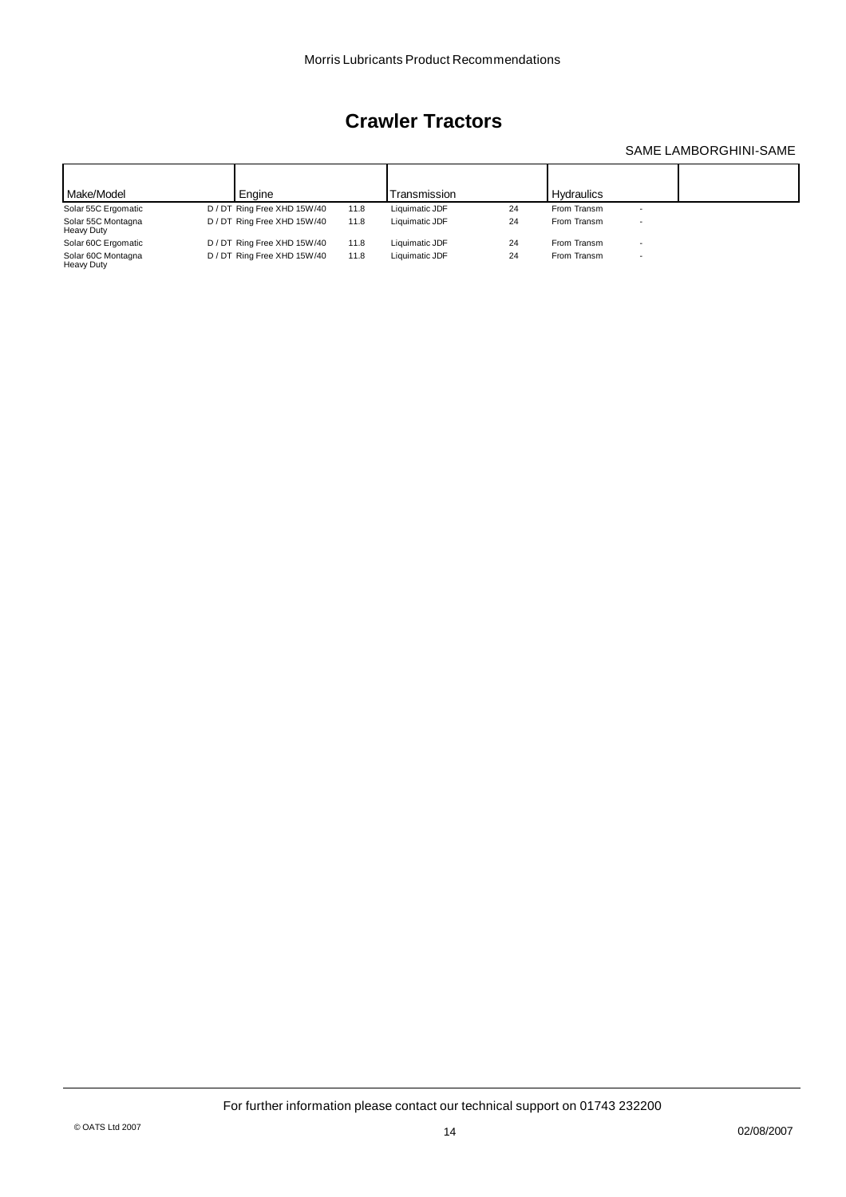### SAME LAMBORGHINI-SAME

| Make/Model                       | Engine                      |      | Transmission   |    | <b>Hydraulics</b> |                          |  |
|----------------------------------|-----------------------------|------|----------------|----|-------------------|--------------------------|--|
| Solar 55C Ergomatic              | D / DT Ring Free XHD 15W/40 | 11.8 | Liquimatic JDF | 24 | From Transm       | $\overline{\phantom{a}}$ |  |
| Solar 55C Montagna<br>Heavy Duty | D / DT Ring Free XHD 15W/40 | 11.8 | Liquimatic JDF | 24 | From Transm       | $\overline{\phantom{a}}$ |  |
| Solar 60C Ergomatic              | D / DT Ring Free XHD 15W/40 | 11.8 | Liquimatic JDF | 24 | From Transm       | $\overline{\phantom{a}}$ |  |
| Solar 60C Montagna<br>Heavy Duty | D / DT Ring Free XHD 15W/40 | 11.8 | Liquimatic JDF | 24 | From Transm       | $\overline{\phantom{a}}$ |  |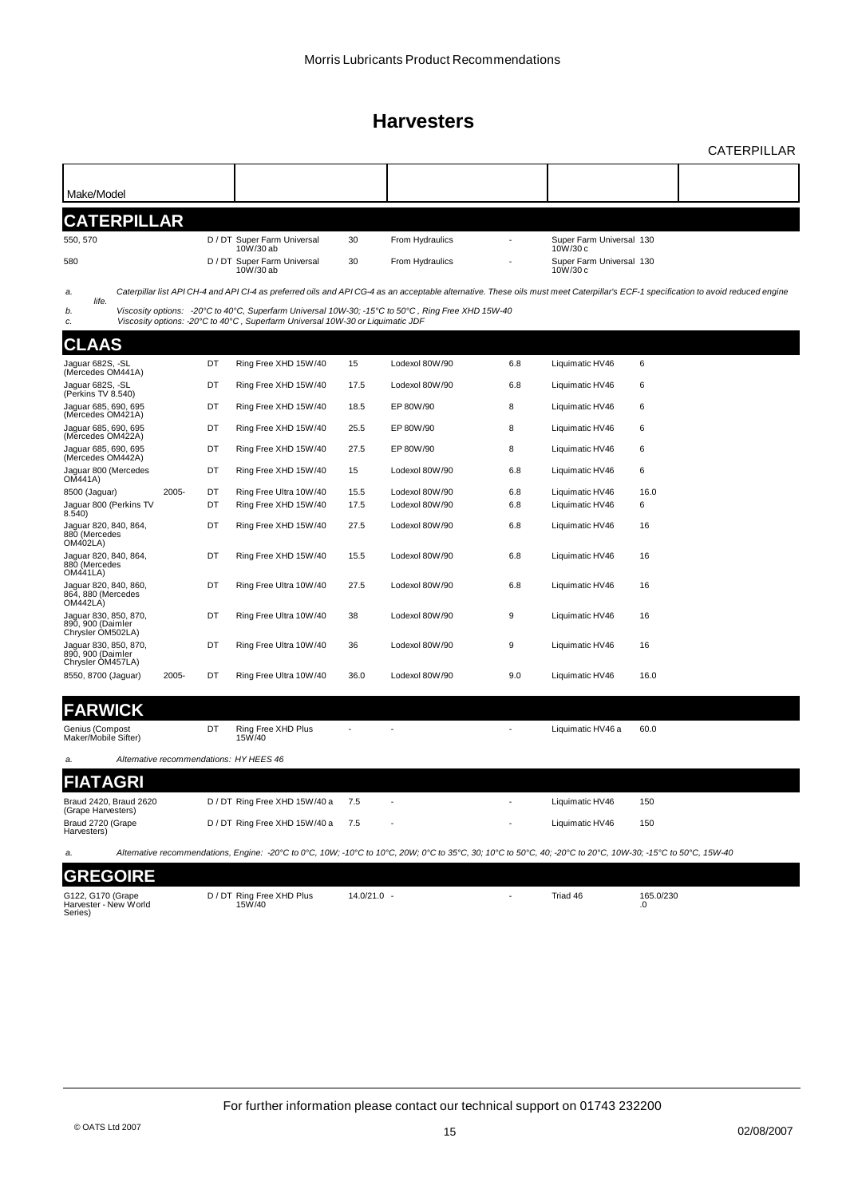CATERPILLAR

| Make/Model                                                                           |          |                                                                                                                                                                                 |              |                                  |                |                                      |                                                                                                                                                                                    |
|--------------------------------------------------------------------------------------|----------|---------------------------------------------------------------------------------------------------------------------------------------------------------------------------------|--------------|----------------------------------|----------------|--------------------------------------|------------------------------------------------------------------------------------------------------------------------------------------------------------------------------------|
| <b>CATERPILLAR</b>                                                                   |          |                                                                                                                                                                                 |              |                                  |                |                                      |                                                                                                                                                                                    |
| 550, 570                                                                             |          | D / DT Super Farm Universal<br>$10W/30$ ab                                                                                                                                      | 30           | From Hydraulics                  |                | Super Farm Universal 130<br>10W/30 c |                                                                                                                                                                                    |
| 580                                                                                  |          | D / DT Super Farm Universal<br>10W/30 ab                                                                                                                                        | 30           | From Hydraulics                  |                | Super Farm Universal 130<br>10W/30 c |                                                                                                                                                                                    |
| a.<br>life.                                                                          |          |                                                                                                                                                                                 |              |                                  |                |                                      | Caterpillar list API CH-4 and API CI-4 as preferred oils and API CG-4 as an acceptable alternative. These oils must meet Caterpillar's ECF-1 specification to avoid reduced engine |
| b.<br>c.                                                                             |          | Viscosity options: -20℃ to 40℃, Superfarm Universal 10W-30; -15℃ to 50℃, Ring Free XHD 15W-40<br>Viscosity options: -20°C to 40°C, Superfarm Universal 10W-30 or Liquimatic JDF |              |                                  |                |                                      |                                                                                                                                                                                    |
| <b>CLAAS</b>                                                                         |          |                                                                                                                                                                                 |              |                                  |                |                                      |                                                                                                                                                                                    |
| Jaquar 682S, -SL<br>(Mercedes OM441A)                                                | DT       | Ring Free XHD 15W/40                                                                                                                                                            | 15           | Lodexol 80W/90                   | 6.8            | Liquimatic HV46                      | 6                                                                                                                                                                                  |
| Jaguar 682S, -SL<br>(Perkins TV 8.540)                                               | DT       | Ring Free XHD 15W/40                                                                                                                                                            | 17.5         | Lodexol 80W/90                   | 6.8            | Liquimatic HV46                      | 6                                                                                                                                                                                  |
| Jaguar 685, 690, 695<br>(Mercedes OM421A)                                            | DT       | Ring Free XHD 15W/40                                                                                                                                                            | 18.5         | EP 80W/90                        | 8              | Liquimatic HV46                      | 6                                                                                                                                                                                  |
| Jaguar 685, 690, 695<br>(Mercedes OM422A)                                            | DT       | Ring Free XHD 15W/40                                                                                                                                                            | 25.5         | EP 80W/90                        | 8              | Liquimatic HV46                      | 6                                                                                                                                                                                  |
| Jaguar 685, 690, 695<br>(Mercedes OM442A)                                            | DT       | Ring Free XHD 15W/40                                                                                                                                                            | 27.5         | EP 80W/90                        | 8              | Liquimatic HV46                      | 6                                                                                                                                                                                  |
| Jaguar 800 (Mercedes<br>OM441A)                                                      | DT       | Ring Free XHD 15W/40                                                                                                                                                            | 15           | Lodexol 80W/90                   | 6.8            | Liquimatic HV46                      | 6                                                                                                                                                                                  |
| 8500 (Jaguar)<br>2005-<br>Jaguar 800 (Perkins TV                                     | DT<br>DT | Ring Free Ultra 10W/40<br>Ring Free XHD 15W/40                                                                                                                                  | 15.5<br>17.5 | Lodexol 80W/90<br>Lodexol 80W/90 | 6.8<br>6.8     | Liquimatic HV46<br>Liquimatic HV46   | 16.0<br>6                                                                                                                                                                          |
| 8.540)<br>Jaguar 820, 840, 864,<br>880 (Mercedes                                     | DT       | Ring Free XHD 15W/40                                                                                                                                                            | 27.5         | Lodexol 80W/90                   | 6.8            | Liquimatic HV46                      | 16                                                                                                                                                                                 |
| <b>OM402LA)</b><br>Jaguar 820, 840, 864,<br>880 (Mercedes                            | DT       | Ring Free XHD 15W/40                                                                                                                                                            | 15.5         | Lodexol 80W/90                   | 6.8            | Liquimatic HV46                      | 16                                                                                                                                                                                 |
| <b>OM441LA)</b><br>Jaguar 820, 840, 860,<br>864, 880 (Mercedes                       | DT       | Ring Free Ultra 10W/40                                                                                                                                                          | 27.5         | Lodexol 80W/90                   | 6.8            | Liquimatic HV46                      | 16                                                                                                                                                                                 |
| <b>OM442LA)</b><br>Jaguar 830, 850, 870,<br>890, 900 (Daimler                        | DT       | Ring Free Ultra 10W/40                                                                                                                                                          | 38           | Lodexol 80W/90                   | 9              | Liquimatic HV46                      | 16                                                                                                                                                                                 |
| Chrysler OM502LA)<br>Jaguar 830, 850, 870,<br>890, 900 (Daimler<br>Chrysler OM457LA) | DT       | Ring Free Ultra 10W/40                                                                                                                                                          | 36           | Lodexol 80W/90                   | 9              | Liquimatic HV46                      | 16                                                                                                                                                                                 |
| 8550, 8700 (Jaguar)<br>2005-                                                         | DT       | Ring Free Ultra 10W/40                                                                                                                                                          | 36.0         | Lodexol 80W/90                   | 9.0            | Liquimatic HV46                      | 16.0                                                                                                                                                                               |
| <b>FARWICK</b>                                                                       |          |                                                                                                                                                                                 |              |                                  |                |                                      |                                                                                                                                                                                    |
| Genius (Compost<br>Maker/Mobile Sifter)                                              | DT       | Ring Free XHD Plus<br>15W/40                                                                                                                                                    |              |                                  |                | Liquimatic HV46 a                    | 60.0                                                                                                                                                                               |
| Alternative recommendations: HY HEES 46<br>a.                                        |          |                                                                                                                                                                                 |              |                                  |                |                                      |                                                                                                                                                                                    |
| <b>FIATAGRI</b>                                                                      |          |                                                                                                                                                                                 |              |                                  |                |                                      |                                                                                                                                                                                    |
| Braud 2420, Braud 2620<br>(Grape Harvesters)                                         |          | D / DT Ring Free XHD 15W/40 a                                                                                                                                                   | 7.5          |                                  |                | Liquimatic HV46                      | 150                                                                                                                                                                                |
| Braud 2720 (Grape<br>Harvesters)                                                     |          | D / DT Ring Free XHD 15W/40 a                                                                                                                                                   | 7.5          |                                  |                | Liquimatic HV46                      | 150                                                                                                                                                                                |
| a.                                                                                   |          | Alternative recommendations, Engine: -20°C to 0°C, 10W; -10°C to 10°C, 20W; 0°C to 35°C, 30; 10°C to 50°C, 40; -20°C to 20°C, 10W-30; -15°C to 50°C, 15W-40                     |              |                                  |                |                                      |                                                                                                                                                                                    |
| <b>GREGOIRE</b>                                                                      |          |                                                                                                                                                                                 |              |                                  |                |                                      |                                                                                                                                                                                    |
| G122, G170 (Grape<br>Harvester - New World<br>Series)                                |          | D / DT Ring Free XHD Plus<br>15W/40                                                                                                                                             | 14.0/21.0 -  |                                  | $\blacksquare$ | Triad 46                             | 165.0/230<br>.0                                                                                                                                                                    |
|                                                                                      |          |                                                                                                                                                                                 |              |                                  |                |                                      |                                                                                                                                                                                    |
|                                                                                      |          |                                                                                                                                                                                 |              |                                  |                |                                      |                                                                                                                                                                                    |
|                                                                                      |          |                                                                                                                                                                                 |              |                                  |                |                                      |                                                                                                                                                                                    |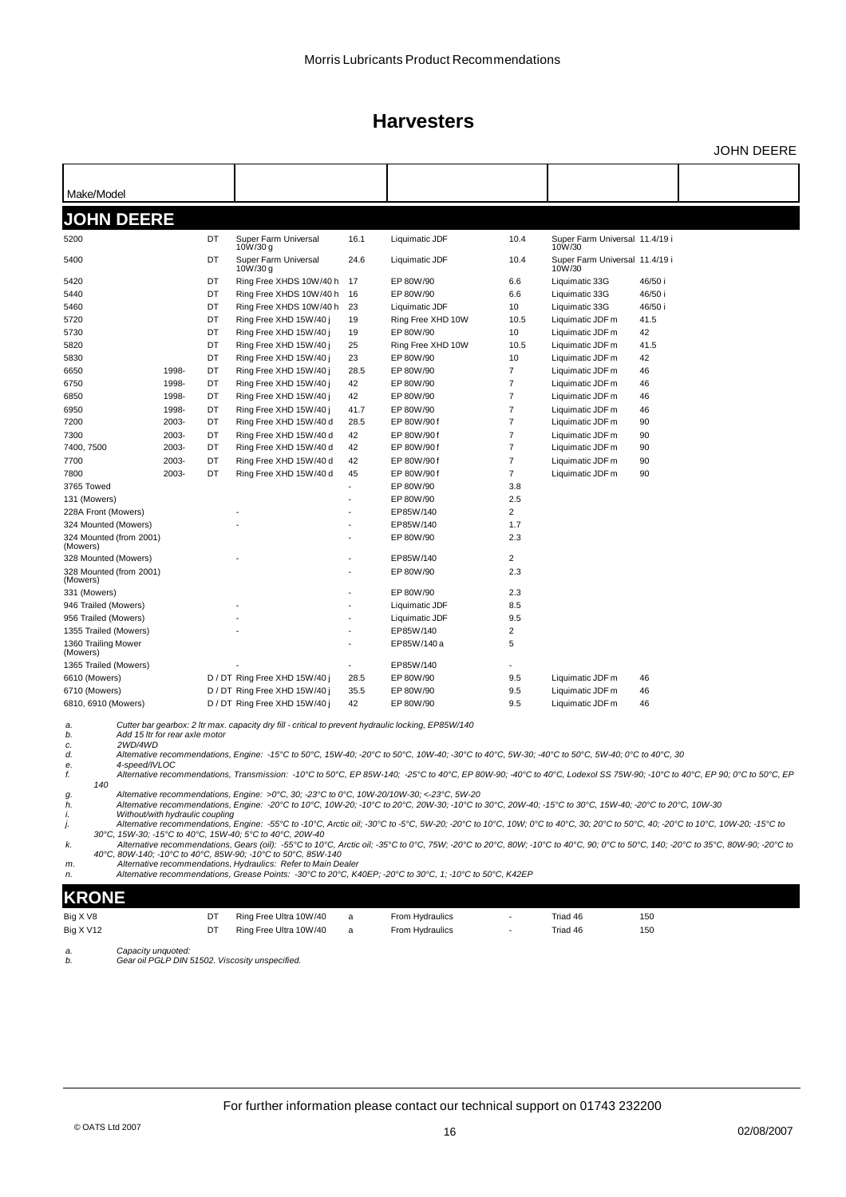JOHN DEERE

| Make/Model                          |                                 |    |                                                                                                     |      |                                                                                                                                                        |                         |                                          |                                                                                                                                                                         |
|-------------------------------------|---------------------------------|----|-----------------------------------------------------------------------------------------------------|------|--------------------------------------------------------------------------------------------------------------------------------------------------------|-------------------------|------------------------------------------|-------------------------------------------------------------------------------------------------------------------------------------------------------------------------|
| <b>JOHN DEERE</b>                   |                                 |    |                                                                                                     |      |                                                                                                                                                        |                         |                                          |                                                                                                                                                                         |
| 5200                                |                                 | DT | Super Farm Universal                                                                                | 16.1 | Liquimatic JDF                                                                                                                                         | 10.4                    | Super Farm Universal 11.4/19 i           |                                                                                                                                                                         |
|                                     |                                 |    | 10W/30 g                                                                                            |      |                                                                                                                                                        |                         | 10W/30                                   |                                                                                                                                                                         |
| 5400                                |                                 | DT | Super Farm Universal<br>10W/30 g                                                                    | 24.6 | Liquimatic JDF                                                                                                                                         | 10.4                    | Super Farm Universal 11.4/19 i<br>10W/30 |                                                                                                                                                                         |
| 5420                                |                                 | DT | Ring Free XHDS 10W/40 h                                                                             | -17  | EP 80W/90                                                                                                                                              | 6.6                     | Liquimatic 33G                           | 46/50 i                                                                                                                                                                 |
| 5440                                |                                 | DT | Ring Free XHDS 10W/40 h                                                                             | 16   | EP 80W/90                                                                                                                                              | 6.6                     | Liquimatic 33G                           | 46/50 i                                                                                                                                                                 |
| 5460                                |                                 | DT | Ring Free XHDS 10W/40 h                                                                             | 23   | Liquimatic JDF                                                                                                                                         | 10                      | Liquimatic 33G                           | 46/50 i                                                                                                                                                                 |
| 5720                                |                                 | DT | Ring Free XHD 15W/40 j                                                                              | 19   | Ring Free XHD 10W                                                                                                                                      | 10.5                    | Liquimatic JDF m                         | 41.5                                                                                                                                                                    |
| 5730                                |                                 | DT | Ring Free XHD 15W/40 j                                                                              | 19   | EP 80W/90                                                                                                                                              | 10                      | Liquimatic JDF m                         | 42                                                                                                                                                                      |
| 5820                                |                                 | DT | Ring Free XHD 15W/40 i                                                                              | 25   | Ring Free XHD 10W                                                                                                                                      | 10.5                    | Liquimatic JDF m                         | 41.5                                                                                                                                                                    |
| 5830                                |                                 | DT | Ring Free XHD 15W/40 j                                                                              | 23   | EP 80W/90                                                                                                                                              | 10                      | Liquimatic JDF m                         | 42                                                                                                                                                                      |
| 6650                                | 1998-                           | DT | Ring Free XHD 15W/40 j                                                                              | 28.5 | EP 80W/90                                                                                                                                              | $\overline{7}$          | Liquimatic JDF m                         | 46                                                                                                                                                                      |
| 6750                                | 1998-                           | DT | Ring Free XHD 15W/40 j                                                                              | 42   | EP 80W/90                                                                                                                                              | 7                       | Liquimatic JDF m                         | 46                                                                                                                                                                      |
| 6850                                | 1998-                           | DT | Ring Free XHD 15W/40 j                                                                              | 42   | EP 80W/90                                                                                                                                              | 7                       | Liquimatic JDF m                         | 46                                                                                                                                                                      |
| 6950                                | 1998-                           | DT | Ring Free XHD 15W/40 j                                                                              | 41.7 | EP 80W/90                                                                                                                                              | $\overline{\mathbf{7}}$ | Liquimatic JDF m                         | 46                                                                                                                                                                      |
| 7200                                | 2003-                           | DT | Ring Free XHD 15W/40 d                                                                              | 28.5 | EP 80W/90f                                                                                                                                             | 7                       | Liquimatic JDF m                         | 90                                                                                                                                                                      |
| 7300                                | 2003-                           | DT | Ring Free XHD 15W/40 d                                                                              | 42   | EP 80W/90f                                                                                                                                             | $\overline{\mathbf{7}}$ | Liquimatic JDF m                         | 90                                                                                                                                                                      |
| 7400, 7500                          | 2003-                           | DT | Ring Free XHD 15W/40 d                                                                              | 42   | EP 80W/90f                                                                                                                                             | 7                       | Liquimatic JDF m                         | 90                                                                                                                                                                      |
| 7700                                | 2003-                           | DT | Ring Free XHD 15W/40 d                                                                              | 42   | EP 80W/90f                                                                                                                                             | $\overline{7}$          | Liquimatic JDF m                         | 90                                                                                                                                                                      |
| 7800                                | 2003-                           | DT | Ring Free XHD 15W/40 d                                                                              | 45   | EP 80W/90f                                                                                                                                             | 7                       | Liquimatic JDF m                         | 90                                                                                                                                                                      |
| 3765 Towed                          |                                 |    |                                                                                                     |      | EP 80W/90                                                                                                                                              | 3.8                     |                                          |                                                                                                                                                                         |
| 131 (Mowers)                        |                                 |    |                                                                                                     |      | EP 80W/90                                                                                                                                              | 2.5                     |                                          |                                                                                                                                                                         |
| 228A Front (Mowers)                 |                                 |    |                                                                                                     |      | EP85W/140                                                                                                                                              | 2                       |                                          |                                                                                                                                                                         |
| 324 Mounted (Mowers)                |                                 |    |                                                                                                     |      | EP85W/140                                                                                                                                              | 1.7                     |                                          |                                                                                                                                                                         |
| 324 Mounted (from 2001)<br>(Mowers) |                                 |    |                                                                                                     |      | EP 80W/90                                                                                                                                              | 2.3                     |                                          |                                                                                                                                                                         |
| 328 Mounted (Mowers)                |                                 |    |                                                                                                     |      | EP85W/140                                                                                                                                              | 2                       |                                          |                                                                                                                                                                         |
| 328 Mounted (from 2001)<br>(Mowers) |                                 |    |                                                                                                     |      | EP 80W/90                                                                                                                                              | 2.3                     |                                          |                                                                                                                                                                         |
| 331 (Mowers)                        |                                 |    |                                                                                                     |      | EP 80W/90                                                                                                                                              | 2.3                     |                                          |                                                                                                                                                                         |
| 946 Trailed (Mowers)                |                                 |    |                                                                                                     |      | Liquimatic JDF                                                                                                                                         | 8.5                     |                                          |                                                                                                                                                                         |
| 956 Trailed (Mowers)                |                                 |    |                                                                                                     |      | Liquimatic JDF                                                                                                                                         | 9.5                     |                                          |                                                                                                                                                                         |
| 1355 Trailed (Mowers)               |                                 |    |                                                                                                     |      | EP85W/140                                                                                                                                              | $\overline{\mathbf{c}}$ |                                          |                                                                                                                                                                         |
| 1360 Trailing Mower<br>(Mowers)     |                                 |    |                                                                                                     |      | EP85W/140 a                                                                                                                                            | 5                       |                                          |                                                                                                                                                                         |
| 1365 Trailed (Mowers)               |                                 |    |                                                                                                     |      | EP85W/140                                                                                                                                              |                         |                                          |                                                                                                                                                                         |
| 6610 (Mowers)                       |                                 |    | D / DT Ring Free XHD 15W/40 j                                                                       | 28.5 | EP 80W/90                                                                                                                                              | 9.5                     | Liquimatic JDF m                         | 46                                                                                                                                                                      |
| 6710 (Mowers)                       |                                 |    | D / DT Ring Free XHD 15W/40 j                                                                       | 35.5 | EP 80W/90                                                                                                                                              | 9.5                     | Liquimatic JDF m                         | 46                                                                                                                                                                      |
| 6810, 6910 (Mowers)                 |                                 |    | D / DT Ring Free XHD 15W/40 j                                                                       | 42   | EP 80W/90                                                                                                                                              | 9.5                     | Liquimatic JDF m                         | 46                                                                                                                                                                      |
| a.<br>b.<br>2WD/4WD<br>c.           | Add 15 ltr for rear axle motor  |    | Cutter bar gearbox: 2 Itr max. capacity dry fill - critical to prevent hydraulic locking, EP85W/140 |      |                                                                                                                                                        |                         |                                          |                                                                                                                                                                         |
| d.<br>4-speed/IVLOC<br>e.           |                                 |    |                                                                                                     |      | Alternative recommendations, Engine: -15°C to 50°C, 15W-40; -20°C to 50°C, 10W-40; -30°C to 40°C, 5W-30; -40°C to 50°C, 5W-40; 0°C to 40°C, 30         |                         |                                          |                                                                                                                                                                         |
| f.<br>140                           |                                 |    |                                                                                                     |      |                                                                                                                                                        |                         |                                          | Alternative recommendations, Transmission: -10°C to 50°C, EP 85W-140; -25°C to 40°C, EP 80W-90; -40°C to 40°C, Lodexol SS 75W-90; -10°C to 40°C, EP 90; 0°C to 50°C, EP |
| g.<br>h.                            |                                 |    | Alternative recommendations, Engine: >0°C, 30; -23°C to 0°C, 10W-20/10W-30; <-23°C, 5W-20           |      | Alternative recommendations, Engine: -20°C to 10°C, 10W-20; -10°C to 20°C, 20W-30; -10°C to 30°C, 20W-40; -15°C to 30°C, 15W-40; -20°C to 20°C, 10W-30 |                         |                                          |                                                                                                                                                                         |
| i.<br>j.                            | Without/with hydraulic coupling |    |                                                                                                     |      |                                                                                                                                                        |                         |                                          | Alternative recommendations, Engine: -55℃ to -10℃, Arctic oil; -30℃ to -5℃, 5W-20; -20℃ to 10℃, 10W; 0℃ to 40℃, 30; 20℃ to 50℃, 40; -20℃ to 10℃, 10W-20; -15℃ to        |
|                                     |                                 |    | 30°C, 15W-30; -15°C to 40°C, 15W-40; 5°C to 40°C, 20W-40                                            |      |                                                                                                                                                        |                         |                                          |                                                                                                                                                                         |
| k.                                  |                                 |    |                                                                                                     |      |                                                                                                                                                        |                         |                                          | Alternative recommendations, Gears (oil): -55℃ to 10℃, Arctic oil; -35℃ to 0℃, 75W; -20℃ to 20℃, 80W; -10℃ to 40℃, 90; 0℃ to 50℃, 140; -20℃ to 35℃, 80W-90; -20℃ to     |
|                                     |                                 |    | 40°C, 80W-140; -10°C to 40°C, 85W-90; -10°C to 50°C, 85W-140                                        |      |                                                                                                                                                        |                         |                                          |                                                                                                                                                                         |
| m.<br>n.                            |                                 |    | Alternative recommendations, Hydraulics: Refer to Main Dealer                                       |      | Alternative recommendations, Grease Points: -30°C to 20°C, K40EP; -20°C to 30°C, 1; -10°C to 50°C, K42EP                                               |                         |                                          |                                                                                                                                                                         |
| KRONE                               |                                 |    |                                                                                                     |      |                                                                                                                                                        |                         |                                          |                                                                                                                                                                         |
| Big X V8                            |                                 | DT | Ring Free Ultra 10W/40                                                                              | a    | From Hydraulics                                                                                                                                        |                         | Triad 46                                 | 150                                                                                                                                                                     |
| Big X V12                           |                                 | DT | Ring Free Ultra 10W/40                                                                              | a    | From Hydraulics                                                                                                                                        | ÷,                      | Triad 46                                 | 150                                                                                                                                                                     |
|                                     |                                 |    |                                                                                                     |      |                                                                                                                                                        |                         |                                          |                                                                                                                                                                         |
| Capacity unquoted:<br>a.<br>b.      |                                 |    | Gear oil PGLP DIN 51502. Viscosity unspecified.                                                     |      |                                                                                                                                                        |                         |                                          |                                                                                                                                                                         |
|                                     |                                 |    |                                                                                                     |      |                                                                                                                                                        |                         |                                          |                                                                                                                                                                         |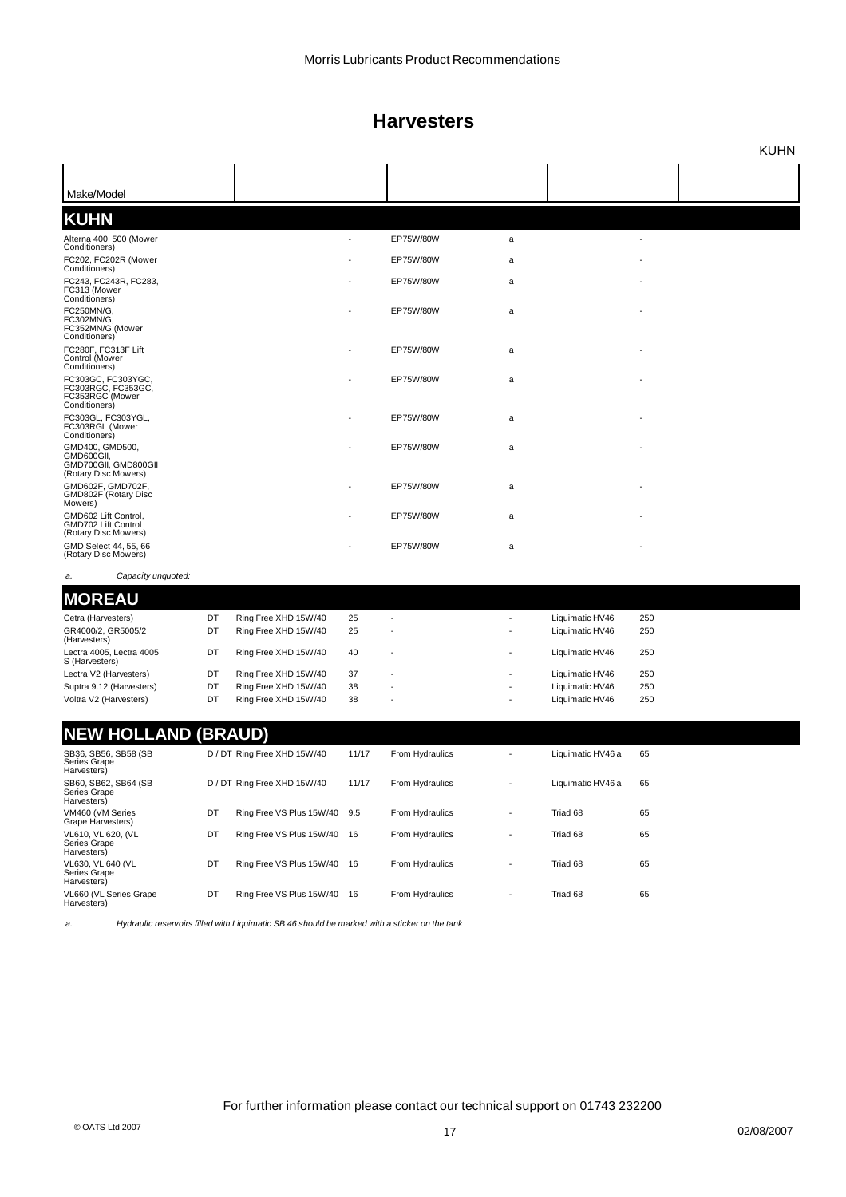|                                                                                                |    |                             |       |                 |                          |                   |     | <b>KUHN</b> |
|------------------------------------------------------------------------------------------------|----|-----------------------------|-------|-----------------|--------------------------|-------------------|-----|-------------|
|                                                                                                |    |                             |       |                 |                          |                   |     |             |
| Make/Model                                                                                     |    |                             |       |                 |                          |                   |     |             |
| <b>KUHN</b>                                                                                    |    |                             |       |                 |                          |                   |     |             |
| Alterna 400, 500 (Mower                                                                        |    |                             |       | EP75W/80W       | a                        |                   |     |             |
| Conditioners)<br>FC202, FC202R (Mower                                                          |    |                             |       | EP75W/80W       | a                        |                   |     |             |
| Conditioners)<br>FC243, FC243R, FC283,<br>FC313 (Mower                                         |    |                             |       | EP75W/80W       | a                        |                   |     |             |
| Conditioners)<br>FC250MN/G,<br>FC302MN/G,<br>FC352MN/G (Mower                                  |    |                             |       | EP75W/80W       | a                        |                   |     |             |
| Conditioners)<br>FC280F, FC313F Lift<br>Control (Mower<br>Conditioners)                        |    |                             |       | EP75W/80W       | a                        |                   |     |             |
| FC303GC, FC303YGC,<br>FC303RGC, FC353GC,<br>FC353RGC (Mower<br>Conditioners)                   |    |                             |       | EP75W/80W       | a                        |                   |     |             |
| FC303GL, FC303YGL,<br>FC303RGL (Mower                                                          |    |                             |       | EP75W/80W       | a                        |                   |     |             |
| Conditioners)<br>GMD400, GMD500,<br>GMD600GII,<br>GMD700GII, GMD800GII<br>(Rotary Disc Mowers) |    |                             |       | EP75W/80W       | a                        |                   |     |             |
| GMD602F, GMD702F,<br>GMD802F (Rotary Disc<br>Mowers)                                           |    |                             |       | EP75W/80W       | a                        |                   |     |             |
| GMD602 Lift Control,<br>GMD702 Lift Control<br>(Rotary Disc Mowers)                            |    |                             |       | EP75W/80W       | a                        |                   |     |             |
| GMD Select 44, 55, 66<br>(Rotary Disc Mowers)                                                  |    |                             |       | EP75W/80W       | a                        |                   |     |             |
| Capacity unquoted:<br>a.                                                                       |    |                             |       |                 |                          |                   |     |             |
| <b>MOREAU</b>                                                                                  |    |                             |       |                 |                          |                   |     |             |
| Cetra (Harvesters)                                                                             | DT | Ring Free XHD 15W/40        | 25    |                 |                          | Liquimatic HV46   | 250 |             |
| GR4000/2, GR5005/2<br>(Harvesters)                                                             | DT | Ring Free XHD 15W/40        | 25    |                 |                          | Liquimatic HV46   | 250 |             |
| Lectra 4005, Lectra 4005<br>S (Harvesters)                                                     | DT | Ring Free XHD 15W/40        | 40    |                 |                          | Liquimatic HV46   | 250 |             |
| Lectra V2 (Harvesters)                                                                         | DT | Ring Free XHD 15W/40        | 37    |                 |                          | Liquimatic HV46   | 250 |             |
| Suptra 9.12 (Harvesters)                                                                       | DT | Ring Free XHD 15W/40        | 38    |                 |                          | Liquimatic HV46   | 250 |             |
| Voltra V2 (Harvesters)                                                                         | DT | Ring Free XHD 15W/40        | 38    |                 |                          | Liquimatic HV46   | 250 |             |
| <b>NEW HOLLAND (BRAUD)</b>                                                                     |    |                             |       |                 |                          |                   |     |             |
| SB36, SB56, SB58 (SB<br>Series Grape<br>Harvesters)                                            |    | D / DT Ring Free XHD 15W/40 | 11/17 | From Hydraulics |                          | Liquimatic HV46 a | 65  |             |
| SB60, SB62, SB64 (SB<br>Series Grape<br>Harvesters)                                            |    | D / DT Ring Free XHD 15W/40 | 11/17 | From Hydraulics | $\overline{\phantom{a}}$ | Liquimatic HV46 a | 65  |             |
| VM460 (VM Series<br>Grape Harvesters)                                                          | DT | Ring Free VS Plus 15W/40    | 9.5   | From Hydraulics | $\overline{\phantom{a}}$ | Triad 68          | 65  |             |
| VL610, VL 620, (VL<br>Series Grape<br>Harvesters)                                              | DT | Ring Free VS Plus 15W/40    | - 16  | From Hydraulics | $\overline{\phantom{a}}$ | Triad 68          | 65  |             |
| VL630, VL 640 (VL<br>Series Grape<br>Harvesters)                                               | DT | Ring Free VS Plus 15W/40    | 16    | From Hydraulics |                          | Triad 68          | 65  |             |
| VL660 (VL Series Grape<br>Harvesters)                                                          | DT | Ring Free VS Plus 15W/40 16 |       | From Hydraulics | $\centerdot$             | Triad 68          | 65  |             |
|                                                                                                |    |                             |       |                 |                          |                   |     |             |

*a. Hydraulic reservoirs filled with Liquimatic SB 46 should be marked with a sticker on the tank*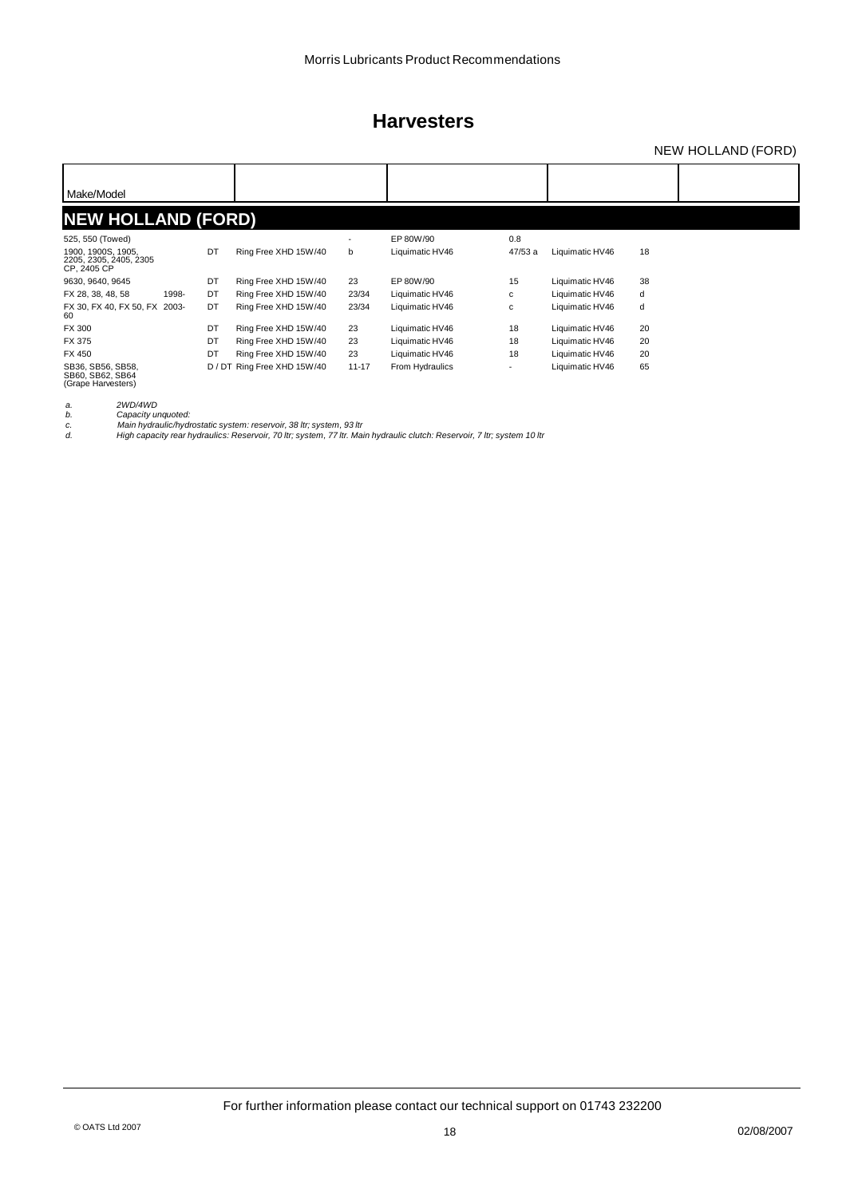### NEW HOLLAND (FORD)

| Make/Model                                                  |       |    |                             |                          |                 |        |                 |    |  |
|-------------------------------------------------------------|-------|----|-----------------------------|--------------------------|-----------------|--------|-----------------|----|--|
| <b>NEW HOLLAND (FORD)</b>                                   |       |    |                             |                          |                 |        |                 |    |  |
| 525, 550 (Towed)                                            |       |    |                             | $\overline{\phantom{a}}$ | EP 80W/90       | 0.8    |                 |    |  |
| 1900, 1900S, 1905,<br>2205, 2305, 2405, 2305<br>CP, 2405 CP |       | DT | Ring Free XHD 15W/40        | b                        | Liquimatic HV46 | 47/53a | Liquimatic HV46 | 18 |  |
| 9630, 9640, 9645                                            |       | DT | Ring Free XHD 15W/40        | 23                       | EP 80W/90       | 15     | Liquimatic HV46 | 38 |  |
| FX 28, 38, 48, 58                                           | 1998- | DT | Ring Free XHD 15W/40        | 23/34                    | Liquimatic HV46 | c      | Liquimatic HV46 | d  |  |
| FX 30, FX 40, FX 50, FX 2003-<br>60                         |       | DT | Ring Free XHD 15W/40        | 23/34                    | Liquimatic HV46 | с      | Liquimatic HV46 | d  |  |
| <b>FX 300</b>                                               |       | DT | Ring Free XHD 15W/40        | 23                       | Liquimatic HV46 | 18     | Liquimatic HV46 | 20 |  |
| <b>FX 375</b>                                               |       | DT | Ring Free XHD 15W/40        | 23                       | Liquimatic HV46 | 18     | Liquimatic HV46 | 20 |  |
| FX 450                                                      |       | DT | Ring Free XHD 15W/40        | 23                       | Liquimatic HV46 | 18     | Liquimatic HV46 | 20 |  |
| SB36, SB56, SB58,<br>SB60, SB62, SB64<br>(Grape Harvesters) |       |    | D / DT Ring Free XHD 15W/40 | $11 - 17$                | From Hydraulics | ٠      | Liquimatic HV46 | 65 |  |

*a. 2WD/4WD b. Capacity unquoted: c. Main hydraulic/hydrostatic system: reservoir, 38 ltr; system, 93 ltr d. High capacity rear hydraulics: Reservoir, 70 ltr; system, 77 ltr. Main hydraulic clutch: Reservoir, 7 ltr; system 10 ltr*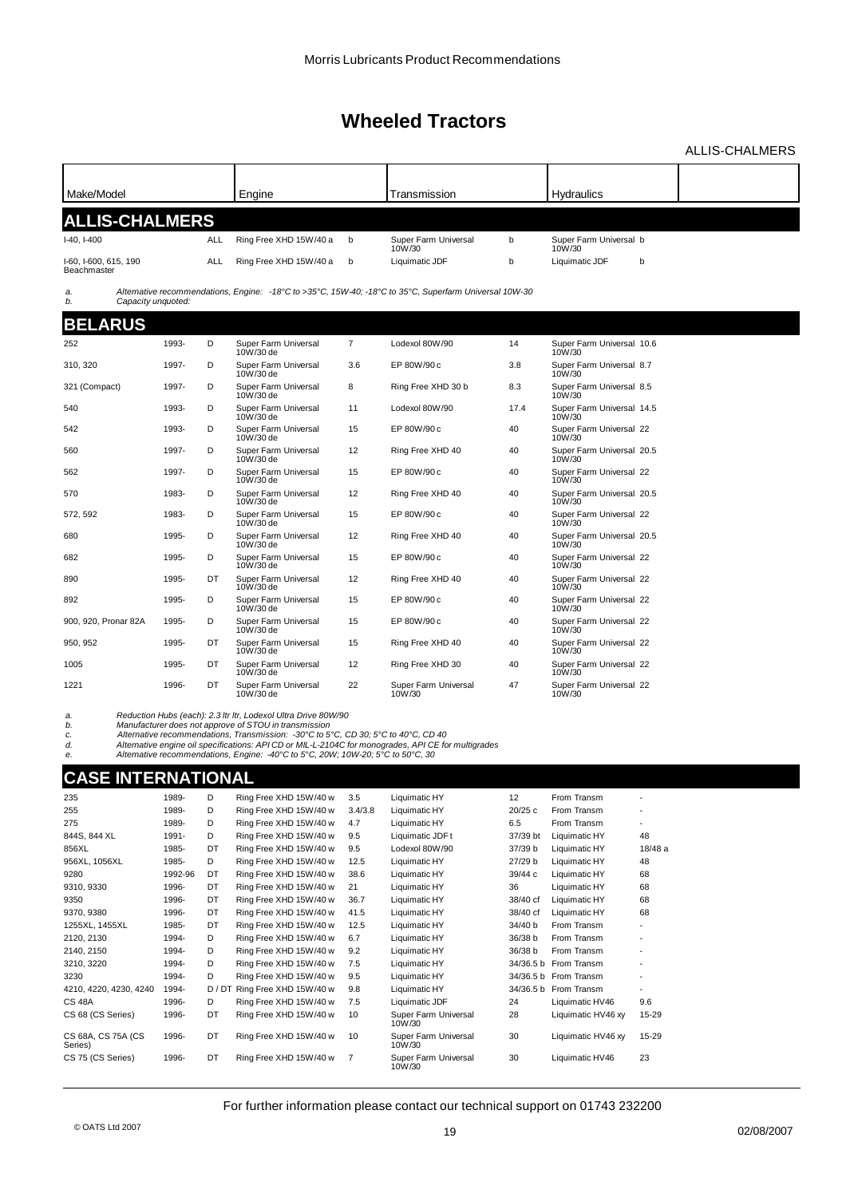ALLIS-CHALMERS

| Make/Model                           |         |     | Engine                                                                                                                     |                | Transmission                                                                                           |          | Hydraulics                          |                |  |
|--------------------------------------|---------|-----|----------------------------------------------------------------------------------------------------------------------------|----------------|--------------------------------------------------------------------------------------------------------|----------|-------------------------------------|----------------|--|
|                                      |         |     |                                                                                                                            |                |                                                                                                        |          |                                     |                |  |
| <b>ALLIS-CHALMERS</b>                |         |     |                                                                                                                            |                |                                                                                                        |          |                                     |                |  |
| $I-40, I-400$                        |         | ALL | Ring Free XHD 15W/40 a                                                                                                     | b              | Super Farm Universal<br>10W/30                                                                         | b        | Super Farm Universal b<br>10W/30    |                |  |
| I-60, I-600, 615, 190<br>Beachmaster |         | ALL | Ring Free XHD 15W/40 a                                                                                                     | b              | Liquimatic JDF                                                                                         | b        | Liquimatic JDF                      | b              |  |
| a.                                   |         |     |                                                                                                                            |                | Alternative recommendations, Engine: -18°C to >35°C, 15W-40; -18°C to 35°C, Superfarm Universal 10W-30 |          |                                     |                |  |
| Capacity unquoted:<br>b.             |         |     |                                                                                                                            |                |                                                                                                        |          |                                     |                |  |
| <b>BELARUS</b>                       |         |     |                                                                                                                            |                |                                                                                                        |          |                                     |                |  |
| 252                                  | 1993-   | D   | Super Farm Universal                                                                                                       | $\overline{7}$ | Lodexol 80W/90                                                                                         | 14       | Super Farm Universal 10.6           |                |  |
|                                      |         |     | 10W/30 de                                                                                                                  |                |                                                                                                        |          | 10W/30                              |                |  |
| 310, 320                             | 1997-   | D   | Super Farm Universal<br>10W/30 de                                                                                          | 3.6            | EP 80W/90 c                                                                                            | 3.8      | Super Farm Universal 8.7<br>10W/30  |                |  |
| 321 (Compact)                        | 1997-   | D   | Super Farm Universal<br>10W/30 de                                                                                          | 8              | Ring Free XHD 30 b                                                                                     | 8.3      | Super Farm Universal 8.5<br>10W/30  |                |  |
| 540                                  | 1993-   | D   | Super Farm Universal<br>10W/30 de                                                                                          | 11             | Lodexol 80W/90                                                                                         | 17.4     | Super Farm Universal 14.5<br>10W/30 |                |  |
| 542                                  | 1993-   | D   | Super Farm Universal<br>10W/30 de                                                                                          | 15             | EP 80W/90 c                                                                                            | 40       | Super Farm Universal 22<br>10W/30   |                |  |
| 560                                  | 1997-   | D   | Super Farm Universal<br>10W/30 de                                                                                          | 12             | Ring Free XHD 40                                                                                       | 40       | Super Farm Universal 20.5<br>10W/30 |                |  |
| 562                                  | 1997-   | D   | Super Farm Universal<br>10W/30 de                                                                                          | 15             | EP 80W/90 c                                                                                            | 40       | Super Farm Universal 22<br>10W/30   |                |  |
| 570                                  | 1983-   | D   | Super Farm Universal<br>10W/30 de                                                                                          | 12             | Ring Free XHD 40                                                                                       | 40       | Super Farm Universal 20.5<br>10W/30 |                |  |
| 572, 592                             | 1983-   | D   | Super Farm Universal<br>10W/30 de                                                                                          | 15             | EP 80W/90 c                                                                                            | 40       | Super Farm Universal 22<br>10W/30   |                |  |
| 680                                  | 1995-   | D   | Super Farm Universal<br>10W/30 de                                                                                          | 12             | Ring Free XHD 40                                                                                       | 40       | Super Farm Universal 20.5<br>10W/30 |                |  |
| 682                                  | 1995-   | D   | Super Farm Universal<br>10W/30 de                                                                                          | 15             | EP 80W/90 c                                                                                            | 40       | Super Farm Universal 22<br>10W/30   |                |  |
| 890                                  | 1995-   | DT  | Super Farm Universal<br>10W/30 de                                                                                          | 12             | Ring Free XHD 40                                                                                       | 40       | Super Farm Universal 22<br>10W/30   |                |  |
| 892                                  | 1995-   | D   | Super Farm Universal<br>10W/30 de                                                                                          | 15             | EP 80W/90 c                                                                                            | 40       | Super Farm Universal 22<br>10W/30   |                |  |
| 900, 920, Pronar 82A                 | 1995-   | D   | Super Farm Universal<br>10W/30 de                                                                                          | 15             | EP 80W/90 c                                                                                            | 40       | Super Farm Universal 22<br>10W/30   |                |  |
| 950, 952                             | 1995-   | DT  | Super Farm Universal<br>10W/30 de                                                                                          | 15             | Ring Free XHD 40                                                                                       | 40       | Super Farm Universal 22<br>10W/30   |                |  |
| 1005                                 | 1995-   | DT  | Super Farm Universal<br>10W/30 de                                                                                          | 12             | Ring Free XHD 30                                                                                       | 40       | Super Farm Universal 22<br>10W/30   |                |  |
| 1221                                 | 1996-   | DT  | Super Farm Universal<br>10W/30 de                                                                                          | 22             | Super Farm Universal<br>10W/30                                                                         | 47       | Super Farm Universal 22<br>10W/30   |                |  |
|                                      |         |     | Reduction Hubs (each): 2.3 Itr Itr. Lodexol Ultra Drive 80W/90                                                             |                |                                                                                                        |          |                                     |                |  |
| a.<br>b.                             |         |     | Manufacturer does not approve of STOU in transmission                                                                      |                |                                                                                                        |          |                                     |                |  |
| c.<br>d.                             |         |     | Alternative recommendations, Transmission: -30 $\degree$ C to 5 $\degree$ C, CD 30; 5 $\degree$ C to 40 $\degree$ C, CD 40 |                | Alternative engine oil specifications: API CD or MIL-L-2104C for monogrades, API CE for multigrades    |          |                                     |                |  |
| е.                                   |         |     | Alternative recommendations, Engine: -40°C to 5°C, 20W; 10W-20; 5°C to 50°C, 30                                            |                |                                                                                                        |          |                                     |                |  |
| <b>CASE INTERNATIONAL</b>            |         |     |                                                                                                                            |                |                                                                                                        |          |                                     |                |  |
| 235                                  | 1989-   | D   | Ring Free XHD 15W/40 w                                                                                                     | 3.5            | Liquimatic HY                                                                                          | 12       | From Transm                         |                |  |
| 255                                  | 1989-   | D   | Ring Free XHD 15W/40 w                                                                                                     | 3.4/3.8        | Liquimatic HY                                                                                          | 20/25 c  | From Transm                         |                |  |
| 275                                  | 1989-   | D   | Ring Free XHD 15W/40 w                                                                                                     | 4.7            | Liquimatic HY                                                                                          | 6.5      | From Transm                         |                |  |
| 844S, 844 XL                         | 1991-   | D   | Ring Free XHD 15W/40 w                                                                                                     | 9.5            | Liquimatic JDF t                                                                                       | 37/39 bt | Liquimatic HY                       | 48             |  |
| 856XL                                | 1985-   | DT  | Ring Free XHD 15W/40 w                                                                                                     | 9.5            | Lodexol 80W/90                                                                                         | 37/39 b  | Liquimatic HY                       | 18/48 a        |  |
| 956XL, 1056XL                        | 1985-   | D   | Ring Free XHD 15W/40 w                                                                                                     | 12.5           | Liquimatic HY                                                                                          | 27/29 b  | Liquimatic HY                       | 48             |  |
| 9280                                 | 1992-96 | DT  | Ring Free XHD 15W/40 w                                                                                                     | 38.6           | Liquimatic HY                                                                                          | 39/44 с  | Liquimatic HY                       | 68             |  |
| 9310, 9330                           | 1996-   | DT  | Ring Free XHD 15W/40 w                                                                                                     | 21             | Liquimatic HY                                                                                          | 36       | Liquimatic HY                       | 68             |  |
| 9350                                 | 1996-   | DT  | Ring Free XHD 15W/40 w                                                                                                     | 36.7           | Liquimatic HY                                                                                          | 38/40 cf | Liquimatic HY                       | 68             |  |
| 9370, 9380                           | 1996-   | DT  | Ring Free XHD 15W/40 w                                                                                                     | 41.5           | Liquimatic HY                                                                                          | 38/40 cf | Liquimatic HY                       | 68             |  |
| 1255XL, 1455XL                       | 1985-   | DT  | Ring Free XHD 15W/40 w                                                                                                     | 12.5           | Liquimatic HY                                                                                          | 34/40 b  | From Transm                         | $\overline{a}$ |  |
| 2120, 2130                           | 1994-   | D   | Ring Free XHD 15W/40 w                                                                                                     | 6.7            | Liquimatic HY                                                                                          | 36/38 b  | From Transm                         |                |  |
| 2140, 2150                           | 1994-   | D   | Ring Free XHD 15W/40 w                                                                                                     | 9.2            | Liquimatic HY                                                                                          | 36/38 b  | From Transm                         |                |  |
| 3210, 3220                           | 1994-   | D   | Ring Free XHD 15W/40 w                                                                                                     | 7.5            | Liquimatic HY                                                                                          |          | 34/36.5 b From Transm               |                |  |
|                                      |         |     |                                                                                                                            |                |                                                                                                        |          |                                     |                |  |

2140, 2150 1994- D Ring Free XHD 15W/40 w 9.2 Liquimatic HY 36/38 b From Transm -3210, 3220 1994- D Ring Free XHD 15W/40 w 7.5 Liquimatic HY 34/36.5 b From Transm - 3230 1994- D Ring Free XHD 15W/40 w 9.5 Liquimatic HY 34/36.5 b From Transm -4210, 4220, 4230, 4240 1994- D / DT Ring Free XHD 15W/40 w 9.8 Liquimatic HY 34/36.5 b From Transm -<br>CS 48A 1996- D Ring Free XHD 15W/40 w 7.5 Liquimatic JDF 24 Liquimatic HV46 9.6

CS 68 (CS Series) 1996- DT Ring Free XHD 15W/40 w 10 Super Farm Universal 28 Liquimatic HV46 xy 15-29

CS 75 (CS Series) 1996- DT Ring Free XHD 15W/40 w 7 Super Farm Universal 30 Liquimatic HV46 23

CS 68A, CS 75A (CS 1996- Series)

Ring Free XHD 15W/40 w 7.5 Liquimatic JDF 24 Liquimatic HV46 9.6<br>
Ring Free XHD 15W/40 w 10 Super Farm Universal 28 Liquimatic HV46 x 15-29

.<br>Super Farm Universal<br>10W/30

DT Ring Free XHD 15W/40 w 10 Super Farm Universal 30 Liquimatic HV46 xy 15-29 Super Farm Universal<br>10W/30

Super Farm Universal<br>10W/30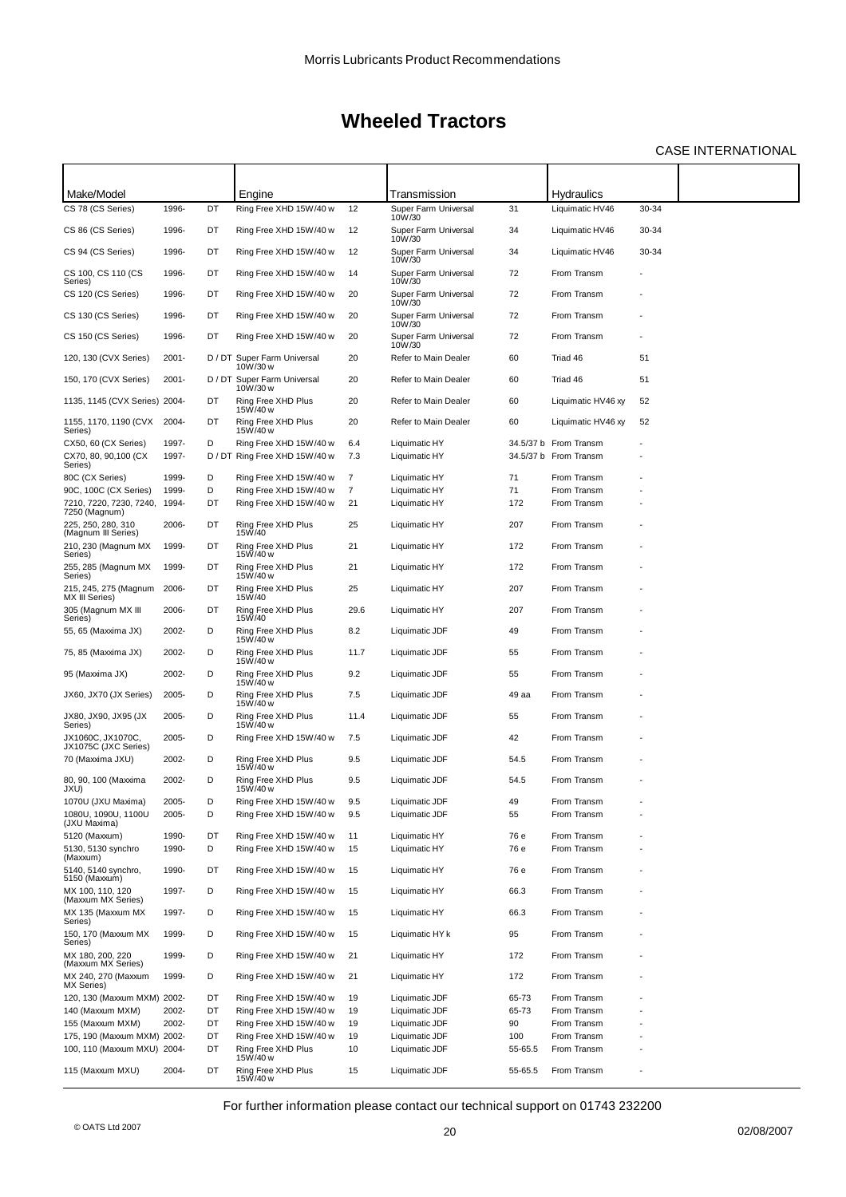### CASE INTERNATIONAL

| Make/Model                                       |          |    | Engine                                  |                | Transmission                             |         | <b>Hydraulics</b>     |       |  |
|--------------------------------------------------|----------|----|-----------------------------------------|----------------|------------------------------------------|---------|-----------------------|-------|--|
| CS 78 (CS Series)                                | 1996-    | DT | Ring Free XHD 15W/40 w                  | 12             | Super Farm Universal                     | 31      | Liquimatic HV46       | 30-34 |  |
| CS 86 (CS Series)                                | 1996-    | DT | Ring Free XHD 15W/40 w                  | 12             | 10W/30<br>Super Farm Universal<br>10W/30 | 34      | Liquimatic HV46       | 30-34 |  |
| CS 94 (CS Series)                                | 1996-    | DT | Ring Free XHD 15W/40 w                  | 12             | Super Farm Universal<br>10W/30           | 34      | Liquimatic HV46       | 30-34 |  |
| CS 100, CS 110 (CS<br>Series)                    | 1996-    | DT | Ring Free XHD 15W/40 w                  | 14             | Super Farm Universal<br>10W/30           | 72      | From Transm           |       |  |
| CS 120 (CS Series)                               | 1996-    | DT | Ring Free XHD 15W/40 w                  | 20             | Super Farm Universal<br>10W/30           | 72      | From Transm           |       |  |
| CS 130 (CS Series)                               | 1996-    | DT | Ring Free XHD 15W/40 w                  | 20             | Super Farm Universal<br>10W/30           | 72      | From Transm           |       |  |
| CS 150 (CS Series)                               | 1996-    | DT | Ring Free XHD 15W/40 w                  | 20             | Super Farm Universal<br>10W/30           | 72      | From Transm           |       |  |
| 120, 130 (CVX Series)                            | $2001 -$ |    | D / DT Super Farm Universal<br>10W/30 w | 20             | Refer to Main Dealer                     | 60      | Triad 46              | 51    |  |
| 150, 170 (CVX Series)                            | $2001 -$ |    | D / DT Super Farm Universal<br>10W/30 w | 20             | Refer to Main Dealer                     | 60      | Triad 46              | 51    |  |
| 1135, 1145 (CVX Series) 2004-                    |          | DT | Ring Free XHD Plus<br>15W/40 w          | 20             | Refer to Main Dealer                     | 60      | Liquimatic HV46 xy    | 52    |  |
| 1155, 1170, 1190 (CVX<br>Series)                 | 2004-    | DT | Ring Free XHD Plus<br>15W/40 w          | 20             | Refer to Main Dealer                     | 60      | Liquimatic HV46 xy    | 52    |  |
| CX50, 60 (CX Series)                             | 1997-    | D  | Ring Free XHD 15W/40 w                  | 6.4            | Liquimatic HY                            |         | 34.5/37 b From Transm |       |  |
| CX70, 80, 90,100 (CX<br>Series)                  | 1997-    |    | D / DT Ring Free XHD 15W/40 w           | 7.3            | Liquimatic HY                            |         | 34.5/37 b From Transm |       |  |
| 80C (CX Series)                                  | 1999-    | D  | Ring Free XHD 15W/40 w                  | 7              | Liquimatic HY                            | 71      | From Transm           |       |  |
| 90C, 100C (CX Series)                            | 1999-    | D  | Ring Free XHD 15W/40 w                  | $\overline{7}$ | Liquimatic HY                            | 71      | From Transm           |       |  |
| 7210, 7220, 7230, 7240,<br>7250 (Magnum)         | 1994-    | DT | Ring Free XHD 15W/40 w                  | 21             | Liquimatic HY                            | 172     | From Transm           |       |  |
| 225, 250, 280, 310<br>(Magnum III Series)        | 2006-    | DT | Ring Free XHD Plus<br>15W/40            | 25             | Liquimatic HY                            | 207     | From Transm           |       |  |
| 210, 230 (Magnum MX<br>Series)                   | 1999-    | DT | Ring Free XHD Plus<br>15W/40 w          | 21             | Liquimatic HY                            | 172     | From Transm           |       |  |
| 255, 285 (Magnum MX<br>Series)                   | 1999-    | DT | Ring Free XHD Plus<br>15W/40 w          | 21             | Liquimatic HY                            | 172     | From Transm           |       |  |
| 215, 245, 275 (Magnum<br>MX III Series)          | 2006-    | DT | Ring Free XHD Plus<br>15W/40            | 25             | Liquimatic HY                            | 207     | From Transm           |       |  |
| 305 (Magnum MX III<br>Series)                    | 2006-    | DT | Ring Free XHD Plus<br>15W/40            | 29.6           | Liquimatic HY                            | 207     | From Transm           |       |  |
| 55, 65 (Maxxima JX)                              | 2002-    | D  | Ring Free XHD Plus<br>15W/40 w          | 8.2            | Liquimatic JDF                           | 49      | From Transm           |       |  |
| 75, 85 (Maxxima JX)                              | 2002-    | D  | Ring Free XHD Plus<br>15W/40 w          | 11.7           | Liquimatic JDF                           | 55      | From Transm           |       |  |
| 95 (Maxxima JX)                                  | 2002-    | D  | Ring Free XHD Plus<br>15W/40 w          | 9.2            | Liquimatic JDF                           | 55      | From Transm           |       |  |
| JX60, JX70 (JX Series)                           | 2005-    | D  | Ring Free XHD Plus<br>15W/40 w          | 7.5            | Liquimatic JDF                           | 49 aa   | From Transm           |       |  |
| JX80, JX90, JX95 (JX<br>Series)                  | 2005-    | D  | Ring Free XHD Plus<br>15W/40 w          | 11.4           | Liquimatic JDF                           | 55      | From Transm           |       |  |
| JX1060C, JX1070C.<br>JX1075C (JXC Series)        | 2005-    | D  | Ring Free XHD 15W/40 w                  | 7.5            | Liquimatic JDF                           | 42      | From Transm           |       |  |
| 70 (Maxxima JXU)                                 | 2002-    | D  | Ring Free XHD Plus<br>15W/40 w          | 9.5            | Liquimatic JDF                           | 54.5    | From Transm           |       |  |
| 80, 90, 100 (Maxxima<br>JXU)                     | 2002-    | D  | Ring Free XHD Plus<br>15W/40 w          | 9.5            | Liquimatic JDF                           | 54.5    | From Transm           |       |  |
| 1070U (JXU Maxima)                               | 2005-    | D  | Ring Free XHD 15W/40 w                  | 9.5            | Liquimatic JDF                           | 49      | From Transm           |       |  |
| 1080U, 1090U, 1100U<br>(JXU Maxima)              | 2005-    | D  | Ring Free XHD 15W/40 w                  | 9.5            | Liquimatic JDF                           | 55      | From Transm           |       |  |
| 5120 (Maxxum)                                    | 1990-    | DT | Ring Free XHD 15W/40 w                  | 11             | Liquimatic HY                            | 76 e    | From Transm           |       |  |
| 5130, 5130 svnchro                               | 1990-    | D  | Ring Free XHD 15W/40 w                  | 15             | Liquimatic HY                            | 76 e    | From Transm           |       |  |
| (Maxxum)<br>5140, 5140 synchro,<br>5150 (Maxxum) | 1990-    | DT | Ring Free XHD 15W/40 w                  | 15             | Liquimatic HY                            | 76 e    | From Transm           |       |  |
| MX 100, 110, 120<br>(Maxxum MX Series)           | 1997-    | D  | Ring Free XHD 15W/40 w                  | 15             | Liquimatic HY                            | 66.3    | From Transm           |       |  |
| MX 135 (Maxxum MX<br>Series)                     | 1997-    | D  | Ring Free XHD 15W/40 w                  | 15             | Liquimatic HY                            | 66.3    | From Transm           |       |  |
| 150, 170 (Maxxum MX<br>Series)                   | 1999-    | D  | Ring Free XHD 15W/40 w                  | 15             | Liquimatic HY k                          | 95      | From Transm           |       |  |
| MX 180, 200, 220                                 | 1999-    | D  | Ring Free XHD 15W/40 w                  | 21             | Liquimatic HY                            | 172     | From Transm           |       |  |
| (Maxxum MX Series)<br>MX 240, 270 (Maxxum        | 1999-    | D  | Ring Free XHD 15W/40 w                  | 21             | Liquimatic HY                            | 172     | From Transm           |       |  |
| MX Series)<br>120, 130 (Maxxum MXM) 2002-        |          | DT | Ring Free XHD 15W/40 w                  | 19             | Liquimatic JDF                           | 65-73   | From Transm           |       |  |
| 140 (Maxxum MXM)                                 | 2002-    | DT | Ring Free XHD 15W/40 w                  | 19             | Liquimatic JDF                           | 65-73   | From Transm           |       |  |
| 155 (Maxxum MXM)                                 | 2002-    | DT | Ring Free XHD 15W/40 w                  | 19             | Liquimatic JDF                           | 90      | From Transm           |       |  |
| 175, 190 (Maxxum MXM) 2002-                      |          | DT | Ring Free XHD 15W/40 w                  | 19             | Liquimatic JDF                           | 100     | From Transm           |       |  |
| 100, 110 (Maxxum MXU) 2004-                      |          | DT | Ring Free XHD Plus                      | 10             | Liquimatic JDF                           | 55-65.5 | From Transm           |       |  |
| 115 (Maxxum MXU)                                 | 2004-    | DT | 15W/40 w                                | 15             | Liquimatic JDF                           | 55-65.5 | From Transm           |       |  |
|                                                  |          |    | Ring Free XHD Plus<br>15W/40 w          |                |                                          |         |                       |       |  |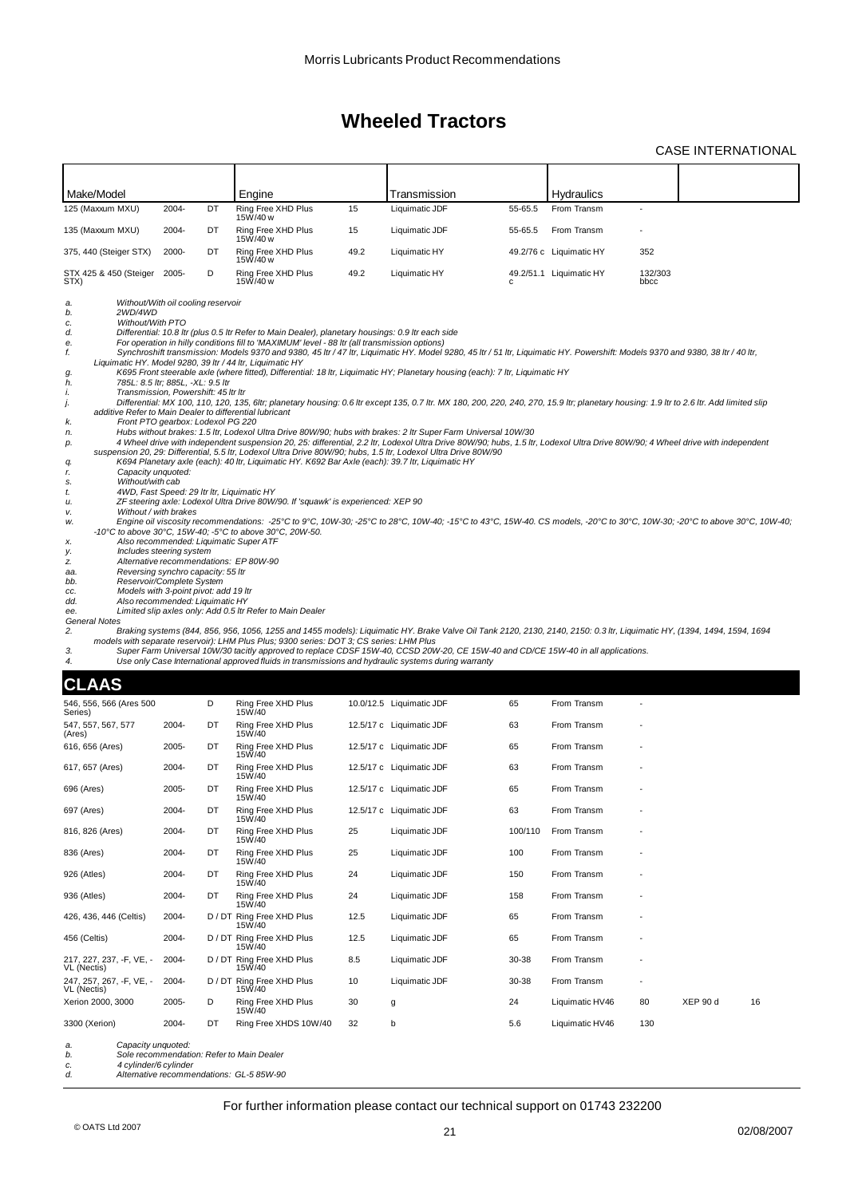### CASE INTERNATIONAL

| Make/Model                                                                                                                                                                                                                                                                                                                                                                                                                                                                                                                                                                                                                                                                                                                                                                                                       |                                   |    | Engine                                                                                                                                                                                                                                                                                                                                                                                                                                                                                                                                                                                                                                                                                                                                                                            |      | Transmission                                                                                                                                                                                                                                                                                                                                                                                                                                                                                                                                                                                                                                                                                                                                                                                                                                                                                                                                                                                                                                                                                                                                                                                                                                                                                                                                                                                                                    |         | <b>Hydraulics</b>       |                 |          |    |
|------------------------------------------------------------------------------------------------------------------------------------------------------------------------------------------------------------------------------------------------------------------------------------------------------------------------------------------------------------------------------------------------------------------------------------------------------------------------------------------------------------------------------------------------------------------------------------------------------------------------------------------------------------------------------------------------------------------------------------------------------------------------------------------------------------------|-----------------------------------|----|-----------------------------------------------------------------------------------------------------------------------------------------------------------------------------------------------------------------------------------------------------------------------------------------------------------------------------------------------------------------------------------------------------------------------------------------------------------------------------------------------------------------------------------------------------------------------------------------------------------------------------------------------------------------------------------------------------------------------------------------------------------------------------------|------|---------------------------------------------------------------------------------------------------------------------------------------------------------------------------------------------------------------------------------------------------------------------------------------------------------------------------------------------------------------------------------------------------------------------------------------------------------------------------------------------------------------------------------------------------------------------------------------------------------------------------------------------------------------------------------------------------------------------------------------------------------------------------------------------------------------------------------------------------------------------------------------------------------------------------------------------------------------------------------------------------------------------------------------------------------------------------------------------------------------------------------------------------------------------------------------------------------------------------------------------------------------------------------------------------------------------------------------------------------------------------------------------------------------------------------|---------|-------------------------|-----------------|----------|----|
| 125 (Maxxum MXU)                                                                                                                                                                                                                                                                                                                                                                                                                                                                                                                                                                                                                                                                                                                                                                                                 | 2004-                             | DT | Ring Free XHD Plus<br>15W/40 w                                                                                                                                                                                                                                                                                                                                                                                                                                                                                                                                                                                                                                                                                                                                                    | 15   | Liquimatic JDF                                                                                                                                                                                                                                                                                                                                                                                                                                                                                                                                                                                                                                                                                                                                                                                                                                                                                                                                                                                                                                                                                                                                                                                                                                                                                                                                                                                                                  | 55-65.5 | From Transm             |                 |          |    |
| 135 (Maxxum MXU)                                                                                                                                                                                                                                                                                                                                                                                                                                                                                                                                                                                                                                                                                                                                                                                                 | 2004-                             | DT | Ring Free XHD Plus<br>15W/40 w                                                                                                                                                                                                                                                                                                                                                                                                                                                                                                                                                                                                                                                                                                                                                    | 15   | Liquimatic JDF                                                                                                                                                                                                                                                                                                                                                                                                                                                                                                                                                                                                                                                                                                                                                                                                                                                                                                                                                                                                                                                                                                                                                                                                                                                                                                                                                                                                                  | 55-65.5 | From Transm             |                 |          |    |
| 375, 440 (Steiger STX)                                                                                                                                                                                                                                                                                                                                                                                                                                                                                                                                                                                                                                                                                                                                                                                           | 2000-                             | DT | Ring Free XHD Plus<br>15W/40 w                                                                                                                                                                                                                                                                                                                                                                                                                                                                                                                                                                                                                                                                                                                                                    | 49.2 | Liquimatic HY                                                                                                                                                                                                                                                                                                                                                                                                                                                                                                                                                                                                                                                                                                                                                                                                                                                                                                                                                                                                                                                                                                                                                                                                                                                                                                                                                                                                                   |         | 49.2/76 c Liquimatic HY | 352             |          |    |
| STX 425 & 450 (Steiger<br>STX)                                                                                                                                                                                                                                                                                                                                                                                                                                                                                                                                                                                                                                                                                                                                                                                   | 2005-                             | D  | Ring Free XHD Plus<br>15W/40 w                                                                                                                                                                                                                                                                                                                                                                                                                                                                                                                                                                                                                                                                                                                                                    | 49.2 | Liquimatic HY                                                                                                                                                                                                                                                                                                                                                                                                                                                                                                                                                                                                                                                                                                                                                                                                                                                                                                                                                                                                                                                                                                                                                                                                                                                                                                                                                                                                                   |         | 49.2/51.1 Liquimatic HY | 132/303<br>bbcc |          |    |
| Without/With oil cooling reservoir<br>a.<br>b.<br>2WD/4WD<br>Without/With PTO<br>c.<br>d.<br>е.<br>f.<br>g.<br>785L: 8.5 ltr; 885L, -XL: 9.5 ltr<br>h.<br>Transmission, Powershift: 45 Itr Itr<br>i.<br>j.<br>additive Refer to Main Dealer to differential lubricant<br>k.<br>n.<br>р.<br>q.<br>Capacity unquoted:<br>r.<br>Without/with cab<br>s.<br>4WD, Fast Speed: 29 Itr Itr, Liquimatic HY<br>t.<br>и.<br>Without / with brakes<br>ν.<br>w.<br>Also recommended: Liquimatic Super ATF<br>х.<br>Includes steering system<br>у.<br>Alternative recommendations: EP 80W-90<br>z.<br>Reversing synchro capacity: 55 ltr<br>aa.<br>Reservoir/Complete System<br>bb.<br>Models with 3-point pivot: add 19 ltr<br>CC.<br>dd.<br>Also recommended: Liquimatic HY<br>ee.<br><b>General Notes</b><br>2.<br>3.<br>4. | Front PTO gearbox: Lodexol PG 220 |    | Differential: 10.8 Itr (plus 0.5 Itr Refer to Main Dealer), planetary housings: 0.9 Itr each side<br>For operation in hilly conditions fill to 'MAXIMUM' level - 88 ltr (all transmission options)<br>Liquimatic HY. Model 9280, 39 ltr / 44 ltr, Liquimatic HY<br>K694 Planetary axle (each): 40 ltr, Liquimatic HY. K692 Bar Axle (each): 39.7 ltr, Liquimatic HY<br>ZF steering axle: Lodexol Ultra Drive 80W/90. If 'squawk' is experienced: XEP 90<br>-10°C to above 30°C, 15W-40; -5°C to above 30°C, 20W-50.<br>Limited slip axles only: Add 0.5 ltr Refer to Main Dealer<br>models with separate reservoir): LHM Plus Plus; 9300 series: DOT 3; CS series: LHM Plus<br>Use only Case International approved fluids in transmissions and hydraulic systems during warranty |      | Synchroshift transmission: Models 9370 and 9380, 45 ltr / 47 ltr, Liquimatic HY. Model 9280, 45 ltr / 51 ltr, Liquimatic HY. Powershift: Models 9370 and 9380, 38 ltr / 40 ltr,<br>K695 Front steerable axle (where fitted), Differential: 18 ltr, Liquimatic HY; Planetary housing (each): 7 ltr, Liquimatic HY<br>Differential: MX 100, 110, 120, 135, 6ltr; planetary housing: 0.6 ltr except 135, 0.7 ltr. MX 180, 200, 220, 240, 270, 15.9 ltr; planetary housing: 1.9 ltr to 2.6 ltr. Add limited slip<br>Hubs without brakes: 1.5 ltr, Lodexol Ultra Drive 80W/90; hubs with brakes: 2 ltr Super Farm Universal 10W/30<br>4 Wheel drive with independent suspension 20, 25: differential, 2.2 ltr, Lodexol Ultra Drive 80W/90; hubs, 1.5 ltr, Lodexol Ultra Drive 80W/90; 4 Wheel drive with independent<br>suspension 20, 29: Differential, 5.5 ltr, Lodexol Ultra Drive 80W/90; hubs, 1.5 ltr, Lodexol Ultra Drive 80W/90<br>Engine oil viscosity recommendations: -25°C to 9°C, 10W-30; -25°C to 28°C, 10W-40; -15°C to 43°C, 15W-40. CS models, -20°C to 30°C, 10W-30; -20°C to above 30°C, 10W-40;<br>Braking systems (844, 856, 956, 1056, 1255 and 1455 models): Liquimatic HY. Brake Valve Oil Tank 2120, 2130, 2140, 2150: 0.3 ltr, Liquimatic HY, (1394, 1494, 1594, 1694<br>Super Farm Universal 10W/30 tacitly approved to replace CDSF 15W-40, CCSD 20W-20, CE 15W-40 and CD/CE 15W-40 in all applications. |         |                         |                 |          |    |
| <b>CLAAS</b>                                                                                                                                                                                                                                                                                                                                                                                                                                                                                                                                                                                                                                                                                                                                                                                                     |                                   |    |                                                                                                                                                                                                                                                                                                                                                                                                                                                                                                                                                                                                                                                                                                                                                                                   |      |                                                                                                                                                                                                                                                                                                                                                                                                                                                                                                                                                                                                                                                                                                                                                                                                                                                                                                                                                                                                                                                                                                                                                                                                                                                                                                                                                                                                                                 |         |                         |                 |          |    |
| 546, 556, 566 (Ares 500                                                                                                                                                                                                                                                                                                                                                                                                                                                                                                                                                                                                                                                                                                                                                                                          |                                   | D  | Ring Free XHD Plus<br>15W/40                                                                                                                                                                                                                                                                                                                                                                                                                                                                                                                                                                                                                                                                                                                                                      |      | 10.0/12.5 Liquimatic JDF                                                                                                                                                                                                                                                                                                                                                                                                                                                                                                                                                                                                                                                                                                                                                                                                                                                                                                                                                                                                                                                                                                                                                                                                                                                                                                                                                                                                        | 65      | From Transm             |                 |          |    |
| Series)<br>547, 557, 567, 577<br>(Ares)                                                                                                                                                                                                                                                                                                                                                                                                                                                                                                                                                                                                                                                                                                                                                                          | 2004-                             | DT | Ring Free XHD Plus<br>15W/40                                                                                                                                                                                                                                                                                                                                                                                                                                                                                                                                                                                                                                                                                                                                                      |      | 12.5/17 c Liquimatic JDF                                                                                                                                                                                                                                                                                                                                                                                                                                                                                                                                                                                                                                                                                                                                                                                                                                                                                                                                                                                                                                                                                                                                                                                                                                                                                                                                                                                                        | 63      | From Transm             |                 |          |    |
| 616, 656 (Ares)                                                                                                                                                                                                                                                                                                                                                                                                                                                                                                                                                                                                                                                                                                                                                                                                  | 2005-                             | DT | Ring Free XHD Plus<br>15W/40                                                                                                                                                                                                                                                                                                                                                                                                                                                                                                                                                                                                                                                                                                                                                      |      | 12.5/17 c Liquimatic JDF                                                                                                                                                                                                                                                                                                                                                                                                                                                                                                                                                                                                                                                                                                                                                                                                                                                                                                                                                                                                                                                                                                                                                                                                                                                                                                                                                                                                        | 65      | From Transm             |                 |          |    |
| 617, 657 (Ares)                                                                                                                                                                                                                                                                                                                                                                                                                                                                                                                                                                                                                                                                                                                                                                                                  | 2004-                             | DT | Ring Free XHD Plus<br>15W/40                                                                                                                                                                                                                                                                                                                                                                                                                                                                                                                                                                                                                                                                                                                                                      |      | 12.5/17 c Liquimatic JDF                                                                                                                                                                                                                                                                                                                                                                                                                                                                                                                                                                                                                                                                                                                                                                                                                                                                                                                                                                                                                                                                                                                                                                                                                                                                                                                                                                                                        | 63      | From Transm             |                 |          |    |
| 696 (Ares)                                                                                                                                                                                                                                                                                                                                                                                                                                                                                                                                                                                                                                                                                                                                                                                                       | 2005-                             | DT | Ring Free XHD Plus<br>15W/40                                                                                                                                                                                                                                                                                                                                                                                                                                                                                                                                                                                                                                                                                                                                                      |      | 12.5/17 c Liquimatic JDF                                                                                                                                                                                                                                                                                                                                                                                                                                                                                                                                                                                                                                                                                                                                                                                                                                                                                                                                                                                                                                                                                                                                                                                                                                                                                                                                                                                                        | 65      | From Transm             |                 |          |    |
| 697 (Ares)                                                                                                                                                                                                                                                                                                                                                                                                                                                                                                                                                                                                                                                                                                                                                                                                       | 2004-                             | DT | Ring Free XHD Plus<br>15W/40                                                                                                                                                                                                                                                                                                                                                                                                                                                                                                                                                                                                                                                                                                                                                      |      | 12.5/17 c Liquimatic JDF                                                                                                                                                                                                                                                                                                                                                                                                                                                                                                                                                                                                                                                                                                                                                                                                                                                                                                                                                                                                                                                                                                                                                                                                                                                                                                                                                                                                        | 63      | From Transm             |                 |          |    |
| 816, 826 (Ares)                                                                                                                                                                                                                                                                                                                                                                                                                                                                                                                                                                                                                                                                                                                                                                                                  | 2004-                             | DT | Ring Free XHD Plus<br>15W/40                                                                                                                                                                                                                                                                                                                                                                                                                                                                                                                                                                                                                                                                                                                                                      | 25   | Liquimatic JDF                                                                                                                                                                                                                                                                                                                                                                                                                                                                                                                                                                                                                                                                                                                                                                                                                                                                                                                                                                                                                                                                                                                                                                                                                                                                                                                                                                                                                  | 100/110 | From Transm             |                 |          |    |
| 836 (Ares)                                                                                                                                                                                                                                                                                                                                                                                                                                                                                                                                                                                                                                                                                                                                                                                                       | 2004-                             | DT | Ring Free XHD Plus<br>15W/40                                                                                                                                                                                                                                                                                                                                                                                                                                                                                                                                                                                                                                                                                                                                                      | 25   | Liquimatic JDF                                                                                                                                                                                                                                                                                                                                                                                                                                                                                                                                                                                                                                                                                                                                                                                                                                                                                                                                                                                                                                                                                                                                                                                                                                                                                                                                                                                                                  | 100     | From Transm             |                 |          |    |
| 926 (Atles)                                                                                                                                                                                                                                                                                                                                                                                                                                                                                                                                                                                                                                                                                                                                                                                                      | 2004-                             | DT | Ring Free XHD Plus<br>15W/40                                                                                                                                                                                                                                                                                                                                                                                                                                                                                                                                                                                                                                                                                                                                                      | 24   | Liquimatic JDF                                                                                                                                                                                                                                                                                                                                                                                                                                                                                                                                                                                                                                                                                                                                                                                                                                                                                                                                                                                                                                                                                                                                                                                                                                                                                                                                                                                                                  | 150     | From Transm             |                 |          |    |
| 936 (Atles)                                                                                                                                                                                                                                                                                                                                                                                                                                                                                                                                                                                                                                                                                                                                                                                                      | 2004-                             | DT | Ring Free XHD Plus<br>15W/40                                                                                                                                                                                                                                                                                                                                                                                                                                                                                                                                                                                                                                                                                                                                                      | 24   | Liquimatic JDF                                                                                                                                                                                                                                                                                                                                                                                                                                                                                                                                                                                                                                                                                                                                                                                                                                                                                                                                                                                                                                                                                                                                                                                                                                                                                                                                                                                                                  | 158     | From Transm             |                 |          |    |
| 426, 436, 446 (Celtis)                                                                                                                                                                                                                                                                                                                                                                                                                                                                                                                                                                                                                                                                                                                                                                                           | 2004-                             |    | D / DT Ring Free XHD Plus<br>15W/40                                                                                                                                                                                                                                                                                                                                                                                                                                                                                                                                                                                                                                                                                                                                               | 12.5 | Liquimatic JDF                                                                                                                                                                                                                                                                                                                                                                                                                                                                                                                                                                                                                                                                                                                                                                                                                                                                                                                                                                                                                                                                                                                                                                                                                                                                                                                                                                                                                  | 65      | From Transm             |                 |          |    |
| 456 (Celtis)                                                                                                                                                                                                                                                                                                                                                                                                                                                                                                                                                                                                                                                                                                                                                                                                     | 2004-                             |    | D / DT Ring Free XHD Plus<br>15W/40                                                                                                                                                                                                                                                                                                                                                                                                                                                                                                                                                                                                                                                                                                                                               | 12.5 | Liquimatic JDF                                                                                                                                                                                                                                                                                                                                                                                                                                                                                                                                                                                                                                                                                                                                                                                                                                                                                                                                                                                                                                                                                                                                                                                                                                                                                                                                                                                                                  | 65      | From Transm             |                 |          |    |
| 217, 227, 237, -F, VE, -<br>VL (Nectis)                                                                                                                                                                                                                                                                                                                                                                                                                                                                                                                                                                                                                                                                                                                                                                          | 2004-                             |    | D / DT Ring Free XHD Plus<br>15W/40                                                                                                                                                                                                                                                                                                                                                                                                                                                                                                                                                                                                                                                                                                                                               | 8.5  | Liquimatic JDF                                                                                                                                                                                                                                                                                                                                                                                                                                                                                                                                                                                                                                                                                                                                                                                                                                                                                                                                                                                                                                                                                                                                                                                                                                                                                                                                                                                                                  | 30-38   | From Transm             |                 |          |    |
| 247, 257, 267, -F, VE, -<br>VL (Nectis)                                                                                                                                                                                                                                                                                                                                                                                                                                                                                                                                                                                                                                                                                                                                                                          | 2004-                             |    | D / DT Ring Free XHD Plus<br>15W/40                                                                                                                                                                                                                                                                                                                                                                                                                                                                                                                                                                                                                                                                                                                                               | 10   | Liquimatic JDF                                                                                                                                                                                                                                                                                                                                                                                                                                                                                                                                                                                                                                                                                                                                                                                                                                                                                                                                                                                                                                                                                                                                                                                                                                                                                                                                                                                                                  | 30-38   | From Transm             |                 |          |    |
| Xerion 2000, 3000                                                                                                                                                                                                                                                                                                                                                                                                                                                                                                                                                                                                                                                                                                                                                                                                | 2005-                             | D  | Ring Free XHD Plus<br>15W/40                                                                                                                                                                                                                                                                                                                                                                                                                                                                                                                                                                                                                                                                                                                                                      | 30   | g                                                                                                                                                                                                                                                                                                                                                                                                                                                                                                                                                                                                                                                                                                                                                                                                                                                                                                                                                                                                                                                                                                                                                                                                                                                                                                                                                                                                                               | 24      | Liquimatic HV46         | 80              | XEP 90 d | 16 |
| 3300 (Xerion)                                                                                                                                                                                                                                                                                                                                                                                                                                                                                                                                                                                                                                                                                                                                                                                                    | 2004-                             | DT | Ring Free XHDS 10W/40                                                                                                                                                                                                                                                                                                                                                                                                                                                                                                                                                                                                                                                                                                                                                             | 32   | b                                                                                                                                                                                                                                                                                                                                                                                                                                                                                                                                                                                                                                                                                                                                                                                                                                                                                                                                                                                                                                                                                                                                                                                                                                                                                                                                                                                                                               | 5.6     | Liquimatic HV46         | 130             |          |    |
| Capacity unquoted:<br>а.<br>b.<br>4 cylinder/6 cylinder<br>c.<br>d.                                                                                                                                                                                                                                                                                                                                                                                                                                                                                                                                                                                                                                                                                                                                              |                                   |    | Sole recommendation: Refer to Main Dealer<br>Alternative recommendations: GL-5 85W-90                                                                                                                                                                                                                                                                                                                                                                                                                                                                                                                                                                                                                                                                                             |      |                                                                                                                                                                                                                                                                                                                                                                                                                                                                                                                                                                                                                                                                                                                                                                                                                                                                                                                                                                                                                                                                                                                                                                                                                                                                                                                                                                                                                                 |         |                         |                 |          |    |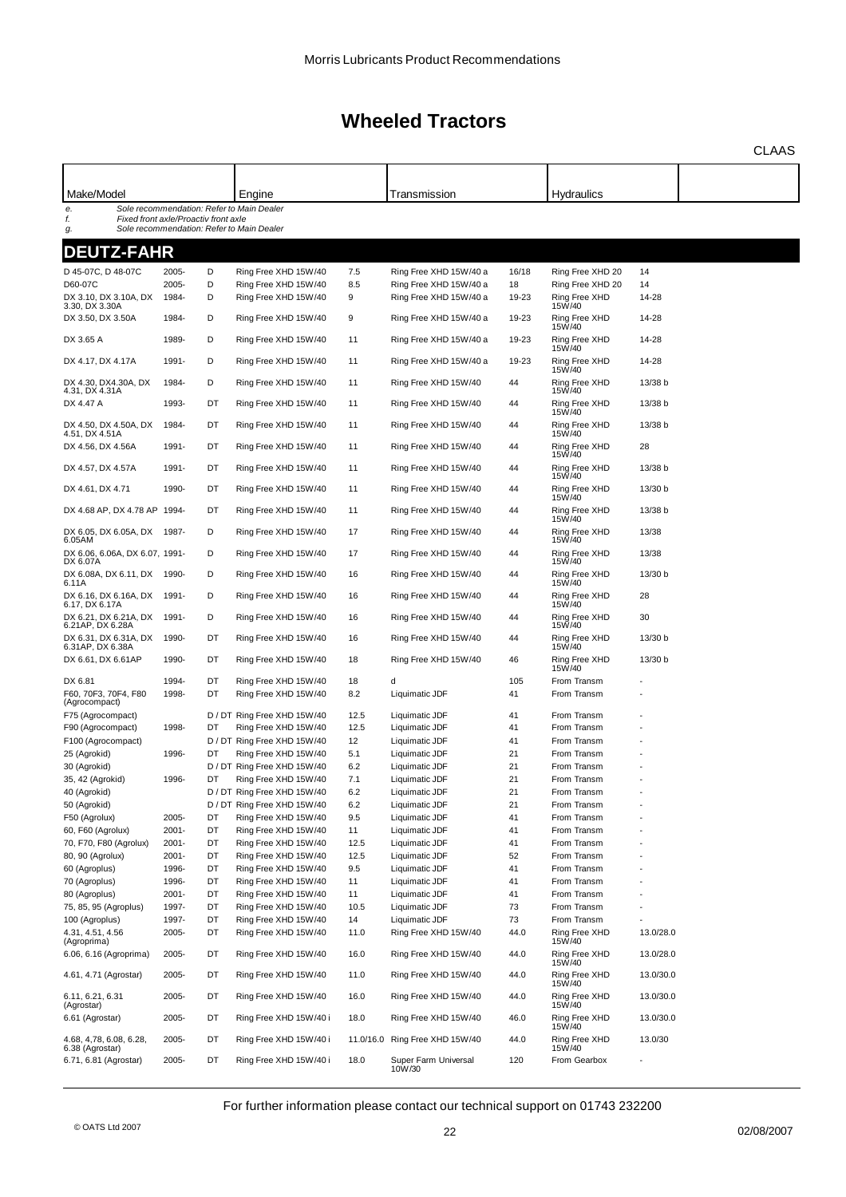|                                                  |          |    |                                           |      |                                |       |                         |           | <b>CLAAS</b> |
|--------------------------------------------------|----------|----|-------------------------------------------|------|--------------------------------|-------|-------------------------|-----------|--------------|
|                                                  |          |    |                                           |      |                                |       |                         |           |              |
| Make/Model                                       |          |    | Engine                                    |      | Transmission                   |       | <b>Hydraulics</b>       |           |              |
| e.<br>f.<br>Fixed front axle/Proactiv front axle |          |    | Sole recommendation: Refer to Main Dealer |      |                                |       |                         |           |              |
| g.                                               |          |    | Sole recommendation: Refer to Main Dealer |      |                                |       |                         |           |              |
| <b>DEUTZ-FAHR</b>                                |          |    |                                           |      |                                |       |                         |           |              |
| D 45-07C, D 48-07C                               | 2005-    | D  | Ring Free XHD 15W/40                      | 7.5  | Ring Free XHD 15W/40 a         | 16/18 | Ring Free XHD 20        | 14        |              |
| D60-07C                                          | 2005-    | D  | Ring Free XHD 15W/40                      | 8.5  | Ring Free XHD 15W/40 a         | 18    | Ring Free XHD 20        | 14        |              |
| DX 3.10, DX 3.10A, DX<br>3.30, DX 3.30A          | 1984-    | D  | Ring Free XHD 15W/40                      | 9    | Ring Free XHD 15W/40 a         | 19-23 | Ring Free XHD<br>15W/40 | 14-28     |              |
| DX 3.50, DX 3.50A                                | 1984-    | D  | Ring Free XHD 15W/40                      | 9    | Ring Free XHD 15W/40 a         | 19-23 | Ring Free XHD<br>15W/40 | 14-28     |              |
| DX 3.65 A                                        | 1989-    | D  | Ring Free XHD 15W/40                      | 11   | Ring Free XHD 15W/40 a         | 19-23 | Ring Free XHD<br>15W/40 | 14-28     |              |
| DX 4.17, DX 4.17A                                | 1991-    | D  | Ring Free XHD 15W/40                      | 11   | Ring Free XHD 15W/40 a         | 19-23 | Ring Free XHD<br>15W/40 | 14-28     |              |
| DX 4.30, DX4.30A, DX<br>4.31, DX 4.31A           | 1984-    | D  | Ring Free XHD 15W/40                      | 11   | Ring Free XHD 15W/40           | 44    | Ring Free XHD<br>15W/40 | 13/38 b   |              |
| DX 4.47 A                                        | 1993-    | DT | Ring Free XHD 15W/40                      | 11   | Ring Free XHD 15W/40           | 44    | Ring Free XHD<br>15W/40 | 13/38 b   |              |
| DX 4.50, DX 4.50A, DX                            | 1984-    | DT | Ring Free XHD 15W/40                      | 11   | Ring Free XHD 15W/40           | 44    | Ring Free XHD<br>15W/40 | 13/38 b   |              |
| 4.51, DX 4.51A<br>DX 4.56, DX 4.56A              | 1991-    | DT | Ring Free XHD 15W/40                      | 11   | Ring Free XHD 15W/40           | 44    | Ring Free XHD<br>15W/40 | 28        |              |
| DX 4.57, DX 4.57A                                | 1991-    | DT | Ring Free XHD 15W/40                      | 11   | Ring Free XHD 15W/40           | 44    | Ring Free XHD           | 13/38 b   |              |
| DX 4.61, DX 4.71                                 | 1990-    | DT | Ring Free XHD 15W/40                      | 11   | Ring Free XHD 15W/40           | 44    | 15W/40<br>Ring Free XHD | 13/30 b   |              |
| DX 4.68 AP, DX 4.78 AP 1994-                     |          | DT | Ring Free XHD 15W/40                      | 11   | Ring Free XHD 15W/40           | 44    | 15W/40<br>Ring Free XHD | 13/38 b   |              |
| DX 6.05, DX 6.05A, DX                            | 1987-    | D  | Ring Free XHD 15W/40                      | 17   | Ring Free XHD 15W/40           | 44    | 15W/40<br>Ring Free XHD | 13/38     |              |
| 6.05AM<br>DX 6.06, 6.06A, DX 6.07, 1991-         |          | D  | Ring Free XHD 15W/40                      | 17   | Ring Free XHD 15W/40           | 44    | 15W/40<br>Ring Free XHD | 13/38     |              |
| DX 6.07A<br>DX 6.08A, DX 6.11, DX 1990-          |          | D  | Ring Free XHD 15W/40                      | 16   | Ring Free XHD 15W/40           | 44    | 15W/40<br>Ring Free XHD | 13/30 b   |              |
| 6.11A<br>DX 6.16, DX 6.16A, DX 1991-             |          | D  | Ring Free XHD 15W/40                      | 16   | Ring Free XHD 15W/40           | 44    | 15W/40<br>Ring Free XHD | 28        |              |
| 6.17, DX 6.17A<br>DX 6.21, DX 6.21A, DX          | 1991-    | D  | Ring Free XHD 15W/40                      | 16   | Ring Free XHD 15W/40           | 44    | 15W/40<br>Ring Free XHD | 30        |              |
| 6.21AP, DX 6.28A<br>DX 6.31, DX 6.31A, DX        | 1990-    | DT | Ring Free XHD 15W/40                      | 16   | Ring Free XHD 15W/40           | 44    | 15W/40<br>Ring Free XHD | 13/30 b   |              |
| 6.31AP, DX 6.38A<br>DX 6.61, DX 6.61AP           | 1990-    | DT | Ring Free XHD 15W/40                      | 18   | Ring Free XHD 15W/40           | 46    | 15W/40<br>Ring Free XHD | 13/30 b   |              |
| DX 6.81                                          | 1994-    | DT | Ring Free XHD 15W/40                      | 18   | d                              | 105   | 15W/40<br>From Transm   |           |              |
| F60, 70F3, 70F4, F80<br>(Agrocompact)            | 1998-    | DT | Ring Free XHD 15W/40                      | 8.2  | Liquimatic JDF                 | 41    | From Transm             |           |              |
| F75 (Agrocompact)                                |          |    | D / DT Ring Free XHD 15W/40               | 12.5 | Liquimatic JDF                 | 41    | From Transm             |           |              |
| F90 (Agrocompact)                                | 1998-    | DT | Ring Free XHD 15W/40                      | 12.5 | Liquimatic JDF                 | 41    | From Transm             |           |              |
| F100 (Agrocompact)                               |          |    | D / DT Ring Free XHD 15W/40               | 12   | Liquimatic JDF                 | 41    | From Transm             |           |              |
| 25 (Agrokid)                                     | 1996-    | DT | Ring Free XHD 15W/40                      | 5.1  | Liquimatic JDF                 | 21    | From Transm             |           |              |
| 30 (Agrokid)                                     |          |    | D / DT Ring Free XHD 15W/40               | 6.2  | Liquimatic JDF                 | 21    | From Transm             |           |              |
| 35, 42 (Agrokid)                                 | 1996-    |    | Ring Free XHD 15W/40                      | 7.1  | Liquimatic JDF                 | 21    | From Transm             |           |              |
| 40 (Agrokid)                                     |          |    | D / DT Ring Free XHD 15W/40               | 6.2  | Liquimatic JDF                 | 21    | From Transm             |           |              |
| 50 (Agrokid)                                     |          |    | D / DT Ring Free XHD 15W/40               | 6.2  | Liquimatic JDF                 | 21    | From Transm             |           |              |
| F50 (Agrolux)                                    | 2005-    | DT | Ring Free XHD 15W/40                      | 9.5  | Liquimatic JDF                 | 41    | From Transm             |           |              |
| 60, F60 (Agrolux)                                | 2001-    | DT | Ring Free XHD 15W/40                      | 11   | Liquimatic JDF                 | 41    | From Transm             |           |              |
| 70, F70, F80 (Agrolux)                           | $2001 -$ | DT | Ring Free XHD 15W/40                      | 12.5 | Liquimatic JDF                 | 41    | From Transm             |           |              |
| 80, 90 (Agrolux)                                 | 2001-    | DT | Ring Free XHD 15W/40                      | 12.5 | Liquimatic JDF                 | 52    | From Transm             |           |              |
| 60 (Agroplus)                                    | 1996-    | DT | Ring Free XHD 15W/40                      | 9.5  | Liquimatic JDF                 | 41    | From Transm             |           |              |
| 70 (Agroplus)                                    | 1996-    | DT | Ring Free XHD 15W/40                      | 11   | Liquimatic JDF                 | 41    | From Transm             |           |              |
| 80 (Agroplus)                                    | 2001-    | DT | Ring Free XHD 15W/40                      | 11   | Liquimatic JDF                 | 41    | From Transm             |           |              |
| 75, 85, 95 (Agroplus)                            | 1997-    | DT | Ring Free XHD 15W/40                      | 10.5 | Liquimatic JDF                 | 73    | From Transm             |           |              |
| 100 (Agroplus)                                   | 1997-    | DT | Ring Free XHD 15W/40                      | 14   | Liquimatic JDF                 | 73    | From Transm             |           |              |
| 4.31, 4.51, 4.56                                 | 2005-    | DT | Ring Free XHD 15W/40                      | 11.0 | Ring Free XHD 15W/40           | 44.0  | Ring Free XHD           | 13.0/28.0 |              |
| (Agroprima)<br>6.06, 6.16 (Agroprima)            | 2005-    | DT | Ring Free XHD 15W/40                      | 16.0 | Ring Free XHD 15W/40           | 44.0  | 15W/40<br>Ring Free XHD | 13.0/28.0 |              |
| 4.61, 4.71 (Agrostar)                            | 2005-    | DT | Ring Free XHD 15W/40                      | 11.0 | Ring Free XHD 15W/40           | 44.0  | 15W/40<br>Ring Free XHD | 13.0/30.0 |              |
| 6.11, 6.21, 6.31                                 | 2005-    | DT | Ring Free XHD 15W/40                      | 16.0 | Ring Free XHD 15W/40           | 44.0  | 15W/40<br>Ring Free XHD | 13.0/30.0 |              |
| (Agrostar)<br>6.61 (Agrostar)                    | 2005-    | DT | Ring Free XHD 15W/40 i                    | 18.0 | Ring Free XHD 15W/40           | 46.0  | 15W/40<br>Ring Free XHD | 13.0/30.0 |              |
| 4.68, 4,78, 6.08, 6.28,                          | 2005-    | DT | Ring Free XHD 15W/40 i                    |      | 11.0/16.0 Ring Free XHD 15W/40 | 44.0  | 15W/40<br>Ring Free XHD | 13.0/30   |              |
| 6.38 (Agrostar)<br>6.71, 6.81 (Agrostar)         | 2005-    | DT | Ring Free XHD 15W/40 i                    | 18.0 | Super Farm Universal           | 120   | 15W/40<br>From Gearbox  |           |              |
|                                                  |          |    |                                           |      | 10W/30                         |       |                         |           |              |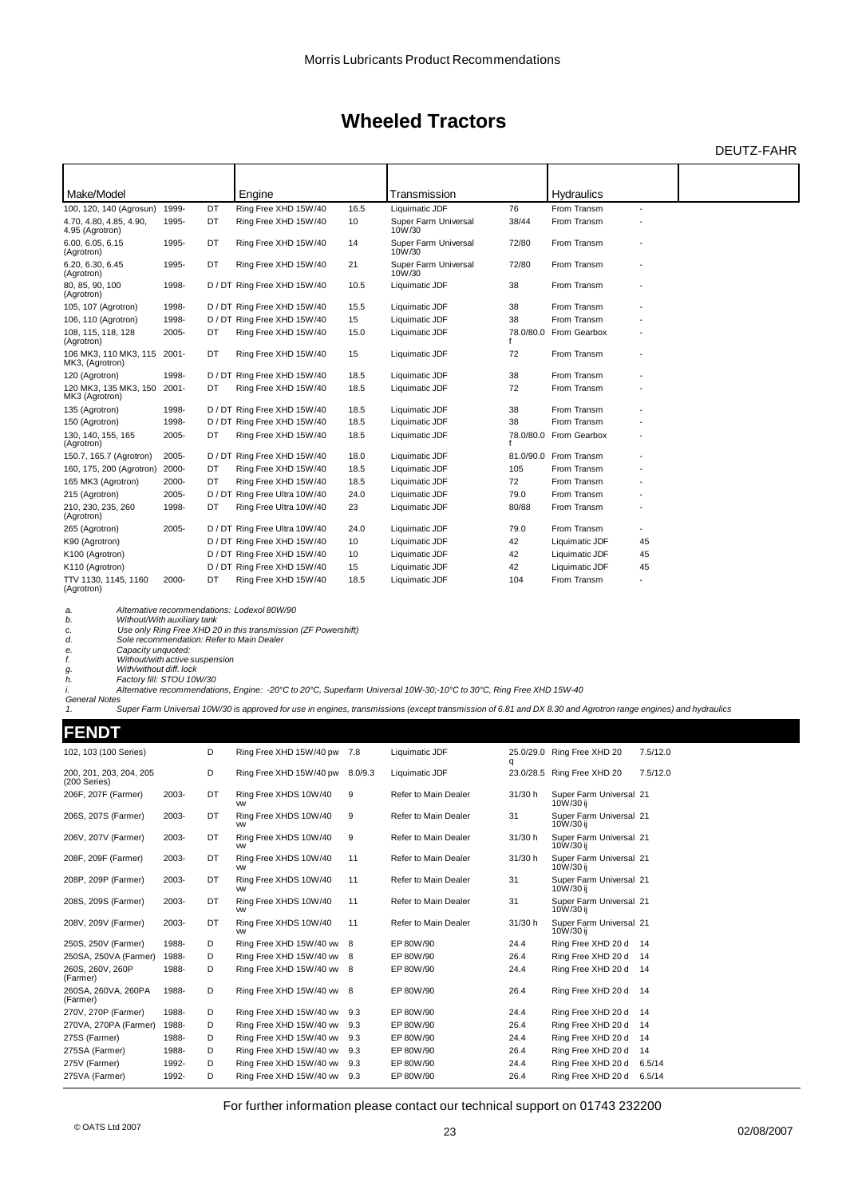### DEUTZ-FAHR

| Make/Model                                     |       |      | Engine                        |      | Transmission                   |           | <b>Hydraulics</b> |                          |  |
|------------------------------------------------|-------|------|-------------------------------|------|--------------------------------|-----------|-------------------|--------------------------|--|
| 100, 120, 140 (Agrosun)                        | 1999- | DT   | Ring Free XHD 15W/40          | 16.5 | Liquimatic JDF                 | 76        | From Transm       | ÷,                       |  |
| 4.70, 4.80, 4.85, 4.90,<br>4.95 (Agrotron)     | 1995- | DT   | Ring Free XHD 15W/40          | 10   | Super Farm Universal<br>10W/30 | 38/44     | From Transm       |                          |  |
| 6.00, 6.05, 6.15<br>(Agrotron)                 | 1995- | DT   | Ring Free XHD 15W/40          | 14   | Super Farm Universal<br>10W/30 | 72/80     | From Transm       |                          |  |
| 6.20, 6.30, 6.45<br>(Agrotron)                 | 1995- | DT   | Ring Free XHD 15W/40          | 21   | Super Farm Universal<br>10W/30 | 72/80     | From Transm       |                          |  |
| 80, 85, 90, 100<br>(Agrotron)                  | 1998- |      | D / DT Ring Free XHD 15W/40   | 10.5 | Liquimatic JDF                 | 38        | From Transm       |                          |  |
| 105, 107 (Agrotron)                            | 1998- |      | D / DT Ring Free XHD 15W/40   | 15.5 | Liquimatic JDF                 | 38        | From Transm       |                          |  |
| 106, 110 (Agrotron)                            | 1998- |      | D / DT Ring Free XHD 15W/40   | 15   | Liquimatic JDF                 | 38        | From Transm       |                          |  |
| 108, 115, 118, 128<br>(Agrotron)               | 2005- | DT   | Ring Free XHD 15W/40          | 15.0 | Liquimatic JDF                 | 78.0/80.0 | From Gearbox      |                          |  |
| 106 MK3, 110 MK3, 115 2001-<br>MK3, (Agrotron) |       | DT   | Ring Free XHD 15W/40          | 15   | Liquimatic JDF                 | 72        | From Transm       |                          |  |
| 120 (Agrotron)                                 | 1998- |      | D / DT Ring Free XHD 15W/40   | 18.5 | Liquimatic JDF                 | 38        | From Transm       |                          |  |
| 120 MK3, 135 MK3, 150 2001-<br>MK3 (Agrotron)  |       | DT   | Ring Free XHD 15W/40          | 18.5 | Liquimatic JDF                 | 72        | From Transm       |                          |  |
| 135 (Agrotron)                                 | 1998- |      | D / DT Ring Free XHD 15W/40   | 18.5 | Liquimatic JDF                 | 38        | From Transm       |                          |  |
| 150 (Agrotron)                                 | 1998- |      | D / DT Ring Free XHD 15W/40   | 18.5 | Liquimatic JDF                 | 38        | From Transm       |                          |  |
| 130, 140, 155, 165<br>(Agrotron)               | 2005- | DT   | Ring Free XHD 15W/40          | 18.5 | Liquimatic JDF                 | 78.0/80.0 | From Gearbox      |                          |  |
| 150.7, 165.7 (Agrotron)                        | 2005- |      | D / DT Ring Free XHD 15W/40   | 18.0 | Liquimatic JDF                 | 81.0/90.0 | From Transm       |                          |  |
| 160, 175, 200 (Agrotron)                       | 2000- | DT   | Ring Free XHD 15W/40          | 18.5 | Liquimatic JDF                 | 105       | From Transm       |                          |  |
| 165 MK3 (Agrotron)                             | 2000- | DT   | Ring Free XHD 15W/40          | 18.5 | Liquimatic JDF                 | 72        | From Transm       |                          |  |
| 215 (Agrotron)                                 | 2005- | D/DT | Ring Free Ultra 10W/40        | 24.0 | Liquimatic JDF                 | 79.0      | From Transm       |                          |  |
| 210, 230, 235, 260<br>(Agrotron)               | 1998- | DT   | Ring Free Ultra 10W/40        | 23   | Liquimatic JDF                 | 80/88     | From Transm       |                          |  |
| 265 (Agrotron)                                 | 2005- |      | D / DT Ring Free Ultra 10W/40 | 24.0 | Liquimatic JDF                 | 79.0      | From Transm       | $\overline{\phantom{a}}$ |  |
| K90 (Agrotron)                                 |       |      | D / DT Ring Free XHD 15W/40   | 10   | Liquimatic JDF                 | 42        | Liquimatic JDF    | 45                       |  |
| K100 (Agrotron)                                |       |      | D / DT Ring Free XHD 15W/40   | 10   | Liquimatic JDF                 | 42        | Liquimatic JDF    | 45                       |  |
| K110 (Agrotron)                                |       |      | D / DT Ring Free XHD 15W/40   | 15   | Liquimatic JDF                 | 42        | Liquimatic JDF    | 45                       |  |
| TTV 1130, 1145, 1160<br>(Agrotron)             | 2000- | DT   | Ring Free XHD 15W/40          | 18.5 | Liquimatic JDF                 | 104       | From Transm       |                          |  |

a. Alternative recommendations: Lodexol 80W/90<br>b. WithoutWith auxiliary tan 20 in this transmission (ZF Powershift)<br>d. Sole recommendation: Refer to Main Dealer<br>d.

*e. Capacity unquoted: f. Without/with active suspension g. With/without diff. lock h. Factory fill: STOU 10W/30*

*i. Alternative recommendations, Engine: -20°C to 20°C, Superfarm Universal 10W-30;-10°C to 30°C, Ring Free XHD 15W-40 General Notes 1. Super Farm Universal 10W/30 is approved for use in engines, transmissions (except transmission of 6.81 and DX 8.30 and Agrotron range engines) and hydraulics*

**FENDT**

| <u>FENDI</u>                            |       |    |                                    |         |                      |         |                                      |          |
|-----------------------------------------|-------|----|------------------------------------|---------|----------------------|---------|--------------------------------------|----------|
| 102, 103 (100 Series)                   |       | D  | Ring Free XHD 15W/40 pw            | 7.8     | Liquimatic JDF       | q       | 25.0/29.0 Ring Free XHD 20           | 7.5/12.0 |
| 200, 201, 203, 204, 205<br>(200 Series) |       | D  | Ring Free XHD 15W/40 pw            | 8.0/9.3 | Liquimatic JDF       |         | 23.0/28.5 Ring Free XHD 20           | 7.5/12.0 |
| 206F, 207F (Farmer)                     | 2003- | DT | Ring Free XHDS 10W/40<br><b>VW</b> | 9       | Refer to Main Dealer | 31/30 h | Super Farm Universal 21<br>10W/30 ii |          |
| 206S, 207S (Farmer)                     | 2003- | DT | Ring Free XHDS 10W/40<br><b>VW</b> | 9       | Refer to Main Dealer | 31      | Super Farm Universal 21<br>10W/30 ij |          |
| 206V, 207V (Farmer)                     | 2003- | DT | Ring Free XHDS 10W/40<br><b>VW</b> | 9       | Refer to Main Dealer | 31/30 h | Super Farm Universal 21<br>10W/30 ij |          |
| 208F, 209F (Farmer)                     | 2003- | DT | Ring Free XHDS 10W/40<br><b>VW</b> | 11      | Refer to Main Dealer | 31/30 h | Super Farm Universal 21<br>10W/30 ij |          |
| 208P, 209P (Farmer)                     | 2003- | DT | Ring Free XHDS 10W/40<br><b>VW</b> | 11      | Refer to Main Dealer | 31      | Super Farm Universal 21<br>10W/30 ij |          |
| 208S, 209S (Farmer)                     | 2003- | DT | Ring Free XHDS 10W/40<br><b>VW</b> | 11      | Refer to Main Dealer | 31      | Super Farm Universal 21<br>10W/30 ij |          |
| 208V, 209V (Farmer)                     | 2003- | DT | Ring Free XHDS 10W/40<br><b>VW</b> | 11      | Refer to Main Dealer | 31/30 h | Super Farm Universal 21<br>10W/30 ij |          |
| 250S, 250V (Farmer)                     | 1988- | D  | Ring Free XHD 15W/40 ww 8          |         | EP 80W/90            | 24.4    | Ring Free XHD 20 d                   | 14       |
| 250SA, 250VA (Farmer)                   | 1988- | D  | Ring Free XHD 15W/40 w 8           |         | EP 80W/90            | 26.4    | Ring Free XHD 20 d                   | 14       |
| 260S, 260V, 260P<br>(Farmer)            | 1988- | D  | Ring Free XHD 15W/40 ww 8          |         | EP 80W/90            | 24.4    | Ring Free XHD 20 d 14                |          |
| 260SA, 260VA, 260PA<br>(Farmer)         | 1988- | D  | Ring Free XHD 15W/40 ww 8          |         | EP 80W/90            | 26.4    | Ring Free XHD 20 d 14                |          |
| 270V, 270P (Farmer)                     | 1988- | D  | Ring Free XHD 15W/40 ww            | 9.3     | EP 80W/90            | 24.4    | Ring Free XHD 20 d 14                |          |
| 270VA, 270PA (Farmer)                   | 1988- | D  | Ring Free XHD 15W/40 ww            | 9.3     | EP 80W/90            | 26.4    | Ring Free XHD 20 d                   | -14      |
| 275S (Farmer)                           | 1988- | D  | Ring Free XHD 15W/40 ww            | 9.3     | EP 80W/90            | 24.4    | Ring Free XHD 20 d                   | 14       |
| 275SA (Farmer)                          | 1988- | D  | Ring Free XHD 15W/40 ww            | 9.3     | EP 80W/90            | 26.4    | Ring Free XHD 20 d                   | 14       |
| 275V (Farmer)                           | 1992- | D  | Ring Free XHD 15W/40 ww            | 9.3     | EP 80W/90            | 24.4    | Ring Free XHD 20 d                   | 6.5/14   |
| 275VA (Farmer)                          | 1992- | D  | Ring Free XHD 15W/40 ww            | 9.3     | EP 80W/90            | 26.4    | Ring Free XHD 20 d                   | 6.5/14   |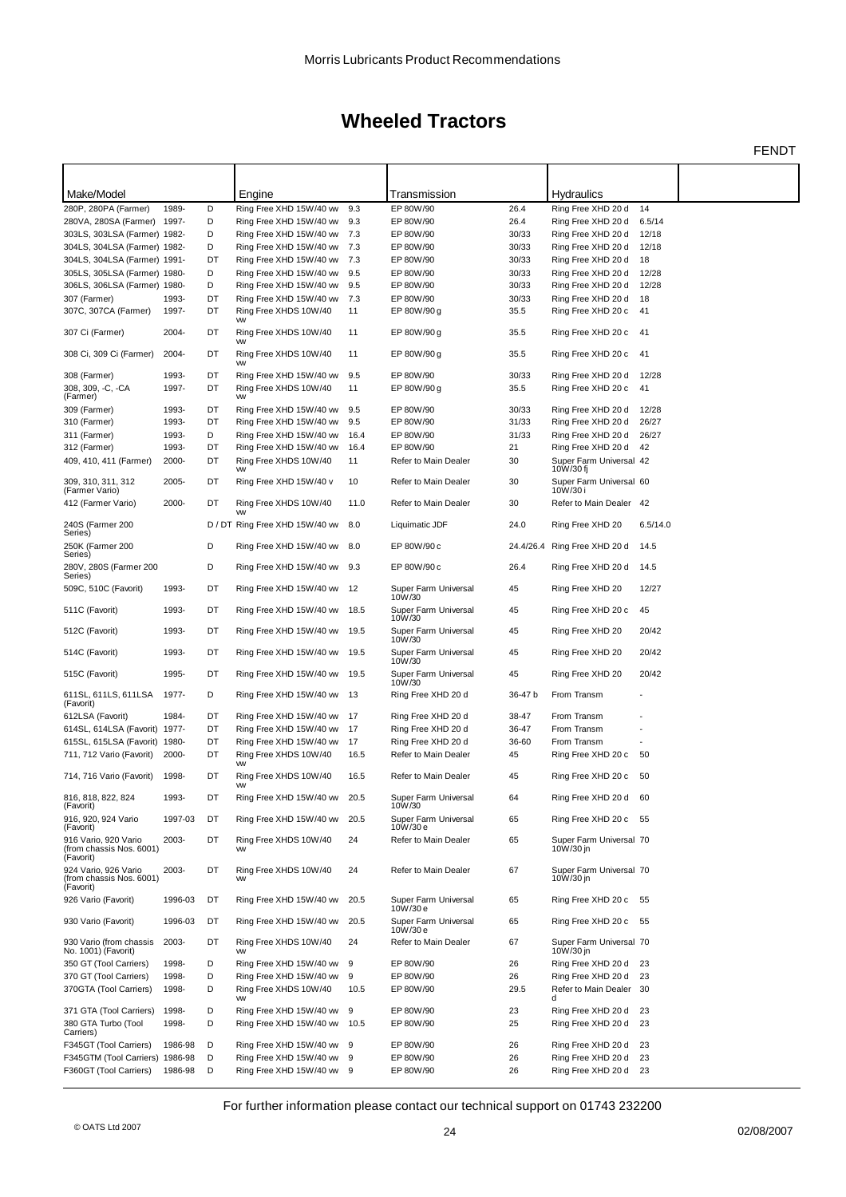FENDT

| Make/Model                                                    |         |    | Engine                             |      | Transmission                     |           | Hydraulics                           |          |  |
|---------------------------------------------------------------|---------|----|------------------------------------|------|----------------------------------|-----------|--------------------------------------|----------|--|
| 280P, 280PA (Farmer)                                          | 1989-   | D  | Ring Free XHD 15W/40 ww            | 9.3  | EP 80W/90                        | 26.4      | Ring Free XHD 20 d                   | 14       |  |
| 280VA, 280SA (Farmer) 1997-                                   |         | D  | Ring Free XHD 15W/40 ww            | 9.3  | EP 80W/90                        | 26.4      | Ring Free XHD 20 d                   | 6.5/14   |  |
| 303LS, 303LSA (Farmer) 1982-                                  |         | D  | Ring Free XHD 15W/40 ww            | 7.3  | EP 80W/90                        | 30/33     | Ring Free XHD 20 d                   | 12/18    |  |
| 304LS, 304LSA (Farmer) 1982-                                  |         | D  | Ring Free XHD 15W/40 ww            | 7.3  | EP 80W/90                        | 30/33     | Ring Free XHD 20 d                   | 12/18    |  |
| 304LS, 304LSA (Farmer) 1991-                                  |         | DT | Ring Free XHD 15W/40 ww            | 7.3  | EP 80W/90                        | 30/33     | Ring Free XHD 20 d                   | 18       |  |
| 305LS, 305LSA (Farmer) 1980-                                  |         | D  | Ring Free XHD 15W/40 ww            | 9.5  | EP 80W/90                        | 30/33     | Ring Free XHD 20 d                   | 12/28    |  |
| 306LS, 306LSA (Farmer) 1980-                                  |         | D  | Ring Free XHD 15W/40 ww            | 9.5  | EP 80W/90                        | 30/33     | Ring Free XHD 20 d                   | 12/28    |  |
| 307 (Farmer)                                                  | 1993-   | DT | Ring Free XHD 15W/40 ww            | 7.3  | EP 80W/90                        | 30/33     | Ring Free XHD 20 d                   | 18       |  |
| 307C, 307CA (Farmer)                                          | 1997-   | DT | Ring Free XHDS 10W/40<br><b>VW</b> | 11   | EP 80W/90 g                      | 35.5      | Ring Free XHD 20 c                   | 41       |  |
| 307 Ci (Farmer)                                               | 2004-   | DT | Ring Free XHDS 10W/40<br><b>VW</b> | 11   | EP 80W/90 g                      | 35.5      | Ring Free XHD 20 c                   | 41       |  |
| 308 Ci, 309 Ci (Farmer)                                       | 2004-   | DT | Ring Free XHDS 10W/40<br><b>VW</b> | 11   | EP 80W/90 g                      | 35.5      | Ring Free XHD 20 c 41                |          |  |
| 308 (Farmer)                                                  | 1993-   | DT | Ring Free XHD 15W/40 ww            | 9.5  | EP 80W/90                        | 30/33     | Ring Free XHD 20 d                   | 12/28    |  |
| 308, 309, -C, -CA<br>(Farmer)                                 | 1997-   | DT | Ring Free XHDS 10W/40<br><b>VW</b> | 11   | EP 80W/90 g                      | 35.5      | Ring Free XHD 20 c                   | 41       |  |
| 309 (Farmer)                                                  | 1993-   | DT | Ring Free XHD 15W/40 ww            | 9.5  | EP 80W/90                        | 30/33     | Ring Free XHD 20 d                   | 12/28    |  |
| 310 (Farmer)                                                  | 1993-   | DT | Ring Free XHD 15W/40 ww            | 9.5  | EP 80W/90                        | 31/33     | Ring Free XHD 20 d                   | 26/27    |  |
| 311 (Farmer)                                                  | 1993-   | D  | Ring Free XHD 15W/40 ww            | 16.4 | EP 80W/90                        | 31/33     | Ring Free XHD 20 d                   | 26/27    |  |
| 312 (Farmer)                                                  | 1993-   | DT | Ring Free XHD 15W/40 ww            | 16.4 | EP 80W/90                        | 21        | Ring Free XHD 20 d                   | 42       |  |
| 409, 410, 411 (Farmer)                                        | 2000-   | DT | Ring Free XHDS 10W/40              | 11   | Refer to Main Dealer             | 30        | Super Farm Universal 42              |          |  |
|                                                               |         |    | <b>VW</b>                          |      |                                  |           | 10W/30 fj                            |          |  |
| 309, 310, 311, 312<br>(Farmer Vario)                          | 2005-   | DT | Ring Free XHD 15W/40 v             | 10   | Refer to Main Dealer             | 30        | Super Farm Universal 60<br>10W/30i   |          |  |
| 412 (Farmer Vario)                                            | 2000-   | DT | Ring Free XHDS 10W/40<br><b>VW</b> | 11.0 | Refer to Main Dealer             | 30        | Refer to Main Dealer 42              |          |  |
| 240S (Farmer 200<br>Series)                                   |         |    | D / DT Ring Free XHD 15W/40 ww     | 8.0  | Liquimatic JDF                   | 24.0      | Ring Free XHD 20                     | 6.5/14.0 |  |
| 250K (Farmer 200<br>Series)                                   |         | D  | Ring Free XHD 15W/40 ww            | 8.0  | EP 80W/90 c                      | 24.4/26.4 | Ring Free XHD 20 d                   | 14.5     |  |
| 280V, 280S (Farmer 200<br>Series)                             |         | D  | Ring Free XHD 15W/40 ww            | 9.3  | EP 80W/90 c                      | 26.4      | Ring Free XHD 20 d                   | 14.5     |  |
| 509C, 510C (Favorit)                                          | 1993-   | DT | Ring Free XHD 15W/40 ww            | 12   | Super Farm Universal<br>10W/30   | 45        | Ring Free XHD 20                     | 12/27    |  |
| 511C (Favorit)                                                | 1993-   | DT | Ring Free XHD 15W/40 ww            | 18.5 | Super Farm Universal<br>10W/30   | 45        | Ring Free XHD 20 c                   | 45       |  |
| 512C (Favorit)                                                | 1993-   | DT | Ring Free XHD 15W/40 ww            | 19.5 | Super Farm Universal<br>10W/30   | 45        | Ring Free XHD 20                     | 20/42    |  |
| 514C (Favorit)                                                | 1993-   | DT | Ring Free XHD 15W/40 ww            | 19.5 | Super Farm Universal<br>10W/30   | 45        | Ring Free XHD 20                     | 20/42    |  |
| 515C (Favorit)                                                | 1995-   | DT | Ring Free XHD 15W/40 ww            | 19.5 | Super Farm Universal<br>10W/30   | 45        | Ring Free XHD 20                     | 20/42    |  |
| 611SL, 611LS, 611LSA<br>(Favorit)                             | 1977-   | D  | Ring Free XHD 15W/40 ww            | 13   | Ring Free XHD 20 d               | 36-47 b   | From Transm                          |          |  |
| 612LSA (Favorit)                                              | 1984-   | DT | Ring Free XHD 15W/40 ww            | 17   | Ring Free XHD 20 d               | 38-47     | From Transm                          |          |  |
| 614SL, 614LSA (Favorit) 1977-                                 |         | DT | Ring Free XHD 15W/40 ww            | 17   | Ring Free XHD 20 d               | 36-47     | From Transm                          |          |  |
| 615SL, 615LSA (Favorit) 1980-                                 |         | DT | Ring Free XHD 15W/40 ww            | 17   | Ring Free XHD 20 d               | 36-60     | From Transm                          |          |  |
| 711, 712 Vario (Favorit)                                      | 2000-   | DT | Ring Free XHDS 10W/40<br><b>VW</b> | 16.5 | Refer to Main Dealer             | 45        | Ring Free XHD 20 c                   | 50       |  |
| 714, 716 Vario (Favorit)                                      | 1998-   | DT | Ring Free XHDS 10W/40<br><b>VW</b> | 16.5 | Refer to Main Dealer             | 45        | Ring Free XHD 20 c                   | - 50     |  |
| 816, 818, 822, 824<br>(Favorit)                               | 1993-   | DT | Ring Free XHD 15W/40 ww 20.5       |      | Super Farm Universal<br>10W/30   | 64        | Ring Free XHD 20 d                   | 60       |  |
| 916, 920, 924 Vario<br>(Favorit)                              | 1997-03 | DT | Ring Free XHD 15W/40 ww            | 20.5 | Super Farm Universal<br>10W/30 e | 65        | Ring Free XHD 20 c 55                |          |  |
| 916 Vario, 920 Vario<br>(from chassis Nos. 6001)<br>(Favorit) | 2003-   | DT | Ring Free XHDS 10W/40<br><b>VW</b> | 24   | Refer to Main Dealer             | 65        | Super Farm Universal 70<br>10W/30 jn |          |  |
| 924 Vario, 926 Vario<br>(from chassis Nos. 6001)<br>(Favorit) | 2003-   | DT | Ring Free XHDS 10W/40<br><b>VW</b> | 24   | Refer to Main Dealer             | 67        | Super Farm Universal 70<br>10W/30 in |          |  |
| 926 Vario (Favorit)                                           | 1996-03 | DT | Ring Free XHD 15W/40 ww            | 20.5 | Super Farm Universal<br>10W/30 e | 65        | Ring Free XHD 20 c 55                |          |  |
| 930 Vario (Favorit)                                           | 1996-03 | DT | Ring Free XHD 15W/40 ww            | 20.5 | Super Farm Universal<br>10W/30 e | 65        | Ring Free XHD 20 c                   | 55       |  |
| 930 Vario (from chassis<br>No. 1001) (Favorit)                | 2003-   | DT | Ring Free XHDS 10W/40<br><b>VW</b> | 24   | Refer to Main Dealer             | 67        | Super Farm Universal 70<br>10W/30 jn |          |  |
| 350 GT (Tool Carriers)                                        | 1998-   | D  | Ring Free XHD 15W/40 ww            | 9    | EP 80W/90                        | 26        | Ring Free XHD 20 d                   | 23       |  |
| 370 GT (Tool Carriers)                                        | 1998-   | D  | Ring Free XHD 15W/40 ww            | 9    | EP 80W/90                        | 26        | Ring Free XHD 20 d                   | 23       |  |
| 370GTA (Tool Carriers)                                        | 1998-   | D  | Ring Free XHDS 10W/40<br><b>VW</b> | 10.5 | EP 80W/90                        | 29.5      | Refer to Main Dealer 30              |          |  |
| 371 GTA (Tool Carriers)                                       | 1998-   | D  | Ring Free XHD 15W/40 ww            | 9    | EP 80W/90                        | 23        | Ring Free XHD 20 d                   | 23       |  |
| 380 GTA Turbo (Tool<br>Carriers)                              | 1998-   | D  | Ring Free XHD 15W/40 ww            | 10.5 | EP 80W/90                        | 25        | Ring Free XHD 20 d                   | 23       |  |
| F345GT (Tool Carriers)                                        | 1986-98 | D  | Ring Free XHD 15W/40 ww 9          |      | EP 80W/90                        | 26        | Ring Free XHD 20 d                   | 23       |  |
| F345GTM (Tool Carriers) 1986-98                               |         | D  | Ring Free XHD 15W/40 ww            | 9    | EP 80W/90                        | 26        | Ring Free XHD 20 d                   | 23       |  |
| F360GT (Tool Carriers)                                        | 1986-98 | D  | Ring Free XHD 15W/40 ww 9          |      | EP 80W/90                        | 26        | Ring Free XHD 20 d                   | 23       |  |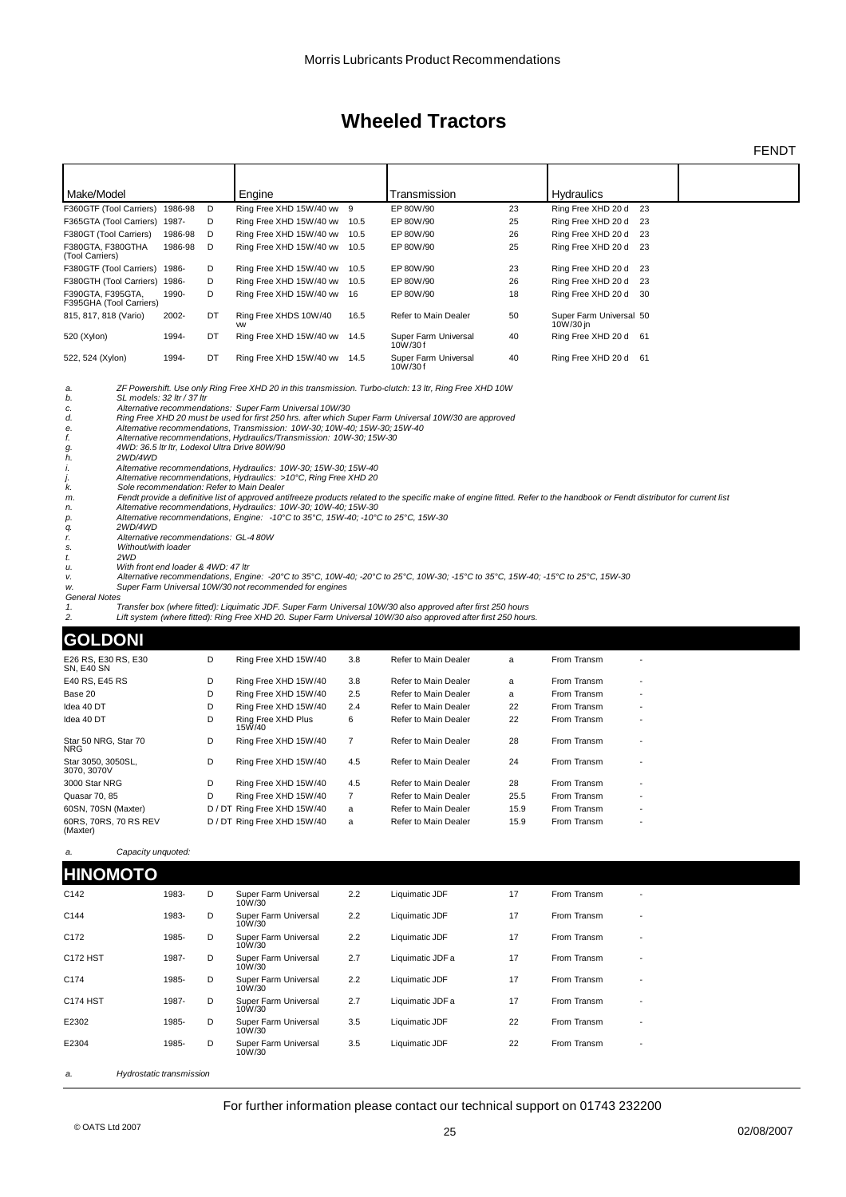FENDT

| Make/Model                                   |         |    | Engine                             |      | Transmission                    |    | <b>Hydraulics</b>                    |  |
|----------------------------------------------|---------|----|------------------------------------|------|---------------------------------|----|--------------------------------------|--|
| F360GTF (Tool Carriers) 1986-98              |         | D  | Ring Free XHD 15W/40 ww 9          |      | EP 80W/90                       | 23 | Ring Free XHD 20 d<br>23             |  |
| F365GTA (Tool Carriers) 1987-                |         | D  | Ring Free XHD 15W/40 ww            | 10.5 | EP 80W/90                       | 25 | Ring Free XHD 20 d<br>23             |  |
| F380GT (Tool Carriers)                       | 1986-98 | D  | Ring Free XHD 15W/40 ww            | 10.5 | EP 80W/90                       | 26 | Ring Free XHD 20 d<br>23             |  |
| F380GTA, F380GTHA<br>(Tool Carriers)         | 1986-98 | D  | Ring Free XHD 15W/40 ww            | 10.5 | EP 80W/90                       | 25 | Ring Free XHD 20 d<br>23             |  |
| F380GTF (Tool Carriers) 1986-                |         | D  | Ring Free XHD 15W/40 ww            | 10.5 | EP 80W/90                       | 23 | Ring Free XHD 20 d<br>23             |  |
| F380GTH (Tool Carriers) 1986-                |         | D  | Ring Free XHD 15W/40 ww            | 10.5 | EP 80W/90                       | 26 | Ring Free XHD 20 d<br>23             |  |
| F390GTA, F395GTA,<br>F395GHA (Tool Carriers) | 1990-   | D  | Ring Free XHD 15W/40 ww 16         |      | EP 80W/90                       | 18 | Ring Free XHD 20 d<br>30             |  |
| 815, 817, 818 (Vario)                        | 2002-   | DT | Ring Free XHDS 10W/40<br><b>VW</b> | 16.5 | Refer to Main Dealer            | 50 | Super Farm Universal 50<br>10W/30 in |  |
| 520 (Xylon)                                  | 1994-   | DT | Ring Free XHD 15W/40 ww            | 14.5 | Super Farm Universal<br>10W/30f | 40 | Ring Free XHD 20 d<br>61             |  |
| 522, 524 (Xylon)                             | 1994-   | DT | Ring Free XHD 15W/40 ww            | 14.5 | Super Farm Universal<br>10W/30f | 40 | Ring Free XHD 20 d<br>61             |  |

*a. ZF Powershift. Use only Ring Free XHD 20 in this transmission. Turbo-clutch: 13 ltr, Ring Free XHD 10W b. SL models: 32 ltr / 37 ltr*

- *c. Alternative recommendations: Super Farm Universal 10W/30***<br>***d.* **Ring Free XHD 20 must be used for first 250 hrs. after which S<br>***e.* **Alternative recommendations, Transmission: 10W-30; 10W-4<br>***H***,** *Alternative recommend d. Ring Free XHD 20 must be used for first 250 hrs. after which Super Farm Universal 10W/30 are approved e. Alternative recommendations, Transmission: 10W-30; 10W-40; 15W-30; 15W-40*
- *f. Alternative recommendations, Hydraulics/Transmission: 10W-30; 15W-30 g. 4WD: 36.5 ltr ltr, Lodexol Ultra Drive 80W/90*
- 
- 
- *i. Alternative recommendations, Hydraulics: 10W-30; 15W-30; 15W-40 j. Alternative recommendations, Hydraulics: >10°C, Ring Free XHD 20 k. Sole recommendation: Refer to Main Dealer*
- *h.* **2WD/4WD**<br> *i.* **Alternative**<br> *j.* **Alternative**<br> *k.* Sole recor
- *m. Fendt provide a definitive list of approved antifreeze products related to the specific make of engine fitted. Refer to the handbook or Fendt distributor for current list n. Alternative recommendations, Hydraulics: 10W-30; 10W-40; 15W-30*
- 
- *p. Alternative recommendations, Engine: -10°C to 35°C, 15W-40; -10°C to 25°C, 15W-30 q. 2WD/4WD*
- 
- *r. Alternative recommendations: GL-4 80W s. Without/with loader*
- 
- *t. 2WD*
- *u. With front end loader & 4WD: 47 ltr* v. Alternative recommendations, Engine: -20℃ to 35℃, 10W-40; -20℃ to 25℃, 10W-30; -15℃ to 35℃, 15W-40; -15℃ to 25℃, 15W-30<br>w. Super Farm Universal 10W/30 not recommended for engines
- *General Notes*
- 

*1. Transfer box (where fitted): Liquimatic JDF. Super Farm Universal 10W/30 also approved after first 250 hours* Lift system (where fitted): Ring Free XHD 20. Super Farm Universal 10W/30 also approved after first 250 hours.

#### **GOLDONI**

| UULDUNI                           |   |                              |                |                      |      |             |                          |  |
|-----------------------------------|---|------------------------------|----------------|----------------------|------|-------------|--------------------------|--|
| E26 RS. E30 RS. E30<br>SN, E40 SN | D | Ring Free XHD 15W/40         | 3.8            | Refer to Main Dealer | a    | From Transm |                          |  |
| E40 RS. E45 RS                    | D | Ring Free XHD 15W/40         | 3.8            | Refer to Main Dealer | a    | From Transm | $\overline{\phantom{0}}$ |  |
| Base 20                           | D | Ring Free XHD 15W/40         | 2.5            | Refer to Main Dealer | a    | From Transm | $\overline{\phantom{a}}$ |  |
| Idea 40 DT                        | D | Ring Free XHD 15W/40         | 2.4            | Refer to Main Dealer | 22   | From Transm |                          |  |
| Idea 40 DT                        | D | Ring Free XHD Plus<br>15W/40 | 6              | Refer to Main Dealer | 22   | From Transm |                          |  |
| Star 50 NRG. Star 70<br>NRG       | D | Ring Free XHD 15W/40         | $\overline{7}$ | Refer to Main Dealer | 28   | From Transm |                          |  |
| Star 3050, 3050SL.<br>3070, 3070V | D | Ring Free XHD 15W/40         | 4.5            | Refer to Main Dealer | 24   | From Transm |                          |  |
| 3000 Star NRG                     | D | Ring Free XHD 15W/40         | 4.5            | Refer to Main Dealer | 28   | From Transm |                          |  |
| Quasar 70, 85                     | D | Ring Free XHD 15W/40         |                | Refer to Main Dealer | 25.5 | From Transm | $\overline{\phantom{a}}$ |  |
| 60SN, 70SN (Maxter)               |   | D / DT Ring Free XHD 15W/40  | a              | Refer to Main Dealer | 15.9 | From Transm | $\overline{\phantom{a}}$ |  |
| 60RS, 70RS, 70 RS REV<br>(Maxter) |   | D / DT Ring Free XHD 15W/40  | a              | Refer to Main Dealer | 15.9 | From Transm | $\overline{\phantom{a}}$ |  |

#### *a. Capacity unquoted:*

**HINOMOTO**

| <i>oupaony anguoto</i> |  |
|------------------------|--|
|                        |  |

| .                |       |   |                                |     |                  |    |             |  |
|------------------|-------|---|--------------------------------|-----|------------------|----|-------------|--|
| C142             | 1983- | D | Super Farm Universal<br>10W/30 | 2.2 | Liquimatic JDF   | 17 | From Transm |  |
| C144             | 1983- | D | Super Farm Universal<br>10W/30 | 2.2 | Liquimatic JDF   | 17 | From Transm |  |
| C172             | 1985- | D | Super Farm Universal<br>10W/30 | 2.2 | Liquimatic JDF   | 17 | From Transm |  |
| C172 HST         | 1987- | D | Super Farm Universal<br>10W/30 | 2.7 | Liquimatic JDF a | 17 | From Transm |  |
| C <sub>174</sub> | 1985- | D | Super Farm Universal<br>10W/30 | 2.2 | Liquimatic JDF   | 17 | From Transm |  |
| <b>C174 HST</b>  | 1987- | D | Super Farm Universal<br>10W/30 | 2.7 | Liquimatic JDF a | 17 | From Transm |  |
| E2302            | 1985- | D | Super Farm Universal<br>10W/30 | 3.5 | Liquimatic JDF   | 22 | From Transm |  |
| E2304            | 1985- | D | Super Farm Universal<br>10W/30 | 3.5 | Liquimatic JDF   | 22 | From Transm |  |
|                  |       |   |                                |     |                  |    |             |  |

*a. Hydrostatic transmission*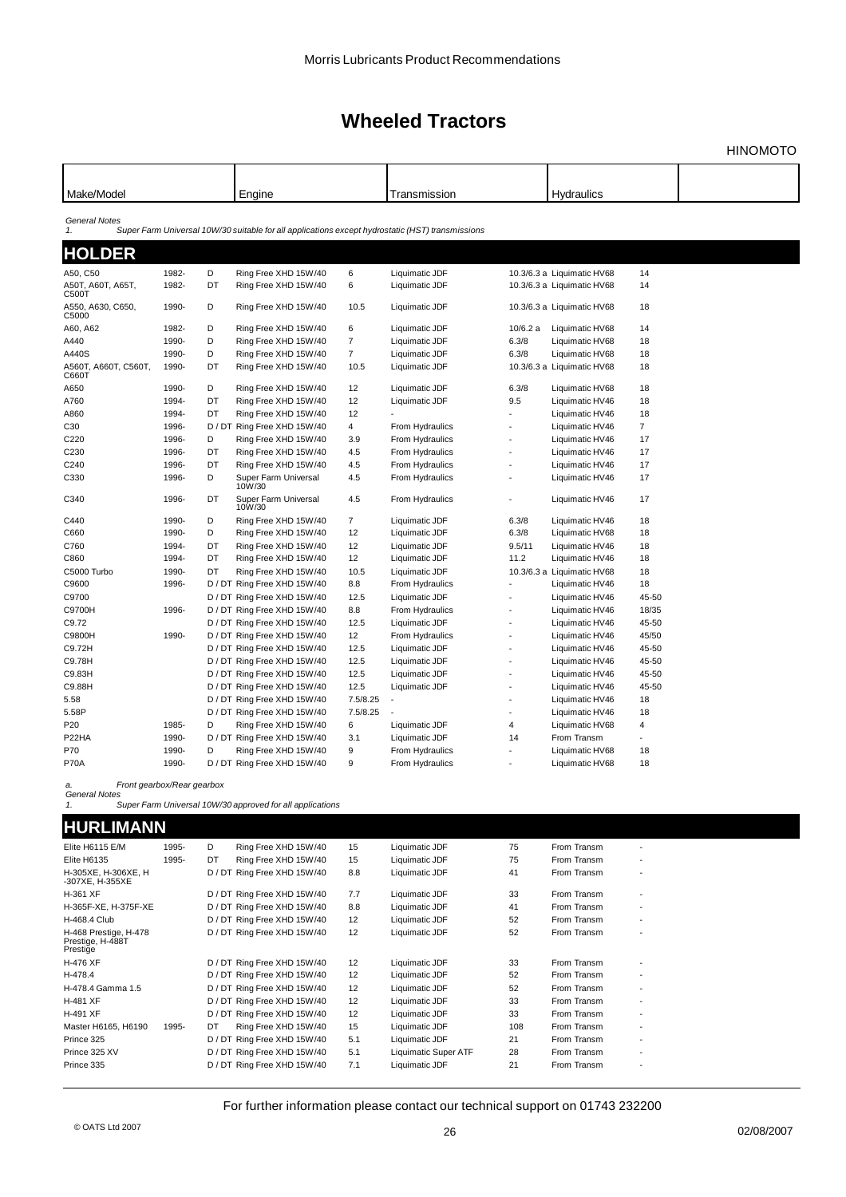HINOMOTO

| Make/Model                     |       |    | Engine                                                                                           |                | Transmission    |                | <b>Hydraulics</b>          |                |  |
|--------------------------------|-------|----|--------------------------------------------------------------------------------------------------|----------------|-----------------|----------------|----------------------------|----------------|--|
| <b>General Notes</b><br>1.     |       |    | Super Farm Universal 10W/30 suitable for all applications except hydrostatic (HST) transmissions |                |                 |                |                            |                |  |
| <b>HOLDER</b>                  |       |    |                                                                                                  |                |                 |                |                            |                |  |
| A50, C50                       | 1982- | D  | Ring Free XHD 15W/40                                                                             | 6              | Liquimatic JDF  |                | 10.3/6.3 a Liquimatic HV68 | 14             |  |
| A50T, A60T, A65T,<br>C500T     | 1982- | DT | Ring Free XHD 15W/40                                                                             | 6              | Liquimatic JDF  |                | 10.3/6.3 a Liquimatic HV68 | 14             |  |
| A550, A630, C650,<br>C5000     | 1990- | D  | Ring Free XHD 15W/40                                                                             | 10.5           | Liquimatic JDF  |                | 10.3/6.3 a Liquimatic HV68 | 18             |  |
| A60, A62                       | 1982- | D  | Ring Free XHD 15W/40                                                                             | 6              | Liquimatic JDF  | 10/6.2 a       | Liquimatic HV68            | 14             |  |
| A440                           | 1990- | D  | Ring Free XHD 15W/40                                                                             | $\overline{7}$ | Liquimatic JDF  | 6.3/8          | Liquimatic HV68            | 18             |  |
| A440S                          | 1990- | D  | Ring Free XHD 15W/40                                                                             | $\overline{7}$ | Liquimatic JDF  | 6.3/8          | Liquimatic HV68            | 18             |  |
| А560Т, А660Т, С560Т,<br>C660 I | 1990- | DT | Ring Free XHD 15W/40                                                                             | 10.5           | Liquimatic JDF  |                | 10.3/6.3 a Liquimatic HV68 | 18             |  |
| A650                           | 1990- | D  | Ring Free XHD 15W/40                                                                             | 12             | Liquimatic JDF  | 6.3/8          | Liquimatic HV68            | 18             |  |
| A760                           | 1994- | DT | Ring Free XHD 15W/40                                                                             | 12             | Liquimatic JDF  | 9.5            | Liquimatic HV46            | 18             |  |
| A860                           | 1994- | DT | Ring Free XHD 15W/40                                                                             | 12             |                 |                | Liquimatic HV46            | 18             |  |
| C30                            | 1996- |    | D / DT Ring Free XHD 15W/40                                                                      | 4              | From Hydraulics |                | Liquimatic HV46            | $\overline{7}$ |  |
| C220                           | 1996- | D  | Ring Free XHD 15W/40                                                                             | 3.9            | From Hydraulics |                | Liquimatic HV46            | 17             |  |
| C <sub>230</sub>               | 1996- | DT | Ring Free XHD 15W/40                                                                             | 4.5            | From Hydraulics |                | Liquimatic HV46            | 17             |  |
| C240                           | 1996- | DT | Ring Free XHD 15W/40                                                                             | 4.5            | From Hydraulics |                | Liquimatic HV46            | 17             |  |
| C330                           | 1996- | D  | Super Farm Universal<br>10W/30                                                                   | 4.5            | From Hydraulics |                | Liquimatic HV46            | 17             |  |
| C340                           | 1996- | DT | Super Farm Universal<br>10W/30                                                                   | 4.5            | From Hydraulics |                | Liquimatic HV46            | 17             |  |
| C440                           | 1990- | D  | Ring Free XHD 15W/40                                                                             | $\overline{7}$ | Liquimatic JDF  | 6.3/8          | Liquimatic HV46            | 18             |  |
| C660                           | 1990- | D  | Ring Free XHD 15W/40                                                                             | 12             | Liquimatic JDF  | 6.3/8          | Liquimatic HV68            | 18             |  |
| C760                           | 1994- | DT | Ring Free XHD 15W/40                                                                             | 12             | Liquimatic JDF  | 9.5/11         | Liquimatic HV46            | 18             |  |
| C860                           | 1994- | DT | Ring Free XHD 15W/40                                                                             | 12             | Liquimatic JDF  | 11.2           | Liquimatic HV46            | 18             |  |
| C5000 Turbo                    | 1990- | DT | Ring Free XHD 15W/40                                                                             | 10.5           | Liquimatic JDF  |                | 10.3/6.3 a Liquimatic HV68 | 18             |  |
| C9600                          | 1996- |    | D / DT Ring Free XHD 15W/40                                                                      | 8.8            | From Hydraulics |                | Liquimatic HV46            | 18             |  |
| C9700                          |       |    | D / DT Ring Free XHD 15W/40                                                                      | 12.5           | Liquimatic JDF  |                | Liquimatic HV46            | 45-50          |  |
| C9700H                         | 1996- |    | D / DT Ring Free XHD 15W/40                                                                      | 8.8            | From Hydraulics |                | Liquimatic HV46            | 18/35          |  |
| C9.72                          |       |    | D / DT Ring Free XHD 15W/40                                                                      | 12.5           | Liquimatic JDF  |                | Liquimatic HV46            | 45-50          |  |
| C9800H                         | 1990- |    | D / DT Ring Free XHD 15W/40                                                                      | 12             | From Hydraulics |                | Liquimatic HV46            | 45/50          |  |
| C9.72H                         |       |    | D / DT Ring Free XHD 15W/40                                                                      | 12.5           | Liquimatic JDF  |                | Liquimatic HV46            | 45-50          |  |
| C9.78H                         |       |    | D / DT Ring Free XHD 15W/40                                                                      | 12.5           | Liquimatic JDF  |                | Liquimatic HV46            | 45-50          |  |
| C9.83H                         |       |    | D / DT Ring Free XHD 15W/40                                                                      | 12.5           | Liquimatic JDF  |                | Liquimatic HV46            | 45-50          |  |
| C9.88H                         |       |    | D / DT Ring Free XHD 15W/40                                                                      | 12.5           | Liquimatic JDF  |                | Liquimatic HV46            | 45-50          |  |
| 5.58                           |       |    | D / DT Ring Free XHD 15W/40                                                                      | 7.5/8.25       |                 |                | Liquimatic HV46            | 18             |  |
| 5.58P                          |       |    | D / DT Ring Free XHD 15W/40                                                                      | 7.5/8.25       |                 |                | Liquimatic HV46            | 18             |  |
| P20                            | 1985- | D  | Ring Free XHD 15W/40                                                                             | 6              | Liquimatic JDF  | $\overline{4}$ | Liquimatic HV68            | $\overline{4}$ |  |
| P22HA                          | 1990- |    | D / DT Ring Free XHD 15W/40                                                                      | 3.1            | Liquimatic JDF  | 14             | From Transm                |                |  |
|                                | 1990- |    |                                                                                                  |                |                 |                |                            |                |  |
| P70                            |       | D  | Ring Free XHD 15W/40                                                                             | 9              | From Hydraulics |                | Liquimatic HV68            | 18             |  |
| P70A                           | 1990- |    | D / DT Ring Free XHD 15W/40                                                                      | 9              | From Hydraulics |                | Liquimatic HV68            | 18             |  |
|                                |       |    |                                                                                                  |                |                 |                |                            |                |  |

*a. Front gearbox/Rear gearbox General Notes 1. Super Farm Universal 10W/30 approved for all applications*

### **HURLIMANN**

| Elite H6115 E/M                                       | 1995- | D    | Ring Free XHD 15W/40        | 15  | Liquimatic JDF       | 75  | From Transm | ٠                        |  |
|-------------------------------------------------------|-------|------|-----------------------------|-----|----------------------|-----|-------------|--------------------------|--|
| Elite H6135                                           | 1995- | DT   | Ring Free XHD 15W/40        | 15  | Liquimatic JDF       | 75  | From Transm | $\overline{\phantom{a}}$ |  |
| H-305XE, H-306XE, H<br>-307XE, H-355XE                |       |      | D / DT Ring Free XHD 15W/40 | 8.8 | Liquimatic JDF       | 41  | From Transm | ٠                        |  |
| H-361 XF                                              |       |      | D / DT Ring Free XHD 15W/40 | 7.7 | Liquimatic JDF       | 33  | From Transm | ٠                        |  |
| H-365F-XE, H-375F-XE                                  |       |      | D / DT Ring Free XHD 15W/40 | 8.8 | Liquimatic JDF       | 41  | From Transm | ٠                        |  |
| H-468.4 Club                                          |       |      | D / DT Ring Free XHD 15W/40 | 12  | Liquimatic JDF       | 52  | From Transm | $\overline{\phantom{a}}$ |  |
| H-468 Prestige, H-478<br>Prestige, H-488T<br>Prestige |       |      | D / DT Ring Free XHD 15W/40 | 12  | Liquimatic JDF       | 52  | From Transm | ٠                        |  |
| H-476 XF                                              |       |      | D / DT Ring Free XHD 15W/40 | 12  | Liquimatic JDF       | 33  | From Transm | ٠                        |  |
| H-478.4                                               |       |      | D / DT Ring Free XHD 15W/40 | 12  | Liquimatic JDF       | 52  | From Transm | ٠                        |  |
| H-478.4 Gamma 1.5                                     |       |      | D / DT Ring Free XHD 15W/40 | 12  | Liquimatic JDF       | 52  | From Transm | ٠                        |  |
| H-481 XF                                              |       |      | D / DT Ring Free XHD 15W/40 | 12  | Liquimatic JDF       | 33  | From Transm | ٠                        |  |
| H-491 XF                                              |       |      | D / DT Ring Free XHD 15W/40 | 12  | Liquimatic JDF       | 33  | From Transm | ٠                        |  |
| Master H6165, H6190                                   | 1995- | DT   | Ring Free XHD 15W/40        | 15  | Liquimatic JDF       | 108 | From Transm | ٠                        |  |
| Prince 325                                            |       | D/DT | Ring Free XHD 15W/40        | 5.1 | Liquimatic JDF       | 21  | From Transm | $\overline{\phantom{a}}$ |  |
| Prince 325 XV                                         |       |      | D / DT Ring Free XHD 15W/40 | 5.1 | Liquimatic Super ATF | 28  | From Transm | $\overline{\phantom{a}}$ |  |
| Prince 335                                            |       |      | D / DT Ring Free XHD 15W/40 | 7.1 | Liquimatic JDF       | 21  | From Transm | ٠                        |  |
|                                                       |       |      |                             |     |                      |     |             |                          |  |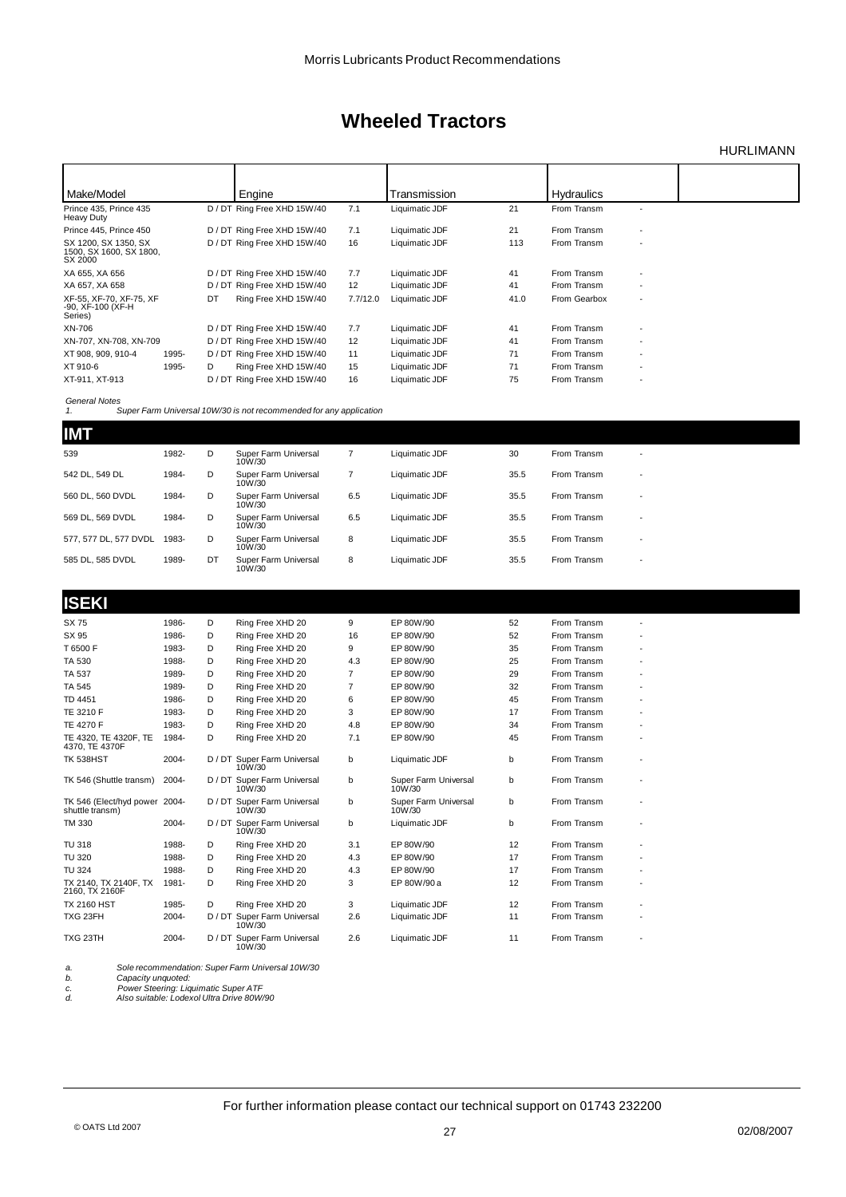### HURLIMANN

| Make/Model                                                     | Engine                            | Transmission           | <b>Hydraulics</b>                        |
|----------------------------------------------------------------|-----------------------------------|------------------------|------------------------------------------|
| Prince 435, Prince 435                                         | D / DT Ring Free XHD 15W/40       | Liquimatic JDF         | From Transm                              |
| Heavy Duty                                                     | 7.1                               | 21                     |                                          |
| Prince 445, Prince 450                                         | D / DT Ring Free XHD 15W/40       | 21                     | From Transm                              |
|                                                                | 7.1                               | Liquimatic JDF         | ٠                                        |
| SX 1200, SX 1350, SX<br>1500, SX 1600, SX 1800,<br>SX 2000     | D / DT Ring Free XHD 15W/40<br>16 | Liquimatic JDF<br>113  | From Transm<br>$\overline{\phantom{a}}$  |
| XA 655, XA 656                                                 | 7.7                               | 41                     | From Transm                              |
|                                                                | D / DT Ring Free XHD 15W/40       | Liquimatic JDF         | $\overline{\phantom{a}}$                 |
| XA 657, XA 658                                                 | D / DT Ring Free XHD 15W/40       | 41                     | From Transm                              |
|                                                                | 12                                | Liquimatic JDF         | $\overline{\phantom{a}}$                 |
| XF-55, XF-70, XF-75, XF<br>DT<br>-90, XF-100 (XF-H)<br>Series) | Ring Free XHD 15W/40<br>7.7/12.0  | Liquimatic JDF<br>41.0 | From Gearbox<br>$\overline{\phantom{a}}$ |
| XN-706                                                         | 7.7                               | 41                     | From Transm                              |
|                                                                | D / DT Ring Free XHD 15W/40       | Liquimatic JDF         |                                          |
| XN-707, XN-708, XN-709                                         | 12                                | 41                     | From Transm                              |
|                                                                | D / DT Ring Free XHD 15W/40       | Liquimatic JDF         | $\overline{\phantom{a}}$                 |
| XT 908, 909, 910-4                                             | D / DT Ring Free XHD 15W/40       | 71                     | From Transm                              |
| 1995-                                                          | 11                                | Liquimatic JDF         | $\overline{\phantom{a}}$                 |
| XT 910-6<br>1995-<br>D                                         | 15<br>Ring Free XHD 15W/40        | 71<br>Liquimatic JDF   | From Transm<br>$\overline{\phantom{a}}$  |
| XT-911, XT-913                                                 | D / DT Ring Free XHD 15W/40       | Liquimatic JDF         | From Transm                              |
|                                                                | 16                                | 75                     | $\overline{\phantom{a}}$                 |

*General Notes 1. Super Farm Universal 10W/30 is not recommended for any application*

| <b>IMT</b>            |       |    |                                |     |                |      |             |                          |
|-----------------------|-------|----|--------------------------------|-----|----------------|------|-------------|--------------------------|
| 539                   | 1982- | D  | Super Farm Universal<br>10W/30 |     | Liquimatic JDF | 30   | From Transm | $\overline{\phantom{a}}$ |
| 542 DL, 549 DL        | 1984- | D  | Super Farm Universal<br>10W/30 |     | Liquimatic JDF | 35.5 | From Transm | $\overline{\phantom{a}}$ |
| 560 DL. 560 DVDL      | 1984- | D  | Super Farm Universal<br>10W/30 | 6.5 | Liquimatic JDF | 35.5 | From Transm |                          |
| 569 DL. 569 DVDL      | 1984- | D  | Super Farm Universal<br>10W/30 | 6.5 | Liquimatic JDF | 35.5 | From Transm | $\overline{\phantom{a}}$ |
| 577, 577 DL, 577 DVDL | 1983- | D  | Super Farm Universal<br>10W/30 | 8   | Liquimatic JDF | 35.5 | From Transm | $\overline{\phantom{a}}$ |
| 585 DL. 585 DVDL      | 1989- | DT | Super Farm Universal<br>10W/30 | 8   | Liquimatic JDF | 35.5 | From Transm | $\overline{\phantom{a}}$ |

| <b>ISEKI</b>                                     |       |   |                                       |                |                                |    |             |  |
|--------------------------------------------------|-------|---|---------------------------------------|----------------|--------------------------------|----|-------------|--|
| SX 75                                            | 1986- | D | Ring Free XHD 20                      | 9              | EP 80W/90                      | 52 | From Transm |  |
| SX 95                                            | 1986- | D | Ring Free XHD 20                      | 16             | EP 80W/90                      | 52 | From Transm |  |
| T6500F                                           | 1983- | D | Ring Free XHD 20                      | 9              | EP 80W/90                      | 35 | From Transm |  |
| TA 530                                           | 1988- | D | Ring Free XHD 20                      | 4.3            | EP 80W/90                      | 25 | From Transm |  |
| <b>TA 537</b>                                    | 1989- | D | Ring Free XHD 20                      | $\overline{7}$ | EP 80W/90                      | 29 | From Transm |  |
| <b>TA 545</b>                                    | 1989- | D | Ring Free XHD 20                      | $\overline{7}$ | EP 80W/90                      | 32 | From Transm |  |
| TD 4451                                          | 1986- | D | Ring Free XHD 20                      | 6              | EP 80W/90                      | 45 | From Transm |  |
| TE 3210 F                                        | 1983- | D | Ring Free XHD 20                      | 3              | EP 80W/90                      | 17 | From Transm |  |
| <b>TE 4270 F</b>                                 | 1983- | D | Ring Free XHD 20                      | 4.8            | EP 80W/90                      | 34 | From Transm |  |
| TE 4320, TE 4320F, TE<br>4370, TE 4370F          | 1984- | D | Ring Free XHD 20                      | 7.1            | EP 80W/90                      | 45 | From Transm |  |
| <b>TK 538HST</b>                                 | 2004- |   | D / DT Super Farm Universal<br>10W/30 | b              | Liquimatic JDF                 | b  | From Transm |  |
| TK 546 (Shuttle transm)                          | 2004- |   | D / DT Super Farm Universal<br>10W/30 | b              | Super Farm Universal<br>10W/30 | b  | From Transm |  |
| TK 546 (Elect/hyd power 2004-<br>shuttle transm) |       |   | D / DT Super Farm Universal<br>10W/30 | b              | Super Farm Universal<br>10W/30 | b  | From Transm |  |
| <b>TM 330</b>                                    | 2004- |   | D / DT Super Farm Universal<br>10W/30 | b              | Liquimatic JDF                 | b  | From Transm |  |
| <b>TU 318</b>                                    | 1988- | D | Ring Free XHD 20                      | 3.1            | EP 80W/90                      | 12 | From Transm |  |
| <b>TU 320</b>                                    | 1988- | D | Ring Free XHD 20                      | 4.3            | EP 80W/90                      | 17 | From Transm |  |
| <b>TU 324</b>                                    | 1988- | D | Ring Free XHD 20                      | 4.3            | EP 80W/90                      | 17 | From Transm |  |
| TX 2140, TX 2140F, TX<br>2160, TX 2160F          | 1981- | D | Ring Free XHD 20                      | 3              | EP 80W/90 a                    | 12 | From Transm |  |
| <b>TX 2160 HST</b>                               | 1985- | D | Ring Free XHD 20                      | 3              | Liquimatic JDF                 | 12 | From Transm |  |
| TXG 23FH                                         | 2004- |   | D / DT Super Farm Universal<br>10W/30 | 2.6            | Liquimatic JDF                 | 11 | From Transm |  |
| TXG 23TH                                         | 2004- |   | D / DT Super Farm Universal<br>10W/30 | 2.6            | Liquimatic JDF                 | 11 | From Transm |  |

*a. Sole recommendation: Super Farm Universal 10W/30 b. Capacity unquoted:*

*c. Power Steering: Liquimatic Super ATF d. Also suitable: Lodexol Ultra Drive 80W/90*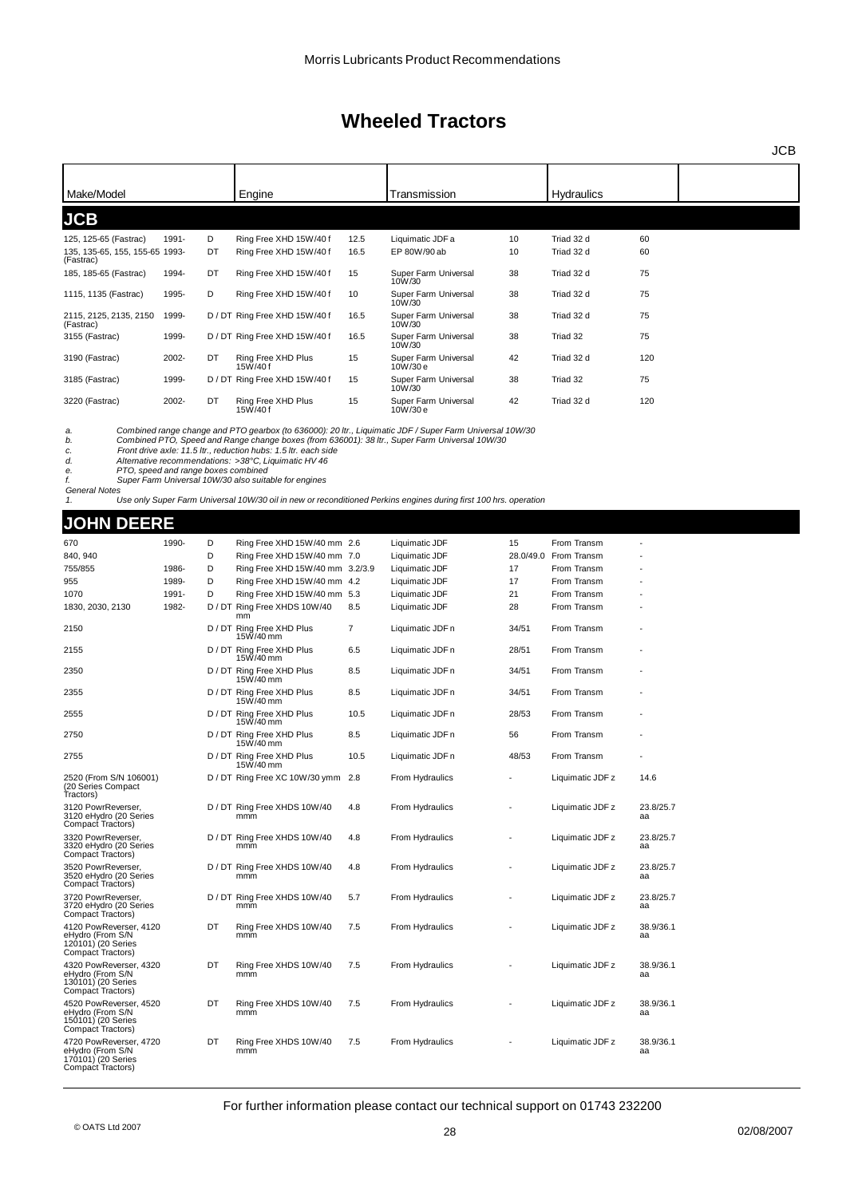| Make/Model                                                                                                                                                                                                                                                                                                                                                                                                                                                                                       |       |        | Engine                                                         |      | Transmission                                                                                                     |                          | Hydraulics                           |                 |  |  |
|--------------------------------------------------------------------------------------------------------------------------------------------------------------------------------------------------------------------------------------------------------------------------------------------------------------------------------------------------------------------------------------------------------------------------------------------------------------------------------------------------|-------|--------|----------------------------------------------------------------|------|------------------------------------------------------------------------------------------------------------------|--------------------------|--------------------------------------|-----------------|--|--|
| <b>JCB</b>                                                                                                                                                                                                                                                                                                                                                                                                                                                                                       |       |        |                                                                |      |                                                                                                                  |                          |                                      |                 |  |  |
| 125, 125-65 (Fastrac)                                                                                                                                                                                                                                                                                                                                                                                                                                                                            | 1991- | D      | Ring Free XHD 15W/40 f                                         | 12.5 | Liquimatic JDF a                                                                                                 | 10                       | Triad 32 d                           | 60              |  |  |
| 135, 135-65, 155, 155-65 1993-<br>(Fastrac)                                                                                                                                                                                                                                                                                                                                                                                                                                                      |       | DT     | Ring Free XHD 15W/40 f                                         | 16.5 | EP 80W/90 ab                                                                                                     | 10                       | Triad 32 d                           | 60              |  |  |
| 185, 185-65 (Fastrac)                                                                                                                                                                                                                                                                                                                                                                                                                                                                            | 1994- | DT     | Ring Free XHD 15W/40 f                                         | 15   | Super Farm Universal<br>10W/30                                                                                   | 38                       | Triad 32 d                           | 75              |  |  |
| 1115, 1135 (Fastrac)                                                                                                                                                                                                                                                                                                                                                                                                                                                                             | 1995- | D      | Ring Free XHD 15W/40 f                                         | 10   | Super Farm Universal<br>10W/30                                                                                   | 38                       | Triad 32 d                           | 75              |  |  |
| 2115, 2125, 2135, 2150<br>(Fastrac)                                                                                                                                                                                                                                                                                                                                                                                                                                                              | 1999- |        | D / DT Ring Free XHD 15W/40 f                                  | 16.5 | Super Farm Universal<br>10W/30                                                                                   | 38                       | Triad 32 d                           | 75              |  |  |
| 3155 (Fastrac)                                                                                                                                                                                                                                                                                                                                                                                                                                                                                   | 1999- |        | D / DT Ring Free XHD 15W/40 f                                  | 16.5 | Super Farm Universal<br>10W/30                                                                                   | 38                       | Triad 32                             | 75              |  |  |
| 3190 (Fastrac)                                                                                                                                                                                                                                                                                                                                                                                                                                                                                   | 2002- | DT     | Ring Free XHD Plus<br>15W/40f                                  | 15   | Super Farm Universal<br>10W/30 e                                                                                 | 42                       | Triad 32 d                           | 120             |  |  |
| 3185 (Fastrac)                                                                                                                                                                                                                                                                                                                                                                                                                                                                                   | 1999- |        | D / DT Ring Free XHD 15W/40 f                                  | 15   | Super Farm Universal<br>10W/30                                                                                   | 38                       | Triad 32                             | 75              |  |  |
| 3220 (Fastrac)                                                                                                                                                                                                                                                                                                                                                                                                                                                                                   | 2002- | DT     | Ring Free XHD Plus                                             | 15   | Super Farm Universal                                                                                             | 42                       | Triad 32 d                           | 120             |  |  |
| 15W/40f<br>10W/30 e<br>Combined range change and PTO gearbox (to 636000): 20 ltr., Liquimatic JDF / Super Farm Universal 10W/30<br>a.<br>Combined PTO, Speed and Range change boxes (from 636001): 38 ltr., Super Farm Universal 10W/30<br>b.<br>Front drive axle: 11.5 ltr., reduction hubs: 1.5 ltr. each side<br>c.<br>d.<br>Alternative recommendations: >38°C, Liquimatic HV 46<br>PTO, speed and range boxes combined<br>е.<br>Super Farm Universal 10W/30 also suitable for engines<br>f. |       |        |                                                                |      |                                                                                                                  |                          |                                      |                 |  |  |
| <b>General Notes</b><br>1.                                                                                                                                                                                                                                                                                                                                                                                                                                                                       |       |        |                                                                |      | Use only Super Farm Universal 10W/30 oil in new or reconditioned Perkins engines during first 100 hrs. operation |                          |                                      |                 |  |  |
|                                                                                                                                                                                                                                                                                                                                                                                                                                                                                                  |       |        |                                                                |      |                                                                                                                  |                          |                                      |                 |  |  |
| <b>JOHN DEERE</b>                                                                                                                                                                                                                                                                                                                                                                                                                                                                                |       |        |                                                                |      |                                                                                                                  |                          |                                      |                 |  |  |
| 670                                                                                                                                                                                                                                                                                                                                                                                                                                                                                              | 1990- | D      | Ring Free XHD 15W/40 mm 2.6                                    |      | Liquimatic JDF                                                                                                   | 15                       | From Transm                          |                 |  |  |
| 840, 940<br>755/855                                                                                                                                                                                                                                                                                                                                                                                                                                                                              | 1986- | D<br>D | Ring Free XHD 15W/40 mm 7.0<br>Ring Free XHD 15W/40 mm 3.2/3.9 |      | Liquimatic JDF<br>Liquimatic JDF                                                                                 | 17                       | 28.0/49.0 From Transm<br>From Transm |                 |  |  |
| 955                                                                                                                                                                                                                                                                                                                                                                                                                                                                                              | 1989- | D      | Ring Free XHD 15W/40 mm 4.2                                    |      | Liquimatic JDF                                                                                                   | 17                       | From Transm                          |                 |  |  |
| 1070                                                                                                                                                                                                                                                                                                                                                                                                                                                                                             | 1991- | D      | Ring Free XHD 15W/40 mm 5.3                                    |      | Liquimatic JDF                                                                                                   | 21                       | From Transm                          |                 |  |  |
| 1830, 2030, 2130                                                                                                                                                                                                                                                                                                                                                                                                                                                                                 | 1982- |        | D / DT Ring Free XHDS 10W/40                                   | 8.5  | Liquimatic JDF                                                                                                   | 28                       | From Transm                          |                 |  |  |
| 2150                                                                                                                                                                                                                                                                                                                                                                                                                                                                                             |       |        | mm<br>D / DT Ring Free XHD Plus                                | 7    | Liquimatic JDF n                                                                                                 | 34/51                    | From Transm                          |                 |  |  |
| 2155                                                                                                                                                                                                                                                                                                                                                                                                                                                                                             |       |        | 15W/40 mm<br>D / DT Ring Free XHD Plus                         | 6.5  | Liquimatic JDF n                                                                                                 | 28/51                    | From Transm                          |                 |  |  |
| 2350                                                                                                                                                                                                                                                                                                                                                                                                                                                                                             |       |        | 15W/40 mm<br>D / DT Ring Free XHD Plus                         | 8.5  | Liquimatic JDF n                                                                                                 | 34/51                    | From Transm                          |                 |  |  |
|                                                                                                                                                                                                                                                                                                                                                                                                                                                                                                  |       |        | 15W/40 mm                                                      |      |                                                                                                                  |                          | From Transm                          |                 |  |  |
| 2355                                                                                                                                                                                                                                                                                                                                                                                                                                                                                             |       |        | D / DT Ring Free XHD Plus<br>15W/40 mm                         | 8.5  | Liquimatic JDF n                                                                                                 | 34/51                    |                                      |                 |  |  |
| 2555                                                                                                                                                                                                                                                                                                                                                                                                                                                                                             |       |        | D / DT Ring Free XHD Plus<br>15W/40 mm                         | 10.5 | Liquimatic JDF n                                                                                                 | 28/53                    | From Transm                          |                 |  |  |
| 2750                                                                                                                                                                                                                                                                                                                                                                                                                                                                                             |       |        | D / DT Ring Free XHD Plus<br>15W/40 mm                         | 8.5  | Liquimatic JDF n                                                                                                 | 56                       | From Transm                          |                 |  |  |
| 2755                                                                                                                                                                                                                                                                                                                                                                                                                                                                                             |       |        | D / DT Ring Free XHD Plus<br>15W/40 mm                         | 10.5 | Liquimatic JDF n                                                                                                 | 48/53                    | From Transm                          |                 |  |  |
| 2520 (From S/N 106001)<br>(20 Series Compact<br>Tractors)                                                                                                                                                                                                                                                                                                                                                                                                                                        |       |        | D / DT Ring Free XC 10W/30 ymm 2.8                             |      | From Hydraulics                                                                                                  |                          | Liquimatic JDF z                     | 14.6            |  |  |
| 3120 PowrReverser,<br>3120 eHydro (20 Series<br>Compact Tractors)                                                                                                                                                                                                                                                                                                                                                                                                                                |       |        | D / DT Ring Free XHDS 10W/40<br>mmm                            | 4.8  | From Hydraulics                                                                                                  |                          | Liquimatic JDF z                     | 23.8/25.7<br>аа |  |  |
| 3320 PowrReverser,<br>3320 eHydro (20 Series<br>Compact Tractors)                                                                                                                                                                                                                                                                                                                                                                                                                                |       |        | D / DT Ring Free XHDS 10W/40<br>mmm                            | 4.8  | From Hydraulics                                                                                                  |                          | Liquimatic JDF z                     | 23.8/25.7<br>аа |  |  |
| 3520 PowrReverser,<br>3520 eHydro (20 Series<br>Compact Tractors)                                                                                                                                                                                                                                                                                                                                                                                                                                |       |        | D / DT Ring Free XHDS 10W/40<br>mmm                            | 4.8  | From Hydraulics                                                                                                  | $\overline{\phantom{a}}$ | Liquimatic JDF z                     | 23.8/25.7<br>аа |  |  |
| 3720 PowrReverser,<br>3720 eHydro (20 Series<br>Compact Tractors)                                                                                                                                                                                                                                                                                                                                                                                                                                |       |        | D / DT Ring Free XHDS 10W/40<br>mmm                            | 5.7  | From Hydraulics                                                                                                  |                          | Liquimatic JDF z                     | 23.8/25.7<br>aa |  |  |
| 4120 PowReverser, 4120<br>eHydro (From S/N<br>120101) (20 Series<br>Compact Tractors)                                                                                                                                                                                                                                                                                                                                                                                                            |       | DT     | Ring Free XHDS 10W/40<br>mmm                                   | 7.5  | From Hydraulics                                                                                                  |                          | Liquimatic JDF z                     | 38.9/36.1<br>аа |  |  |
| 4320 PowReverser, 4320<br>eHydro (From S/N<br>130101) (20 Series<br>Compact Tractors)                                                                                                                                                                                                                                                                                                                                                                                                            |       | DT     | Ring Free XHDS 10W/40<br>mmm                                   | 7.5  | From Hydraulics                                                                                                  |                          | Liquimatic JDF z                     | 38.9/36.1<br>aa |  |  |
| 4520 PowReverser, 4520<br>eHydro (From S/N<br>150101) (20 Series<br>Compact Tractors)                                                                                                                                                                                                                                                                                                                                                                                                            |       | DT     | Ring Free XHDS 10W/40<br>mmm                                   | 7.5  | From Hydraulics                                                                                                  |                          | Liquimatic JDF z                     | 38.9/36.1<br>аа |  |  |
| 4720 PowReverser, 4720<br>eHydro (From S/N<br>170101) (20 Series<br>Compact Tractors)                                                                                                                                                                                                                                                                                                                                                                                                            |       | DT     | Ring Free XHDS 10W/40<br>mmm                                   | 7.5  | From Hydraulics                                                                                                  |                          | Liquimatic JDF z                     | 38.9/36.1<br>аа |  |  |

### For further information please contact our technical support on 01743 232200

JCB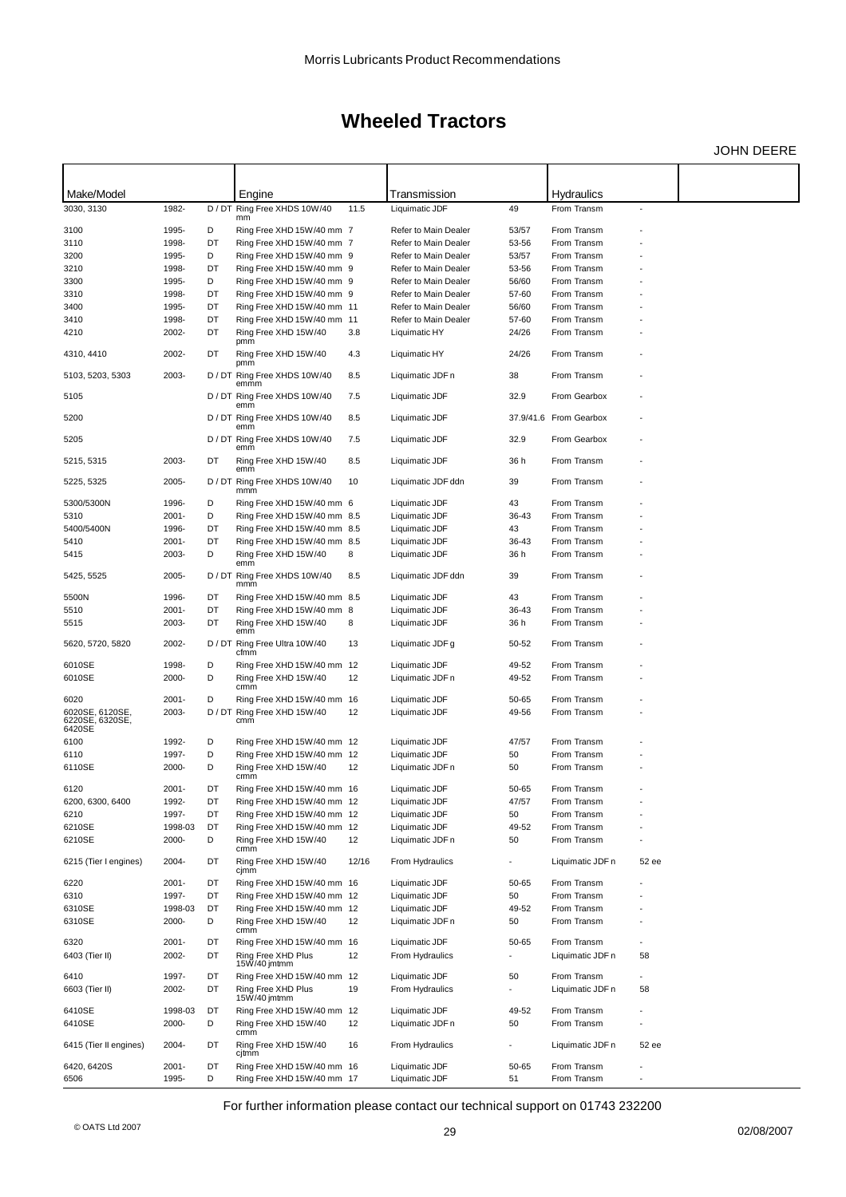JOHN DEERE

| Make/Model                                   |                  |         | Engine                                                     |       | Transmission                                 |                | <b>Hydraulics</b>          |                          |  |
|----------------------------------------------|------------------|---------|------------------------------------------------------------|-------|----------------------------------------------|----------------|----------------------------|--------------------------|--|
| 3030, 3130                                   | 1982-            |         | D / DT Ring Free XHDS 10W/40                               | 11.5  | Liquimatic JDF                               | 49             | From Transm                |                          |  |
|                                              |                  |         | mm                                                         |       |                                              |                |                            |                          |  |
| 3100                                         | 1995-            | D       | Ring Free XHD 15W/40 mm 7                                  |       | Refer to Main Dealer                         | 53/57          | From Transm                |                          |  |
| 3110                                         | 1998-            | DT      | Ring Free XHD 15W/40 mm 7                                  |       | Refer to Main Dealer                         | 53-56          | From Transm                |                          |  |
| 3200                                         | 1995-            | D       | Ring Free XHD 15W/40 mm 9                                  |       | Refer to Main Dealer                         | 53/57          | From Transm                |                          |  |
| 3210                                         | 1998-<br>1995-   | DT<br>D | Ring Free XHD 15W/40 mm 9                                  |       | Refer to Main Dealer                         | 53-56          | From Transm<br>From Transm |                          |  |
| 3300<br>3310                                 | 1998-            | DT      | Ring Free XHD 15W/40 mm 9<br>Ring Free XHD 15W/40 mm 9     |       | Refer to Main Dealer<br>Refer to Main Dealer | 56/60<br>57-60 | From Transm                |                          |  |
| 3400                                         | 1995-            | DT      | Ring Free XHD 15W/40 mm 11                                 |       | Refer to Main Dealer                         | 56/60          | From Transm                |                          |  |
| 3410                                         | 1998-            | DT      | Ring Free XHD 15W/40 mm 11                                 |       | Refer to Main Dealer                         | 57-60          | From Transm                |                          |  |
| 4210                                         | 2002-            | DT      | Ring Free XHD 15W/40                                       | 3.8   | Liquimatic HY                                | 24/26          | From Transm                |                          |  |
| 4310, 4410                                   | 2002-            | DT      | pmm<br>Ring Free XHD 15W/40                                | 4.3   | Liquimatic HY                                | 24/26          | From Transm                |                          |  |
| 5103, 5203, 5303                             | 2003-            |         | pmm<br>D / DT Ring Free XHDS 10W/40<br>emmm                | 8.5   | Liquimatic JDF n                             | 38             | From Transm                |                          |  |
| 5105                                         |                  |         | D / DT Ring Free XHDS 10W/40<br>emm                        | 7.5   | Liquimatic JDF                               | 32.9           | From Gearbox               |                          |  |
| 5200                                         |                  |         | D / DT Ring Free XHDS 10W/40<br>emm                        | 8.5   | Liquimatic JDF                               |                | 37.9/41.6 From Gearbox     |                          |  |
| 5205                                         |                  |         | D / DT Ring Free XHDS 10W/40<br>emm                        | 7.5   | Liquimatic JDF                               | 32.9           | From Gearbox               |                          |  |
| 5215, 5315                                   | 2003-            | DT      | Ring Free XHD 15W/40<br>emm                                | 8.5   | Liquimatic JDF                               | 36 h           | From Transm                |                          |  |
| 5225, 5325                                   | 2005-            |         | D / DT Ring Free XHDS 10W/40<br>mmm                        | 10    | Liquimatic JDF ddn                           | 39             | From Transm                |                          |  |
| 5300/5300N                                   | 1996-            | D       | Ring Free XHD 15W/40 mm 6                                  |       | Liquimatic JDF                               | 43             | From Transm                |                          |  |
| 5310                                         | 2001-            | D       | Ring Free XHD 15W/40 mm 8.5                                |       | Liquimatic JDF                               | 36-43          | From Transm                |                          |  |
| 5400/5400N                                   | 1996-            | DT      | Ring Free XHD 15W/40 mm 8.5                                |       | Liquimatic JDF                               | 43             | From Transm                |                          |  |
| 5410<br>5415                                 | 2001-<br>2003-   | DT<br>D | Ring Free XHD 15W/40 mm 8.5<br>Ring Free XHD 15W/40        | 8     | Liquimatic JDF<br>Liquimatic JDF             | 36-43<br>36 h  | From Transm<br>From Transm |                          |  |
| 5425, 5525                                   | 2005-            |         | emm<br>D / DT Ring Free XHDS 10W/40                        | 8.5   | Liquimatic JDF ddn                           | 39             | From Transm                |                          |  |
|                                              |                  |         | mmm                                                        |       |                                              |                |                            |                          |  |
| 5500N                                        | 1996-            | DT      | Ring Free XHD 15W/40 mm 8.5                                |       | Liquimatic JDF                               | 43             | From Transm                |                          |  |
| 5510                                         | 2001-            | DT      | Ring Free XHD 15W/40 mm 8                                  |       | Liquimatic JDF                               | 36-43          | From Transm                |                          |  |
| 5515                                         | 2003-            | DT      | Ring Free XHD 15W/40<br>emm                                | 8     | Liquimatic JDF                               | 36 h           | From Transm                |                          |  |
| 5620, 5720, 5820                             | 2002-            |         | D / DT Ring Free Ultra 10W/40<br>cfmm                      | 13    | Liquimatic JDF g                             | 50-52          | From Transm                |                          |  |
| 6010SE                                       | 1998-            | D<br>D  | Ring Free XHD 15W/40 mm 12                                 |       | Liquimatic JDF                               | 49-52          | From Transm                |                          |  |
| 6010SE<br>6020                               | 2000-<br>2001-   | D       | Ring Free XHD 15W/40<br>crmm<br>Ring Free XHD 15W/40 mm 16 | 12    | Liquimatic JDF n<br>Liquimatic JDF           | 49-52<br>50-65 | From Transm<br>From Transm |                          |  |
|                                              | 2003-            |         | D / DT Ring Free XHD 15W/40                                | 12    | Liquimatic JDF                               | 49-56          | From Transm                |                          |  |
| 6020SE, 6120SE,<br>6220SE, 6320SE,<br>6420SE |                  |         | cmm                                                        |       |                                              |                |                            |                          |  |
| 6100                                         | 1992-            | D       | Ring Free XHD 15W/40 mm 12                                 |       | Liquimatic JDF                               | 47/57          | From Transm                |                          |  |
| 6110                                         | 1997-            | D       | Ring Free XHD 15W/40 mm 12                                 |       | Liquimatic JDF                               | 50             | From Transm                |                          |  |
| 6110SE                                       | 2000-            | D       | Ring Free XHD 15W/40<br>crmm                               | 12    | Liquimatic JDF n                             | 50             | From Transm                |                          |  |
| 6120                                         | 2001-            | DT      | Ring Free XHD 15W/40 mm 16                                 |       | Liquimatic JDF                               | 50-65          | From Transm                |                          |  |
| 6200, 6300, 6400                             | 1992-            | DT      | Ring Free XHD 15W/40 mm 12                                 |       | Liquimatic JDF                               | 47/57          | From Transm                |                          |  |
| 6210                                         | 1997-            | DT      | Ring Free XHD 15W/40 mm 12<br>Ring Free XHD 15W/40 mm 12   |       | Liquimatic JDF                               | 50<br>49-52    | From Transm<br>From Transm |                          |  |
| 6210SE<br>6210SE                             | 1998-03<br>2000- | DT<br>D | Ring Free XHD 15W/40<br>crmm                               | 12    | Liquimatic JDF<br>Liquimatic JDF n           | 50             | From Transm                |                          |  |
| 6215 (Tier I engines)                        | 2004-            | DT      | Ring Free XHD 15W/40<br>cjmm                               | 12/16 | From Hydraulics                              |                | Liquimatic JDF n           | 52 ee                    |  |
| 6220                                         | 2001-            | DT      | Ring Free XHD 15W/40 mm 16                                 |       | Liquimatic JDF                               | 50-65          | From Transm                |                          |  |
| 6310                                         | 1997-            | DT      | Ring Free XHD 15W/40 mm 12                                 |       | Liquimatic JDF                               | 50             | From Transm                |                          |  |
| 6310SE                                       | 1998-03          | DT      | Ring Free XHD 15W/40 mm 12                                 |       | Liquimatic JDF                               | 49-52          | From Transm                |                          |  |
| 6310SE                                       | 2000-            | D       | Ring Free XHD 15W/40<br>crmm                               | 12    | Liquimatic JDF n                             | 50             | From Transm                |                          |  |
| 6320                                         | 2001-            | DT      | Ring Free XHD 15W/40 mm 16                                 |       | Liquimatic JDF                               | 50-65          | From Transm                |                          |  |
| 6403 (Tier II)                               | 2002-            | DT      | Ring Free XHD Plus<br>15W/40 jmtmm                         | 12    | From Hydraulics                              |                | Liquimatic JDF n           | 58                       |  |
| 6410                                         | 1997-            | DT      | Ring Free XHD 15W/40 mm 12                                 |       | Liquimatic JDF                               | 50             | From Transm                |                          |  |
| 6603 (Tier II)                               | 2002-            | DT      | Ring Free XHD Plus<br>15W/40 jmtmm                         | 19    | From Hydraulics                              |                | Liquimatic JDF n           | 58                       |  |
| 6410SE                                       | 1998-03          | DT      | Ring Free XHD 15W/40 mm 12                                 |       | Liquimatic JDF                               | 49-52          | From Transm                |                          |  |
| 6410SE                                       | 2000-            | D       | Ring Free XHD 15W/40<br>crmm                               | 12    | Liquimatic JDF n                             | 50             | From Transm                |                          |  |
| 6415 (Tier II engines)                       | 2004-            | DT      | Ring Free XHD 15W/40<br>cjtmm                              | 16    | From Hydraulics                              |                | Liquimatic JDF n           | 52 ee                    |  |
| 6420, 6420S                                  | 2001-            | DT      | Ring Free XHD 15W/40 mm 16                                 |       | Liquimatic JDF                               | 50-65          | From Transm                |                          |  |
| 6506                                         | 1995-            | D       | Ring Free XHD 15W/40 mm 17                                 |       | Liquimatic JDF                               | 51             | From Transm                | $\overline{\phantom{a}}$ |  |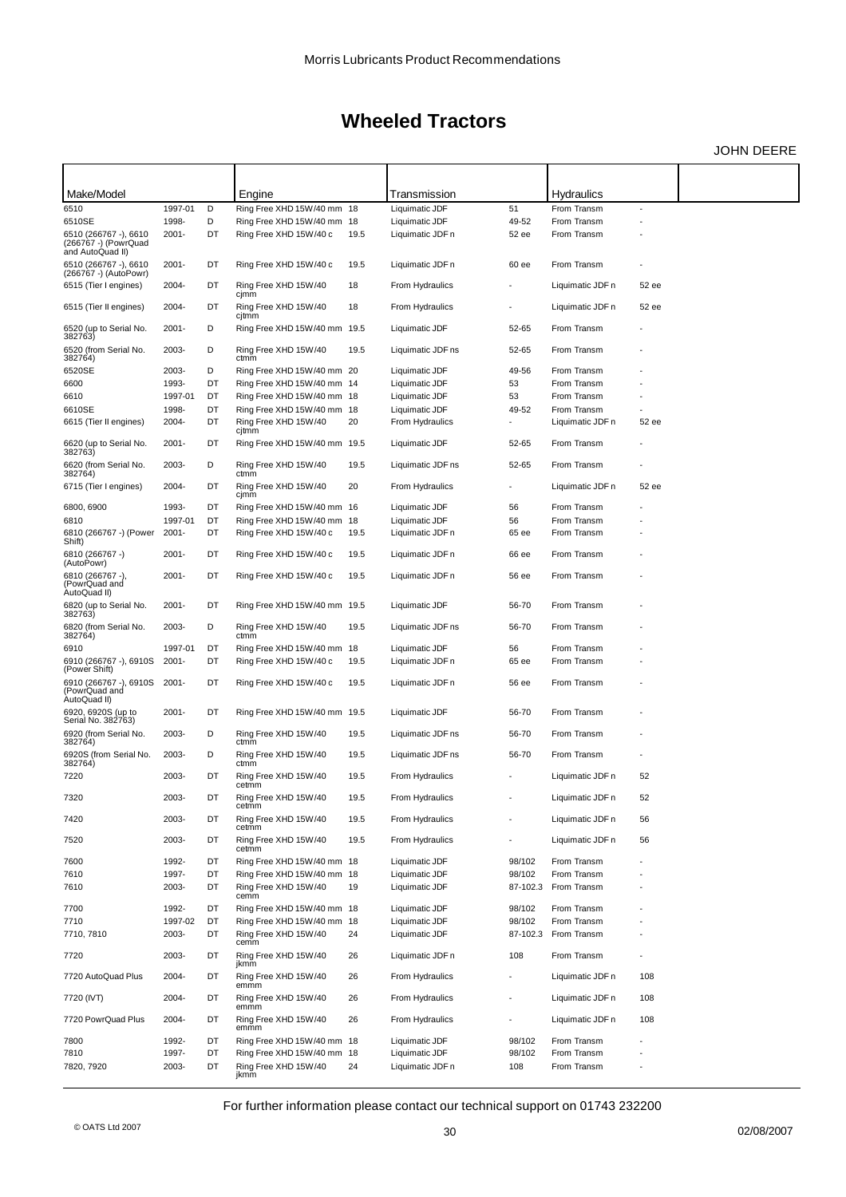JOHN DEERE

| Make/Model                                                        |                     |          | Engine                                               |      | Transmission                       |                          | Hydraulics                 |       |  |
|-------------------------------------------------------------------|---------------------|----------|------------------------------------------------------|------|------------------------------------|--------------------------|----------------------------|-------|--|
| 6510                                                              | 1997-01             | D        | Ring Free XHD 15W/40 mm 18                           |      | Liquimatic JDF                     | 51                       | From Transm                |       |  |
| 6510SE                                                            | 1998-               | D        | Ring Free XHD 15W/40 mm 18                           |      | Liquimatic JDF                     | 49-52                    | From Transm                |       |  |
| 6510 (266767 -), 6610<br>(266767 -) (PowrQuad<br>and AutoQuad II) | $2001 -$            | DT       | Ring Free XHD 15W/40 c                               | 19.5 | Liquimatic JDF n                   | 52 ee                    | From Transm                |       |  |
| 6510 (266767 -), 6610<br>(266767 -) (AutoPowr)                    | $2001 -$            | DT       | Ring Free XHD 15W/40 c                               | 19.5 | Liquimatic JDF n                   | 60 ee                    | From Transm                |       |  |
| 6515 (Tier I engines)                                             | 2004-               | DT       | Ring Free XHD 15W/40<br>cjmm                         | 18   | From Hydraulics                    |                          | Liquimatic JDF n           | 52 ee |  |
| 6515 (Tier II engines)                                            | 2004-               | DT       | Ring Free XHD 15W/40<br>cjtmm                        | 18   | From Hydraulics                    | $\overline{\phantom{a}}$ | Liquimatic JDF n           | 52 ee |  |
| 6520 (up to Serial No.<br>382763)                                 | $2001 -$            | D        | Ring Free XHD 15W/40 mm 19.5                         |      | Liquimatic JDF                     | 52-65                    | From Transm                |       |  |
| 6520 (from Serial No.<br>382764)                                  | 2003-               | D        | Ring Free XHD 15W/40<br>ctmm                         | 19.5 | Liquimatic JDF ns                  | 52-65                    | From Transm                |       |  |
| 6520SE                                                            | 2003-               | D        | Ring Free XHD 15W/40 mm 20                           |      | Liquimatic JDF                     | 49-56                    | From Transm                |       |  |
| 6600                                                              | 1993-               | DT       | Ring Free XHD 15W/40 mm 14                           |      | Liquimatic JDF                     | 53                       | From Transm                |       |  |
| 6610                                                              | 1997-01             | DT       | Ring Free XHD 15W/40 mm 18                           |      | Liquimatic JDF                     | 53                       | From Transm                |       |  |
| 6610SE                                                            | 1998-               | DT       | Ring Free XHD 15W/40 mm 18                           |      | Liquimatic JDF                     | 49-52                    | From Transm                |       |  |
| 6615 (Tier II engines)                                            | 2004-               | DT       | Ring Free XHD 15W/40<br>cjtmm                        | 20   | From Hydraulics                    | ÷,                       | Liquimatic JDF n           | 52 ee |  |
| 6620 (up to Serial No.<br>382763)                                 | $2001 -$            | DT       | Ring Free XHD 15W/40 mm 19.5                         |      | Liquimatic JDF                     | 52-65                    | From Transm                |       |  |
| 6620 (from Serial No.<br>382764)                                  | 2003-               | D        | Ring Free XHD 15W/40<br>ctmm                         | 19.5 | Liquimatic JDF ns                  | 52-65                    | From Transm                |       |  |
| 6715 (Tier I engines)                                             | 2004-               | DT       | Ring Free XHD 15W/40<br>cjmm                         | 20   | From Hydraulics                    |                          | Liquimatic JDF n           | 52 ee |  |
| 6800, 6900                                                        | 1993-               | DT       | Ring Free XHD 15W/40 mm 16                           |      | Liquimatic JDF                     | 56                       | From Transm                |       |  |
| 6810                                                              | 1997-01             | DT       | Ring Free XHD 15W/40 mm 18                           |      | Liquimatic JDF                     | 56                       | From Transm                |       |  |
| 6810 (266767 -) (Power<br>Shift)                                  | $2001 -$            | DT       | Ring Free XHD 15W/40 c                               | 19.5 | Liquimatic JDF n                   | 65 ee                    | From Transm                |       |  |
| 6810 (266767 -)<br>(AutoPowr)                                     | $2001 -$            | DT       | Ring Free XHD 15W/40 c                               | 19.5 | Liquimatic JDF n                   | 66 ee                    | From Transm                |       |  |
| 6810 (266767 -),<br>(PowrQuad and<br>AutoQuad II)                 | $2001 -$            | DT       | Ring Free XHD 15W/40 c                               | 19.5 | Liquimatic JDF n                   | 56 ee                    | From Transm                |       |  |
| 6820 (up to Serial No.<br>382763)                                 | $2001 -$            | DT       | Ring Free XHD 15W/40 mm 19.5                         |      | Liquimatic JDF                     | 56-70                    | From Transm                |       |  |
| 6820 (from Serial No.<br>382764)                                  | 2003-               | D        | Ring Free XHD 15W/40<br>ctmm                         | 19.5 | Liquimatic JDF ns                  | 56-70                    | From Transm                |       |  |
| 6910<br>6910 (266767 -), 6910S<br>(Power Shift)                   | 1997-01<br>$2001 -$ | DT<br>DT | Ring Free XHD 15W/40 mm 18<br>Ring Free XHD 15W/40 c | 19.5 | Liquimatic JDF<br>Liquimatic JDF n | 56<br>65 ee              | From Transm<br>From Transm |       |  |
| 6910 (266767 -), 6910S<br>(PowrQuad and<br>AutoQuad II)           | $2001 -$            | DT       | Ring Free XHD 15W/40 c                               | 19.5 | Liquimatic JDF n                   | 56 ee                    | From Transm                |       |  |
| 6920, 6920S (up to<br>Serial No. 382763)                          | $2001 -$            | DT       | Ring Free XHD 15W/40 mm 19.5                         |      | Liquimatic JDF                     | 56-70                    | From Transm                |       |  |
| 6920 (from Serial No.<br>382764)                                  | 2003-               | D        | Ring Free XHD 15W/40<br>ctmm                         | 19.5 | Liquimatic JDF ns                  | 56-70                    | From Transm                |       |  |
| 6920S (from Serial No.<br>382764)                                 | 2003-               | D        | Ring Free XHD 15W/40<br>ctmm                         | 19.5 | Liquimatic JDF ns                  | 56-70                    | From Transm                |       |  |
| 7220                                                              | 2003-               | DT       | Ring Free XHD 15W/40<br>cetmm                        | 19.5 | From Hydraulics                    |                          | Liquimatic JDF n           | 52    |  |
| 7320                                                              | 2003-               | DT       | Ring Free XHD 15W/40<br>cetmm                        | 19.5 | From Hydraulics                    |                          | Liquimatic JDF n           | 52    |  |
| 7420                                                              | 2003-               | DT       | Ring Free XHD 15W/40<br>cetmm                        | 19.5 | From Hydraulics                    | $\blacksquare$           | Liquimatic JDF n           | 56    |  |
| 7520                                                              | 2003-               | DT       | Ring Free XHD 15W/40<br>cetmm                        | 19.5 | From Hydraulics                    | $\blacksquare$           | Liquimatic JDF n           | 56    |  |
| 7600                                                              | 1992-               | DT       | Ring Free XHD 15W/40 mm 18                           |      | Liquimatic JDF                     | 98/102                   | From Transm                |       |  |
| 7610                                                              | 1997-               | DT       | Ring Free XHD 15W/40 mm 18                           |      | Liquimatic JDF                     | 98/102                   | From Transm                |       |  |
| 7610                                                              | 2003-               | DT       | Ring Free XHD 15W/40<br>cemm                         | 19   | Liquimatic JDF                     | 87-102.3                 | From Transm                |       |  |
| 7700                                                              | 1992-               | DT       | Ring Free XHD 15W/40 mm 18                           |      | Liquimatic JDF                     | 98/102                   | From Transm                |       |  |
| 7710                                                              | 1997-02             | DT       | Ring Free XHD 15W/40 mm 18                           |      | Liquimatic JDF                     | 98/102                   | From Transm                |       |  |
| 7710, 7810                                                        | 2003-               | DT       | Ring Free XHD 15W/40<br>cemm                         | 24   | Liquimatic JDF                     | 87-102.3                 | From Transm                |       |  |
| 7720                                                              | 2003-               | DT       | Ring Free XHD 15W/40<br>jkmm                         | 26   | Liquimatic JDF n                   | 108                      | From Transm                |       |  |
| 7720 AutoQuad Plus                                                | 2004-               | DT       | Ring Free XHD 15W/40<br>emmm                         | 26   | From Hydraulics                    | $\blacksquare$           | Liquimatic JDF n           | 108   |  |
| 7720 (IVT)                                                        | 2004-               | DT       | Ring Free XHD 15W/40<br>emmm                         | 26   | From Hydraulics                    |                          | Liquimatic JDF n           | 108   |  |
| 7720 PowrQuad Plus                                                | 2004-               | DT       | Ring Free XHD 15W/40<br>emmm                         | 26   | From Hydraulics                    |                          | Liquimatic JDF n           | 108   |  |
| 7800                                                              | 1992-               | DT       | Ring Free XHD 15W/40 mm 18                           |      | Liquimatic JDF                     | 98/102                   | From Transm                |       |  |
| 7810                                                              | 1997-               | DT       | Ring Free XHD 15W/40 mm 18                           |      | Liquimatic JDF                     | 98/102                   | From Transm                |       |  |
| 7820, 7920                                                        | 2003-               | DT       | Ring Free XHD 15W/40<br>jkmm                         | 24   | Liquimatic JDF n                   | 108                      | From Transm                |       |  |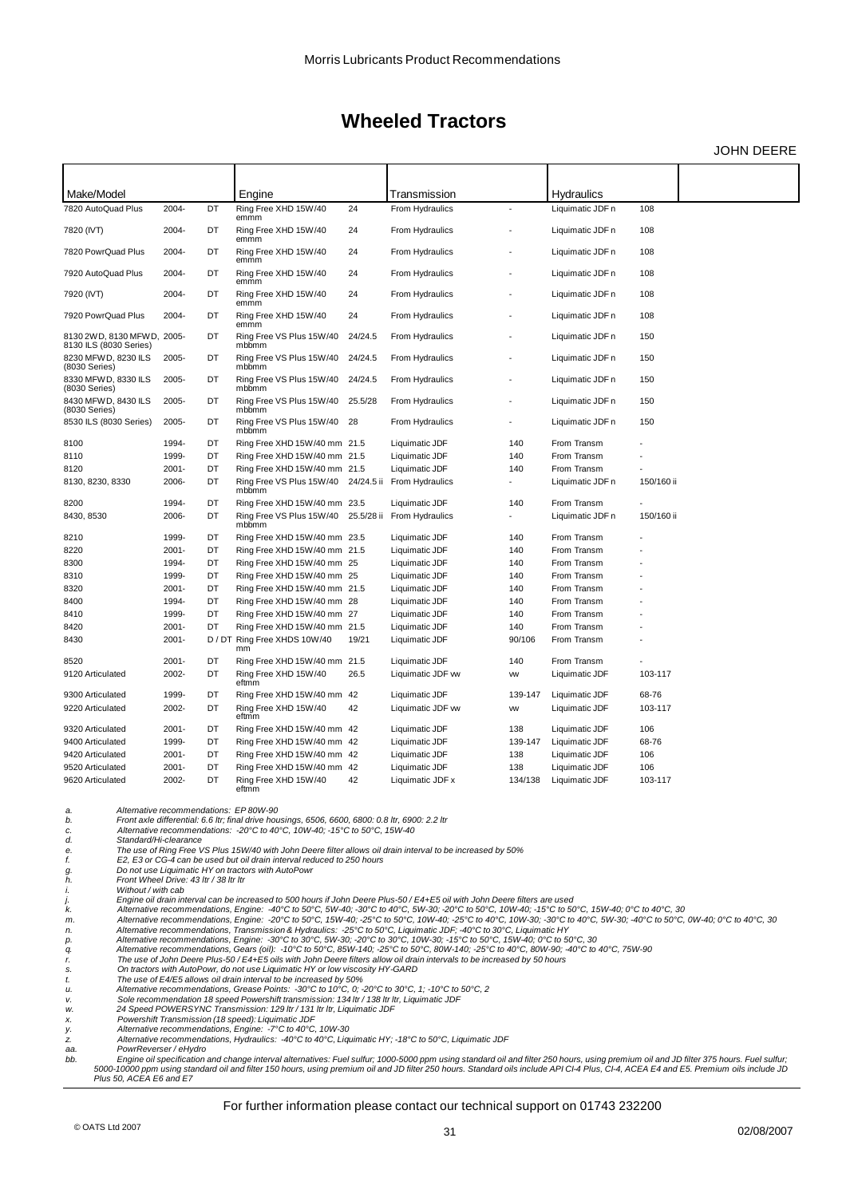JOHN DEERE

| Make/Model                                           |          |    | Engine                                                       |         | Transmission               |           | <b>Hydraulics</b> |            |  |
|------------------------------------------------------|----------|----|--------------------------------------------------------------|---------|----------------------------|-----------|-------------------|------------|--|
| 7820 AutoQuad Plus                                   | 2004-    | DT | Ring Free XHD 15W/40<br>emmm                                 | 24      | From Hydraulics            |           | Liquimatic JDF n  | 108        |  |
| 7820 (IVT)                                           | 2004-    | DT | Ring Free XHD 15W/40<br>emmm                                 | 24      | From Hydraulics            |           | Liquimatic JDF n  | 108        |  |
| 7820 PowrQuad Plus                                   | 2004-    | DT | Ring Free XHD 15W/40<br>emmm                                 | 24      | From Hydraulics            |           | Liquimatic JDF n  | 108        |  |
| 7920 AutoQuad Plus                                   | 2004-    | DT | Ring Free XHD 15W/40<br>emmm                                 | 24      | From Hydraulics            |           | Liquimatic JDF n  | 108        |  |
| 7920 (IVT)                                           | 2004-    | DT | Ring Free XHD 15W/40<br>emmm                                 | 24      | From Hydraulics            |           | Liquimatic JDF n  | 108        |  |
| 7920 PowrQuad Plus                                   | 2004-    | DT | Ring Free XHD 15W/40<br>emmm                                 | 24      | From Hydraulics            |           | Liquimatic JDF n  | 108        |  |
| 8130 2WD, 8130 MFWD, 2005-<br>8130 ILS (8030 Series) |          | DT | Ring Free VS Plus 15W/40<br>mbbmm                            | 24/24.5 | From Hydraulics            |           | Liquimatic JDF n  | 150        |  |
| 8230 MFWD, 8230 ILS<br>(8030 Series)                 | 2005-    | DT | Ring Free VS Plus 15W/40<br>mbbmm                            | 24/24.5 | From Hydraulics            |           | Liquimatic JDF n  | 150        |  |
| 8330 MFWD, 8330 ILS<br>(8030 Series)                 | 2005-    | DT | Ring Free VS Plus 15W/40<br>mbbmm                            | 24/24.5 | From Hydraulics            |           | Liquimatic JDF n  | 150        |  |
| 8430 MFWD, 8430 ILS<br>(8030 Series)                 | 2005-    | DT | Ring Free VS Plus 15W/40<br>mbbmm                            | 25.5/28 | From Hydraulics            |           | Liquimatic JDF n  | 150        |  |
| 8530 ILS (8030 Series)                               | 2005-    | DT | Ring Free VS Plus 15W/40<br>mbbmm                            | 28      | From Hydraulics            |           | Liquimatic JDF n  | 150        |  |
| 8100                                                 | 1994-    | DT | Ring Free XHD 15W/40 mm 21.5                                 |         | Liquimatic JDF             | 140       | From Transm       |            |  |
| 8110                                                 | 1999-    | DT | Ring Free XHD 15W/40 mm 21.5                                 |         | Liquimatic JDF             | 140       | From Transm       |            |  |
| 8120                                                 | $2001 -$ | DT | Ring Free XHD 15W/40 mm 21.5                                 |         | Liquimatic JDF             | 140       | From Transm       |            |  |
| 8130, 8230, 8330                                     | 2006-    | DT | Ring Free VS Plus 15W/40 24/24.5 ii From Hydraulics<br>mbbmm |         |                            |           | Liquimatic JDF n  | 150/160 ii |  |
| 8200                                                 | 1994-    | DT | Ring Free XHD 15W/40 mm 23.5                                 |         | Liquimatic JDF             | 140       | From Transm       |            |  |
| 8430, 8530                                           | 2006-    | DT | Ring Free VS Plus 15W/40<br>mbbmm                            |         | 25.5/28 ii From Hydraulics |           | Liquimatic JDF n  | 150/160 ii |  |
| 8210                                                 | 1999-    | DT | Ring Free XHD 15W/40 mm 23.5                                 |         | Liquimatic JDF             | 140       | From Transm       |            |  |
| 8220                                                 | $2001 -$ | DT | Ring Free XHD 15W/40 mm 21.5                                 |         | Liquimatic JDF             | 140       | From Transm       |            |  |
| 8300                                                 | 1994-    | DT | Ring Free XHD 15W/40 mm 25                                   |         | Liquimatic JDF             | 140       | From Transm       |            |  |
| 8310                                                 | 1999-    | DT | Ring Free XHD 15W/40 mm 25                                   |         | Liquimatic JDF             | 140       | From Transm       |            |  |
| 8320                                                 | $2001 -$ | DT | Ring Free XHD 15W/40 mm 21.5                                 |         | Liquimatic JDF             | 140       | From Transm       |            |  |
| 8400                                                 | 1994-    | DT | Ring Free XHD 15W/40 mm 28                                   |         | Liquimatic JDF             | 140       | From Transm       |            |  |
| 8410                                                 | 1999-    | DT | Ring Free XHD 15W/40 mm 27                                   |         | Liquimatic JDF             | 140       | From Transm       |            |  |
| 8420                                                 | $2001 -$ | DT | Ring Free XHD 15W/40 mm 21.5                                 |         | Liquimatic JDF             | 140       | From Transm       |            |  |
| 8430                                                 | $2001 -$ |    | D / DT Ring Free XHDS 10W/40<br>mm                           | 19/21   | Liquimatic JDF             | 90/106    | From Transm       |            |  |
| 8520                                                 | $2001 -$ | DT | Ring Free XHD 15W/40 mm 21.5                                 |         | Liquimatic JDF             | 140       | From Transm       |            |  |
| 9120 Articulated                                     | 2002-    | DT | Ring Free XHD 15W/40<br>eftmm                                | 26.5    | Liquimatic JDF w           | <b>VW</b> | Liquimatic JDF    | 103-117    |  |
| 9300 Articulated                                     | 1999-    | DT | Ring Free XHD 15W/40 mm 42                                   |         | Liquimatic JDF             | 139-147   | Liquimatic JDF    | 68-76      |  |
| 9220 Articulated                                     | 2002-    | DT | Ring Free XHD 15W/40<br>eftmm                                | 42      | Liquimatic JDF w           | <b>VW</b> | Liquimatic JDF    | 103-117    |  |
| 9320 Articulated                                     | $2001 -$ | DT | Ring Free XHD 15W/40 mm 42                                   |         | Liquimatic JDF             | 138       | Liquimatic JDF    | 106        |  |
| 9400 Articulated                                     | 1999-    | DT | Ring Free XHD 15W/40 mm 42                                   |         | Liquimatic JDF             | 139-147   | Liquimatic JDF    | 68-76      |  |
| 9420 Articulated                                     | $2001 -$ | DT | Ring Free XHD 15W/40 mm 42                                   |         | Liquimatic JDF             | 138       | Liquimatic JDF    | 106        |  |
| 9520 Articulated                                     | $2001 -$ | DT | Ring Free XHD 15W/40 mm 42                                   |         | Liquimatic JDF             | 138       | Liquimatic JDF    | 106        |  |
| 9620 Articulated                                     | 2002-    | DT | Ring Free XHD 15W/40                                         | 42      | Liquimatic JDF x           | 134/138   | Liquimatic JDF    | 103-117    |  |
|                                                      |          |    | eftmm                                                        |         |                            |           |                   |            |  |

*a. Alternative recommendations: EP 80W-90*

b. Front axle differential: 6.6 ltr; final drive housings, 6506, 6600, 6800: 0.8 ltr, 6900: 2.2 ltr<br>c. Alternative recommendations: -20°C to 40°C, 10W-40; -15°C to 50°C, 15W-40

The use of Ring Free VS Plus 15W/40 with John Deere filter allows oil drain interval to be increased by 50%

f. E2, E3 or CG-4 can be used but oil drain interval reduced to 250 hours<br>g. Do not use Liquimatic HY on tractors with AutoPowr

*d.* Alternative recommence<br> *d.* Standard/Hi-clearance<br> *f. E2*, *E3* or *CG-4 can be*<br> *g. Do not use Liquimatic h.*<br> *h. Front Wheel Dive:* 43<br> *i. Without* / *with cab h. Front Wheel Drive: 43 ltr / 38 ltr ltr*

*i. Without/with cab*<br> *j. Engine oil drain int*<br> **k.** *Alternative recommends* 

*j. Engine oil drain interval can be increased to 500 hours if John Deere Plus-50 / E4+E5 oil with John Deere filters are used k. Alternative recommendations, Engine: -40°C to 50°C, 5W-40; -30°C to 40°C, 5W-30; -20°C to 50°C, 10W-40; -15°C to 50°C, 15W-40; 0°C to 40°C, 30 m. Alternative recommendations, Engine: -20°C to 50°C, 15W-40; -25°C to 50°C, 10W-40; -25°C to 40°C, 10W-30; -30°C to 40°C, 5W-30; -40°C to 50°C, 0W-40; 0°C to 40°C, 30 n. Alternative recommendations, Transmission & Hydraulics: -25°C to 50°C, Liquimatic JDF; -40°C to 30°C, Liquimatic HY*

*p. Alternative recommendations, Engine: -30°C to 30°C, 5W-30; -20°C to 30°C, 10W-30; -15°C to 50°C, 15W-40; 0°C to 50°C, 30 q. Alternative recommendations, Gears (oil): -10°C to 50°C, 85W-140; -25°C to 50°C, 80W-140; -25°C to 40°C, 80W-90; -40°C to 40°C, 75W-90 r. The use of John Deere Plus-50 / E4+E5 oils with John Deere filters allow oil drain intervals to be increased by 50 hours*

*s. On tractors with AutoPowr, do not use Liquimatic HY or low viscosity HY-GARD*

t. The use of E4/E5 allows oil drain interval to be increased by 50%<br>u. Alternative recommendations, Grease Points: -30℃ to 10℃, 0; -20℃ to 30℃, 1; -10℃ to 50℃, 2

v. Sole recommendation 18 speed Powershift transmission: 134 ltr / 138 ltr ltr, Liquimatic JDF<br>w. 24 Speed POWERSYNC Transmission: 129 ltr / 131 ltr ltr, Liquimatic JDF<br>x. Powershift Transmission (18 speed): Liquimatic JD

*aa. PowrReverser / eHydro*

bb. Engine oil specification and change interval alternatives: Fuel sulfur; 1000-5000 ppm using standard oil and filter 250 hours, using premium oil and JD filter 375 hours. Fuel sulfur;<br>5000-10000 ppm using standard oil a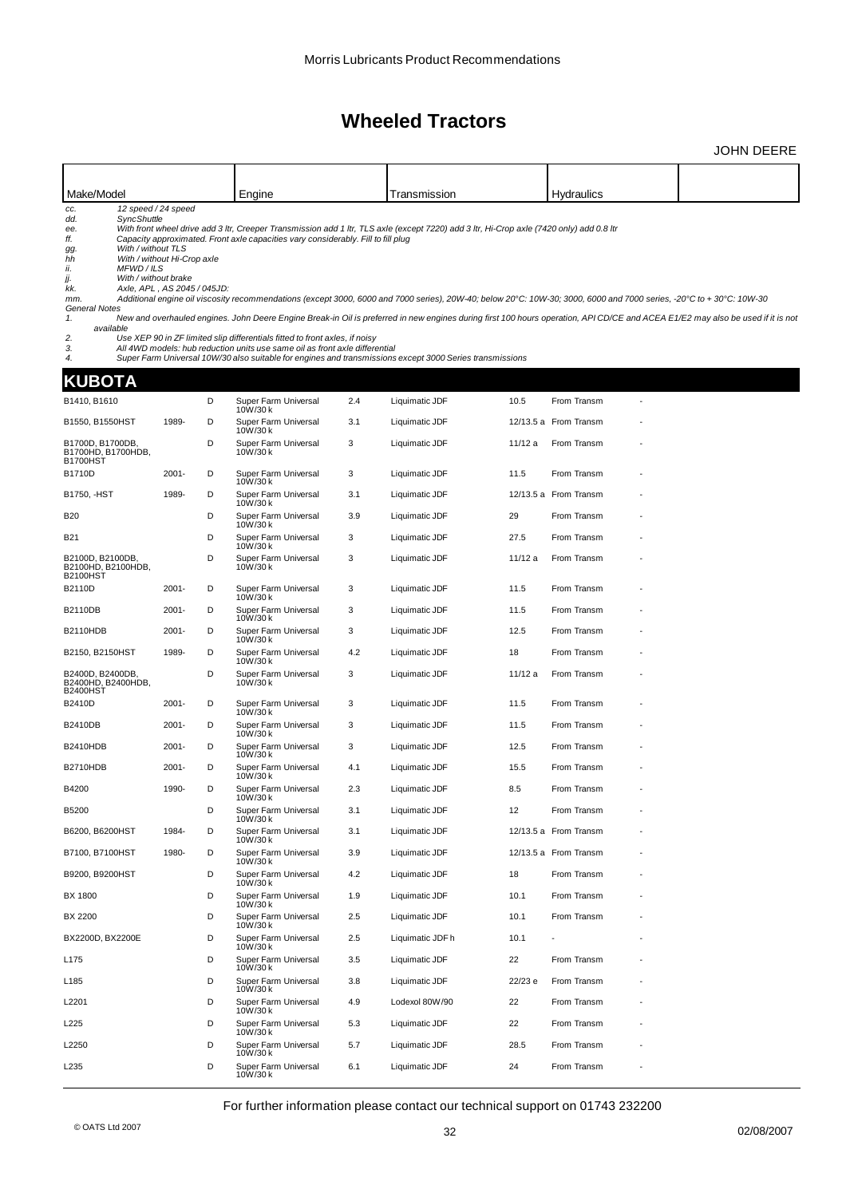|                                                                                                                                                                                                         |                                                                                   |   |                                                                                                                                                                                                                                                 |     |                                                                                                                                                                                                                                                      |         |                                                                                                                                                                                                                                                                                                                                                         | JOHN DEERE |
|---------------------------------------------------------------------------------------------------------------------------------------------------------------------------------------------------------|-----------------------------------------------------------------------------------|---|-------------------------------------------------------------------------------------------------------------------------------------------------------------------------------------------------------------------------------------------------|-----|------------------------------------------------------------------------------------------------------------------------------------------------------------------------------------------------------------------------------------------------------|---------|---------------------------------------------------------------------------------------------------------------------------------------------------------------------------------------------------------------------------------------------------------------------------------------------------------------------------------------------------------|------------|
|                                                                                                                                                                                                         |                                                                                   |   |                                                                                                                                                                                                                                                 |     |                                                                                                                                                                                                                                                      |         |                                                                                                                                                                                                                                                                                                                                                         |            |
| Make/Model                                                                                                                                                                                              |                                                                                   |   | Engine                                                                                                                                                                                                                                          |     | Transmission                                                                                                                                                                                                                                         |         | <b>Hydraulics</b>                                                                                                                                                                                                                                                                                                                                       |            |
| CC.<br>SyncShuttle<br>dd.<br>ee.<br>ff.<br>With / without TLS<br>gg.<br>hh<br>ii.<br>MFWD/ILS<br>With / without brake<br>jj.<br>kk.<br>mm.<br><b>General Notes</b><br>1.<br>available<br>2.<br>3.<br>4. | 12 speed / 24 speed<br>With / without Hi-Crop axle<br>Axle, APL, AS 2045 / 045JD: |   | Capacity approximated. Front axle capacities vary considerably. Fill to fill plug<br>Use XEP 90 in ZF limited slip differentials fitted to front axles, if noisy<br>All 4WD models: hub reduction units use same oil as front axle differential |     | With front wheel drive add 3 ltr, Creeper Transmission add 1 ltr, TLS axle (except 7220) add 3 ltr, Hi-Crop axle (7420 only) add 0.8 ltr<br>Super Farm Universal 10W/30 also suitable for engines and transmissions except 3000 Series transmissions |         | Additional engine oil viscosity recommendations (except 3000, 6000 and 7000 series), 20W-40; below 20°C: 10W-30; 3000, 6000 and 7000 series, -20°C to + 30°C: 10W-30<br>New and overhauled engines. John Deere Engine Break-in Oil is preferred in new engines during first 100 hours operation, API CD/CE and ACEA E1/E2 may also be used if it is not |            |
| KUBOTA                                                                                                                                                                                                  |                                                                                   |   |                                                                                                                                                                                                                                                 |     |                                                                                                                                                                                                                                                      |         |                                                                                                                                                                                                                                                                                                                                                         |            |
| B1410, B1610                                                                                                                                                                                            |                                                                                   | D | Super Farm Universal<br>10W/30 k                                                                                                                                                                                                                | 2.4 | Liquimatic JDF                                                                                                                                                                                                                                       | 10.5    | From Transm                                                                                                                                                                                                                                                                                                                                             |            |
| B1550, B1550HST                                                                                                                                                                                         | 1989-                                                                             | D | Super Farm Universal<br>10W/30 k                                                                                                                                                                                                                | 3.1 | Liquimatic JDF                                                                                                                                                                                                                                       |         | 12/13.5 a From Transm                                                                                                                                                                                                                                                                                                                                   |            |
| B1700D, B1700DB<br>B1700HD, B1700HDB,<br>B1700HST                                                                                                                                                       |                                                                                   | D | Super Farm Universal<br>10W/30 k                                                                                                                                                                                                                | 3   | Liquimatic JDF                                                                                                                                                                                                                                       | 11/12 a | From Transm                                                                                                                                                                                                                                                                                                                                             |            |
| B1710D                                                                                                                                                                                                  | $2001 -$                                                                          | D | Super Farm Universal<br>10W/30k                                                                                                                                                                                                                 | 3   | Liquimatic JDF                                                                                                                                                                                                                                       | 11.5    | From Transm                                                                                                                                                                                                                                                                                                                                             |            |
| B1750, -HST                                                                                                                                                                                             | 1989-                                                                             | D | Super Farm Universal<br>10W/30 k                                                                                                                                                                                                                | 3.1 | Liquimatic JDF                                                                                                                                                                                                                                       |         | 12/13.5 a From Transm                                                                                                                                                                                                                                                                                                                                   |            |
| B20                                                                                                                                                                                                     |                                                                                   | D | Super Farm Universal<br>10W/30 k                                                                                                                                                                                                                | 3.9 | Liquimatic JDF                                                                                                                                                                                                                                       | 29      | From Transm                                                                                                                                                                                                                                                                                                                                             |            |
| B21                                                                                                                                                                                                     |                                                                                   | D | Super Farm Universal<br>10W/30 k                                                                                                                                                                                                                | 3   | Liquimatic JDF                                                                                                                                                                                                                                       | 27.5    | From Transm                                                                                                                                                                                                                                                                                                                                             |            |
| B2100D, B2100DB<br>B2100HD, B2100HDB,<br>B2100HST                                                                                                                                                       |                                                                                   | D | Super Farm Universal<br>10W/30 k                                                                                                                                                                                                                | 3   | Liquimatic JDF                                                                                                                                                                                                                                       | 11/12 a | From Transm                                                                                                                                                                                                                                                                                                                                             |            |
| B2110D                                                                                                                                                                                                  | $2001 -$                                                                          | D | Super Farm Universal<br>10W/30 k                                                                                                                                                                                                                | 3   | Liquimatic JDF                                                                                                                                                                                                                                       | 11.5    | From Transm                                                                                                                                                                                                                                                                                                                                             |            |
| B2110DB                                                                                                                                                                                                 | $2001 -$                                                                          | D | Super Farm Universal<br>10W/30 k                                                                                                                                                                                                                | 3   | Liquimatic JDF                                                                                                                                                                                                                                       | 11.5    | From Transm                                                                                                                                                                                                                                                                                                                                             |            |
| B2110HDB                                                                                                                                                                                                | $2001 -$                                                                          | D | Super Farm Universal<br>10W/30 k                                                                                                                                                                                                                | 3   | Liquimatic JDF                                                                                                                                                                                                                                       | 12.5    | From Transm                                                                                                                                                                                                                                                                                                                                             |            |
| B2150, B2150HST                                                                                                                                                                                         | 1989-                                                                             | D | Super Farm Universal<br>10W/30 k                                                                                                                                                                                                                | 4.2 | Liquimatic JDF                                                                                                                                                                                                                                       | 18      | From Transm                                                                                                                                                                                                                                                                                                                                             |            |
| B2400D, B2400DB<br>B2400HD, B2400HDB,<br>B2400HST                                                                                                                                                       |                                                                                   | D | Super Farm Universal<br>10W/30 k                                                                                                                                                                                                                | 3   | Liquimatic JDF                                                                                                                                                                                                                                       | 11/12 a | From Transm                                                                                                                                                                                                                                                                                                                                             |            |
| B2410D                                                                                                                                                                                                  | $2001 -$                                                                          | D | Super Farm Universal<br>10W/30 k                                                                                                                                                                                                                | 3   | Liquimatic JDF                                                                                                                                                                                                                                       | 11.5    | From Transm                                                                                                                                                                                                                                                                                                                                             |            |
| B2410DB                                                                                                                                                                                                 | $2001 -$                                                                          | D | Super Farm Universal<br>10W/30 k                                                                                                                                                                                                                | 3   | Liquimatic JDF                                                                                                                                                                                                                                       | 11.5    | From Transm                                                                                                                                                                                                                                                                                                                                             |            |
| B2410HDB                                                                                                                                                                                                | $2001 -$                                                                          | D | Super Farm Universal<br>10W/30 k                                                                                                                                                                                                                | 3   | Liquimatic JDF                                                                                                                                                                                                                                       | 12.5    | From Transm                                                                                                                                                                                                                                                                                                                                             |            |
| <b>B2710HDB</b>                                                                                                                                                                                         | $2001 -$                                                                          | D | Super Farm Universal<br>1000750K                                                                                                                                                                                                                | 4.1 | Liquimatic JDF                                                                                                                                                                                                                                       | 15.5    | From Transm                                                                                                                                                                                                                                                                                                                                             |            |
| B4200                                                                                                                                                                                                   | 1990-                                                                             | D | Super Farm Universal<br>10W/30 k                                                                                                                                                                                                                | 2.3 | Liquimatic JDF                                                                                                                                                                                                                                       | 8.5     | From Transm                                                                                                                                                                                                                                                                                                                                             |            |
| B5200                                                                                                                                                                                                   |                                                                                   | D | Super Farm Universal<br>10W/30 k                                                                                                                                                                                                                | 3.1 | Liquimatic JDF                                                                                                                                                                                                                                       | 12      | From Transm                                                                                                                                                                                                                                                                                                                                             |            |
| B6200, B6200HST                                                                                                                                                                                         | 1984-                                                                             | D | Super Farm Universal<br>10W/30 k                                                                                                                                                                                                                | 3.1 | Liquimatic JDF                                                                                                                                                                                                                                       |         | 12/13.5 a From Transm                                                                                                                                                                                                                                                                                                                                   |            |
| B7100, B7100HST                                                                                                                                                                                         | 1980-                                                                             | D | Super Farm Universal<br>10W/30 k                                                                                                                                                                                                                | 3.9 | Liquimatic JDF                                                                                                                                                                                                                                       |         | 12/13.5 a From Transm                                                                                                                                                                                                                                                                                                                                   |            |
| B9200, B9200HST                                                                                                                                                                                         |                                                                                   | D | Super Farm Universal<br>10W/30 k                                                                                                                                                                                                                | 4.2 | Liquimatic JDF                                                                                                                                                                                                                                       | 18      | From Transm                                                                                                                                                                                                                                                                                                                                             |            |
| BX 1800                                                                                                                                                                                                 |                                                                                   | D | Super Farm Universal<br>10W/30 k                                                                                                                                                                                                                | 1.9 | Liquimatic JDF                                                                                                                                                                                                                                       | 10.1    | From Transm                                                                                                                                                                                                                                                                                                                                             |            |
| BX 2200                                                                                                                                                                                                 |                                                                                   | D | Super Farm Universal<br>10W/30 k                                                                                                                                                                                                                | 2.5 | Liquimatic JDF                                                                                                                                                                                                                                       | 10.1    | From Transm                                                                                                                                                                                                                                                                                                                                             |            |
| BX2200D, BX2200E                                                                                                                                                                                        |                                                                                   | D | Super Farm Universal<br>10W/30 k                                                                                                                                                                                                                | 2.5 | Liquimatic JDF h                                                                                                                                                                                                                                     | 10.1    |                                                                                                                                                                                                                                                                                                                                                         |            |
| L175                                                                                                                                                                                                    |                                                                                   | D | Super Farm Universal<br>10W/30 k                                                                                                                                                                                                                | 3.5 | Liquimatic JDF                                                                                                                                                                                                                                       | 22      | From Transm                                                                                                                                                                                                                                                                                                                                             |            |
| L185                                                                                                                                                                                                    |                                                                                   | D | Super Farm Universal<br>10W/30 k                                                                                                                                                                                                                | 3.8 | Liquimatic JDF                                                                                                                                                                                                                                       | 22/23 e | From Transm                                                                                                                                                                                                                                                                                                                                             |            |
| L2201                                                                                                                                                                                                   |                                                                                   | D | Super Farm Universal<br>10W/30 k                                                                                                                                                                                                                | 4.9 | Lodexol 80W/90                                                                                                                                                                                                                                       | 22      | From Transm                                                                                                                                                                                                                                                                                                                                             |            |
| L225                                                                                                                                                                                                    |                                                                                   | D | Super Farm Universal<br>10W/30 k                                                                                                                                                                                                                | 5.3 | Liquimatic JDF                                                                                                                                                                                                                                       | 22      | From Transm                                                                                                                                                                                                                                                                                                                                             |            |
| L2250                                                                                                                                                                                                   |                                                                                   | D | Super Farm Universal<br>10W/30 k                                                                                                                                                                                                                | 5.7 | Liquimatic JDF                                                                                                                                                                                                                                       | 28.5    | From Transm                                                                                                                                                                                                                                                                                                                                             |            |
| L235                                                                                                                                                                                                    |                                                                                   | D | Super Farm Universal<br>10W/30 k                                                                                                                                                                                                                | 6.1 | Liquimatic JDF                                                                                                                                                                                                                                       | 24      | From Transm                                                                                                                                                                                                                                                                                                                                             |            |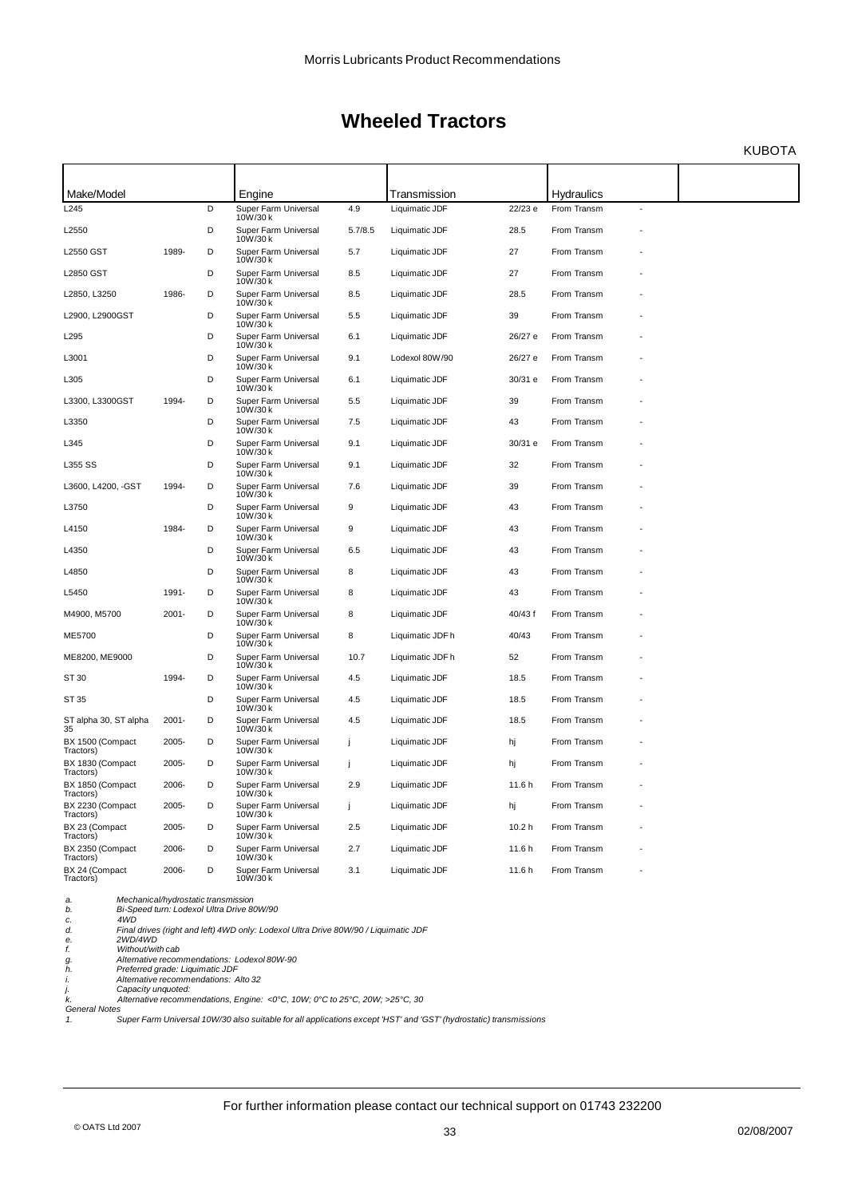KUBOTA

| Make/Model                    |          |   | Engine                           |                  | Transmission     |                   | <b>Hydraulics</b> |                |  |
|-------------------------------|----------|---|----------------------------------|------------------|------------------|-------------------|-------------------|----------------|--|
| L245                          |          | D | Super Farm Universal<br>10W/30 k | 4.9              | Liquimatic JDF   | 22/23 e           | From Transm       | $\overline{a}$ |  |
| L2550                         |          | D | Super Farm Universal<br>10W/30 k | 5.7/8.5          | Liquimatic JDF   | 28.5              | From Transm       |                |  |
| L2550 GST                     | 1989-    | D | Super Farm Universal<br>10W/30 k | 5.7              | Liquimatic JDF   | 27                | From Transm       |                |  |
| L2850 GST                     |          | D | Super Farm Universal<br>10W/30 k | 8.5              | Liquimatic JDF   | 27                | From Transm       |                |  |
| L2850, L3250                  | 1986-    | D | Super Farm Universal<br>10W/30 k | 8.5              | Liquimatic JDF   | 28.5              | From Transm       |                |  |
| L2900, L2900GST               |          | D | Super Farm Universal<br>10W/30 k | 5.5              | Liquimatic JDF   | 39                | From Transm       |                |  |
| L295                          |          | D | Super Farm Universal<br>10W/30 k | 6.1              | Liquimatic JDF   | 26/27 e           | From Transm       |                |  |
| L3001                         |          | D | Super Farm Universal<br>10W/30 k | 9.1              | Lodexol 80W/90   | 26/27 e           | From Transm       |                |  |
| L305                          |          | D | Super Farm Universal<br>10W/30 k | 6.1              | Liquimatic JDF   | 30/31 e           | From Transm       |                |  |
| L3300, L3300GST               | 1994-    | D | Super Farm Universal<br>10W/30 k | 5.5              | Liquimatic JDF   | 39                | From Transm       |                |  |
| L3350                         |          | D | Super Farm Universal<br>10W/30 k | 7.5              | Liquimatic JDF   | 43                | From Transm       |                |  |
| L345                          |          | D | Super Farm Universal<br>10W/30 k | 9.1              | Liquimatic JDF   | 30/31 e           | From Transm       |                |  |
| L355 SS                       |          | D | Super Farm Universal<br>10W/30 k | 9.1              | Liquimatic JDF   | 32                | From Transm       |                |  |
| L3600, L4200, -GST            | 1994-    | D | Super Farm Universal<br>10W/30 k | 7.6              | Liquimatic JDF   | 39                | From Transm       |                |  |
| L3750                         |          | D | Super Farm Universal<br>10W/30 k | 9                | Liquimatic JDF   | 43                | From Transm       |                |  |
| L4150                         | 1984-    | D | Super Farm Universal<br>10W/30 k | $\boldsymbol{9}$ | Liquimatic JDF   | 43                | From Transm       |                |  |
| L4350                         |          | D | Super Farm Universal<br>10W/30 k | 6.5              | Liquimatic JDF   | 43                | From Transm       |                |  |
| L4850                         |          | D | Super Farm Universal<br>10W/30 k | 8                | Liquimatic JDF   | 43                | From Transm       |                |  |
| L5450                         | 1991-    | D | Super Farm Universal<br>10W/30 k | 8                | Liquimatic JDF   | 43                | From Transm       |                |  |
| M4900, M5700                  | $2001 -$ | D | Super Farm Universal<br>10W/30 k | 8                | Liquimatic JDF   | 40/43 f           | From Transm       |                |  |
| ME5700                        |          | D | Super Farm Universal<br>10W/30 k | 8                | Liquimatic JDF h | 40/43             | From Transm       |                |  |
| ME8200, ME9000                |          | D | Super Farm Universal<br>10W/30 k | 10.7             | Liquimatic JDF h | 52                | From Transm       |                |  |
| ST 30                         | 1994-    | D | Super Farm Universal<br>10W/30 k | 4.5              | Liquimatic JDF   | 18.5              | From Transm       |                |  |
| ST 35                         |          | D | Super Farm Universal<br>10W/30 k | 4.5              | Liquimatic JDF   | 18.5              | From Transm       |                |  |
| ST alpha 30, ST alpha<br>35   | $2001 -$ | D | Super Farm Universal<br>10W/30 k | 4.5              | Liquimatic JDF   | 18.5              | From Transm       |                |  |
| BX 1500 (Compact<br>Tractors) | 2005-    | D | Super Farm Universal<br>10W/30 k | Ť                | Liquimatic JDF   | hj                | From Transm       |                |  |
| BX 1830 (Compact<br>Tractors) | 2005-    | D | Super Farm Universal<br>10W/30 k | Ť                | Liquimatic JDF   | hj                | From Transm       |                |  |
| BX 1850 (Compact<br>Tractors) | 2006-    | D | Super Farm Universal<br>10W/30 k | 2.9              | Liquimatic JDF   | 11.6 h            | From Transm       |                |  |
| BX 2230 (Compact<br>Tractors) | 2005-    | D | Super Farm Universal<br>10W/30 k | Ť                | Liquimatic JDF   | hj                | From Transm       |                |  |
| BX 23 (Compact<br>Tractors)   | 2005-    | D | Super Farm Universal<br>10W/30 k | 2.5              | Liquimatic JDF   | 10.2 <sub>h</sub> | From Transm       |                |  |
| BX 2350 (Compact<br>Tractors) | 2006-    | D | Super Farm Universal<br>10W/30 k | 2.7              | Liquimatic JDF   | 11.6 h            | From Transm       |                |  |
| BX 24 (Compact<br>Tractors)   | 2006-    | D | Super Farm Universal<br>10W/30 k | 3.1              | Liquimatic JDF   | 11.6 h            | From Transm       |                |  |

*a. Mechanical/hydrostatic transmission b. Bi-Speed turn: Lodexol Ultra Drive 80W/90*

*c. 4WD d. Final drives (right and left) 4WD only: Lodexol Ultra Drive 80W/90 / Liquimatic JDF e. 2WD/4WD f. Without/with cab g. Alternative recommendations: Lodexol 80W-90 h. Preferred grade: Liquimatic JDF*

*i. Alternative recommendations: Alto 32 j. Capacity unquoted:*

k. Alternative recommendations, Engine: <0°C, 10W; 0°C to 25°C, 20W; >25°C, 30<br>General Notes<br>1. Super Farm Universal 10W/30 also suitable for all applications except 'HST'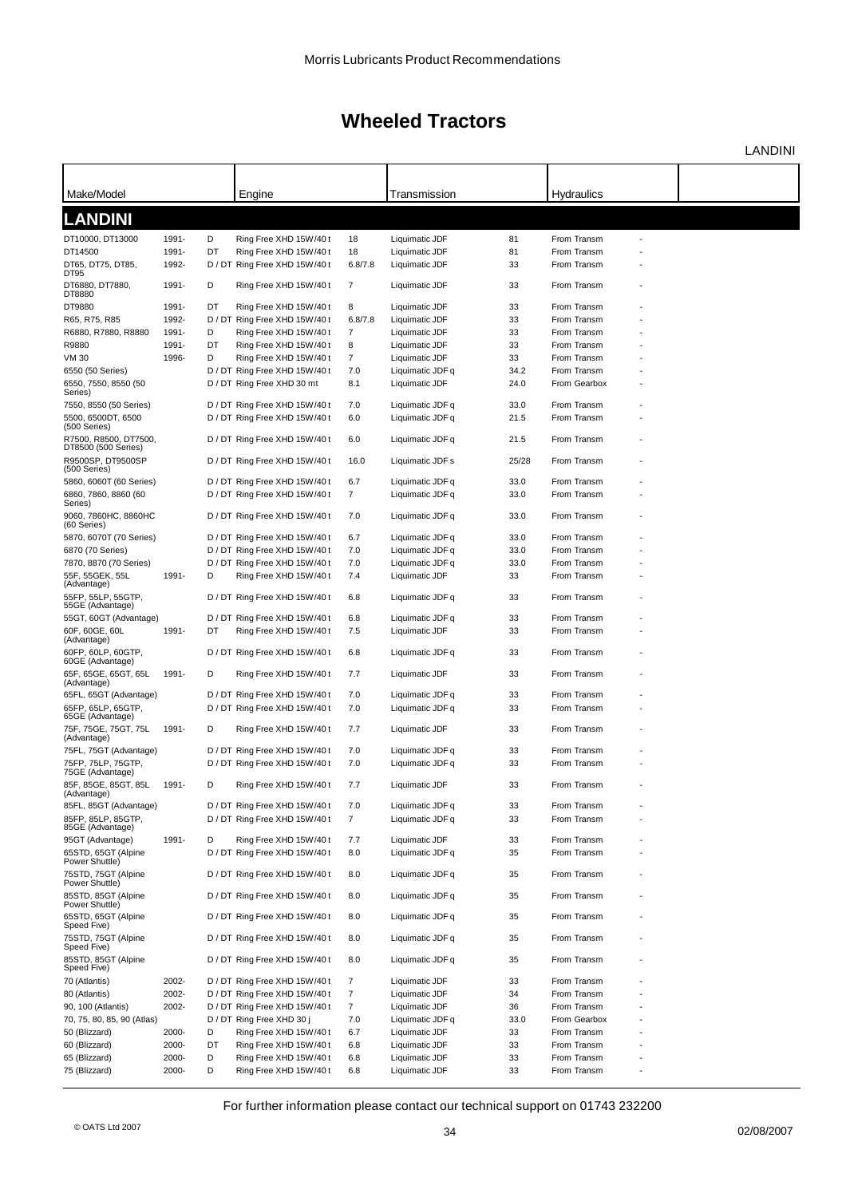LANDINI

| Make/Model                                                |                |         | Engine                                                  |                | Transmission                     |          | Hydraulics                 |                |  |
|-----------------------------------------------------------|----------------|---------|---------------------------------------------------------|----------------|----------------------------------|----------|----------------------------|----------------|--|
|                                                           |                |         |                                                         |                |                                  |          |                            |                |  |
| <b>LANDINI</b>                                            |                |         |                                                         |                |                                  |          |                            |                |  |
| DT10000, DT13000                                          | 1991-          | D       | Ring Free XHD 15W/40 t                                  | 18             | Liquimatic JDF                   | 81       | From Transm                |                |  |
| DT14500                                                   | 1991-          | DT      | Ring Free XHD 15W/40 t                                  | 18             | Liquimatic JDF                   | 81       | From Transm                |                |  |
| DT65, DT75, DT85,<br>DT95                                 | 1992-          |         | D / DT Ring Free XHD 15W/40 t                           | 6.8/7.8        | Liquimatic JDF                   | 33       | From Transm                |                |  |
| DT6880, DT7880,                                           | 1991-          | D       | Ring Free XHD 15W/40 t                                  | 7              | Liquimatic JDF                   | 33       | From Transm                |                |  |
| DT8880<br>DT9880                                          | 1991-          | DT      |                                                         | 8              | Liquimatic JDF                   | 33       | From Transm                |                |  |
| R65, R75, R85                                             | 1992-          |         | Ring Free XHD 15W/40 t<br>D / DT Ring Free XHD 15W/40 t | 6.8/7.8        | Liquimatic JDF                   | 33       | From Transm                |                |  |
| R6880, R7880, R8880                                       | 1991-          | D       | Ring Free XHD 15W/40t                                   | $\overline{7}$ | Liquimatic JDF                   | 33       | From Transm                |                |  |
| R9880                                                     | 1991-          | DT      | Ring Free XHD 15W/40 t                                  | 8              | Liquimatic JDF                   | 33       | From Transm                |                |  |
| VM 30                                                     | 1996-          | D       | Ring Free XHD 15W/40 t                                  | $\overline{7}$ | Liquimatic JDF                   | 33       | From Transm                |                |  |
| 6550 (50 Series)                                          |                |         | D / DT Ring Free XHD 15W/40 t                           | 7.0            | Liquimatic JDF q                 | 34.2     | From Transm                |                |  |
| 6550, 7550, 8550 (50                                      |                |         | D / DT Ring Free XHD 30 mt                              | 8.1            | Liquimatic JDF                   | 24.0     | From Gearbox               |                |  |
| Series)<br>7550, 8550 (50 Series)                         |                |         | D / DT Ring Free XHD 15W/40 t                           | 7.0            | Liquimatic JDF q                 | 33.0     | From Transm                |                |  |
| 5500, 6500DT, 6500                                        |                |         | D / DT Ring Free XHD 15W/40 t                           | 6.0            | Liquimatic JDF q                 | 21.5     | From Transm                |                |  |
| (500 Series)                                              |                |         |                                                         |                |                                  |          |                            |                |  |
| R7500, R8500, DT7500.<br>DT8500 (500 Series)              |                |         | D / DT Ring Free XHD 15W/40t                            | 6.0            | Liquimatic JDF q                 | 21.5     | From Transm                |                |  |
| R9500SP, DT9500SP<br>(500 Series)                         |                |         | D / DT Ring Free XHD 15W/40 t                           | 16.0           | Liquimatic JDF s                 | 25/28    | From Transm                |                |  |
| 5860, 6060T (60 Series)                                   |                |         | D / DT Ring Free XHD 15W/40 t                           | 6.7            | Liquimatic JDF q                 | 33.0     | From Transm                |                |  |
| 6860, 7860, 8860 (60<br>Series)                           |                |         | D / DT Ring Free XHD 15W/40 t                           | $\overline{7}$ | Liquimatic JDF q                 | 33.0     | From Transm                |                |  |
| 9060, 7860HC, 8860HC<br>(60 Series)                       |                |         | D / DT Ring Free XHD 15W/40 t                           | 7.0            | Liquimatic JDF q                 | 33.0     | From Transm                |                |  |
| 5870, 6070T (70 Series)                                   |                |         | D / DT Ring Free XHD 15W/40 t                           | 6.7            | Liquimatic JDF q                 | 33.0     | From Transm                |                |  |
| 6870 (70 Series)                                          |                |         | D / DT Ring Free XHD 15W/40 t                           | 7.0            | Liquimatic JDF q                 | 33.0     | From Transm                |                |  |
| 7870, 8870 (70 Series)                                    |                |         | D / DT Ring Free XHD 15W/40 t                           | 7.0            | Liquimatic JDF q                 | 33.0     | From Transm                |                |  |
| 55F, 55GEK, 55L                                           | 1991-          | D       | Ring Free XHD 15W/40 t                                  | 7.4            | Liquimatic JDF                   | 33       | From Transm                |                |  |
| (Advantage)<br>55FP, 55LP, 55GTP,                         |                |         | D / DT Ring Free XHD 15W/40 t                           | 6.8            | Liquimatic JDF q                 | 33       | From Transm                |                |  |
| 55GE (Advantage)<br>55GT, 60GT (Advantage)                |                |         | D / DT Ring Free XHD 15W/40 t                           | 6.8            | Liquimatic JDF q                 | 33       | From Transm                |                |  |
| 60F, 60GE, 60L                                            | 1991-          | DT      | Ring Free XHD 15W/40 t                                  | 7.5            | Liquimatic JDF                   | 33       | From Transm                |                |  |
| (Advantage)                                               |                |         |                                                         |                |                                  |          |                            |                |  |
| 60FP, 60LP, 60GTP,<br>60GE (Advantage)                    |                |         | D / DT Ring Free XHD 15W/40 t                           | 6.8            | Liquimatic JDF q                 | 33       | From Transm                |                |  |
| 65F, 65GE, 65GT, 65L<br>(Advantage)                       | 1991-          | D       | Ring Free XHD 15W/40 t                                  | 7.7            | Liquimatic JDF                   | 33       | From Transm                |                |  |
| 65FL, 65GT (Advantage)                                    |                |         | D / DT Ring Free XHD 15W/40 t                           | 7.0            | Liquimatic JDF q                 | 33       | From Transm                |                |  |
| 65FP, 65LP, 65GTP,<br>65GE (Advantage)                    |                |         | D / DT Ring Free XHD 15W/40 t                           | 7.0            | Liquimatic JDF q                 | 33       | From Transm                |                |  |
| 75F. 75GE. 75GT. 75L<br>(Advantage)                       | 1991-          | D       | Ring Free XHD 15W/40 t                                  | 7.7            | Liquimatic JDF                   | 33       | From Transm                |                |  |
| 75FL, 75GT (Advantage)                                    |                |         | D / DT Ring Free XHD 15W/40 t                           | 7.0            | Liquimatic JDF q                 | 33       | From Transm                |                |  |
| 75FP, 75LP, 75GTP,                                        |                |         | D / DT Ring Free XHD 15W/40 t                           | 7.0            | Liquimatic JDF q                 | 33       | From Transm                |                |  |
| 75GE (Advantage)<br>85F, 85GE, 85GT, 85L                  | 1991-          | D       | Ring Free XHD 15W/40 t                                  | 7.7            | Liquimatic JDF                   | 33       | From Transm                |                |  |
| (Advantage)<br>85FL, 85GT (Advantage)                     |                |         | D / DT Ring Free XHD 15W/40 t                           | 7.0            | Liquimatic JDF q                 | 33       | From Transm                |                |  |
| 85FP, 85LP, 85GTP,                                        |                |         | D / DT Ring Free XHD 15W/40 t                           | $\overline{7}$ | Liquimatic JDF q                 | 33       | From Transm                |                |  |
| 85GE (Advantage)                                          | 1991-          | D       | Ring Free XHD 15W/40t                                   | 7.7            | Liquimatic JDF                   | 33       | From Transm                |                |  |
| 95GT (Advantage)<br>65STD, 65GT (Alpine<br>Power Shuttle) |                |         | D / DT Ring Free XHD 15W/40 t                           | 8.0            | Liquimatic JDF q                 | 35       | From Transm                |                |  |
| 75STD, 75GT (Alpine<br>Power Shuttle)                     |                |         | D / DT Ring Free XHD 15W/40 t                           | 8.0            | Liquimatic JDF q                 | 35       | From Transm                |                |  |
| 85STD, 85GT (Alpine<br>Power Shuttle)                     |                |         | D / DT Ring Free XHD 15W/40 t                           | 8.0            | Liquimatic JDF q                 | 35       | From Transm                |                |  |
| 65STD, 65GT (Alpine<br>Speed Five)                        |                |         | D / DT Ring Free XHD 15W/40 t                           | 8.0            | Liquimatic JDF q                 | 35       | From Transm                |                |  |
| 75STD, 75GT (Alpine<br>Speed Five)                        |                |         | D / DT Ring Free XHD 15W/40 t                           | 8.0            | Liquimatic JDF q                 | 35       | From Transm                |                |  |
| 85STD, 85GT (Alpine<br>Speed Five)                        |                |         | D / DT Ring Free XHD 15W/40 t                           | 8.0            | Liquimatic JDF q                 | 35       | From Transm                |                |  |
| 70 (Atlantis)                                             | 2002-          |         | D / DT Ring Free XHD 15W/40 t                           | $\overline{7}$ | Liquimatic JDF                   | 33       | From Transm                |                |  |
| 80 (Atlantis)                                             | 2002-          |         | D / DT Ring Free XHD 15W/40 t                           | $\overline{7}$ | Liquimatic JDF                   | 34       | From Transm                |                |  |
| 90, 100 (Atlantis)                                        | 2002-          |         | D / DT Ring Free XHD 15W/40 t                           | $\overline{7}$ | Liquimatic JDF                   | 36       | From Transm                |                |  |
| 70, 75, 80, 85, 90 (Atlas)                                |                |         | D / DT Ring Free XHD 30 j                               | 7.0            | Liquimatic JDF q                 | 33.0     | From Gearbox               |                |  |
| 50 (Blizzard)                                             | 2000-<br>2000- | D<br>DT | Ring Free XHD 15W/40 t                                  | 6.7            | Liquimatic JDF                   | 33<br>33 | From Transm<br>From Transm |                |  |
| 60 (Blizzard)<br>65 (Blizzard)                            | 2000-          | D       | Ring Free XHD 15W/40 t<br>Ring Free XHD 15W/40 t        | 6.8<br>6.8     | Liquimatic JDF<br>Liquimatic JDF | 33       | From Transm                |                |  |
| 75 (Blizzard)                                             | 2000-          | D       | Ring Free XHD 15W/40 t                                  | 6.8            | Liquimatic JDF                   | 33       | From Transm                | $\blacksquare$ |  |
|                                                           |                |         |                                                         |                |                                  |          |                            |                |  |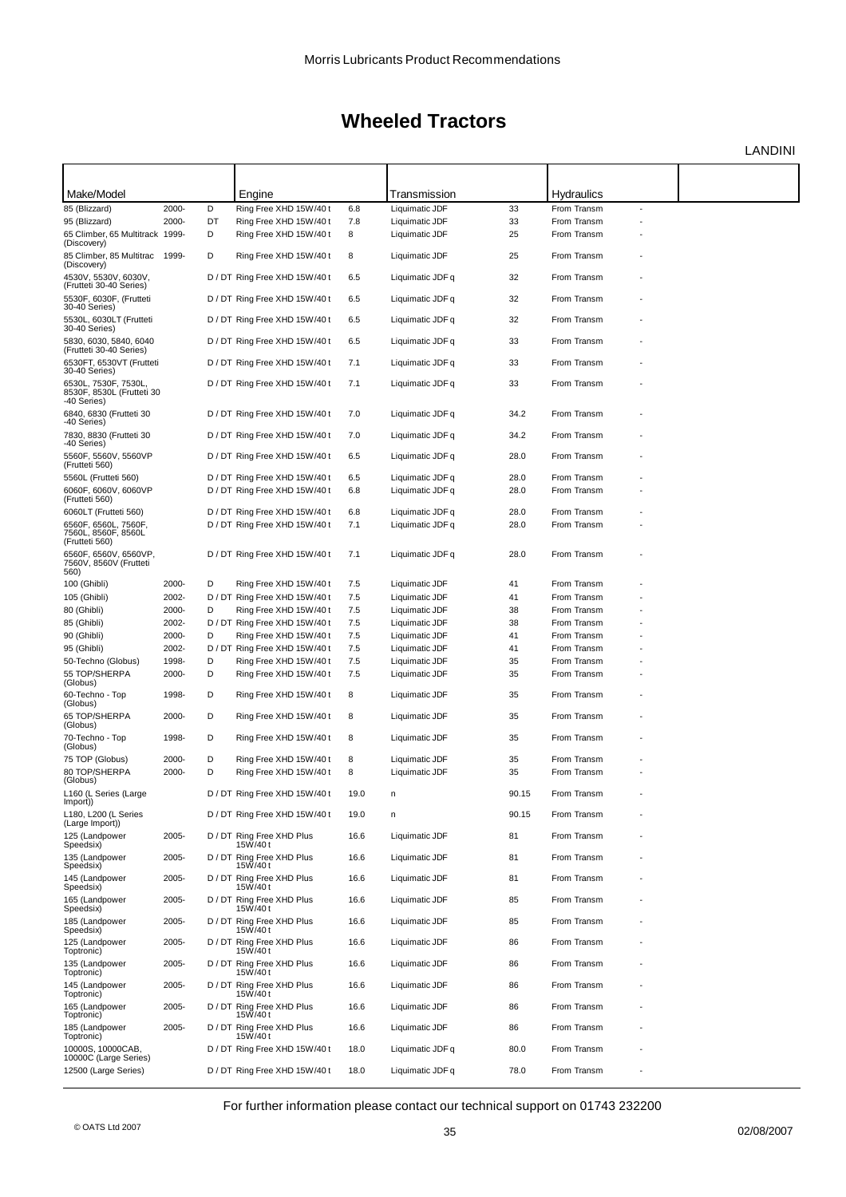LANDINI

| Make/Model                                                       |       |    | Engine                                   |      | Transmission     |       | <b>Hydraulics</b> |    |  |
|------------------------------------------------------------------|-------|----|------------------------------------------|------|------------------|-------|-------------------|----|--|
| 85 (Blizzard)                                                    | 2000- | D  | Ring Free XHD 15W/40t                    | 6.8  | Liquimatic JDF   | 33    | From Transm       | ÷, |  |
| 95 (Blizzard)                                                    | 2000- | DT | Ring Free XHD 15W/40 t                   | 7.8  | Liquimatic JDF   | 33    | From Transm       |    |  |
| 65 Climber, 65 Multitrack 1999-                                  |       | D  | Ring Free XHD 15W/40 t                   | 8    | Liquimatic JDF   | 25    | From Transm       |    |  |
| (Discovery)                                                      |       |    |                                          |      |                  |       |                   |    |  |
| 85 Climber, 85 Multitrac 1999-<br>(Discovery)                    |       | D  | Ring Free XHD 15W/40 t                   | 8    | Liquimatic JDF   | 25    | From Transm       |    |  |
| 4530V, 5530V, 6030V,<br>(Frutteti 30-40 Series)                  |       |    | D / DT Ring Free XHD 15W/40 t            | 6.5  | Liquimatic JDF q | 32    | From Transm       |    |  |
| 5530F, 6030F, (Frutteti<br>30-40 Series)                         |       |    | D / DT Ring Free XHD 15W/40 t            | 6.5  | Liquimatic JDF q | 32    | From Transm       |    |  |
| 5530L, 6030LT (Frutteti<br>30-40 Series)                         |       |    | D / DT Ring Free XHD 15W/40 t            | 6.5  | Liquimatic JDF q | 32    | From Transm       |    |  |
| 5830, 6030, 5840, 6040<br>(Frutteti 30-40 Series)                |       |    | D / DT Ring Free XHD 15W/40 t            | 6.5  | Liquimatic JDF q | 33    | From Transm       |    |  |
| 6530FT, 6530VT (Frutteti<br>30-40 Series)                        |       |    | D / DT Ring Free XHD 15W/40 t            | 7.1  | Liquimatic JDF q | 33    | From Transm       |    |  |
| 6530L, 7530F, 7530L,<br>8530F, 8530L (Frutteti 30<br>-40 Series) |       |    | D / DT Ring Free XHD 15W/40 t            | 7.1  | Liquimatic JDF q | 33    | From Transm       |    |  |
| 6840, 6830 (Frutteti 30<br>-40 Series)                           |       |    | D / DT Ring Free XHD 15W/40 t            | 7.0  | Liquimatic JDF q | 34.2  | From Transm       |    |  |
| 7830, 8830 (Frutteti 30<br>-40 Series)                           |       |    | D / DT Ring Free XHD 15W/40 t            | 7.0  | Liquimatic JDF q | 34.2  | From Transm       |    |  |
| 5560F, 5560V, 5560VP<br>(Frutteti 560)                           |       |    | D / DT Ring Free XHD 15W/40 t            | 6.5  | Liquimatic JDF q | 28.0  | From Transm       |    |  |
| 5560L (Frutteti 560)                                             |       |    | D / DT Ring Free XHD 15W/40 t            | 6.5  | Liquimatic JDF q | 28.0  | From Transm       |    |  |
| 6060F, 6060V, 6060VP                                             |       |    | D / DT Ring Free XHD 15W/40 t            | 6.8  | Liquimatic JDF q | 28.0  | From Transm       |    |  |
| (Frutteti 560)                                                   |       |    |                                          |      |                  |       |                   |    |  |
| 6060LT (Frutteti 560)                                            |       |    | D / DT Ring Free XHD 15W/40 t            | 6.8  | Liquimatic JDF q | 28.0  | From Transm       |    |  |
| 6560F, 6560L, 7560F,<br>7560L, 8560F, 8560L<br>(Frutteti 560)    |       |    | D / DT Ring Free XHD 15W/40 t            | 7.1  | Liquimatic JDF q | 28.0  | From Transm       |    |  |
| 6560F, 6560V, 6560VP.<br>7560V, 8560V (Frutteti<br>560)          |       |    | D / DT Ring Free XHD 15W/40 t            | 7.1  | Liquimatic JDF q | 28.0  | From Transm       |    |  |
| 100 (Ghibli)                                                     | 2000- | D  | Ring Free XHD 15W/40 t                   | 7.5  | Liquimatic JDF   | 41    | From Transm       |    |  |
| 105 (Ghibli)                                                     | 2002- |    | D / DT Ring Free XHD 15W/40 t            | 7.5  | Liquimatic JDF   | 41    | From Transm       |    |  |
| 80 (Ghibli)                                                      | 2000- | D  | Ring Free XHD 15W/40 t                   | 7.5  | Liquimatic JDF   | 38    | From Transm       |    |  |
| 85 (Ghibli)                                                      | 2002- |    | D / DT Ring Free XHD 15W/40 t            | 7.5  | Liquimatic JDF   | 38    | From Transm       |    |  |
| 90 (Ghibli)                                                      | 2000- | D  | Ring Free XHD 15W/40 t                   | 7.5  | Liquimatic JDF   | 41    | From Transm       |    |  |
| 95 (Ghibli)                                                      | 2002- |    | D / DT Ring Free XHD 15W/40 t            | 7.5  | Liquimatic JDF   | 41    | From Transm       |    |  |
| 50-Techno (Globus)                                               | 1998- | D  | Ring Free XHD 15W/40 t                   | 7.5  | Liquimatic JDF   | 35    | From Transm       |    |  |
| 55 TOP/SHERPA<br>(Globus)                                        | 2000- | D  | Ring Free XHD 15W/40 t                   | 7.5  | Liquimatic JDF   | 35    | From Transm       |    |  |
| 60-Techno - Top<br>(Globus)                                      | 1998- | D  | Ring Free XHD 15W/40 t                   | 8    | Liquimatic JDF   | 35    | From Transm       |    |  |
| 65 TOP/SHERPA<br>(Globus)                                        | 2000- | D  | Ring Free XHD 15W/40 t                   | 8    | Liquimatic JDF   | 35    | From Transm       |    |  |
| 70-Techno - Top<br>(Globus)                                      | 1998- | D  | Ring Free XHD 15W/40 t                   | 8    | Liquimatic JDF   | 35    | From Transm       |    |  |
| 75 TOP (Globus)                                                  | 2000- | D  | Ring Free XHD 15W/40 t                   | 8    | Liquimatic JDF   | 35    | From Transm       |    |  |
| 80 TOP/SHERPA                                                    | 2000- | D  | Ring Free XHD 15W/40 t                   | 8    | Liquimatic JDF   | 35    | From Transm       |    |  |
| (Globus)<br>L160 (L Series (Large                                |       |    | D / DT Ring Free XHD 15W/40 t            | 19.0 | n                | 90.15 | From Transm       |    |  |
| (Import)<br>L180, L200 (L Series                                 |       |    | D / DT Ring Free XHD 15W/40 t            | 19.0 | n                | 90.15 | From Transm       |    |  |
| (Large Import))<br>125 (Landpower                                | 2005- |    | D / DT Ring Free XHD Plus                | 16.6 | Liquimatic JDF   | 81    | From Transm       |    |  |
| Speedsix)<br>135 (Landpower                                      | 2005- |    | 15W/40t<br>D / DT Ring Free XHD Plus     | 16.6 | Liquimatic JDF   | 81    | From Transm       |    |  |
| Speedsix)<br>145 (Landpower                                      | 2005- |    | 15W/40t<br>D / DT Ring Free XHD Plus     | 16.6 | Liquimatic JDF   | 81    | From Transm       |    |  |
| Speedsix)<br>165 (Landpower                                      | 2005- |    | 15W/40t<br>D / DT Ring Free XHD Plus     | 16.6 | Liquimatic JDF   | 85    | From Transm       |    |  |
| Speedsix)<br>185 (Landpower                                      | 2005- |    | 15W/40t<br>D / DT Ring Free XHD Plus     | 16.6 | Liquimatic JDF   | 85    | From Transm       |    |  |
| Speedsix)<br>125 (Landpower                                      | 2005- |    | 15W/40t<br>D / DT Ring Free XHD Plus     | 16.6 | Liquimatic JDF   | 86    | From Transm       |    |  |
| Toptronic)<br>135 (Landpower                                     | 2005- |    | 15W/40t<br>D / DT Ring Free XHD Plus     | 16.6 | Liquimatic JDF   | 86    | From Transm       |    |  |
| Toptronic)<br>145 (Landpower                                     | 2005- |    | 15W/40t<br>D / DT Ring Free XHD Plus     | 16.6 | Liquimatic JDF   | 86    | From Transm       |    |  |
| Toptronic)<br>165 (Landpower                                     | 2005- |    | 15W/40t<br>D / DT Ring Free XHD Plus     | 16.6 | Liquimatic JDF   | 86    | From Transm       |    |  |
| Toptronic)<br>185 (Landpower                                     | 2005- |    | 15W/40t<br>D / DT Ring Free XHD Plus     | 16.6 | Liquimatic JDF   | 86    | From Transm       |    |  |
| Toptronic)<br>10000S, 10000CAB,                                  |       |    | 15W/40t<br>D / DT Ring Free XHD 15W/40 t | 18.0 | Liquimatic JDF q | 80.0  | From Transm       |    |  |
| 10000C (Large Series)<br>12500 (Large Series)                    |       |    | D / DT Ring Free XHD 15W/40 t            | 18.0 | Liquimatic JDF q | 78.0  | From Transm       |    |  |
|                                                                  |       |    |                                          |      |                  |       |                   |    |  |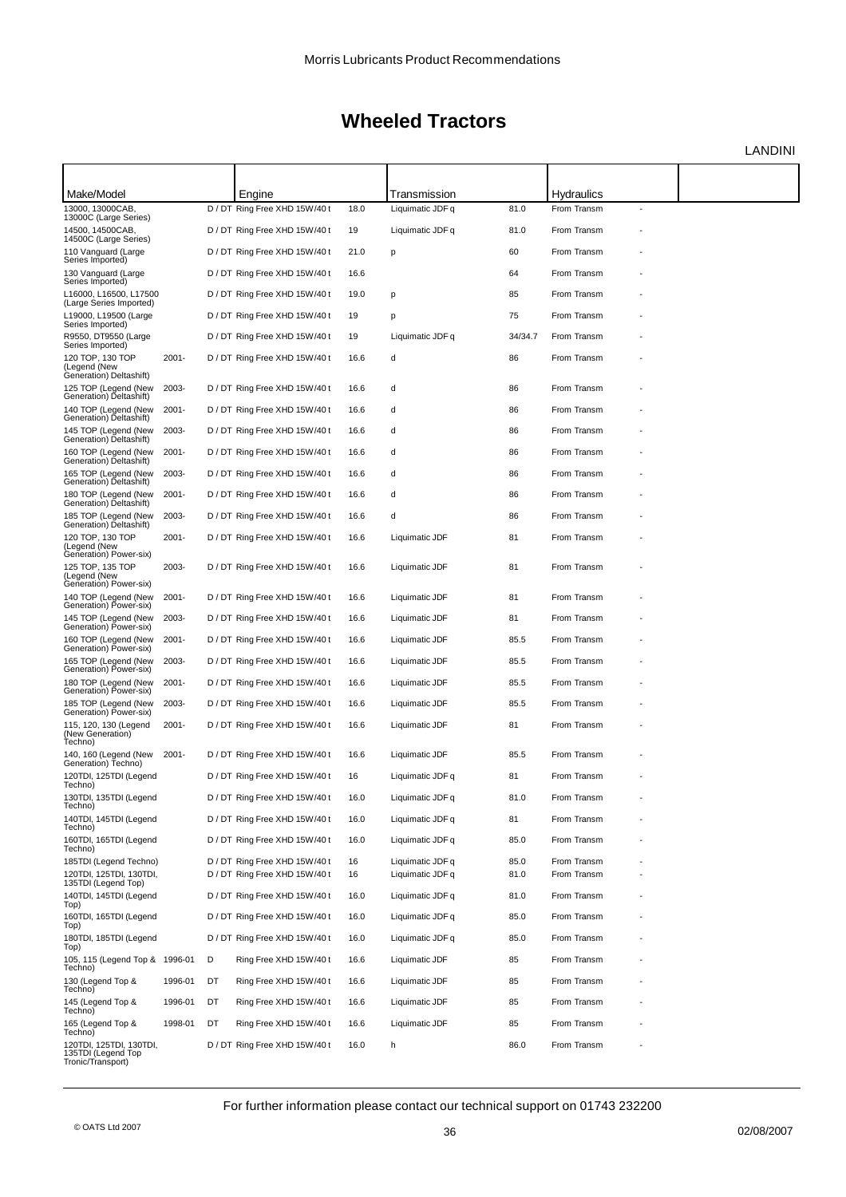LANDINI

| Make/Model                                                                            |          |    | Engine                        |      | Transmission     |         | <b>Hydraulics</b> |  |
|---------------------------------------------------------------------------------------|----------|----|-------------------------------|------|------------------|---------|-------------------|--|
| 13000, 13000CAB,<br>13000C (Large Series)                                             |          |    | D / DT Ring Free XHD 15W/40t  | 18.0 | Liquimatic JDF q | 81.0    | From Transm       |  |
| 14500, 14500CAB,<br>14500C (Large Series)                                             |          |    | D / DT Ring Free XHD 15W/40 t | 19   | Liquimatic JDF q | 81.0    | From Transm       |  |
| 110 Vanguard (Large<br>Series Imported)                                               |          |    | D / DT Ring Free XHD 15W/40 t | 21.0 | p                | 60      | From Transm       |  |
| 130 Vanguard (Large<br>Series Imported)                                               |          |    | D / DT Ring Free XHD 15W/40 t | 16.6 |                  | 64      | From Transm       |  |
| L16000, L16500, L17500<br>(Large Series Imported)                                     |          |    | D / DT Ring Free XHD 15W/40 t | 19.0 | p                | 85      | From Transm       |  |
| L19000, L19500 (Large<br>Series Imported)                                             |          |    | D / DT Ring Free XHD 15W/40 t | 19   | p                | 75      | From Transm       |  |
| R9550, DT9550 (Large<br>Series Imported)                                              |          |    | D / DT Ring Free XHD 15W/40 t | 19   | Liquimatic JDF q | 34/34.7 | From Transm       |  |
| 120 TOP, 130 TOP<br>(Legend (New<br>Generation) Deltashift)                           | $2001 -$ |    | D / DT Ring Free XHD 15W/40 t | 16.6 | d                | 86      | From Transm       |  |
| 125 TOP (Legend (New<br>Generation) Deltashift)                                       | 2003-    |    | D / DT Ring Free XHD 15W/40 t | 16.6 | d                | 86      | From Transm       |  |
| 140 TOP (Legend (New<br>Generation) Deltashift)                                       | $2001 -$ |    | D / DT Ring Free XHD 15W/40 t | 16.6 | d                | 86      | From Transm       |  |
| 145 TOP (Legend (New<br>Generation) Deltashift)                                       | 2003-    |    | D / DT Ring Free XHD 15W/40 t | 16.6 | d                | 86      | From Transm       |  |
| 160 TOP (Legend (New<br>Generation) Deltashift)                                       | $2001 -$ |    | D / DT Ring Free XHD 15W/40 t | 16.6 | d                | 86      | From Transm       |  |
| 165 TOP (Legend (New<br>Generation) Deltashift)                                       | 2003-    |    | D / DT Ring Free XHD 15W/40 t | 16.6 | d                | 86      | From Transm       |  |
| 180 TOP (Legend (New                                                                  | $2001 -$ |    | D / DT Ring Free XHD 15W/40 t | 16.6 | d                | 86      | From Transm       |  |
| Generation) Deltashift)<br>185 TOP (Legend (New                                       | 2003-    |    | D / DT Ring Free XHD 15W/40 t | 16.6 | d                | 86      | From Transm       |  |
| Generation) Deltashift)<br>120 TOP, 130 TOP<br>(Legend (New<br>Generation) Power-six) | $2001 -$ |    | D / DT Ring Free XHD 15W/40 t | 16.6 | Liquimatic JDF   | 81      | From Transm       |  |
| 125 TOP, 135 TOP<br>(Legend (New<br>Generation) Power-six)                            | 2003-    |    | D / DT Ring Free XHD 15W/40 t | 16.6 | Liquimatic JDF   | 81      | From Transm       |  |
| 140 TOP (Legend (New<br>Generation) Power-six)                                        | $2001 -$ |    | D / DT Ring Free XHD 15W/40 t | 16.6 | Liquimatic JDF   | 81      | From Transm       |  |
| 145 TOP (Legend (New<br>Generation) Power-six)                                        | 2003-    |    | D / DT Ring Free XHD 15W/40 t | 16.6 | Liquimatic JDF   | 81      | From Transm       |  |
| 160 TOP (Legend (New<br>Generation) Power-six)                                        | $2001 -$ |    | D / DT Ring Free XHD 15W/40 t | 16.6 | Liquimatic JDF   | 85.5    | From Transm       |  |
| 165 TOP (Legend (New<br>Generation) Power-six)                                        | 2003-    |    | D / DT Ring Free XHD 15W/40 t | 16.6 | Liquimatic JDF   | 85.5    | From Transm       |  |
| 180 TOP (Legend (New                                                                  | $2001 -$ |    | D / DT Ring Free XHD 15W/40 t | 16.6 | Liquimatic JDF   | 85.5    | From Transm       |  |
| Generation) Power-six)<br>185 TOP (Legend (New                                        | 2003-    |    | D / DT Ring Free XHD 15W/40 t | 16.6 | Liquimatic JDF   | 85.5    | From Transm       |  |
| Generation) Power-six)<br>115, 120, 130 (Legend<br>(New Generation)<br>Techno)        | $2001 -$ |    | D / DT Ring Free XHD 15W/40 t | 16.6 | Liquimatic JDF   | 81      | From Transm       |  |
| 140, 160 (Legend (New<br>Generation) Techno)                                          | 2001-    |    | D / DT Ring Free XHD 15W/40 t | 16.6 | Liquimatic JDF   | 85.5    | From Transm       |  |
| 120TDI, 125TDI (Legend<br>Techno)                                                     |          |    | D / DT Ring Free XHD 15W/40t  | 16   | Liquimatic JDF q | 81      | From Transm       |  |
| 130TDI, 135TDI (Legend<br>Techno)                                                     |          |    | D / DT Ring Free XHD 15W/40 t | 16.0 | Liquimatic JDF q | 81.0    | From Transm       |  |
| 140TDI, 145TDI (Legend<br>Techno)                                                     |          |    | D / DT Ring Free XHD 15W/40 t | 16.0 | Liquimatic JDF q | 81      | From Transm       |  |
| 160TDI, 165TDI (Legend<br>Techno)                                                     |          |    | D / DT Ring Free XHD 15W/40 t | 16.0 | Liquimatic JDF q | 85.0    | From Transm       |  |
| 185TDI (Legend Techno)                                                                |          |    | D / DT Ring Free XHD 15W/40 t | 16   | Liquimatic JDF q | 85.0    | From Transm       |  |
| 120TDI, 125TDI, 130TDI,<br>135TDI (Legend Top)                                        |          |    | D / DT Ring Free XHD 15W/40 t | 16   | Liquimatic JDF q | 81.0    | From Transm       |  |
| 140TDI, 145TDI (Legend<br>Top)                                                        |          |    | D / DT Ring Free XHD 15W/40 t | 16.0 | Liquimatic JDF q | 81.0    | From Transm       |  |
| 160TDI, 165TDI (Legend<br>Top)                                                        |          |    | D / DT Ring Free XHD 15W/40 t | 16.0 | Liquimatic JDF q | 85.0    | From Transm       |  |
| 180TDI, 185TDI (Legend<br>Top)                                                        |          |    | D / DT Ring Free XHD 15W/40 t | 16.0 | Liquimatic JDF q | 85.0    | From Transm       |  |
| 105, 115 (Legend Top & 1996-01<br>Techno)                                             |          | D  | Ring Free XHD 15W/40 t        | 16.6 | Liquimatic JDF   | 85      | From Transm       |  |
| 130 (Legend Top &<br>Techno)                                                          | 1996-01  | DT | Ring Free XHD 15W/40 t        | 16.6 | Liquimatic JDF   | 85      | From Transm       |  |
| 145 (Legend Top &<br>Techno)                                                          | 1996-01  | DT | Ring Free XHD 15W/40 t        | 16.6 | Liquimatic JDF   | 85      | From Transm       |  |
| 165 (Legend Top &<br>Techno)                                                          | 1998-01  | DT | Ring Free XHD 15W/40 t        | 16.6 | Liquimatic JDF   | 85      | From Transm       |  |
| 120TDI, 125TDI, 130TDI,<br>135TDI (Legend Top<br>Tronic/Transport)                    |          |    | D / DT Ring Free XHD 15W/40 t | 16.0 | h                | 86.0    | From Transm       |  |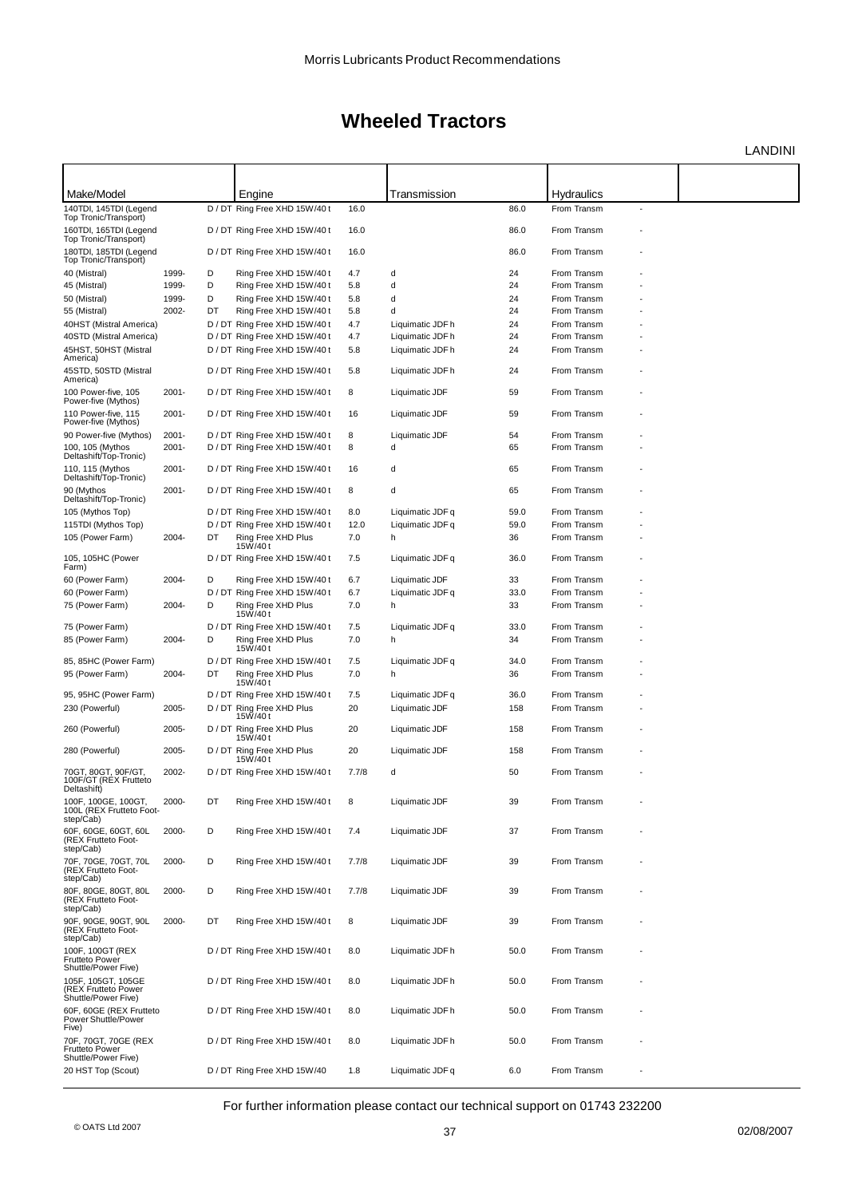LANDINI

| Make/Model                                                           |          |    | Engine                               |       | Transmission     |      | Hydraulics  |  |
|----------------------------------------------------------------------|----------|----|--------------------------------------|-------|------------------|------|-------------|--|
| 140TDI, 145TDI (Legend                                               |          |    | D / DT Ring Free XHD 15W/40 t        | 16.0  |                  | 86.0 | From Transm |  |
| Top Tronic/Transport)<br>160TDI, 165TDI (Legend                      |          |    | D / DT Ring Free XHD 15W/40 t        | 16.0  |                  | 86.0 | From Transm |  |
| Top Tronic/Transport)                                                |          |    |                                      |       |                  |      |             |  |
| 180TDI, 185TDI (Legend<br>Top Tronic/Transport)                      |          |    | D / DT Ring Free XHD 15W/40 t        | 16.0  |                  | 86.0 | From Transm |  |
| 40 (Mistral)                                                         | 1999-    | D  | Ring Free XHD 15W/40 t               | 4.7   | d                | 24   | From Transm |  |
| 45 (Mistral)                                                         | 1999-    | D  | Ring Free XHD 15W/40 t               | 5.8   | d                | 24   | From Transm |  |
| 50 (Mistral)                                                         | 1999-    | D  | Ring Free XHD 15W/40 t               | 5.8   | d                | 24   | From Transm |  |
| 55 (Mistral)                                                         | 2002-    | DT | Ring Free XHD 15W/40t                | 5.8   | d                | 24   | From Transm |  |
| 40HST (Mistral America)                                              |          |    | D / DT Ring Free XHD 15W/40 t        | 4.7   | Liquimatic JDF h | 24   | From Transm |  |
| 40STD (Mistral America)                                              |          |    | D / DT Ring Free XHD 15W/40 t        | 4.7   | Liquimatic JDF h | 24   | From Transm |  |
| 45HST, 50HST (Mistral<br>America)                                    |          |    | D / DT Ring Free XHD 15W/40 t        | 5.8   | Liquimatic JDF h | 24   | From Transm |  |
| 45STD, 50STD (Mistral<br>America)                                    |          |    | D / DT Ring Free XHD 15W/40 t        | 5.8   | Liquimatic JDF h | 24   | From Transm |  |
| 100 Power-five, 105<br>Power-five (Mythos)                           | 2001-    |    | D / DT Ring Free XHD 15W/40 t        | 8     | Liquimatic JDF   | 59   | From Transm |  |
| 110 Power-five, 115<br>Power-five (Mythos)                           | 2001-    |    | D / DT Ring Free XHD 15W/40 t        | 16    | Liquimatic JDF   | 59   | From Transm |  |
| 90 Power-five (Mythos)                                               | $2001 -$ |    | D / DT Ring Free XHD 15W/40 t        | 8     | Liquimatic JDF   | 54   | From Transm |  |
| 100, 105 (Mythos                                                     | 2001-    |    | D / DT Ring Free XHD 15W/40 t        | 8     | d                | 65   | From Transm |  |
| Deltashift/Top-Tronic)<br>110, 115 (Mythos<br>Deltashift/Top-Tronic) | 2001-    |    | D / DT Ring Free XHD 15W/40t         | 16    | d                | 65   | From Transm |  |
| 90 (Mythos<br>Deltashift/Top-Tronic)                                 | 2001-    |    | D / DT Ring Free XHD 15W/40t         | 8     | d                | 65   | From Transm |  |
| 105 (Mythos Top)                                                     |          |    | D / DT Ring Free XHD 15W/40 t        | 8.0   | Liquimatic JDF q | 59.0 | From Transm |  |
| 115TDI (Mythos Top)                                                  |          |    | D / DT Ring Free XHD 15W/40 t        | 12.0  | Liquimatic JDF q | 59.0 | From Transm |  |
| 105 (Power Farm)                                                     | 2004-    | DT | Ring Free XHD Plus                   | 7.0   | h                | 36   | From Transm |  |
|                                                                      |          |    | 15W/40t                              |       |                  |      |             |  |
| 105, 105HC (Power<br>Farm)                                           |          |    | D / DT Ring Free XHD 15W/40 t        | 7.5   | Liquimatic JDF q | 36.0 | From Transm |  |
| 60 (Power Farm)                                                      | 2004-    | D  | Ring Free XHD 15W/40 t               | 6.7   | Liquimatic JDF   | 33   | From Transm |  |
| 60 (Power Farm)                                                      |          |    | D / DT Ring Free XHD 15W/40 t        | 6.7   | Liquimatic JDF q | 33.0 | From Transm |  |
| 75 (Power Farm)                                                      | 2004-    | D  | Ring Free XHD Plus<br>15W/40t        | 7.0   | h                | 33   | From Transm |  |
| 75 (Power Farm)                                                      |          |    | D / DT Ring Free XHD 15W/40 t        | 7.5   | Liquimatic JDF q | 33.0 | From Transm |  |
| 85 (Power Farm)                                                      | 2004-    | D  | Ring Free XHD Plus<br>15W/40t        | 7.0   | h                | 34   | From Transm |  |
| 85, 85HC (Power Farm)                                                |          |    | D / DT Ring Free XHD 15W/40 t        | 7.5   | Liquimatic JDF q | 34.0 | From Transm |  |
| 95 (Power Farm)                                                      | 2004-    | DT | Ring Free XHD Plus<br>15W/40t        | 7.0   | h                | 36   | From Transm |  |
| 95, 95HC (Power Farm)                                                |          |    | D / DT Ring Free XHD 15W/40 t        | 7.5   | Liquimatic JDF q | 36.0 | From Transm |  |
| 230 (Powerful)                                                       | 2005-    |    | D / DT Ring Free XHD Plus<br>15W/40t | 20    | Liquimatic JDF   | 158  | From Transm |  |
| 260 (Powerful)                                                       | 2005-    |    | D / DT Ring Free XHD Plus<br>15W/40t | 20    | Liquimatic JDF   | 158  | From Transm |  |
| 280 (Powerful)                                                       | 2005-    |    | D / DT Ring Free XHD Plus<br>15W/40t | 20    | Liquimatic JDF   | 158  | From Transm |  |
| 70GT, 80GT, 90F/GT,<br>100F/GT (REX Frutteto<br>Deltashift)          | 2002-    |    | D / DT Ring Free XHD 15W/40 t        | 7.7/8 | d                | 50   | From Transm |  |
| 100F, 100GE, 100GT,<br>100L (REX Frutteto Foot-<br>step/Cab)         | 2000-    | DT | Ring Free XHD 15W/40 t               | 8     | Liquimatic JDF   | 39   | From Transm |  |
| 60F, 60GE, 60GT, 60L<br>(REX Frutteto Foot-<br>step/Cab)             | 2000-    | D  | Ring Free XHD 15W/40 t               | 7.4   | Liquimatic JDF   | 37   | From Transm |  |
| 70F. 70GE. 70GT. 70L<br>(REX Frutteto Foot-<br>step/Cab)             | 2000-    | D  | Ring Free XHD 15W/40 t               | 7.7/8 | Liquimatic JDF   | 39   | From Transm |  |
| 80F, 80GE, 80GT, 80L<br>(REX Frutteto Foot-<br>step/Cab)             | 2000-    | D  | Ring Free XHD 15W/40 t               | 7.7/8 | Liquimatic JDF   | 39   | From Transm |  |
| 90F. 90GE. 90GT. 90L<br>(REX Frutteto Foot-<br>step/Cab)             | 2000-    | DT | Ring Free XHD 15W/40 t               | 8     | Liquimatic JDF   | 39   | From Transm |  |
| 100F, 100GT (REX<br><b>Frutteto Power</b><br>Shuttle/Power Five)     |          |    | D / DT Ring Free XHD 15W/40t         | 8.0   | Liquimatic JDF h | 50.0 | From Transm |  |
| 105F, 105GT, 105GE<br>(REX Frutteto Power<br>Shuttle/Power Five)     |          |    | D / DT Ring Free XHD 15W/40 t        | 8.0   | Liquimatic JDF h | 50.0 | From Transm |  |
| 60F, 60GE (REX Frutteto<br>Power Shuttle/Power<br>Five)              |          |    | D / DT Ring Free XHD 15W/40 t        | 8.0   | Liquimatic JDF h | 50.0 | From Transm |  |
| 70F, 70GT, 70GE (REX<br>Frutteto Power<br>Shuttle/Power Five)        |          |    | D / DT Ring Free XHD 15W/40 t        | 8.0   | Liquimatic JDF h | 50.0 | From Transm |  |
| 20 HST Top (Scout)                                                   |          |    | D / DT Ring Free XHD 15W/40          | 1.8   | Liquimatic JDF q | 6.0  | From Transm |  |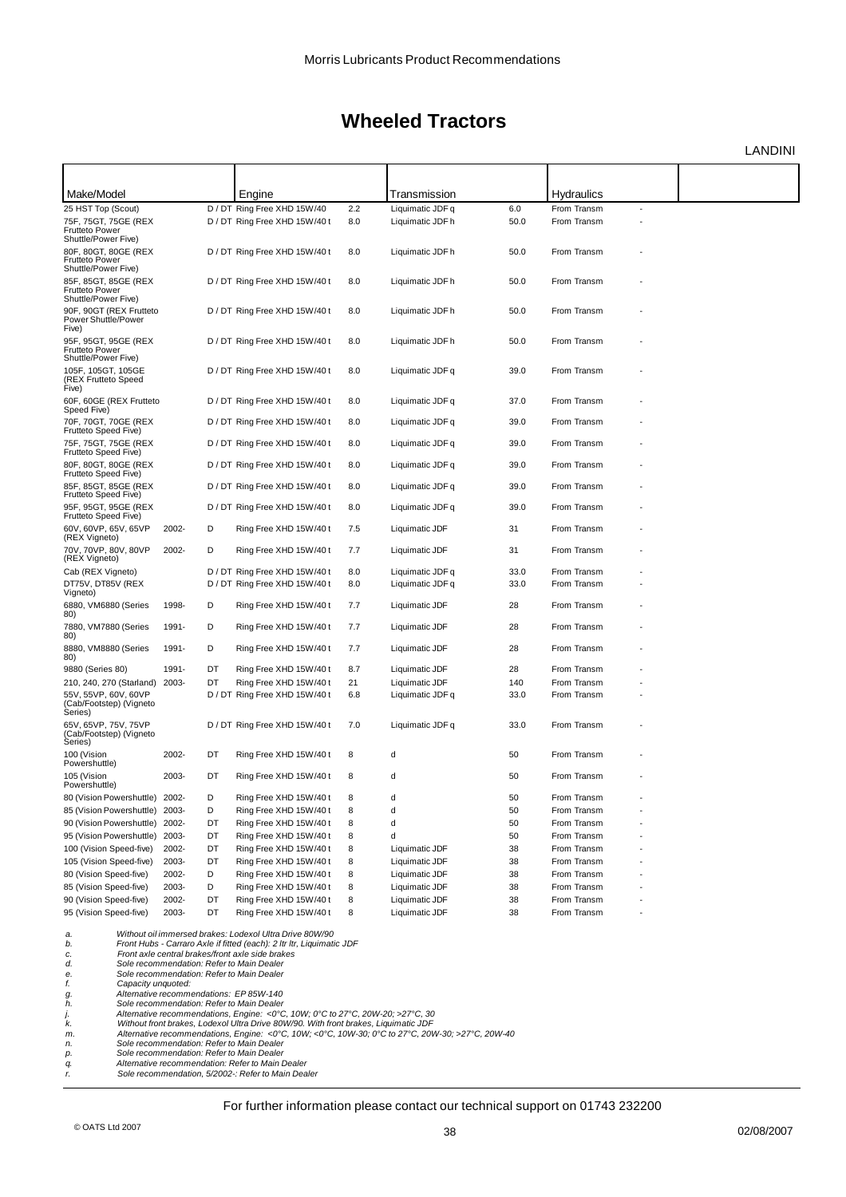LANDINI

| Make/Model                                                           |       |    | Engine                                                                                                                    |     | Transmission     |      | <b>Hydraulics</b> |   |  |
|----------------------------------------------------------------------|-------|----|---------------------------------------------------------------------------------------------------------------------------|-----|------------------|------|-------------------|---|--|
| 25 HST Top (Scout)                                                   |       |    | D / DT Ring Free XHD 15W/40                                                                                               | 2.2 | Liquimatic JDF q | 6.0  | From Transm       | ÷ |  |
| 75F, 75GT, 75GE (REX<br>Frutteto Power<br>Shuttle/Power Five)        |       |    | D / DT Ring Free XHD 15W/40 t                                                                                             | 8.0 | Liquimatic JDF h | 50.0 | From Transm       |   |  |
| 80F, 80GT, 80GE (REX<br>Frutteto Power<br>Shuttle/Power Five)        |       |    | D / DT Ring Free XHD 15W/40 t                                                                                             | 8.0 | Liquimatic JDF h | 50.0 | From Transm       |   |  |
| 85F, 85GT, 85GE (REX<br><b>Frutteto Power</b><br>Shuttle/Power Five) |       |    | D / DT Ring Free XHD 15W/40 t                                                                                             | 8.0 | Liquimatic JDF h | 50.0 | From Transm       |   |  |
| 90F, 90GT (REX Frutteto<br>Power Shuttle/Power<br>Five)              |       |    | D / DT Ring Free XHD 15W/40 t                                                                                             | 8.0 | Liquimatic JDF h | 50.0 | From Transm       |   |  |
| 95F, 95GT, 95GE (REX<br><b>Frutteto Power</b><br>Shuttle/Power Five) |       |    | D / DT Ring Free XHD 15W/40 t                                                                                             | 8.0 | Liquimatic JDF h | 50.0 | From Transm       |   |  |
| 105F, 105GT, 105GE<br>(REX Frutteto Speed<br>Five)                   |       |    | D / DT Ring Free XHD 15W/40 t                                                                                             | 8.0 | Liquimatic JDF q | 39.0 | From Transm       |   |  |
| 60F, 60GE (REX Frutteto<br>Speed Five)                               |       |    | D / DT Ring Free XHD 15W/40 t                                                                                             | 8.0 | Liquimatic JDF q | 37.0 | From Transm       |   |  |
| 70F, 70GT, 70GE (REX<br>Frutteto Speed Five)                         |       |    | D / DT Ring Free XHD 15W/40 t                                                                                             | 8.0 | Liquimatic JDF q | 39.0 | From Transm       |   |  |
| 75F, 75GT, 75GE (REX<br>Frutteto Speed Five)                         |       |    | D / DT Ring Free XHD 15W/40 t                                                                                             | 8.0 | Liquimatic JDF q | 39.0 | From Transm       |   |  |
| 80F, 80GT, 80GE (REX<br>Frutteto Speed Five)                         |       |    | D / DT Ring Free XHD 15W/40 t                                                                                             | 8.0 | Liquimatic JDF q | 39.0 | From Transm       |   |  |
| 85F, 85GT, 85GE (REX<br>Frutteto Speed Five)                         |       |    | D / DT Ring Free XHD 15W/40 t                                                                                             | 8.0 | Liquimatic JDF q | 39.0 | From Transm       |   |  |
| 95F, 95GT, 95GE (REX<br>Frutteto Speed Five)                         |       |    | D / DT Ring Free XHD 15W/40 t                                                                                             | 8.0 | Liquimatic JDF q | 39.0 | From Transm       |   |  |
| 60V, 60VP, 65V, 65VP<br>(REX Vigneto)                                | 2002- | D  | Ring Free XHD 15W/40t                                                                                                     | 7.5 | Liquimatic JDF   | 31   | From Transm       |   |  |
| 70V, 70VP, 80V, 80VP<br>(REX Vigneto)                                | 2002- | D  | Ring Free XHD 15W/40t                                                                                                     | 7.7 | Liquimatic JDF   | 31   | From Transm       |   |  |
| Cab (REX Vigneto)                                                    |       |    | D / DT Ring Free XHD 15W/40 t                                                                                             | 8.0 | Liquimatic JDF q | 33.0 | From Transm       |   |  |
| DT75V, DT85V (REX<br>Vigneto)                                        |       |    | D / DT Ring Free XHD 15W/40 t                                                                                             | 8.0 | Liquimatic JDF q | 33.0 | From Transm       |   |  |
| 6880, VM6880 (Series<br>80)                                          | 1998- | D  | Ring Free XHD 15W/40 t                                                                                                    | 7.7 | Liquimatic JDF   | 28   | From Transm       |   |  |
| 7880, VM7880 (Series<br>80)                                          | 1991- | D  | Ring Free XHD 15W/40 t                                                                                                    | 7.7 | Liquimatic JDF   | 28   | From Transm       |   |  |
| 8880, VM8880 (Series<br>80)                                          | 1991- | D  | Ring Free XHD 15W/40 t                                                                                                    | 7.7 | Liquimatic JDF   | 28   | From Transm       |   |  |
| 9880 (Series 80)                                                     | 1991- | DT | Ring Free XHD 15W/40 t                                                                                                    | 8.7 | Liquimatic JDF   | 28   | From Transm       |   |  |
| 210, 240, 270 (Starland)                                             | 2003- | DT | Ring Free XHD 15W/40 t                                                                                                    | 21  | Liquimatic JDF   | 140  | From Transm       |   |  |
| 55V, 55VP, 60V, 60VP<br>(Cab/Footstep) (Vigneto<br>Series)           |       |    | D / DT Ring Free XHD 15W/40 t                                                                                             | 6.8 | Liquimatic JDF q | 33.0 | From Transm       |   |  |
| 65V, 65VP, 75V, 75VP<br>(Cab/Footstep) (Vigneto<br>Series)           |       |    | D / DT Ring Free XHD 15W/40 t                                                                                             | 7.0 | Liquimatic JDF q | 33.0 | From Transm       |   |  |
| 100 (Vision<br>Powershuttle)                                         | 2002- | DT | Ring Free XHD 15W/40t                                                                                                     | 8   | d                | 50   | From Transm       |   |  |
| 105 (Vision<br>Powershuttle)                                         | 2003- | DT | Ring Free XHD 15W/40t                                                                                                     | 8   | d                | 50   | From Transm       |   |  |
| 80 (Vision Powershuttle) 2002-                                       |       | D  | Ring Free XHD 15W/40 t                                                                                                    | 8   | d                | 50   | From Transm       |   |  |
| 85 (Vision Powershuttle) 2003-                                       |       | D  | Ring Free XHD 15W/40 t                                                                                                    | 8   | d                | 50   | From Transm       |   |  |
| 90 (Vision Powershuttle) 2002-                                       |       | DT | Ring Free XHD 15W/40 t                                                                                                    | 8   | d                | 50   | From Transm       |   |  |
| 95 (Vision Powershuttle)                                             | 2003- | DT | Ring Free XHD 15W/40 t                                                                                                    | 8   | d                | 50   | From Transm       |   |  |
| 100 (Vision Speed-five)                                              | 2002- | DT | Ring Free XHD 15W/40 t                                                                                                    | 8   | Liquimatic JDF   | 38   | From Transm       |   |  |
| 105 (Vision Speed-five)                                              | 2003- | DT | Ring Free XHD 15W/40 t                                                                                                    | 8   | Liquimatic JDF   | 38   | From Transm       |   |  |
| 80 (Vision Speed-five)                                               | 2002- | D  | Ring Free XHD 15W/40t                                                                                                     | 8   | Liquimatic JDF   | 38   | From Transm       |   |  |
| 85 (Vision Speed-five)                                               | 2003- | D  | Ring Free XHD 15W/40t                                                                                                     | 8   | Liquimatic JDF   | 38   | From Transm       |   |  |
| 90 (Vision Speed-five)                                               | 2002- | DT | Ring Free XHD 15W/40t                                                                                                     | 8   | Liquimatic JDF   | 38   | From Transm       |   |  |
| 95 (Vision Speed-five)                                               | 2003- | DT | Ring Free XHD 15W/40 t                                                                                                    | 8   | Liquimatic JDF   | 38   | From Transm       |   |  |
| a.                                                                   |       |    | Without oil immersed brakes: Lodexol Ultra Drive 80W/90                                                                   |     |                  |      |                   |   |  |
| b.<br>c.                                                             |       |    | Front Hubs - Carraro Axle if fitted (each): 2 Itr Itr, Liquimatic JDF<br>Front axle central brakes/front axle side brakes |     |                  |      |                   |   |  |
| d.                                                                   |       |    | Sole recommendation: Refer to Main Dealer                                                                                 |     |                  |      |                   |   |  |
| е.<br>f.<br>Capacity unquoted:                                       |       |    | Sole recommendation: Refer to Main Dealer                                                                                 |     |                  |      |                   |   |  |

f. Capacity unquoted:<br>
Alternative recommendations: EP 85W-140<br>
A. Sole recommendation: Refer to Main Dealer<br>
A. Sole recommendations, Engine: <0°C, 10W; 0°C to 27°C, 20W-20; >27°C, 30<br>
A. Without front brakes, Lodexol Ult *r.* **Sole** recommendations: EP 85W-140<br> *r.* Sole recommendation: Refer to Main Dealer<br> *R. Mithout front brakes, Lodexol Ultra Drive 80W/90. Without front brakes, Lodexol Ultra Drive 80W/90. With<br>
<i>n.* Alternative reco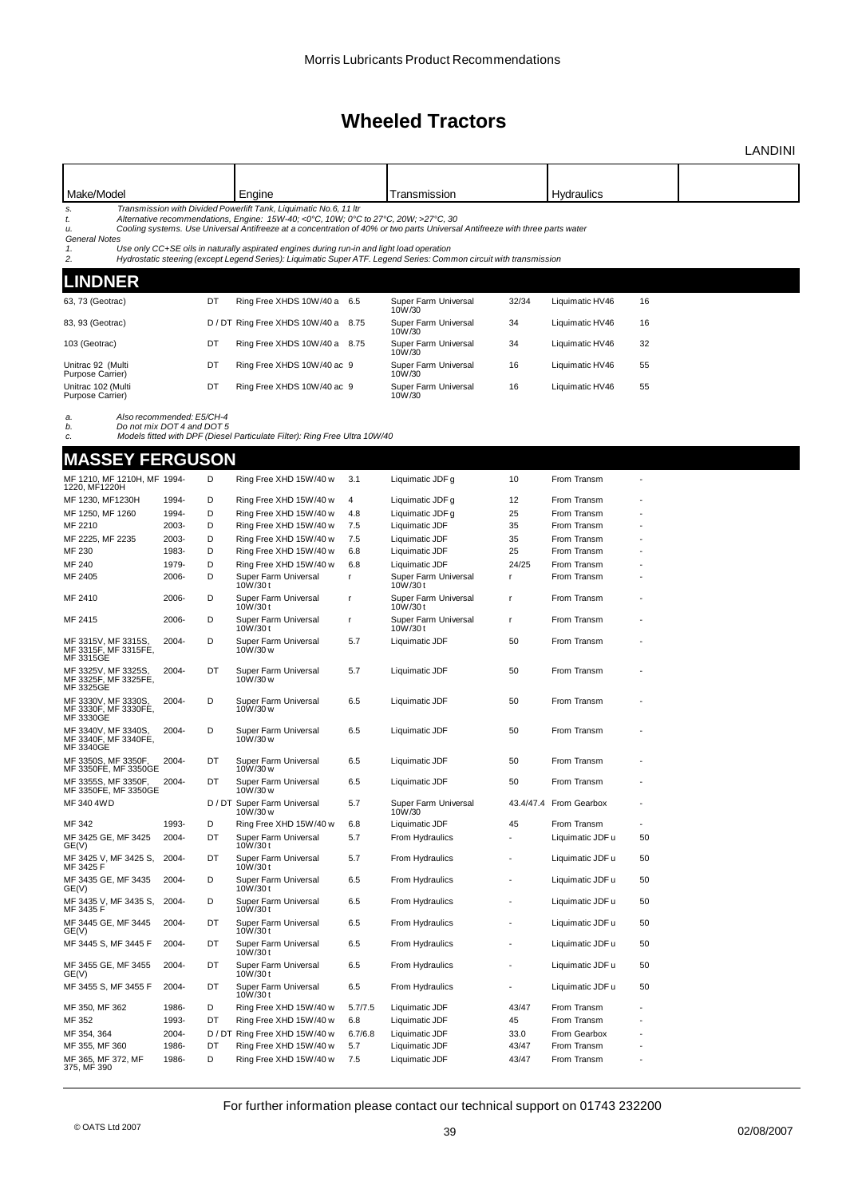|                                                          |                            |        |                                                                                                                                                                   |         |                                                                                                                              |                          |                        |    | <b>LANDINI</b> |
|----------------------------------------------------------|----------------------------|--------|-------------------------------------------------------------------------------------------------------------------------------------------------------------------|---------|------------------------------------------------------------------------------------------------------------------------------|--------------------------|------------------------|----|----------------|
|                                                          |                            |        |                                                                                                                                                                   |         |                                                                                                                              |                          |                        |    |                |
| Make/Model                                               |                            |        | Engine                                                                                                                                                            |         | Transmission                                                                                                                 |                          | Hydraulics             |    |                |
| s.<br>t.<br>u.<br><b>General Notes</b>                   |                            |        | Transmission with Divided Powerlift Tank, Liquimatic No.6, 11 Itr<br>Alternative recommendations, Engine: $15W-40$ ; <0°C, $10W$ ; 0°C to 27°C, $20W$ ; >27°C, 30 |         | Cooling systems. Use Universal Antifreeze at a concentration of 40% or two parts Universal Antifreeze with three parts water |                          |                        |    |                |
| 1.<br>2.                                                 |                            |        | Use only CC+SE oils in naturally aspirated engines during run-in and light load operation                                                                         |         | Hydrostatic steering (except Legend Series): Liquimatic Super ATF. Legend Series: Common circuit with transmission           |                          |                        |    |                |
| <b>LINDNER</b>                                           |                            |        |                                                                                                                                                                   |         |                                                                                                                              |                          |                        |    |                |
| 63, 73 (Geotrac)                                         |                            | DT     | Ring Free XHDS 10W/40 a 6.5                                                                                                                                       |         | Super Farm Universal<br>10W/30                                                                                               | 32/34                    | Liquimatic HV46        | 16 |                |
| 83, 93 (Geotrac)                                         |                            |        | D / DT Ring Free XHDS 10W/40 a 8.75                                                                                                                               |         | Super Farm Universal<br>10W/30                                                                                               | 34                       | Liquimatic HV46        | 16 |                |
| 103 (Geotrac)                                            |                            | DT     | Ring Free XHDS 10W/40 a 8.75                                                                                                                                      |         | Super Farm Universal<br>10W/30                                                                                               | 34                       | Liquimatic HV46        | 32 |                |
| Unitrac 92 (Multi<br>Purpose Carrier)                    |                            | DT     | Ring Free XHDS 10W/40 ac 9                                                                                                                                        |         | Super Farm Universal<br>10W/30                                                                                               | 16                       | Liquimatic HV46        | 55 |                |
| Unitrac 102 (Multi<br>Purpose Carrier)                   |                            | DT     | Ring Free XHDS 10W/40 ac 9                                                                                                                                        |         | Super Farm Universal<br>10W/30                                                                                               | 16                       | Liquimatic HV46        | 55 |                |
| a.                                                       | Also recommended: E5/CH-4  |        |                                                                                                                                                                   |         |                                                                                                                              |                          |                        |    |                |
| b.<br>c.                                                 | Do not mix DOT 4 and DOT 5 |        | Models fitted with DPF (Diesel Particulate Filter): Ring Free Ultra 10W/40                                                                                        |         |                                                                                                                              |                          |                        |    |                |
|                                                          |                            |        |                                                                                                                                                                   |         |                                                                                                                              |                          |                        |    |                |
| <b>MASSEY FERGUSON</b>                                   |                            |        |                                                                                                                                                                   |         |                                                                                                                              |                          |                        |    |                |
| MF 1210, MF 1210H, MF 1994-<br>1220, MF1220H             |                            | D      | Ring Free XHD 15W/40 w                                                                                                                                            | 3.1     | Liquimatic JDF g                                                                                                             | 10                       | From Transm            |    |                |
| MF 1230, MF1230H                                         | 1994-                      | D      | Ring Free XHD 15W/40 w                                                                                                                                            | 4       | Liquimatic JDF g                                                                                                             | 12                       | From Transm            |    |                |
| MF 1250, MF 1260                                         | 1994-                      | D      | Ring Free XHD 15W/40 w                                                                                                                                            | 4.8     | Liquimatic JDF g                                                                                                             | 25                       | From Transm            |    |                |
| MF 2210                                                  | 2003-                      | D      | Ring Free XHD 15W/40 w                                                                                                                                            | 7.5     | Liquimatic JDF                                                                                                               | 35                       | From Transm            |    |                |
| MF 2225, MF 2235                                         | 2003-                      | D      | Ring Free XHD 15W/40 w                                                                                                                                            | 7.5     | Liquimatic JDF                                                                                                               | 35                       | From Transm            |    |                |
| MF 230                                                   | 1983-                      | D      | Ring Free XHD 15W/40 w                                                                                                                                            | 6.8     | Liquimatic JDF                                                                                                               | 25                       | From Transm            |    |                |
| MF 240                                                   | 1979-                      | D      | Ring Free XHD 15W/40 w                                                                                                                                            | 6.8     | Liquimatic JDF                                                                                                               | 24/25                    | From Transm            |    |                |
| MF 2405                                                  | 2006-                      | D      | Super Farm Universal<br>10W/30t                                                                                                                                   | r       | Super Farm Universal<br>10W/30t                                                                                              | r                        | From Transm            |    |                |
| MF 2410                                                  | 2006-                      | D      | Super Farm Universal<br>10W/30t                                                                                                                                   | r       | Super Farm Universal<br>10W/30t                                                                                              | r                        | From Transm            |    |                |
| MF 2415                                                  | 2006-                      | D      | Super Farm Universal<br>10W/30t                                                                                                                                   | r       | Super Farm Universal<br>10W/30 t                                                                                             | r                        | From Transm            |    |                |
| MF 3315V, MF 3315S,<br>MF 3315F, MF 3315FE,<br>MF 3315GE | 2004-                      | D      | Super Farm Universal<br>10W/30 w                                                                                                                                  | 5.7     | Liquimatic JDF                                                                                                               | 50                       | From Transm            |    |                |
| MF 3325V, MF 3325S,<br>MF 3325F, MF 3325FE,<br>MF 3325GE | 2004-                      | DT     | Super Farm Universal<br>10W/30 w                                                                                                                                  | 5.7     | Liquimatic JDF                                                                                                               | 50                       | From Transm            |    |                |
| MF 3330V, MF 3330S,<br>MF 3330F, MF 3330FE,<br>MF 3330GE | 2004-                      | D      | Super Farm Universal<br>10W/30 w                                                                                                                                  | 6.5     | Liquimatic JDF                                                                                                               | 50                       | From Transm            |    |                |
| MF 3340V, MF 3340S,<br>MF 3340F, MF 3340FE,<br>MF 3340GE | 2004-                      | D      | Super Farm Universal<br>10W/30 w                                                                                                                                  | 6.5     | Liquimatic JDF                                                                                                               | 50                       | From Transm            |    |                |
| MF 3350S, MF 3350F,<br>MF 3350FE, MF 3350GE              | 2004-                      | DT     | Super Farm Universal<br>10W/30 w                                                                                                                                  | 6.5     | Liquimatic JDF                                                                                                               | 50                       | From Transm            |    |                |
| MF 3355S, MF 3350F<br>MF 3350FE, MF 3350GE               | 2004-                      | DT     | Super Farm Universal<br>10W/30 w                                                                                                                                  | 6.5     | Liquimatic JDF                                                                                                               | 50                       | From Transm            |    |                |
| MF 340 4WD                                               |                            |        | D / DT Super Farm Universal<br>10W/30 w                                                                                                                           | 5.7     | Super Farm Universal<br>10W/30                                                                                               |                          | 43.4/47.4 From Gearbox |    |                |
| MF 342                                                   | 1993-                      | D      | Ring Free XHD 15W/40 w                                                                                                                                            | 6.8     | Liquimatic JDF                                                                                                               | 45                       | From Transm            |    |                |
| MF 3425 GE, MF 3425<br>GE(V)                             | 2004-                      | DT     | Super Farm Universal<br>10W/30 t                                                                                                                                  | 5.7     | From Hydraulics                                                                                                              | $\overline{a}$           | Liquimatic JDF u       | 50 |                |
| MF 3425 V, MF 3425 S,<br>MF 3425 F                       | 2004-                      | DT     | Super Farm Universal<br>10W/30t                                                                                                                                   | 5.7     | From Hydraulics                                                                                                              |                          | Liquimatic JDF u       | 50 |                |
| MF 3435 GE, MF 3435<br>GE(V)                             | 2004-                      | D      | Super Farm Universal<br>10W/30t                                                                                                                                   | 6.5     | From Hydraulics                                                                                                              | $\overline{\phantom{a}}$ | Liquimatic JDF u       | 50 |                |
| MF 3435 V, MF 3435 S,<br>MF 3435 F                       | 2004-                      | D      | Super Farm Universal<br>10W/30t                                                                                                                                   | 6.5     | From Hydraulics                                                                                                              | ÷,                       | Liquimatic JDF u       | 50 |                |
| MF 3445 GE, MF 3445<br>GE(V)                             | 2004-                      | DT     | Super Farm Universal<br>10W/30t                                                                                                                                   | 6.5     | From Hydraulics                                                                                                              | $\overline{\phantom{a}}$ | Liquimatic JDF u       | 50 |                |
| MF 3445 S, MF 3445 F                                     | 2004-                      | DT     | Super Farm Universal<br>10W/30t                                                                                                                                   | 6.5     | From Hydraulics                                                                                                              |                          | Liquimatic JDF u       | 50 |                |
| MF 3455 GE, MF 3455<br>GE(V)                             | 2004-                      | DT     | Super Farm Universal<br>10W/30t                                                                                                                                   | 6.5     | From Hydraulics                                                                                                              | $\overline{\phantom{a}}$ | Liquimatic JDF u       | 50 |                |
| MF 3455 S, MF 3455 F                                     | 2004-                      | DT     | Super Farm Universal<br>10W/30t                                                                                                                                   | 6.5     | From Hydraulics                                                                                                              |                          | Liquimatic JDF u       | 50 |                |
| MF 350, MF 362                                           | 1986-                      | D      | Ring Free XHD 15W/40 w                                                                                                                                            | 5.7/7.5 | Liquimatic JDF                                                                                                               | 43/47                    | From Transm            |    |                |
| MF 352                                                   | 1993-                      | DT     | Ring Free XHD 15W/40 w                                                                                                                                            | 6.8     | Liquimatic JDF                                                                                                               | 45                       | From Transm            |    |                |
| MF 354, 364                                              | 2004-                      | D / DT | Ring Free XHD 15W/40 w                                                                                                                                            | 6.7/6.8 | Liquimatic JDF                                                                                                               | 33.0                     | From Gearbox           |    |                |
| MF 355, MF 360                                           | 1986-                      | DT     | Ring Free XHD 15W/40 w                                                                                                                                            | 5.7     | Liquimatic JDF                                                                                                               | 43/47                    | From Transm            |    |                |
| MF 365, MF 372, MF<br>375, MF 390                        | 1986-                      | D      | Ring Free XHD 15W/40 w                                                                                                                                            | 7.5     | Liquimatic JDF                                                                                                               | 43/47                    | From Transm            |    |                |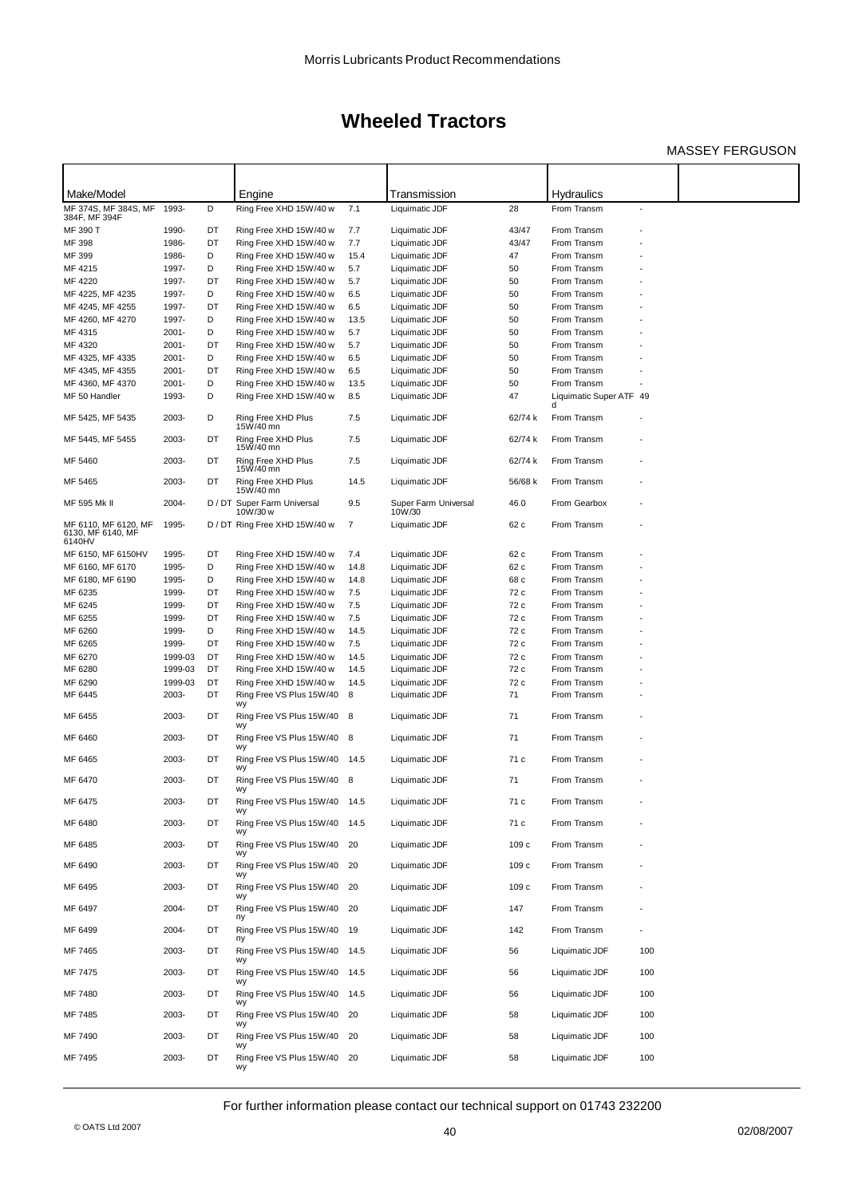### MASSEY FERGUSON

| Make/Model                                          |                    |          | Engine                                           |                | Transmission                     |              | Hydraulics                             |     |  |
|-----------------------------------------------------|--------------------|----------|--------------------------------------------------|----------------|----------------------------------|--------------|----------------------------------------|-----|--|
| MF 374S, MF 384S, MF<br>384F, MF 394F               | 1993-              | D        | Ring Free XHD 15W/40 w                           | 7.1            | Liquimatic JDF                   | 28           | From Transm                            | ÷,  |  |
| MF 390 T                                            | 1990-              | DT       | Ring Free XHD 15W/40 w                           | 7.7            | Liquimatic JDF                   | 43/47        | From Transm                            |     |  |
| MF 398                                              | 1986-              | DT       | Ring Free XHD 15W/40 w                           | 7.7            | Liquimatic JDF                   | 43/47        | From Transm                            |     |  |
| MF 399                                              | 1986-              | D        | Ring Free XHD 15W/40 w                           | 15.4           | Liquimatic JDF                   | 47           | From Transm                            |     |  |
| MF 4215                                             | 1997-              | D        | Ring Free XHD 15W/40 w                           | 5.7            | Liquimatic JDF                   | 50           | From Transm                            |     |  |
| MF 4220                                             | 1997-              | DT       | Ring Free XHD 15W/40 w                           | 5.7            | Liquimatic JDF                   | 50           | From Transm                            |     |  |
| MF 4225, MF 4235                                    | 1997-              | D        | Ring Free XHD 15W/40 w                           | 6.5            | Liquimatic JDF                   | 50           | From Transm                            |     |  |
| MF 4245, MF 4255                                    | 1997-              | DT       | Ring Free XHD 15W/40 w                           | 6.5            | Liquimatic JDF                   | 50           | From Transm                            |     |  |
| MF 4260, MF 4270                                    | 1997-              | D        | Ring Free XHD 15W/40 w                           | 13.5           | Liquimatic JDF                   | 50           | From Transm                            |     |  |
| MF 4315                                             | 2001-              | D        | Ring Free XHD 15W/40 w                           | 5.7            | Liquimatic JDF                   | 50           | From Transm                            |     |  |
| MF 4320                                             | 2001-              | DT       | Ring Free XHD 15W/40 w                           | 5.7            | Liquimatic JDF                   | 50           | From Transm                            |     |  |
| MF 4325, MF 4335                                    | $2001 -$           | D        | Ring Free XHD 15W/40 w                           | 6.5            | Liquimatic JDF                   | 50           | From Transm                            |     |  |
| MF 4345, MF 4355                                    | 2001-              | DT<br>D  | Ring Free XHD 15W/40 w                           | 6.5            | Liquimatic JDF                   | 50           | From Transm                            |     |  |
| MF 4360, MF 4370<br>MF 50 Handler                   | 2001-<br>1993-     | D        | Ring Free XHD 15W/40 w<br>Ring Free XHD 15W/40 w | 13.5<br>8.5    | Liquimatic JDF<br>Liquimatic JDF | 50<br>47     | From Transm<br>Liquimatic Super ATF 49 |     |  |
|                                                     |                    |          |                                                  |                |                                  |              | d                                      |     |  |
| MF 5425, MF 5435                                    | 2003-              | D        | Ring Free XHD Plus<br>15W/40 mn                  | 7.5            | Liquimatic JDF                   | 62/74 k      | From Transm                            |     |  |
| MF 5445, MF 5455                                    | 2003-              | DT       | Ring Free XHD Plus<br>15W/40 mn                  | 7.5            | Liquimatic JDF                   | 62/74 k      | From Transm                            |     |  |
| MF 5460                                             | 2003-              | DT       | Ring Free XHD Plus<br>15W/40 mn                  | 7.5            | Liquimatic JDF                   | 62/74 k      | From Transm                            |     |  |
| MF 5465                                             | 2003-              | DT       | Ring Free XHD Plus<br>15W/40 mn                  | 14.5           | Liquimatic JDF                   | 56/68 k      | From Transm                            |     |  |
| MF 595 Mk II                                        | 2004-              |          | D / DT Super Farm Universal<br>10W/30 w          | 9.5            | Super Farm Universal<br>10W/30   | 46.0         | From Gearbox                           |     |  |
| MF 6110, MF 6120, MF<br>6130, MF 6140, MF<br>6140HV | 1995-              |          | D / DT Ring Free XHD 15W/40 w                    | $\overline{7}$ | Liquimatic JDF                   | 62 c         | From Transm                            |     |  |
| MF 6150, MF 6150HV                                  | 1995-              | DT       | Ring Free XHD 15W/40 w                           | 7.4            | Liquimatic JDF                   | 62 c         | From Transm                            |     |  |
| MF 6160, MF 6170                                    | 1995-              | D        | Ring Free XHD 15W/40 w                           | 14.8           | Liquimatic JDF                   | 62 c         | From Transm                            |     |  |
| MF 6180, MF 6190                                    | 1995-              | D        | Ring Free XHD 15W/40 w                           | 14.8           | Liquimatic JDF                   | 68 c         | From Transm                            |     |  |
| MF 6235                                             | 1999-              | DT       | Ring Free XHD 15W/40 w                           | 7.5            | Liquimatic JDF                   | 72 c         | From Transm                            |     |  |
| MF 6245                                             | 1999-              | DT       | Ring Free XHD 15W/40 w                           | 7.5            | Liquimatic JDF                   | 72 c         | From Transm                            |     |  |
| MF 6255                                             | 1999-              | DT       | Ring Free XHD 15W/40 w                           | 7.5            | Liquimatic JDF                   | 72 c         | From Transm                            |     |  |
| MF 6260                                             | 1999-              | D        | Ring Free XHD 15W/40 w                           | 14.5           | Liquimatic JDF                   | 72 c         | From Transm                            |     |  |
| MF 6265                                             | 1999-              | DT       | Ring Free XHD 15W/40 w                           | 7.5            | Liquimatic JDF                   | 72 c         | From Transm                            |     |  |
| MF 6270<br>MF 6280                                  | 1999-03<br>1999-03 | DT<br>DT | Ring Free XHD 15W/40 w<br>Ring Free XHD 15W/40 w | 14.5<br>14.5   | Liquimatic JDF<br>Liquimatic JDF | 72 c<br>72 c | From Transm<br>From Transm             |     |  |
| MF 6290                                             | 1999-03            | DT       | Ring Free XHD 15W/40 w                           | 14.5           | Liquimatic JDF                   | 72 c         | From Transm                            |     |  |
| MF 6445                                             | 2003-              | DT       | Ring Free VS Plus 15W/40                         | 8              | Liquimatic JDF                   | 71           | From Transm                            |     |  |
|                                                     | 2003-              | DT       | wy                                               |                |                                  | 71           | From Transm                            |     |  |
| MF 6455                                             |                    |          | Ring Free VS Plus 15W/40<br>wy                   | 8              | Liquimatic JDF                   |              |                                        |     |  |
| MF 6460                                             | 2003-              | DT       | Ring Free VS Plus 15W/40 8<br>wy                 |                | Liquimatic JDF                   | 71           | From Transm                            |     |  |
| MF 6465                                             | 2003-              | DT       | Ring Free VS Plus 15W/40<br>wy                   | 14.5           | Liquimatic JDF                   | 71 c         | From Transm                            |     |  |
| MF 6470                                             | 2003-              | DT       | Ring Free VS Plus 15W/40 8<br>wy                 |                | Liquimatic JDF                   | 71           | From Transm                            |     |  |
| MF 6475                                             | 2003-              | DT       | Ring Free VS Plus 15W/40 14.5<br>wy              |                | Liquimatic JDF                   | 71 c         | From Transm                            |     |  |
| MF 6480                                             | 2003-              | DT       | Ring Free VS Plus 15W/40 14.5<br>wy              |                | Liquimatic JDF                   | 71 c         | From Transm                            |     |  |
| MF 6485                                             | 2003-              | DT       | Ring Free VS Plus 15W/40<br>wy                   | 20             | Liquimatic JDF                   | 109 c        | From Transm                            |     |  |
| MF 6490                                             | 2003-              | DT       | Ring Free VS Plus 15W/40<br>wy                   | 20             | Liquimatic JDF                   | 109 c        | From Transm                            |     |  |
| MF 6495                                             | 2003-              | DT       | Ring Free VS Plus 15W/40<br>wy                   | 20             | Liquimatic JDF                   | 109 c        | From Transm                            |     |  |
| MF 6497                                             | 2004-              | DT       | Ring Free VS Plus 15W/40<br>ny                   | 20             | Liquimatic JDF                   | 147          | From Transm                            |     |  |
| MF 6499                                             | 2004-              | DT       | Ring Free VS Plus 15W/40<br>ny                   | 19             | Liquimatic JDF                   | 142          | From Transm                            |     |  |
| MF 7465                                             | 2003-              | DT       | Ring Free VS Plus 15W/40 14.5<br>wy              |                | Liquimatic JDF                   | 56           | Liquimatic JDF                         | 100 |  |
| MF 7475                                             | 2003-              | DT       | Ring Free VS Plus 15W/40<br>wy                   | 14.5           | Liquimatic JDF                   | 56           | Liquimatic JDF                         | 100 |  |
| MF 7480                                             | 2003-              | DT       | Ring Free VS Plus 15W/40 14.5<br>wy              |                | Liquimatic JDF                   | 56           | Liquimatic JDF                         | 100 |  |
| MF 7485                                             | 2003-              | DT       | Ring Free VS Plus 15W/40<br>wy                   | 20             | Liquimatic JDF                   | 58           | Liquimatic JDF                         | 100 |  |
| MF 7490                                             | 2003-              | DT       | Ring Free VS Plus 15W/40<br>wy                   | 20             | Liquimatic JDF                   | 58           | Liquimatic JDF                         | 100 |  |
| MF 7495                                             | 2003-              | DT       | Ring Free VS Plus 15W/40<br>wy                   | 20             | Liquimatic JDF                   | 58           | Liquimatic JDF                         | 100 |  |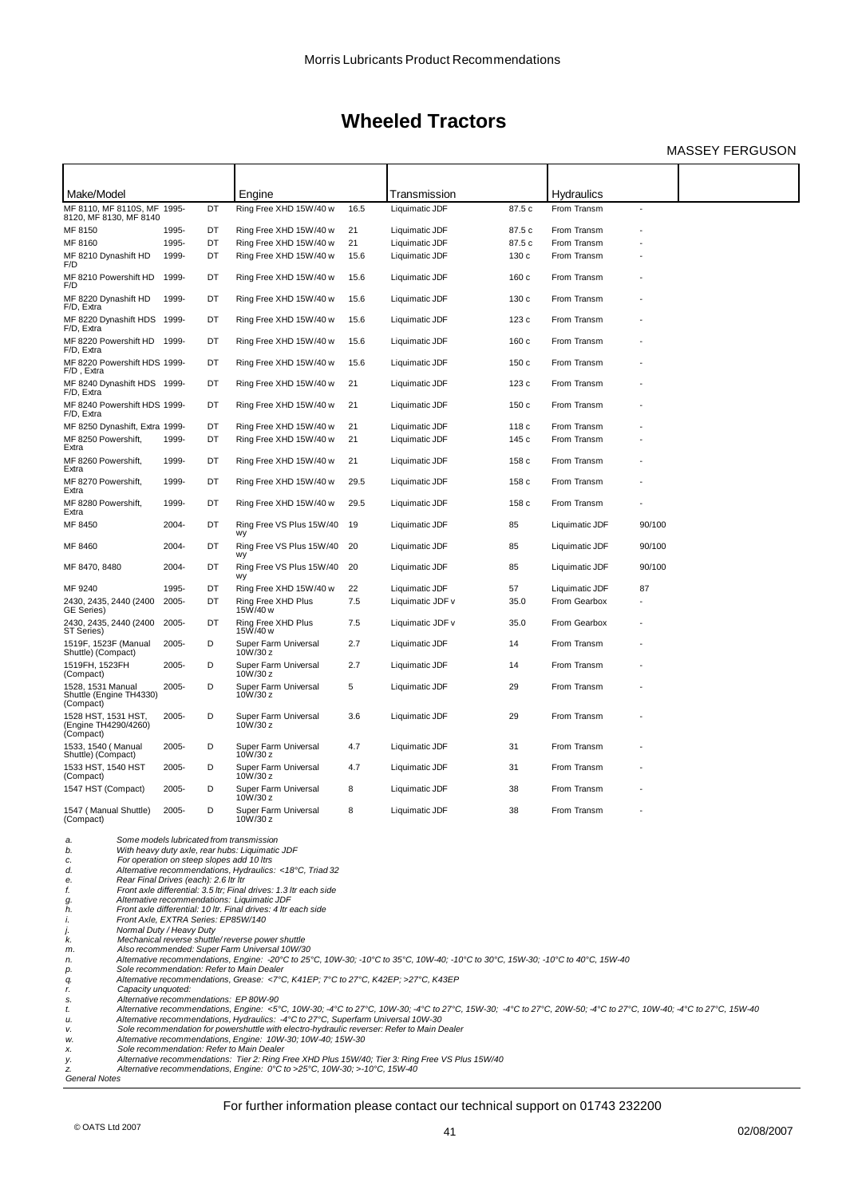### MASSEY FERGUSON

| Make/Model                                                |       |                                                                   | Engine                                                         |      | Transmission     |        | Hydraulics     |        |  |
|-----------------------------------------------------------|-------|-------------------------------------------------------------------|----------------------------------------------------------------|------|------------------|--------|----------------|--------|--|
| MF 8110, MF 8110S, MF 1995-<br>8120, MF 8130, MF 8140     |       | DT                                                                | Ring Free XHD 15W/40 w                                         | 16.5 | Liquimatic JDF   | 87.5 c | From Transm    |        |  |
| MF 8150                                                   | 1995- | DT                                                                | Ring Free XHD 15W/40 w                                         | 21   | Liquimatic JDF   | 87.5 c | From Transm    |        |  |
| MF 8160                                                   | 1995- | DT                                                                | Ring Free XHD 15W/40 w                                         | 21   | Liquimatic JDF   | 87.5 c | From Transm    |        |  |
| MF 8210 Dynashift HD<br>F/D                               | 1999- | DT                                                                | Ring Free XHD 15W/40 w                                         | 15.6 | Liquimatic JDF   | 130c   | From Transm    |        |  |
| MF 8210 Powershift HD<br>F/D                              | 1999- | DT                                                                | Ring Free XHD 15W/40 w                                         | 15.6 | Liquimatic JDF   | 160c   | From Transm    |        |  |
| MF 8220 Dynashift HD<br>F/D, Extra                        | 1999- | DT                                                                | Ring Free XHD 15W/40 w                                         | 15.6 | Liquimatic JDF   | 130 c  | From Transm    |        |  |
| MF 8220 Dynashift HDS 1999-<br>F/D, Extra                 |       | DT                                                                | Ring Free XHD 15W/40 w                                         | 15.6 | Liquimatic JDF   | 123c   | From Transm    |        |  |
| MF 8220 Powershift HD 1999-<br>F/D, Extra                 |       | DT                                                                | Ring Free XHD 15W/40 w                                         | 15.6 | Liquimatic JDF   | 160c   | From Transm    |        |  |
| MF 8220 Powershift HDS 1999-<br>F/D, Extra                |       | DT                                                                | Ring Free XHD 15W/40 w                                         | 15.6 | Liquimatic JDF   | 150c   | From Transm    |        |  |
| MF 8240 Dynashift HDS 1999-<br>F/D, Extra                 |       | DT                                                                | Ring Free XHD 15W/40 w                                         | 21   | Liquimatic JDF   | 123 c  | From Transm    |        |  |
| MF 8240 Powershift HDS 1999-<br>F/D, Extra                |       | DT                                                                | Ring Free XHD 15W/40 w                                         | 21   | Liquimatic JDF   | 150c   | From Transm    |        |  |
| MF 8250 Dynashift, Extra 1999-                            |       | DT                                                                | Ring Free XHD 15W/40 w                                         | 21   | Liquimatic JDF   | 118 c  | From Transm    |        |  |
| MF 8250 Powershift,<br>Extra                              | 1999- | DT                                                                | Ring Free XHD 15W/40 w                                         | 21   | Liquimatic JDF   | 145 с  | From Transm    |        |  |
| MF 8260 Powershift,<br>Extra                              | 1999- | DT                                                                | Ring Free XHD 15W/40 w                                         | 21   | Liquimatic JDF   | 158 c  | From Transm    |        |  |
| MF 8270 Powershift,<br>Extra                              | 1999- | DT                                                                | Ring Free XHD 15W/40 w                                         | 29.5 | Liquimatic JDF   | 158 c  | From Transm    |        |  |
| MF 8280 Powershift,<br>Extra                              | 1999- | DT                                                                | Ring Free XHD 15W/40 w                                         | 29.5 | Liquimatic JDF   | 158 c  | From Transm    |        |  |
| MF 8450                                                   | 2004- | DT                                                                | Ring Free VS Plus 15W/40<br>wy                                 | 19   | Liquimatic JDF   | 85     | Liquimatic JDF | 90/100 |  |
| MF 8460                                                   | 2004- | DT                                                                | Ring Free VS Plus 15W/40<br>wy                                 | 20   | Liquimatic JDF   | 85     | Liquimatic JDF | 90/100 |  |
| MF 8470, 8480                                             | 2004- | DT                                                                | Ring Free VS Plus 15W/40<br>wy                                 | 20   | Liquimatic JDF   | 85     | Liquimatic JDF | 90/100 |  |
| MF 9240                                                   | 1995- | DT                                                                | Ring Free XHD 15W/40 w                                         | 22   | Liquimatic JDF   | 57     | Liquimatic JDF | 87     |  |
| 2430, 2435, 2440 (2400<br>GE Series)                      | 2005- | DT                                                                | Ring Free XHD Plus<br>15W/40 w                                 | 7.5  | Liquimatic JDF v | 35.0   | From Gearbox   |        |  |
| 2430, 2435, 2440 (2400<br>ST Series)                      | 2005- | DT                                                                | Ring Free XHD Plus<br>15W/40 w                                 | 7.5  | Liquimatic JDF v | 35.0   | From Gearbox   |        |  |
| 1519F, 1523F (Manual<br>Shuttle) (Compact)                | 2005- | D                                                                 | Super Farm Universal<br>10W/30 z                               | 2.7  | Liquimatic JDF   | 14     | From Transm    |        |  |
| 1519FH, 1523FH<br>(Compact)                               | 2005- | D                                                                 | Super Farm Universal<br>10W/30 z                               | 2.7  | Liquimatic JDF   | 14     | From Transm    |        |  |
| 1528, 1531 Manual<br>Shuttle (Engine TH4330)<br>(Compact) | 2005- | D                                                                 | Super Farm Universal<br>10W/30 z                               | 5    | Liquimatic JDF   | 29     | From Transm    |        |  |
| 1528 HST, 1531 HST,<br>(Engine TH4290/4260)<br>(Compact)  | 2005- | D                                                                 | Super Farm Universal<br>10W/30 z                               | 3.6  | Liquimatic JDF   | 29     | From Transm    |        |  |
| 1533, 1540 (Manual<br>Shuttle) (Compact)                  | 2005- | D                                                                 | Super Farm Universal<br>10W/30 z                               | 4.7  | Liquimatic JDF   | 31     | From Transm    |        |  |
| 1533 HST, 1540 HST<br>(Compact)                           | 2005- | D                                                                 | Super Farm Universal<br>10W/30 z                               | 4.7  | Liquimatic JDF   | 31     | From Transm    |        |  |
| 1547 HST (Compact)                                        | 2005- | D                                                                 | Super Farm Universal<br>10W/30 z                               | 8    | Liquimatic JDF   | 38     | From Transm    |        |  |
| 1547 (Manual Shuttle)<br>(Compact)                        | 2005- | D                                                                 | Super Farm Universal<br>10W/30 z                               | 8    | Liquimatic JDF   | 38     | From Transm    |        |  |
| Some models lubricated from transmission<br>a.            |       |                                                                   |                                                                |      |                  |        |                |        |  |
| b.                                                        |       |                                                                   | With heavy duty axle, rear hubs: Liquimatic JDF                |      |                  |        |                |        |  |
| For operation on steep slopes add 10 ltrs<br>c.<br>d.     |       |                                                                   | Alternative recommendations, Hydraulics: <18°C, Triad 32       |      |                  |        |                |        |  |
| e.<br>Rear Final Drives (each): 2.6 Itr Itr               |       |                                                                   |                                                                |      |                  |        |                |        |  |
| f.                                                        |       | Front axle differential: 3.5 ltr; Final drives: 1.3 ltr each side |                                                                |      |                  |        |                |        |  |
| g.                                                        |       |                                                                   | Alternative recommendations: Liquimatic JDF                    |      |                  |        |                |        |  |
| h.                                                        |       |                                                                   | Front axle differential: 10 ltr. Final drives: 4 ltr each side |      |                  |        |                |        |  |

*i. Front Axle, EXTRA Series: EP85W/140 j. Normal Duty / Heavy Duty*

k. Mechanical reverse shuttle/reverse power shuttle<br>m. Also recommended: Super Farm Universal 10W/30<br>n. Alternative recommendations, Engine: -20°C to 25°C, 10W-30; -10°C to 35°C, 10W-40; -10°C to 30°C, 15W-30; -10°C to 40

*r.* **Front Axle, EXTRA**<br> *r. Normal Duty* / Heav<br> *R. Mechanical reverse m.* Also recommended<br> *n.* Alternative recommended<br> *p.* Sole recommended:<br> *r.* Capacity unquoted:<br> *r.* Capacity unquoted:<br> *r.* Alternative rec s. Alternative recommendations: EP 80W-90<br>t. Alternative recommendations, Engine: <5°C, 10W-30; -4°C to 27°C, 10W-30; -4°C to 27°C, 15W-30; -4°C to 27°C, 20W-50; -4°C to 27°C, 10W-40; -4°C to 27°C, 15W-40<br>u. Alternative r

*w. Alternative recommendations, Engine: 10W-30; 10W-40; 15W-30 x. Sole recommendation: Refer to Main Dealer*

*y. Alternative recommendations: Tier 2: Ring Free XHD Plus 15W/40; Tier 3: Ring Free VS Plus 15W/40 z. Alternative recommendations, Engine: 0°C to >25°C, 10W-30; >-10°C, 15W-40*

*General Notes*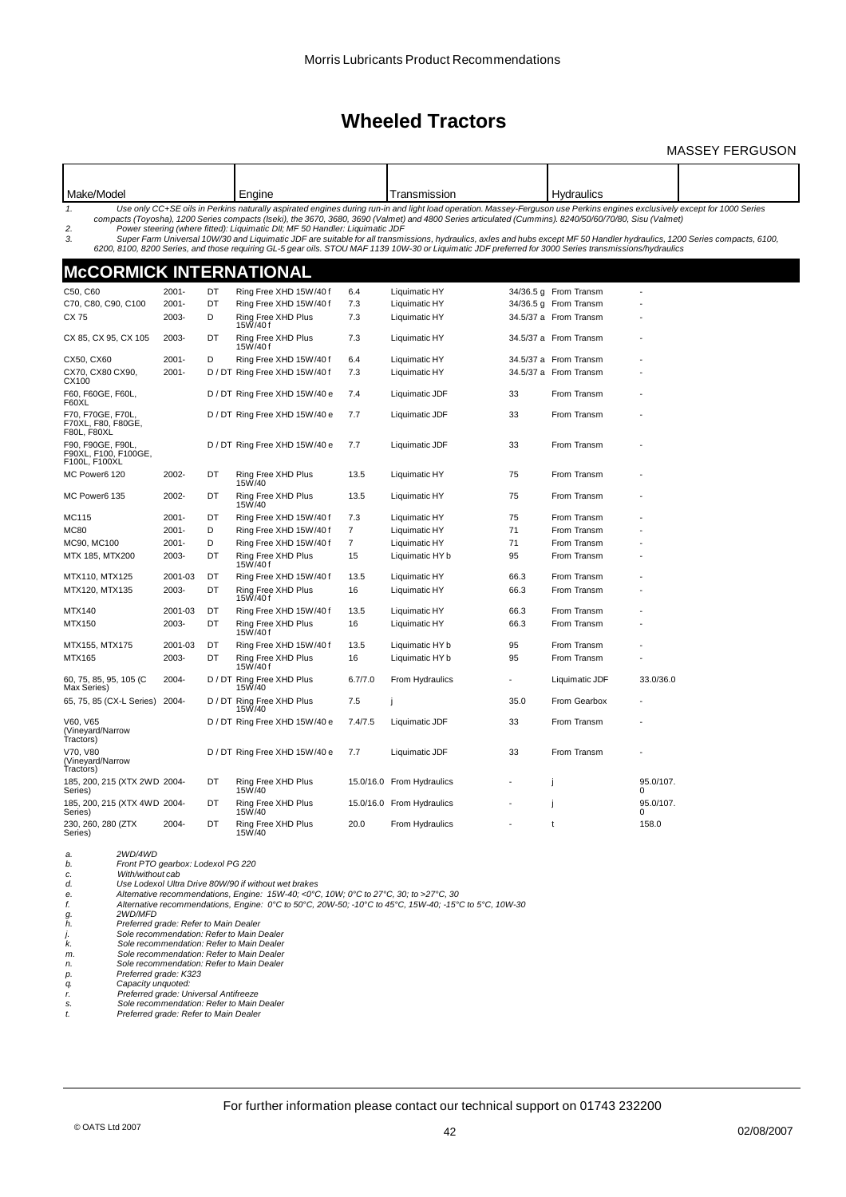### MASSEY FERGUSON

| Make/Model                                                |          |    | Engine                                                                       |                | Transmission                                                                                                                                                                                                                                                                                                                                                                                                                                                                                                                                                                                                                                                                |      | <b>Hydraulics</b>     |                |  |
|-----------------------------------------------------------|----------|----|------------------------------------------------------------------------------|----------------|-----------------------------------------------------------------------------------------------------------------------------------------------------------------------------------------------------------------------------------------------------------------------------------------------------------------------------------------------------------------------------------------------------------------------------------------------------------------------------------------------------------------------------------------------------------------------------------------------------------------------------------------------------------------------------|------|-----------------------|----------------|--|
| 1.<br>2.<br>3.                                            |          |    | Power steering (where fitted): Liguimatic DII; MF 50 Handler: Liguimatic JDF |                | Use only CC+SE oils in Perkins naturally aspirated engines during run-in and light load operation. Massey-Ferguson use Perkins engines exclusively except for 1000 Series<br>compacts (Toyosha), 1200 Series compacts (Iseki), the 3670, 3680, 3690 (Valmet) and 4800 Series articulated (Cummins). 8240/50/60/70/80, Sisu (Valmet)<br>Super Farm Universal 10W/30 and Liquimatic JDF are suitable for all transmissions, hydraulics, axles and hubs except MF 50 Handler hydraulics, 1200 Series compacts, 6100,<br>6200, 8100, 8200 Series, and those requiring GL-5 gear oils. STOU MAF 1139 10W-30 or Liquimatic JDF preferred for 3000 Series transmissions/hydraulics |      |                       |                |  |
| McCORMICK INTERNATIONAL                                   |          |    |                                                                              |                |                                                                                                                                                                                                                                                                                                                                                                                                                                                                                                                                                                                                                                                                             |      |                       |                |  |
| C50, C60                                                  | 2001-    | DT | Ring Free XHD 15W/40 f                                                       | 6.4            | Liquimatic HY                                                                                                                                                                                                                                                                                                                                                                                                                                                                                                                                                                                                                                                               |      | 34/36.5 g From Transm |                |  |
| C70, C80, C90, C100                                       | $2001 -$ | DT | Ring Free XHD 15W/40 f                                                       | 7.3            | Liquimatic HY                                                                                                                                                                                                                                                                                                                                                                                                                                                                                                                                                                                                                                                               |      | 34/36.5 g From Transm |                |  |
| CX 75                                                     | 2003-    | D  | Ring Free XHD Plus                                                           | 7.3            | Liquimatic HY                                                                                                                                                                                                                                                                                                                                                                                                                                                                                                                                                                                                                                                               |      | 34.5/37 a From Transm |                |  |
|                                                           |          |    | 15W/40f                                                                      |                |                                                                                                                                                                                                                                                                                                                                                                                                                                                                                                                                                                                                                                                                             |      |                       |                |  |
| CX 85, CX 95, CX 105                                      | 2003-    | DT | Ring Free XHD Plus<br>15W/40f                                                | 7.3            | Liquimatic HY                                                                                                                                                                                                                                                                                                                                                                                                                                                                                                                                                                                                                                                               |      | 34.5/37 a From Transm |                |  |
| CX50, CX60                                                | 2001-    | D  | Ring Free XHD 15W/40 f                                                       | 6.4            | Liquimatic HY                                                                                                                                                                                                                                                                                                                                                                                                                                                                                                                                                                                                                                                               |      | 34.5/37 a From Transm |                |  |
| CX70, CX80 CX90,<br>CX100                                 | $2001 -$ |    | D / DT Ring Free XHD 15W/40 f                                                | 7.3            | Liquimatic HY                                                                                                                                                                                                                                                                                                                                                                                                                                                                                                                                                                                                                                                               |      | 34.5/37 a From Transm |                |  |
| F60, F60GE, F60L,<br>F60XL                                |          |    | D / DT Ring Free XHD 15W/40 e                                                | 7.4            | Liquimatic JDF                                                                                                                                                                                                                                                                                                                                                                                                                                                                                                                                                                                                                                                              | 33   | From Transm           |                |  |
| F70, F70GE, F70L<br>F70XL, F80, F80GE,<br>F80L, F80XL     |          |    | D / DT Ring Free XHD 15W/40 e                                                | 7.7            | Liquimatic JDF                                                                                                                                                                                                                                                                                                                                                                                                                                                                                                                                                                                                                                                              | 33   | From Transm           |                |  |
| F90, F90GE, F90L<br>F90XL, F100, F100GE,<br>F100L, F100XL |          |    | D / DT Ring Free XHD 15W/40 e                                                | 7.7            | Liquimatic JDF                                                                                                                                                                                                                                                                                                                                                                                                                                                                                                                                                                                                                                                              | 33   | From Transm           |                |  |
| MC Power6 120                                             | 2002-    | DT | Ring Free XHD Plus<br>15W/40                                                 | 13.5           | Liquimatic HY                                                                                                                                                                                                                                                                                                                                                                                                                                                                                                                                                                                                                                                               | 75   | From Transm           |                |  |
| MC Power6 135                                             | 2002-    | DT | Ring Free XHD Plus<br>15W/40                                                 | 13.5           | Liquimatic HY                                                                                                                                                                                                                                                                                                                                                                                                                                                                                                                                                                                                                                                               | 75   | From Transm           |                |  |
| MC115                                                     | $2001 -$ | DT | Ring Free XHD 15W/40 f                                                       | 7.3            | Liquimatic HY                                                                                                                                                                                                                                                                                                                                                                                                                                                                                                                                                                                                                                                               | 75   | From Transm           |                |  |
| MC80                                                      | $2001 -$ | D  | Ring Free XHD 15W/40 f                                                       | $\overline{7}$ | Liquimatic HY                                                                                                                                                                                                                                                                                                                                                                                                                                                                                                                                                                                                                                                               | 71   | From Transm           |                |  |
| MC90, MC100                                               | 2001-    | D  | Ring Free XHD 15W/40 f                                                       | $\overline{7}$ | Liquimatic HY                                                                                                                                                                                                                                                                                                                                                                                                                                                                                                                                                                                                                                                               | 71   | From Transm           |                |  |
| MTX 185, MTX200                                           | 2003-    | DT | Ring Free XHD Plus<br>15W/40f                                                | 15             | Liquimatic HY b                                                                                                                                                                                                                                                                                                                                                                                                                                                                                                                                                                                                                                                             | 95   | From Transm           |                |  |
| MTX110, MTX125                                            | 2001-03  | DT | Ring Free XHD 15W/40 f                                                       | 13.5           | Liquimatic HY                                                                                                                                                                                                                                                                                                                                                                                                                                                                                                                                                                                                                                                               | 66.3 | From Transm           |                |  |
| MTX120, MTX135                                            | 2003-    | DT | Ring Free XHD Plus<br>15W/40f                                                | 16             | Liquimatic HY                                                                                                                                                                                                                                                                                                                                                                                                                                                                                                                                                                                                                                                               | 66.3 | From Transm           |                |  |
| MTX140                                                    | 2001-03  | DT | Ring Free XHD 15W/40 f                                                       | 13.5           | Liquimatic HY                                                                                                                                                                                                                                                                                                                                                                                                                                                                                                                                                                                                                                                               | 66.3 | From Transm           |                |  |
| MTX150                                                    | 2003-    | DT | Ring Free XHD Plus<br>15W/40f                                                | 16             | Liquimatic HY                                                                                                                                                                                                                                                                                                                                                                                                                                                                                                                                                                                                                                                               | 66.3 | From Transm           |                |  |
| MTX155, MTX175                                            | 2001-03  | DT | Ring Free XHD 15W/40 f                                                       | 13.5           | Liquimatic HY b                                                                                                                                                                                                                                                                                                                                                                                                                                                                                                                                                                                                                                                             | 95   | From Transm           |                |  |
| MTX165                                                    | 2003-    | DT | Ring Free XHD Plus<br>15W/40f                                                | 16             | Liquimatic HY b                                                                                                                                                                                                                                                                                                                                                                                                                                                                                                                                                                                                                                                             | 95   | From Transm           |                |  |
| 60, 75, 85, 95, 105 (C<br>Max Series)                     | 2004-    |    | D / DT Ring Free XHD Plus<br>15W/40                                          | 6.7/7.0        | From Hydraulics                                                                                                                                                                                                                                                                                                                                                                                                                                                                                                                                                                                                                                                             |      | Liquimatic JDF        | 33.0/36.0      |  |
| 65, 75, 85 (CX-L Series) 2004-                            |          |    | D / DT Ring Free XHD Plus<br>15W/40                                          | 7.5            | j                                                                                                                                                                                                                                                                                                                                                                                                                                                                                                                                                                                                                                                                           | 35.0 | From Gearbox          |                |  |
| V60, V65<br>(Vineyard/Narrow<br>Tractors)                 |          |    | D / DT Ring Free XHD 15W/40 e                                                | 7.4/7.5        | Liquimatic JDF                                                                                                                                                                                                                                                                                                                                                                                                                                                                                                                                                                                                                                                              | 33   | From Transm           |                |  |
| V70, V80<br>(Vineyard/Narrow<br>Tractors)                 |          |    | D / DT Ring Free XHD 15W/40 e                                                | 7.7            | Liquimatic JDF                                                                                                                                                                                                                                                                                                                                                                                                                                                                                                                                                                                                                                                              | 33   | From Transm           |                |  |
| 185, 200, 215 (XTX 2WD 2004-<br>Series)                   |          | DT | Ring Free XHD Plus<br>15W/40                                                 |                | 15.0/16.0 From Hydraulics                                                                                                                                                                                                                                                                                                                                                                                                                                                                                                                                                                                                                                                   |      |                       | 95.0/107.<br>0 |  |
| 185, 200, 215 (XTX 4WD-2004-<br>Series)                   |          | DT | Ring Free XHD Plus<br>15W/40                                                 |                | 15.0/16.0 From Hydraulics                                                                                                                                                                                                                                                                                                                                                                                                                                                                                                                                                                                                                                                   |      | H                     | 95.0/107.<br>O |  |
| 230, 260, 280 (ZTX<br>Series)                             | 2004-    | DT | Ring Free XHD Plus<br>15W/40                                                 | 20.0           | From Hydraulics                                                                                                                                                                                                                                                                                                                                                                                                                                                                                                                                                                                                                                                             |      | t                     | 158.0          |  |
| 2WD/4WD<br>a.                                             |          |    |                                                                              |                |                                                                                                                                                                                                                                                                                                                                                                                                                                                                                                                                                                                                                                                                             |      |                       |                |  |

*p.* **Promet PTO gearbox:** Lots With Without cable of the Use Lodexol Ultra Drive Controller Controller Controller *Alternative recomment p. 2WDMFD*<br> *p. 2WDMFD*<br> *p. 2WDMFD*<br> *p. 2WDMFD*<br> *p. 2WDMFD*<br> *p. 2WDMFD*<br> *p.* 

a. 2WD/4WD<br>b. Front PTO gearbox: Lodexol PG 220<br>c. With/without cab<br>d. Use Lodexol Ultra Drive 80W/90 if without wet brakes<br>e. Alternative recommendations, Engine: 15W-40; <0°C, 10W; 0°C to 27°C, 30; to >27°C, 30<br>f. Altern

*h. Preferred grade: Refer to Main Dealer j. Sole recommendation: Refer to Main Dealer k. Sole recommendation: Refer to Main Dealer*

*m. Sole recommendation: Refer to Main Dealer n. Sole recommendation: Refer to Main Dealer*

*q. Capacity unquoted: r. Preferred grade: Universal Antifreeze s. Sole recommendation: Refer to Main Dealer t. Preferred grade: Refer to Main Dealer*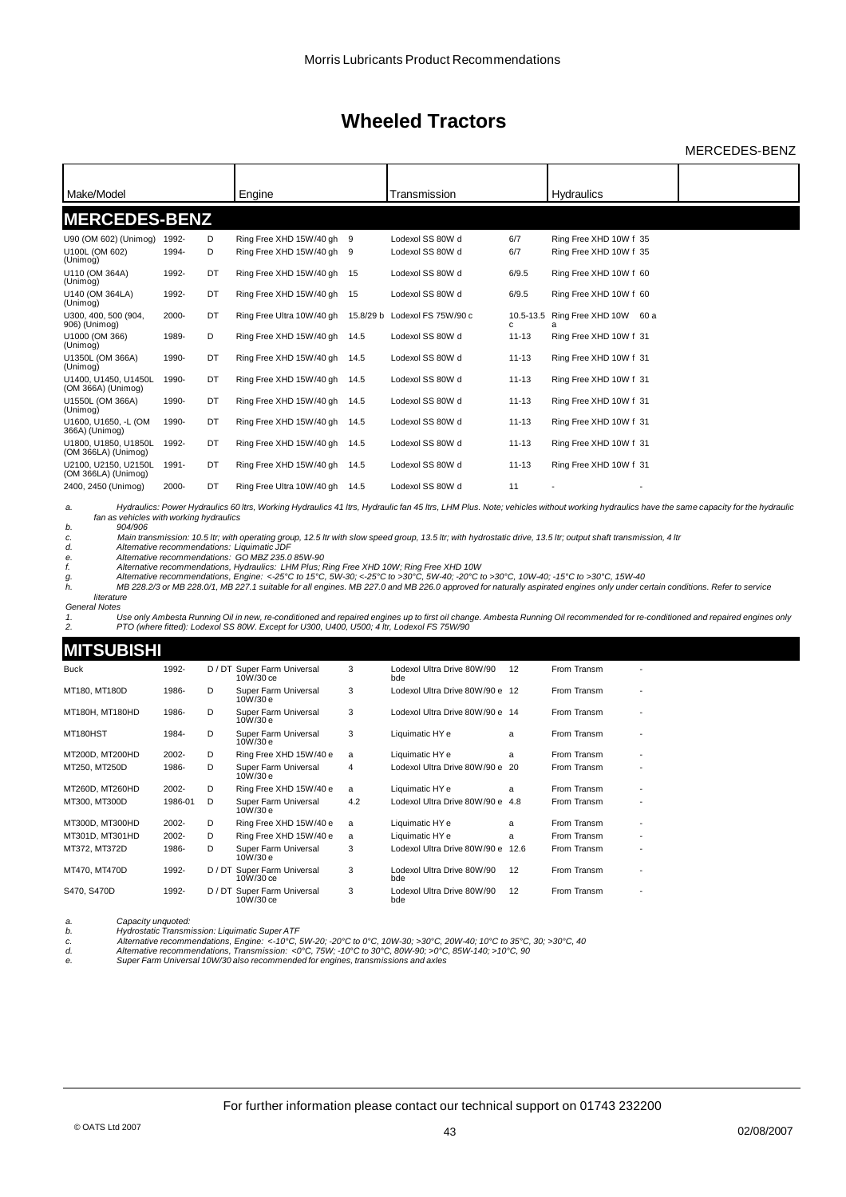MERCEDES-BENZ

| Make/Model                                  |       |    | Engine                    |      | Transmission                  |                 | <b>Hydraulics</b>      |  |
|---------------------------------------------|-------|----|---------------------------|------|-------------------------------|-----------------|------------------------|--|
| <b>MERCEDES-BENZ</b>                        |       |    |                           |      |                               |                 |                        |  |
|                                             |       |    |                           |      |                               |                 |                        |  |
| U90 (OM 602) (Unimog)                       | 1992- | D  | Ring Free XHD 15W/40 gh   | 9    | Lodexol SS 80W d              | 6/7             | Ring Free XHD 10W f 35 |  |
| U100L (OM 602)<br>(Unimog)                  | 1994- | D  | Ring Free XHD 15W/40 gh   | 9    | Lodexol SS 80W d              | 6/7             | Ring Free XHD 10W f 35 |  |
| U110 (OM 364A)<br>(Unimog)                  | 1992- | DT | Ring Free XHD 15W/40 gh   | 15   | Lodexol SS 80W d              | 6/9.5           | Ring Free XHD 10W f 60 |  |
| U140 (OM 364LA)<br>(Unimog)                 | 1992- | DT | Ring Free XHD 15W/40 gh   | 15   | Lodexol SS 80W d              | 6/9.5           | Ring Free XHD 10W f 60 |  |
| U300, 400, 500 (904,<br>906) (Unimog)       | 2000- | DT | Ring Free Ultra 10W/40 gh |      | 15.8/29 b Lodexol FS 75W/90 c | 10.5-13.5<br>c. | Ring Free XHD 10W 60 a |  |
| U1000 (OM 366)<br>(Unimog)                  | 1989- | D  | Ring Free XHD 15W/40 gh   | 14.5 | Lodexol SS 80W d              | $11 - 13$       | Ring Free XHD 10W f 31 |  |
| U1350L (OM 366A)<br>(Unimog)                | 1990- | DT | Ring Free XHD 15W/40 gh   | 14.5 | Lodexol SS 80W d              | $11 - 13$       | Ring Free XHD 10W f 31 |  |
| U1400, U1450, U1450L<br>(OM 366A) (Unimog)  | 1990- | DT | Ring Free XHD 15W/40 gh   | 14.5 | Lodexol SS 80W d              | $11 - 13$       | Ring Free XHD 10W f 31 |  |
| U1550L (OM 366A)<br>(Unimog)                | 1990- | DT | Ring Free XHD 15W/40 gh   | 14.5 | Lodexol SS 80W d              | $11 - 13$       | Ring Free XHD 10W f 31 |  |
| U1600, U1650, -L (OM<br>366A) (Unimog)      | 1990- | DT | Ring Free XHD 15W/40 gh   | 14.5 | Lodexol SS 80W d              | $11 - 13$       | Ring Free XHD 10W f 31 |  |
| U1800, U1850, U1850L<br>(OM 366LA) (Unimog) | 1992- | DT | Ring Free XHD 15W/40 gh   | 14.5 | Lodexol SS 80W d              | $11 - 13$       | Ring Free XHD 10W f 31 |  |
| U2100, U2150, U2150L<br>(OM 366LA) (Unimog) | 1991- | DT | Ring Free XHD 15W/40 gh   | 14.5 | Lodexol SS 80W d              | $11 - 13$       | Ring Free XHD 10W f 31 |  |
| 2400, 2450 (Unimog)                         | 2000- | DT | Ring Free Ultra 10W/40 gh | 14.5 | Lodexol SS 80W d              | 11              |                        |  |

a. Hydraulics: Power Hydraulics 60 ltrs, Working Hydraulics 41 ltrs, Hydraulic fan 45 ltrs, LHM Plus. Note; vehicles without working hydraulics have the same capacity for the hydraulic *fan as vehicles with working hydraulics*

*b.* 904/906<br> *c. Main tran*<br> *d. Alternative c. Main transmission: 10.5 ltr; with operating group, 12.5 ltr with slow speed group, 13.5 ltr; with hydrostatic drive, 13.5 ltr; output shaft transmission, 4 ltr d. Alternative recommendations: Liquimatic JDF*

e. Alternative recommendations: GO MBZ 235.0 85W-90<br>f. Alternative recommendations, Hydraulics: LHM Plus; Ring Free XHD 10W; Ring Free XHD 10W<br>g. Alternative recommendations, Engine: <-25°C to >30°C, 5W-30; <-2

*literature General Notes*

1. Use only Ambesta Running Oil in new, re-conditioned and repaired engines up to first oil change. Ambesta Running Oil recommended for re-conditioned and repaired engines only<br>2. PTO (where fitted): Lodex

### **MITCHBICH**

| <u>INI I JUDIJI II</u> |         |      |                                          |     |                                   |      |             |   |
|------------------------|---------|------|------------------------------------------|-----|-----------------------------------|------|-------------|---|
| <b>Buck</b>            | 1992-   |      | D / DT Super Farm Universal<br>10W/30 ce | 3   | Lodexol Ultra Drive 80W/90<br>bde | 12   | From Transm |   |
| MT180, MT180D          | 1986-   | D    | Super Farm Universal<br>10W/30 e         | 3   | Lodexol Ultra Drive 80W/90 e 12   |      | From Transm |   |
| MT180H, MT180HD        | 1986-   | D    | Super Farm Universal<br>10W/30 e         | 3   | Lodexol Ultra Drive 80W/90 e 14   |      | From Transm |   |
| MT180HST               | 1984-   | D    | Super Farm Universal<br>10W/30 e         | 3   | Liquimatic HY e                   | a    | From Transm |   |
| MT200D, MT200HD        | 2002-   | D    | Ring Free XHD 15W/40 e                   | a   | Liquimatic HY e                   | a    | From Transm |   |
| MT250, MT250D          | 1986-   | D    | Super Farm Universal<br>10W/30 e         | 4   | Lodexol Ultra Drive 80W/90 e 20   |      | From Transm | ٠ |
| MT260D, MT260HD        | 2002-   | D    | Ring Free XHD 15W/40 e                   | a   | Liquimatic HY e                   | a    | From Transm |   |
| MT300, MT300D          | 1986-01 | D    | Super Farm Universal<br>10W/30 e         | 4.2 | Lodexol Ultra Drive 80W/90 e 4.8  |      | From Transm |   |
| MT300D, MT300HD        | 2002-   | D    | Ring Free XHD 15W/40 e                   | a   | Liquimatic HY e                   | a    | From Transm |   |
| MT301D, MT301HD        | 2002-   | D    | Ring Free XHD 15W/40 e                   | a   | Liquimatic HY e                   | a    | From Transm |   |
| MT372, MT372D          | 1986-   | D.   | Super Farm Universal<br>10W/30e          | 3   | Lodexol Ultra Drive 80W/90 e      | 12.6 | From Transm | ٠ |
| MT470, MT470D          | 1992-   |      | D / DT Super Farm Universal<br>10W/30 ce | 3   | Lodexol Ultra Drive 80W/90<br>bde | 12   | From Transm |   |
| S470, S470D            | 1992-   | D/DT | Super Farm Universal<br>10W/30 ce        | 3   | Lodexol Ultra Drive 80W/90<br>bde | 12   | From Transm |   |

a. **Capacity** *unquoted:*<br> *b.* Hydrostatic Transmic. Alternative recomm<br> *d.* Alternative recomm *b. Hydrostatic Transmission: Liquimatic Super ATF c. Alternative recommendations, Engine: <-10°C, 5W-20; -20°C to 0°C, 10W-30; >30°C, 20W-40; 10°C to 35°C, 30; >30°C, 40 d. Alternative recommendations, Transmission: <0°C, 75W; -10°C to 30°C, 80W-90; >0°C, 85W-140; >10°C, 90 e. Super Farm Universal 10W/30 also recommended for engines, transmissions and axles*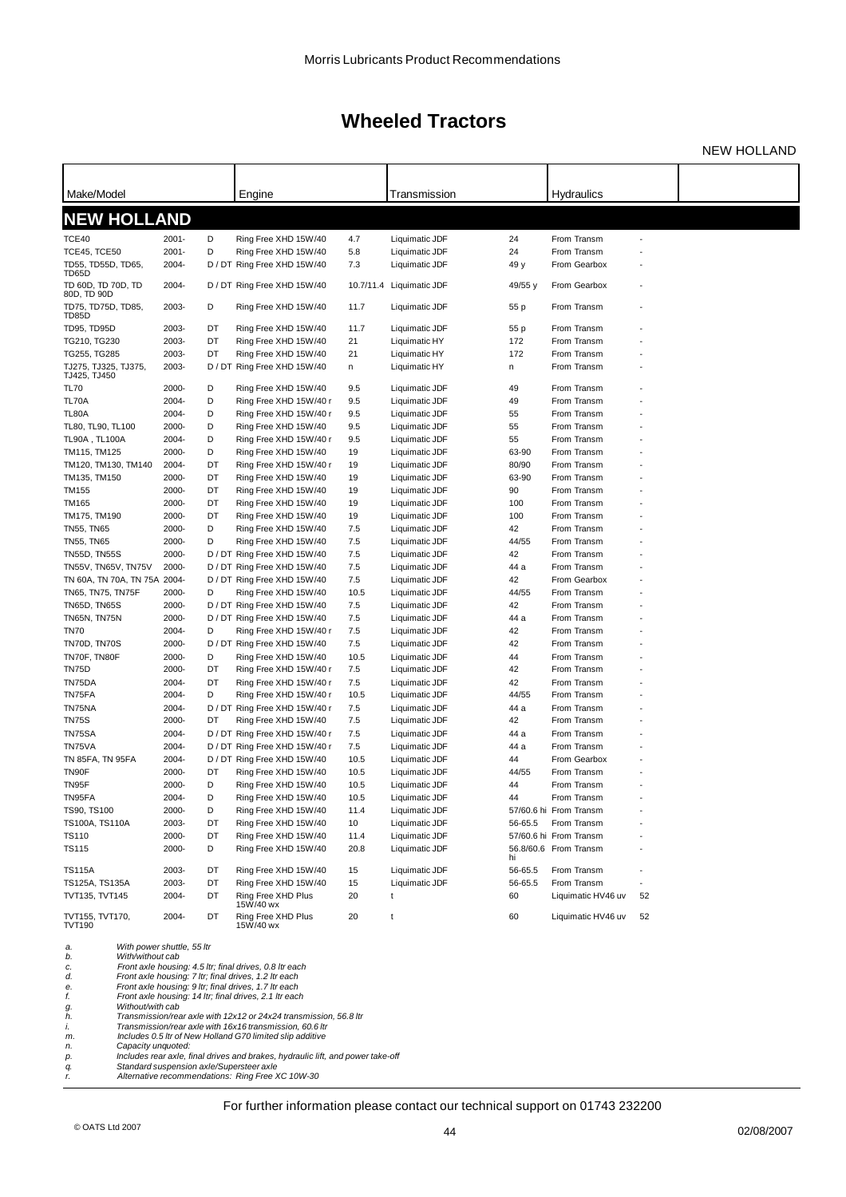NEW HOLLAND

| Make/Model                                        |                |          | Engine                                                                                                                |             | Transmission                     |               | Hydraulics                        |    |  |
|---------------------------------------------------|----------------|----------|-----------------------------------------------------------------------------------------------------------------------|-------------|----------------------------------|---------------|-----------------------------------|----|--|
| <b>NEW HOLLAND</b>                                |                |          |                                                                                                                       |             |                                  |               |                                   |    |  |
| TCE40                                             | 2001-          | D        | Ring Free XHD 15W/40                                                                                                  | 4.7         | Liquimatic JDF                   | 24            | From Transm                       |    |  |
| TCE45, TCE50                                      | $2001 -$       | D        | Ring Free XHD 15W/40                                                                                                  | 5.8         | Liquimatic JDF                   | 24            | From Transm                       |    |  |
| TD55, TD55D, TD65,                                | 2004-          |          | D / DT Ring Free XHD 15W/40                                                                                           | 7.3         | Liquimatic JDF                   | 49 y          | From Gearbox                      |    |  |
| TD65D<br>TD 60D, TD 70D, TD<br>80D, TD 90D        | 2004-          |          | D / DT Ring Free XHD 15W/40                                                                                           |             | 10.7/11.4 Liquimatic JDF         | 49/55 y       | From Gearbox                      |    |  |
| TD75, TD75D, TD85,<br>TD85D                       | 2003-          | D        | Ring Free XHD 15W/40                                                                                                  | 11.7        | Liquimatic JDF                   | 55 p          | From Transm                       |    |  |
| <b>TD95, TD95D</b>                                | 2003-          | DT       | Ring Free XHD 15W/40                                                                                                  | 11.7        | Liquimatic JDF                   | 55 p          | From Transm                       |    |  |
| TG210, TG230                                      | 2003-          | DT       | Ring Free XHD 15W/40                                                                                                  | 21          | Liquimatic HY                    | 172           | From Transm                       |    |  |
| TG255, TG285                                      | 2003-          | DT       | Ring Free XHD 15W/40                                                                                                  | 21          | Liquimatic HY                    | 172           | From Transm                       |    |  |
| TJ275, TJ325, TJ375,<br>TJ425, TJ450              | 2003-          |          | D / DT Ring Free XHD 15W/40                                                                                           | n           | Liquimatic HY                    | n             | From Transm                       |    |  |
| <b>TL70</b>                                       | 2000-          | D        | Ring Free XHD 15W/40                                                                                                  | 9.5         | Liquimatic JDF                   | 49            | From Transm                       |    |  |
| TL70A                                             | 2004-          | D        | Ring Free XHD 15W/40 r                                                                                                | 9.5         | Liquimatic JDF                   | 49            | From Transm                       |    |  |
| <b>TL80A</b>                                      | 2004-<br>2000- | D<br>D   | Ring Free XHD 15W/40 r                                                                                                | 9.5         | Liquimatic JDF                   | 55<br>55      | From Transm<br>From Transm        |    |  |
| TL80, TL90, TL100<br><b>TL90A, TL100A</b>         | 2004-          | D        | Ring Free XHD 15W/40<br>Ring Free XHD 15W/40 r                                                                        | 9.5<br>9.5  | Liquimatic JDF<br>Liquimatic JDF | 55            | From Transm                       |    |  |
| TM115, TM125                                      | 2000-          | D        | Ring Free XHD 15W/40                                                                                                  | 19          | Liquimatic JDF                   | 63-90         | From Transm                       |    |  |
| TM120, TM130, TM140                               | 2004-          | DT       | Ring Free XHD 15W/40 r                                                                                                | 19          | Liquimatic JDF                   | 80/90         | From Transm                       |    |  |
| TM135, TM150                                      | 2000-          | DT       | Ring Free XHD 15W/40                                                                                                  | 19          | Liquimatic JDF                   | 63-90         | From Transm                       |    |  |
| TM155                                             | 2000-          | DT       | Ring Free XHD 15W/40                                                                                                  | 19          | Liquimatic JDF                   | 90            | From Transm                       |    |  |
| <b>TM165</b>                                      | 2000-          | DT       | Ring Free XHD 15W/40                                                                                                  | 19          | Liquimatic JDF                   | 100           | From Transm                       |    |  |
| TM175, TM190                                      | 2000-          | DT       | Ring Free XHD 15W/40                                                                                                  | 19          | Liquimatic JDF                   | 100           | From Transm                       |    |  |
| <b>TN55, TN65</b>                                 | 2000-          | D        | Ring Free XHD 15W/40                                                                                                  | 7.5         | Liquimatic JDF                   | 42            | From Transm                       |    |  |
| <b>TN55, TN65</b>                                 | 2000-          | D        | Ring Free XHD 15W/40                                                                                                  | 7.5         | Liquimatic JDF                   | 44/55         | From Transm                       |    |  |
| <b>TN55D, TN55S</b>                               | 2000-          |          | D / DT Ring Free XHD 15W/40                                                                                           | 7.5         | Liquimatic JDF                   | 42            | From Transm                       |    |  |
| TN55V, TN65V, TN75V                               | 2000-          |          | D / DT Ring Free XHD 15W/40                                                                                           | 7.5         | Liquimatic JDF                   | 44 a          | From Transm                       |    |  |
| TN 60A, TN 70A, TN 75A 2004-<br>TN65, TN75, TN75F | 2000-          | D        | D / DT Ring Free XHD 15W/40<br>Ring Free XHD 15W/40                                                                   | 7.5<br>10.5 | Liquimatic JDF<br>Liquimatic JDF | 42<br>44/55   | From Gearbox<br>From Transm       |    |  |
| <b>TN65D, TN65S</b>                               | 2000-          |          | D / DT Ring Free XHD 15W/40                                                                                           | 7.5         | Liquimatic JDF                   | 42            | From Transm                       |    |  |
| TN65N, TN75N                                      | 2000-          |          | D / DT Ring Free XHD 15W/40                                                                                           | 7.5         | Liquimatic JDF                   | 44 a          | From Transm                       |    |  |
| <b>TN70</b>                                       | 2004-          | D        | Ring Free XHD 15W/40 r                                                                                                | 7.5         | Liquimatic JDF                   | 42            | From Transm                       |    |  |
| TN70D, TN70S                                      | 2000-          |          | D / DT Ring Free XHD 15W/40                                                                                           | 7.5         | Liquimatic JDF                   | 42            | From Transm                       |    |  |
| TN70F, TN80F                                      | 2000-          | D        | Ring Free XHD 15W/40                                                                                                  | 10.5        | Liquimatic JDF                   | 44            | From Transm                       |    |  |
| TN75D                                             | 2000-          | DT       | Ring Free XHD 15W/40 r                                                                                                | 7.5         | Liquimatic JDF                   | 42            | From Transm                       |    |  |
| TN75DA                                            | 2004-          | DT       | Ring Free XHD 15W/40 r                                                                                                | 7.5         | Liquimatic JDF                   | 42            | From Transm                       |    |  |
| TN75FA                                            | 2004-          | D        | Ring Free XHD 15W/40 r                                                                                                | 10.5        | Liquimatic JDF                   | 44/55         | From Transm                       |    |  |
| TN75NA                                            | 2004-<br>2000- |          | D / DT Ring Free XHD 15W/40 r<br>Ring Free XHD 15W/40                                                                 | 7.5         | Liquimatic JDF<br>Liquimatic JDF | 44 a          | From Transm<br>From Transm        |    |  |
| TN75S<br>TN75SA                                   | 2004-          | DT       | D / DT Ring Free XHD 15W/40 r                                                                                         | 7.5<br>7.5  | Liquimatic JDF                   | 42<br>44 a    | From Transm                       |    |  |
| TN75VA                                            | 2004-          |          | D / DT Ring Free XHD 15W/40 r                                                                                         | 7.5         | Liquimatic JDF                   | 44 a          | From Transm                       |    |  |
| TN 85FA, TN 95FA                                  | 2004-          |          | D / DT Ring Free XHD 15W/40                                                                                           | 10.5        | Liquimatic JDF                   | 44            | From Gearbox                      |    |  |
| TN90F                                             | 2000-          | DT       | Ring Free XHD 15W/40                                                                                                  | 10.5        | Liquimatic JDF                   | 44/55         | From Transm                       |    |  |
| TN95F                                             | 2000-          | D        | Ring Free XHD 15W/40                                                                                                  | 10.5        | Liquimatic JDF                   | 44            | From Transm                       |    |  |
| TN95FA                                            | 2004-          | D        | Ring Free XHD 15W/40                                                                                                  | 10.5        | Liquimatic JDF                   | 44            | From Transm                       |    |  |
| TS90, TS100                                       | 2000-          | D        | Ring Free XHD 15W/40                                                                                                  | 11.4        | Liquimatic JDF                   |               | 57/60.6 hi From Transm            |    |  |
| TS100A, TS110A                                    | 2003-          | DT       | Ring Free XHD 15W/40                                                                                                  | 10          | Liquimatic JDF                   | 56-65.5       | From Transm                       |    |  |
| TS110                                             | 2000-          | DT       | Ring Free XHD 15W/40                                                                                                  | 11.4        | Liquimatic JDF                   |               | 57/60.6 hi From Transm            |    |  |
| TS115                                             | 2000-          | D        | Ring Free XHD 15W/40                                                                                                  | 20.8        | Liquimatic JDF                   | hi            | 56.8/60.6 From Transm             |    |  |
| <b>TS115A</b>                                     | 2003-          | DT       | Ring Free XHD 15W/40                                                                                                  | 15          | Liquimatic JDF                   | 56-65.5       | From Transm                       |    |  |
| TS125A, TS135A<br>TVT135, TVT145                  | 2003-<br>2004- | DT<br>DT | Ring Free XHD 15W/40<br>Ring Free XHD Plus                                                                            | 15<br>20    | Liquimatic JDF<br>t              | 56-65.5<br>60 | From Transm<br>Liquimatic HV46 uv | 52 |  |
| TVT155, TVT170,<br><b>TVT190</b>                  | 2004-          | DT       | 15W/40 wx<br>Ring Free XHD Plus<br>15W/40 wx                                                                          | 20          | t                                | 60            | Liquimatic HV46 uv                | 52 |  |
| With power shuttle, 55 ltr<br>a.                  |                |          |                                                                                                                       |             |                                  |               |                                   |    |  |
| b.<br>With/without cab                            |                |          |                                                                                                                       |             |                                  |               |                                   |    |  |
| c.<br>d.                                          |                |          | Front axle housing: 4.5 ltr; final drives, 0.8 ltr each<br>Front axle housing: 7 ltr; final drives, 1.2 ltr each      |             |                                  |               |                                   |    |  |
| е.                                                |                |          | Front axle housing: 9 ltr; final drives, 1.7 ltr each                                                                 |             |                                  |               |                                   |    |  |
| f.<br>Without/with cab<br>g.                      |                |          | Front axle housing: 14 ltr; final drives, 2.1 ltr each                                                                |             |                                  |               |                                   |    |  |
| h.                                                |                |          | Transmission/rear axle with 12x12 or 24x24 transmission, 56.8 ltr                                                     |             |                                  |               |                                   |    |  |
| i.                                                |                |          | Transmission/rear axle with 16x16 transmission, 60.6 ltr<br>Includes 0.5 Itr of New Holland G70 limited slip additive |             |                                  |               |                                   |    |  |
| m.<br>Capacity unquoted:<br>n.                    |                |          |                                                                                                                       |             |                                  |               |                                   |    |  |
| р.                                                |                |          | Includes rear axle, final drives and brakes, hydraulic lift, and power take-off                                       |             |                                  |               |                                   |    |  |
| q.<br>r.                                          |                |          | Standard suspension axle/Supersteer axle<br>Alternative recommendations: Ring Free XC 10W-30                          |             |                                  |               |                                   |    |  |
|                                                   |                |          |                                                                                                                       |             |                                  |               |                                   |    |  |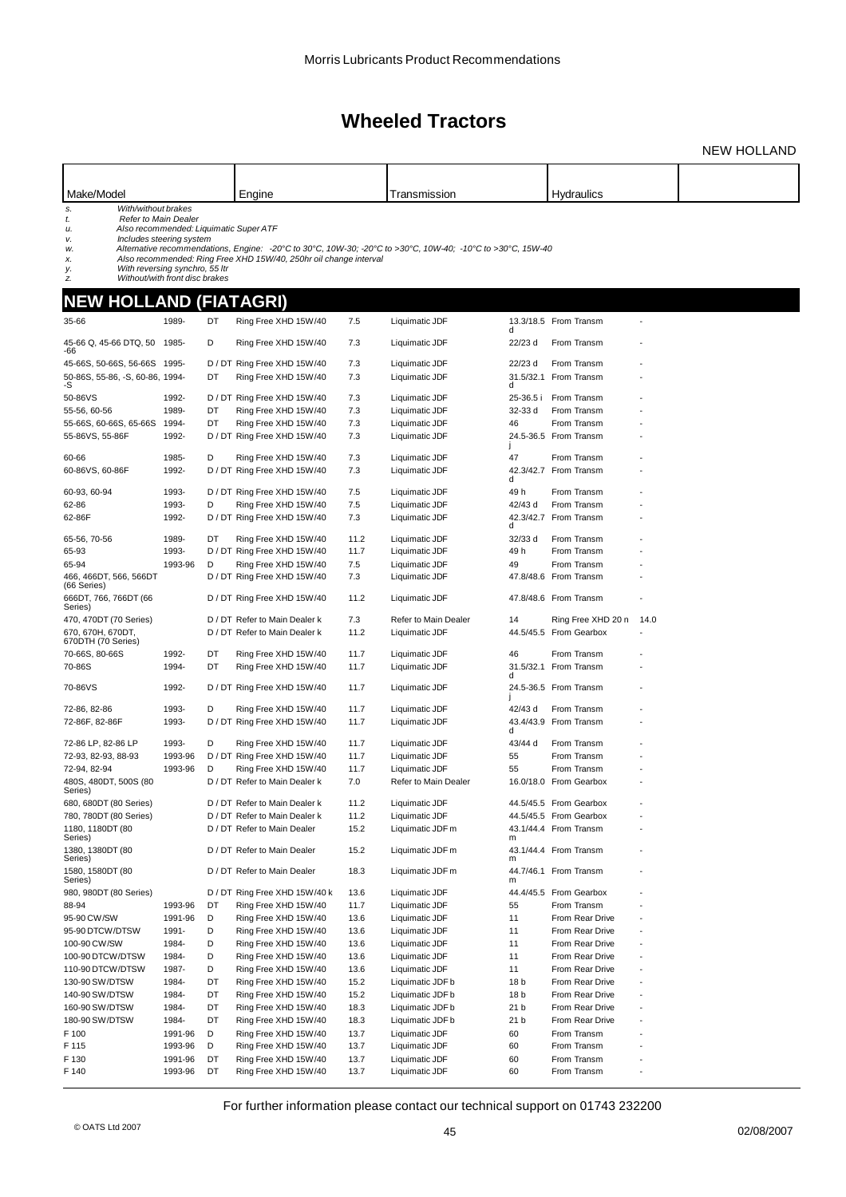NEW HOLLAND

| Make/Model                                                                   |                |          | Engine                                                            |              | Transmission                                                                                                               |            | Hydraulics                            |      |  |
|------------------------------------------------------------------------------|----------------|----------|-------------------------------------------------------------------|--------------|----------------------------------------------------------------------------------------------------------------------------|------------|---------------------------------------|------|--|
| With/without brakes<br>s.<br>Refer to Main Dealer<br>t.                      |                |          |                                                                   |              |                                                                                                                            |            |                                       |      |  |
| u.                                                                           |                |          | Also recommended: Liquimatic Super ATF                            |              |                                                                                                                            |            |                                       |      |  |
| Includes steering system<br>v.<br>w.                                         |                |          |                                                                   |              | Alternative recommendations, Engine: $-20^{\circ}\text{C}$ to 30°C, 10W-30; -20°C to >30°C, 10W-40; -10°C to >30°C, 15W-40 |            |                                       |      |  |
| х.                                                                           |                |          | Also recommended: Ring Free XHD 15W/40, 250hr oil change interval |              |                                                                                                                            |            |                                       |      |  |
| With reversing synchro, 55 ltr<br>у.<br>Without/with front disc brakes<br>z. |                |          |                                                                   |              |                                                                                                                            |            |                                       |      |  |
| NEW HOLLAND (FIATAGRI)                                                       |                |          |                                                                   |              |                                                                                                                            |            |                                       |      |  |
| 35-66                                                                        | 1989-          | DT       | Ring Free XHD 15W/40                                              | 7.5          | Liquimatic JDF                                                                                                             | d          | 13.3/18.5 From Transm                 |      |  |
| 45-66 Q, 45-66 DTQ, 50 1985-<br>-66                                          |                | D        | Ring Free XHD 15W/40                                              | 7.3          | Liquimatic JDF                                                                                                             | 22/23 d    | From Transm                           |      |  |
| 45-66S, 50-66S, 56-66S 1995-                                                 |                |          | D / DT Ring Free XHD 15W/40                                       | 7.3          | Liquimatic JDF                                                                                                             | 22/23 d    | From Transm                           |      |  |
| 50-86S, 55-86, -S, 60-86, 1994-<br>-S                                        |                | DT       | Ring Free XHD 15W/40                                              | 7.3          | Liquimatic JDF                                                                                                             | d          | 31.5/32.1 From Transm                 |      |  |
| 50-86VS                                                                      | 1992-          |          | D / DT Ring Free XHD 15W/40                                       | 7.3          | Liquimatic JDF                                                                                                             | 25-36.5 i  | From Transm                           |      |  |
| 55-56, 60-56                                                                 | 1989-          | DT       | Ring Free XHD 15W/40                                              | 7.3          | Liquimatic JDF                                                                                                             | 32-33 d    | From Transm                           |      |  |
| 55-66S, 60-66S, 65-66S                                                       | 1994-          | DT       | Ring Free XHD 15W/40                                              | 7.3          | Liquimatic JDF                                                                                                             | 46         | From Transm                           |      |  |
| 55-86VS, 55-86F                                                              | 1992-          |          | D / DT Ring Free XHD 15W/40                                       | 7.3          | Liquimatic JDF                                                                                                             |            | 24.5-36.5 From Transm                 |      |  |
| 60-66                                                                        | 1985-          | D        | Ring Free XHD 15W/40                                              | 7.3          | Liquimatic JDF                                                                                                             | 47         | From Transm                           |      |  |
| 60-86VS, 60-86F                                                              | 1992-          |          | D / DT Ring Free XHD 15W/40                                       | 7.3          | Liquimatic JDF                                                                                                             | d          | 42.3/42.7 From Transm                 |      |  |
| 60-93, 60-94                                                                 | 1993-          |          | D / DT Ring Free XHD 15W/40                                       | 7.5          | Liquimatic JDF                                                                                                             | 49 h       | From Transm                           |      |  |
| 62-86                                                                        | 1993-          | D        | Ring Free XHD 15W/40                                              | 7.5          | Liquimatic JDF                                                                                                             | 42/43 d    | From Transm                           |      |  |
| 62-86F                                                                       | 1992-          |          | D / DT Ring Free XHD 15W/40                                       | 7.3          | Liquimatic JDF                                                                                                             | d          | 42.3/42.7 From Transm                 |      |  |
| 65-56, 70-56                                                                 | 1989-          | DT       | Ring Free XHD 15W/40                                              | 11.2         | Liquimatic JDF                                                                                                             | 32/33 d    | From Transm                           |      |  |
| 65-93                                                                        | 1993-          | D        | D / DT Ring Free XHD 15W/40                                       | 11.7         | Liquimatic JDF                                                                                                             | 49 h<br>49 | From Transm<br>From Transm            |      |  |
| 65-94<br>466, 466DT, 566, 566DT                                              | 1993-96        |          | Ring Free XHD 15W/40<br>D / DT Ring Free XHD 15W/40               | 7.5<br>7.3   | Liquimatic JDF<br>Liquimatic JDF                                                                                           |            | 47.8/48.6 From Transm                 |      |  |
| (66 Series)<br>666DT, 766, 766DT (66                                         |                |          | D / DT Ring Free XHD 15W/40                                       | 11.2         | Liquimatic JDF                                                                                                             |            | 47.8/48.6 From Transm                 |      |  |
| Series)                                                                      |                |          |                                                                   |              |                                                                                                                            |            |                                       |      |  |
| 470, 470DT (70 Series)                                                       |                |          | D / DT Refer to Main Dealer k                                     | 7.3          | Refer to Main Dealer                                                                                                       | 14         | Ring Free XHD 20 n                    | 14.0 |  |
| 670, 670H, 670DT,<br>670DTH (70 Series)                                      |                |          | D / DT Refer to Main Dealer k                                     | 11.2         | Liquimatic JDF                                                                                                             |            | 44.5/45.5 From Gearbox                |      |  |
| 70-66S, 80-66S                                                               | 1992-          | DT<br>DT | Ring Free XHD 15W/40                                              | 11.7         | Liquimatic JDF                                                                                                             | 46         | From Transm                           |      |  |
| 70-86S                                                                       | 1994-          |          | Ring Free XHD 15W/40                                              | 11.7         | Liquimatic JDF                                                                                                             | d          | 31.5/32.1 From Transm                 |      |  |
| 70-86VS                                                                      | 1992-          |          | D / DT Ring Free XHD 15W/40                                       | 11.7         | Liquimatic JDF                                                                                                             |            | 24.5-36.5 From Transm                 |      |  |
| 72-86, 82-86                                                                 | 1993-          | D        | Ring Free XHD 15W/40                                              | 11.7         | Liquimatic JDF                                                                                                             | 42/43 d    | From Transm                           |      |  |
| 72-86F, 82-86F                                                               | 1993-          |          | D / DT Ring Free XHD 15W/40                                       | 11.7         | Liquimatic JDF                                                                                                             | Ч          | 43.4/43.9 From Transm                 |      |  |
| 72-86 LP, 82-86 LP                                                           | 1993-          | D        | Ring Free XHD 15W/40                                              | 11.7         | Liquimatic JDF                                                                                                             | 43/44 d    | From Transm                           |      |  |
| 72-93, 82-93, 88-93                                                          | 1993-96        |          | D / DT Ring Free XHD 15W/40                                       | 11.7         | Liquimatic JDF                                                                                                             | 55         | From Transm                           |      |  |
| 72-94, 82-94<br>480S, 480DT, 500S (80                                        | 1993-96        | D        | Ring Free XHD 15W/40<br>D / DT Refer to Main Dealer k             | 11.7<br>7.0  | Liquimatic JDF<br>Refer to Main Dealer                                                                                     | 55         | From Transm<br>16.0/18.0 From Gearbox |      |  |
| Series)<br>680, 680DT (80 Series)                                            |                |          | D / DT Refer to Main Dealer k                                     |              | Liquimatic JDF                                                                                                             |            | 44.5/45.5 From Gearbox                |      |  |
| 780, 780DT (80 Series)                                                       |                |          | D / DT Refer to Main Dealer k                                     | 11.2<br>11.2 | Liquimatic JDF                                                                                                             |            | 44.5/45.5 From Gearbox                |      |  |
| 1180, 1180DT (80<br>Series)                                                  |                |          | D / DT Refer to Main Dealer                                       | 15.2         | Liquimatic JDF m                                                                                                           | m          | 43.1/44.4 From Transm                 |      |  |
| 1380, 1380DT (80<br>Series)                                                  |                |          | D / DT Refer to Main Dealer                                       | 15.2         | Liquimatic JDF m                                                                                                           | m          | 43.1/44.4 From Transm                 |      |  |
| 1580, 1580DT (80<br>Series)                                                  |                |          | D / DT Refer to Main Dealer                                       | 18.3         | Liquimatic JDF m                                                                                                           | m          | 44.7/46.1 From Transm                 |      |  |
| 980, 980DT (80 Series)                                                       |                |          | D / DT Ring Free XHD 15W/40 k                                     | 13.6         | Liquimatic JDF                                                                                                             |            | 44.4/45.5 From Gearbox                |      |  |
| 88-94                                                                        | 1993-96        | DT       | Ring Free XHD 15W/40                                              | 11.7         | Liquimatic JDF                                                                                                             | 55         | From Transm                           |      |  |
| 95-90 CW/SW                                                                  | 1991-96        | D        | Ring Free XHD 15W/40                                              | 13.6         | Liquimatic JDF                                                                                                             | 11         | From Rear Drive                       |      |  |
| 95-90 DTCW/DTSW                                                              | 1991-          | D        | Ring Free XHD 15W/40                                              | 13.6         | Liquimatic JDF                                                                                                             | 11         | From Rear Drive                       |      |  |
| 100-90 CW/SW<br>100-90 DTCW/DTSW                                             | 1984-<br>1984- | D<br>D   | Ring Free XHD 15W/40<br>Ring Free XHD 15W/40                      | 13.6         | Liquimatic JDF<br>Liquimatic JDF                                                                                           | 11         | From Rear Drive<br>From Rear Drive    |      |  |
| 110-90 DTCW/DTSW                                                             | 1987-          | D        | Ring Free XHD 15W/40                                              | 13.6<br>13.6 | Liquimatic JDF                                                                                                             | 11<br>11   | From Rear Drive                       |      |  |
| 130-90 SW/DTSW                                                               | 1984-          | DT       | Ring Free XHD 15W/40                                              | 15.2         | Liquimatic JDF b                                                                                                           | 18 b       | From Rear Drive                       |      |  |
| 140-90 SW/DTSW                                                               | 1984-          | DT       | Ring Free XHD 15W/40                                              | 15.2         | Liquimatic JDF b                                                                                                           | 18 b       | From Rear Drive                       |      |  |
| 160-90 SW/DTSW                                                               | 1984-          | DT       | Ring Free XHD 15W/40                                              | 18.3         | Liquimatic JDF b                                                                                                           | 21 b       | From Rear Drive                       |      |  |
| 180-90 SW/DTSW                                                               | 1984-          | DT       | Ring Free XHD 15W/40                                              | 18.3         | Liquimatic JDF b                                                                                                           | 21 b       | From Rear Drive                       |      |  |
| F 100                                                                        | 1991-96        | D        | Ring Free XHD 15W/40                                              | 13.7         | Liquimatic JDF                                                                                                             | 60         | From Transm                           |      |  |
| F 115                                                                        | 1993-96        | D        | Ring Free XHD 15W/40                                              | 13.7         | Liquimatic JDF                                                                                                             | 60         | From Transm                           |      |  |
| F 130                                                                        | 1991-96        | DT       | Ring Free XHD 15W/40                                              | 13.7         | Liquimatic JDF                                                                                                             | 60         | From Transm                           |      |  |
| F 140                                                                        | 1993-96        | DT       | Ring Free XHD 15W/40                                              | 13.7         | Liquimatic JDF                                                                                                             | 60         | From Transm                           |      |  |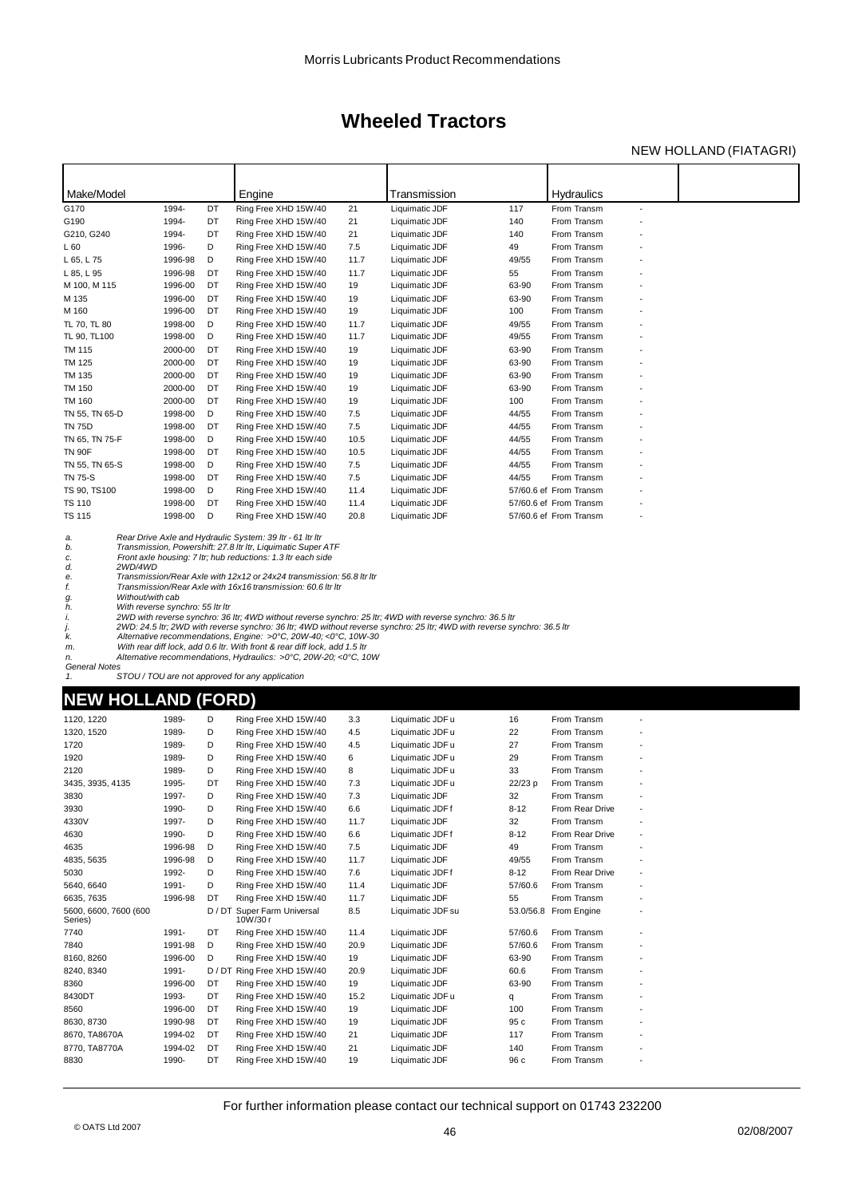### NEW HOLLAND (FIATAGRI)

| Make/Model                                                                                                      |                                  |         | Engine                                                                                                                                                                                                                                                                                                                                                                                                                     |             | Transmission                                                                                                                                                                                                                          |               | <b>Hydraulics</b>          |                          |  |
|-----------------------------------------------------------------------------------------------------------------|----------------------------------|---------|----------------------------------------------------------------------------------------------------------------------------------------------------------------------------------------------------------------------------------------------------------------------------------------------------------------------------------------------------------------------------------------------------------------------------|-------------|---------------------------------------------------------------------------------------------------------------------------------------------------------------------------------------------------------------------------------------|---------------|----------------------------|--------------------------|--|
| G170                                                                                                            | 1994-                            | DT      | Ring Free XHD 15W/40                                                                                                                                                                                                                                                                                                                                                                                                       | 21          | Liquimatic JDF                                                                                                                                                                                                                        | 117           | From Transm                | $\overline{\phantom{a}}$ |  |
| G190                                                                                                            | 1994-                            | DT      | Ring Free XHD 15W/40                                                                                                                                                                                                                                                                                                                                                                                                       | 21          | Liquimatic JDF                                                                                                                                                                                                                        | 140           | From Transm                |                          |  |
| G210, G240                                                                                                      | 1994-                            | DT      | Ring Free XHD 15W/40                                                                                                                                                                                                                                                                                                                                                                                                       | 21          | Liquimatic JDF                                                                                                                                                                                                                        | 140           | From Transm                |                          |  |
| L 60                                                                                                            | 1996-                            | D       | Ring Free XHD 15W/40                                                                                                                                                                                                                                                                                                                                                                                                       | 7.5         | Liquimatic JDF                                                                                                                                                                                                                        | 49            | From Transm                |                          |  |
| L 65, L 75                                                                                                      | 1996-98                          | D       | Ring Free XHD 15W/40                                                                                                                                                                                                                                                                                                                                                                                                       | 11.7        | Liquimatic JDF                                                                                                                                                                                                                        | 49/55         | From Transm                |                          |  |
| L 85, L 95                                                                                                      | 1996-98                          | DT      | Ring Free XHD 15W/40                                                                                                                                                                                                                                                                                                                                                                                                       | 11.7        | Liquimatic JDF                                                                                                                                                                                                                        | 55            | From Transm                |                          |  |
| M 100, M 115                                                                                                    | 1996-00                          | DT      | Ring Free XHD 15W/40                                                                                                                                                                                                                                                                                                                                                                                                       | 19          | Liquimatic JDF                                                                                                                                                                                                                        | 63-90         | From Transm                |                          |  |
| M 135                                                                                                           | 1996-00                          | DT      | Ring Free XHD 15W/40                                                                                                                                                                                                                                                                                                                                                                                                       | 19          | Liquimatic JDF                                                                                                                                                                                                                        | 63-90         | From Transm                |                          |  |
| M 160                                                                                                           | 1996-00                          | DT      | Ring Free XHD 15W/40                                                                                                                                                                                                                                                                                                                                                                                                       | 19          | Liquimatic JDF                                                                                                                                                                                                                        | 100           | From Transm                |                          |  |
| TL 70, TL 80                                                                                                    | 1998-00                          | D       | Ring Free XHD 15W/40                                                                                                                                                                                                                                                                                                                                                                                                       | 11.7        | Liquimatic JDF                                                                                                                                                                                                                        | 49/55         | From Transm                |                          |  |
| TL 90, TL100                                                                                                    | 1998-00                          | D       | Ring Free XHD 15W/40                                                                                                                                                                                                                                                                                                                                                                                                       | 11.7        | Liquimatic JDF                                                                                                                                                                                                                        | 49/55         | From Transm                |                          |  |
| TM 115                                                                                                          | 2000-00                          | DT      | Ring Free XHD 15W/40                                                                                                                                                                                                                                                                                                                                                                                                       | 19          | Liquimatic JDF                                                                                                                                                                                                                        | 63-90         | From Transm                |                          |  |
| TM 125                                                                                                          | 2000-00                          | DT      | Ring Free XHD 15W/40                                                                                                                                                                                                                                                                                                                                                                                                       | 19          | Liquimatic JDF                                                                                                                                                                                                                        | 63-90         | From Transm                |                          |  |
| TM 135                                                                                                          | 2000-00                          | DT      | Ring Free XHD 15W/40                                                                                                                                                                                                                                                                                                                                                                                                       | 19          | Liquimatic JDF                                                                                                                                                                                                                        | 63-90         | From Transm                |                          |  |
| TM 150                                                                                                          | 2000-00                          | DT      | Ring Free XHD 15W/40                                                                                                                                                                                                                                                                                                                                                                                                       | 19          | Liquimatic JDF                                                                                                                                                                                                                        | 63-90         | From Transm                |                          |  |
| TM 160                                                                                                          | 2000-00                          | DT      | Ring Free XHD 15W/40                                                                                                                                                                                                                                                                                                                                                                                                       | 19          | Liquimatic JDF                                                                                                                                                                                                                        | 100           | From Transm                |                          |  |
| TN 55, TN 65-D                                                                                                  | 1998-00                          | D       | Ring Free XHD 15W/40                                                                                                                                                                                                                                                                                                                                                                                                       | 7.5         | Liquimatic JDF                                                                                                                                                                                                                        | 44/55         | From Transm                |                          |  |
| TN 75D                                                                                                          | 1998-00                          | DT      | Ring Free XHD 15W/40                                                                                                                                                                                                                                                                                                                                                                                                       | 7.5         | Liquimatic JDF                                                                                                                                                                                                                        | 44/55         | From Transm                |                          |  |
| TN 65, TN 75-F                                                                                                  | 1998-00                          | D       | Ring Free XHD 15W/40                                                                                                                                                                                                                                                                                                                                                                                                       | 10.5        | Liquimatic JDF                                                                                                                                                                                                                        | 44/55         | From Transm                |                          |  |
| TN 90F                                                                                                          | 1998-00                          | DT      | Ring Free XHD 15W/40                                                                                                                                                                                                                                                                                                                                                                                                       | 10.5        | Liquimatic JDF                                                                                                                                                                                                                        | 44/55         | From Transm                |                          |  |
| TN 55, TN 65-S                                                                                                  | 1998-00                          | D       | Ring Free XHD 15W/40                                                                                                                                                                                                                                                                                                                                                                                                       | 7.5         | Liquimatic JDF                                                                                                                                                                                                                        | 44/55         | From Transm                |                          |  |
| TN 75-S                                                                                                         | 1998-00                          | DT      | Ring Free XHD 15W/40                                                                                                                                                                                                                                                                                                                                                                                                       | 7.5         | Liquimatic JDF                                                                                                                                                                                                                        | 44/55         | From Transm                |                          |  |
| TS 90, TS100                                                                                                    | 1998-00                          | D       | Ring Free XHD 15W/40                                                                                                                                                                                                                                                                                                                                                                                                       | 11.4        | Liquimatic JDF                                                                                                                                                                                                                        |               | 57/60.6 ef From Transm     |                          |  |
| TS 110                                                                                                          | 1998-00                          | DT      | Ring Free XHD 15W/40                                                                                                                                                                                                                                                                                                                                                                                                       | 11.4        | Liquimatic JDF                                                                                                                                                                                                                        |               | 57/60.6 ef From Transm     |                          |  |
| TS 115                                                                                                          | 1998-00                          | D       | Ring Free XHD 15W/40                                                                                                                                                                                                                                                                                                                                                                                                       | 20.8        | Liquimatic JDF                                                                                                                                                                                                                        |               | 57/60.6 ef From Transm     |                          |  |
| 2WD/4WD<br>d.<br>е.<br>f.<br>Without/with cab<br>g.<br>h.<br>i.<br>j.<br>k.<br>m.<br>n.<br><b>General Notes</b> | With reverse synchro: 55 Itr Itr |         | Front axle housing: 7 ltr; hub reductions: 1.3 ltr each side<br>Transmission/Rear Axle with 12x12 or 24x24 transmission: 56.8 Itr Itr<br>Transmission/Rear Axle with 16x16 transmission: 60.6 Itr Itr<br>Alternative recommendations, Engine: >0°C, 20W-40; <0°C, 10W-30<br>With rear diff lock, add 0.6 ltr. With front & rear diff lock, add 1.5 ltr<br>Alternative recommendations, Hydraulics: >0°C, 20W-20; <0°C, 10W |             | 2WD with reverse synchro: 36 ltr; 4WD without reverse synchro: 25 ltr; 4WD with reverse synchro: 36.5 ltr<br>2WD: 24.5 ltr; 2WD with reverse synchro: 36 ltr; 4WD without reverse synchro: 25 ltr; 4WD with reverse synchro: 36.5 ltr |               |                            |                          |  |
| 1.<br>NEW HOLLAND (FORD)                                                                                        |                                  |         | STOU / TOU are not approved for any application                                                                                                                                                                                                                                                                                                                                                                            |             |                                                                                                                                                                                                                                       |               |                            |                          |  |
|                                                                                                                 |                                  |         |                                                                                                                                                                                                                                                                                                                                                                                                                            |             |                                                                                                                                                                                                                                       |               |                            |                          |  |
| 1120, 1220                                                                                                      | 1989-                            | D       | Ring Free XHD 15W/40                                                                                                                                                                                                                                                                                                                                                                                                       | 3.3         | Liquimatic JDF u                                                                                                                                                                                                                      | 16            | From Transm                |                          |  |
| 1320, 1520                                                                                                      | 1989-                            | D       | Ring Free XHD 15W/40                                                                                                                                                                                                                                                                                                                                                                                                       | 4.5         | Liquimatic JDF u                                                                                                                                                                                                                      | 22            | From Transm                |                          |  |
| 1720                                                                                                            | 1989-                            | D       | Ring Free XHD 15W/40                                                                                                                                                                                                                                                                                                                                                                                                       | 4.5         | Liquimatic JDF u                                                                                                                                                                                                                      | 27            | From Transm                |                          |  |
| 1920                                                                                                            | 1989-                            | D       | Ring Free XHD 15W/40                                                                                                                                                                                                                                                                                                                                                                                                       | 6           | Liquimatic JDF u                                                                                                                                                                                                                      | 29            | From Transm                |                          |  |
| 2120                                                                                                            | 1989-                            | D<br>DT | Ring Free XHD 15W/40                                                                                                                                                                                                                                                                                                                                                                                                       | 8           | Liquimatic JDF u                                                                                                                                                                                                                      | 33            | From Transm                |                          |  |
| 3435, 3935, 4135<br>3830                                                                                        | 1995-<br>1997-                   | D       | Ring Free XHD 15W/40<br>Ring Free XHD 15W/40                                                                                                                                                                                                                                                                                                                                                                               | 7.3<br>7.3  | Liquimatic JDF u                                                                                                                                                                                                                      | 22/23 p<br>32 | From Transm<br>From Transm |                          |  |
|                                                                                                                 | 1990-                            | D       | Ring Free XHD 15W/40                                                                                                                                                                                                                                                                                                                                                                                                       |             | Liquimatic JDF                                                                                                                                                                                                                        | $8 - 12$      | From Rear Drive            |                          |  |
| 3930<br>4330V                                                                                                   | 1997-                            | D       | Ring Free XHD 15W/40                                                                                                                                                                                                                                                                                                                                                                                                       | 6.6         | Liquimatic JDF f<br>Liquimatic JDF                                                                                                                                                                                                    | 32            | From Transm                |                          |  |
| 4630                                                                                                            | 1990-                            | D       | Ring Free XHD 15W/40                                                                                                                                                                                                                                                                                                                                                                                                       | 11.7<br>6.6 | Liquimatic JDFf                                                                                                                                                                                                                       | $8 - 12$      | From Rear Drive            |                          |  |
| 4635                                                                                                            | 1996-98                          | D       | Ring Free XHD 15W/40                                                                                                                                                                                                                                                                                                                                                                                                       | 7.5         | Liquimatic JDF                                                                                                                                                                                                                        | 49            | From Transm                |                          |  |
| 4835, 5635                                                                                                      | 1996-98                          | D       | Ring Free XHD 15W/40                                                                                                                                                                                                                                                                                                                                                                                                       | 11.7        | Liquimatic JDF                                                                                                                                                                                                                        | 49/55         | From Transm                |                          |  |
|                                                                                                                 | 1992-                            | D       | Ring Free XHD 15W/40                                                                                                                                                                                                                                                                                                                                                                                                       | 7.6         | Liquimatic JDFf                                                                                                                                                                                                                       | $8 - 12$      | From Rear Drive            |                          |  |
| 5030<br>5640, 6640                                                                                              | 1991-                            | D       | Ring Free XHD 15W/40                                                                                                                                                                                                                                                                                                                                                                                                       | 11.4        | Liquimatic JDF                                                                                                                                                                                                                        | 57/60.6       | From Transm                |                          |  |
| 6635, 7635                                                                                                      | 1996-98                          | DT      | Ring Free XHD 15W/40                                                                                                                                                                                                                                                                                                                                                                                                       | 11.7        | Liquimatic JDF                                                                                                                                                                                                                        | 55            | From Transm                |                          |  |
| 5600, 6600, 7600 (600                                                                                           |                                  | D / DT  | Super Farm Universal                                                                                                                                                                                                                                                                                                                                                                                                       | 8.5         | Liquimatic JDF su                                                                                                                                                                                                                     | 53.0/56.8     | From Engine                |                          |  |
| Series)                                                                                                         |                                  |         | 10W/30 r                                                                                                                                                                                                                                                                                                                                                                                                                   |             |                                                                                                                                                                                                                                       |               |                            |                          |  |
| 7740                                                                                                            | 1991-                            | DT      | Ring Free XHD 15W/40                                                                                                                                                                                                                                                                                                                                                                                                       | 11.4        | Liquimatic JDF                                                                                                                                                                                                                        | 57/60.6       | From Transm                |                          |  |
| 7840                                                                                                            | 1991-98                          | D       | Ring Free XHD 15W/40                                                                                                                                                                                                                                                                                                                                                                                                       | 20.9        | Liquimatic JDF                                                                                                                                                                                                                        | 57/60.6       | From Transm                |                          |  |
| 8160, 8260                                                                                                      | 1996-00                          | D       | Ring Free XHD 15W/40                                                                                                                                                                                                                                                                                                                                                                                                       | 19          | Liquimatic JDF                                                                                                                                                                                                                        | 63-90         | From Transm                |                          |  |
| 8240, 8340                                                                                                      | 1991-                            |         | D / DT Ring Free XHD 15W/40                                                                                                                                                                                                                                                                                                                                                                                                | 20.9        | Liquimatic JDF                                                                                                                                                                                                                        | 60.6          | From Transm                |                          |  |
| 8360                                                                                                            | 1996-00                          | DT      | Ring Free XHD 15W/40                                                                                                                                                                                                                                                                                                                                                                                                       | 19          | Liquimatic JDF                                                                                                                                                                                                                        | 63-90         | From Transm                |                          |  |
| 8430DT                                                                                                          | 1993-                            | DT      | Ring Free XHD 15W/40                                                                                                                                                                                                                                                                                                                                                                                                       | 15.2        | Liquimatic JDF u                                                                                                                                                                                                                      | q             | From Transm                |                          |  |
| 8560                                                                                                            | 1996-00                          | DT      | Ring Free XHD 15W/40                                                                                                                                                                                                                                                                                                                                                                                                       | 19          | Liquimatic JDF                                                                                                                                                                                                                        | 100           | From Transm                |                          |  |
| 8630, 8730                                                                                                      | 1990-98                          | DT      | Ring Free XHD 15W/40                                                                                                                                                                                                                                                                                                                                                                                                       | 19          | Liquimatic JDF                                                                                                                                                                                                                        | 95 c          | From Transm                |                          |  |
| 8670, TA8670A                                                                                                   | 1994-02                          | DT      | Ring Free XHD 15W/40                                                                                                                                                                                                                                                                                                                                                                                                       | 21          | Liquimatic JDF                                                                                                                                                                                                                        | 117           | From Transm                |                          |  |
| 8770, TA8770A                                                                                                   | 1994-02                          | DT      | Ring Free XHD 15W/40                                                                                                                                                                                                                                                                                                                                                                                                       | 21          | Liquimatic JDF                                                                                                                                                                                                                        | 140           | From Transm                |                          |  |
| 8830                                                                                                            | 1990-                            | DT      | Ring Free XHD 15W/40                                                                                                                                                                                                                                                                                                                                                                                                       | 19          | Liquimatic JDF                                                                                                                                                                                                                        | 96 c          | From Transm                |                          |  |
|                                                                                                                 |                                  |         |                                                                                                                                                                                                                                                                                                                                                                                                                            |             |                                                                                                                                                                                                                                       |               |                            |                          |  |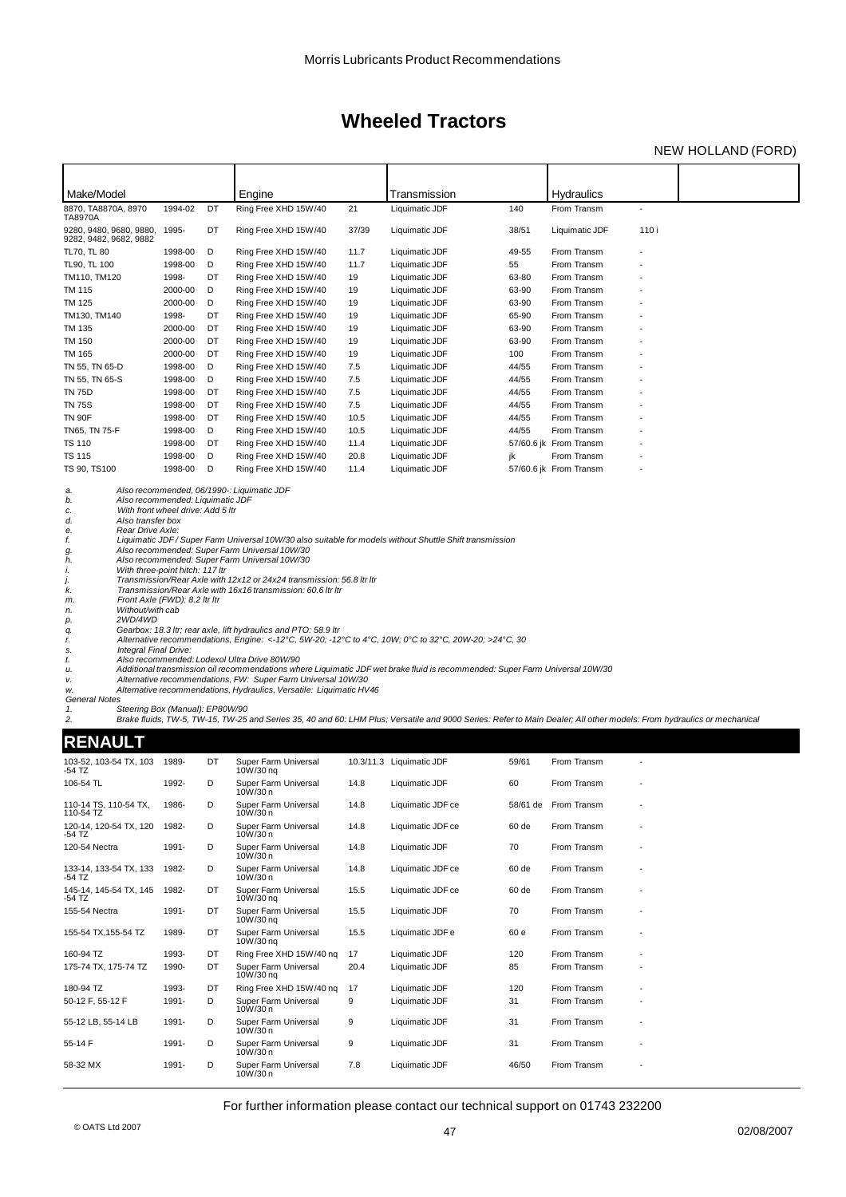### NEW HOLLAND (FORD)

| Make/Model                                                                                                                                                                                                                                                     |                               |          | Engine                                                                                                                                                                                                                                                                                                                                                                                                                                                                                            |            | Transmission                                                                                                                                                                                                                                                                                                                                                                                                                                                                                                             |                | <b>Hydraulics</b>          |                          |  |
|----------------------------------------------------------------------------------------------------------------------------------------------------------------------------------------------------------------------------------------------------------------|-------------------------------|----------|---------------------------------------------------------------------------------------------------------------------------------------------------------------------------------------------------------------------------------------------------------------------------------------------------------------------------------------------------------------------------------------------------------------------------------------------------------------------------------------------------|------------|--------------------------------------------------------------------------------------------------------------------------------------------------------------------------------------------------------------------------------------------------------------------------------------------------------------------------------------------------------------------------------------------------------------------------------------------------------------------------------------------------------------------------|----------------|----------------------------|--------------------------|--|
| 8870, TA8870A, 8970<br>TA8970A                                                                                                                                                                                                                                 | 1994-02                       | DT       | Ring Free XHD 15W/40                                                                                                                                                                                                                                                                                                                                                                                                                                                                              | 21         | Liquimatic JDF                                                                                                                                                                                                                                                                                                                                                                                                                                                                                                           | 140            | From Transm                | $\overline{\phantom{a}}$ |  |
| 9280, 9480, 9680, 9880,<br>9282, 9482, 9682, 9882                                                                                                                                                                                                              | 1995-                         | DT       | Ring Free XHD 15W/40                                                                                                                                                                                                                                                                                                                                                                                                                                                                              | 37/39      | Liquimatic JDF                                                                                                                                                                                                                                                                                                                                                                                                                                                                                                           | 38/51          | Liquimatic JDF             | 110i                     |  |
| TL70, TL 80                                                                                                                                                                                                                                                    | 1998-00                       | D        | Ring Free XHD 15W/40                                                                                                                                                                                                                                                                                                                                                                                                                                                                              | 11.7       | Liquimatic JDF                                                                                                                                                                                                                                                                                                                                                                                                                                                                                                           | 49-55          | From Transm                |                          |  |
| TL90, TL 100                                                                                                                                                                                                                                                   | 1998-00                       | D        | Ring Free XHD 15W/40                                                                                                                                                                                                                                                                                                                                                                                                                                                                              | 11.7       | Liquimatic JDF                                                                                                                                                                                                                                                                                                                                                                                                                                                                                                           | 55             | From Transm                |                          |  |
| TM110, TM120<br><b>TM 115</b>                                                                                                                                                                                                                                  | 1998-<br>2000-00              | DT<br>D  | Ring Free XHD 15W/40<br>Ring Free XHD 15W/40                                                                                                                                                                                                                                                                                                                                                                                                                                                      | 19<br>19   | Liquimatic JDF<br>Liquimatic JDF                                                                                                                                                                                                                                                                                                                                                                                                                                                                                         | 63-80<br>63-90 | From Transm<br>From Transm |                          |  |
| <b>TM 125</b>                                                                                                                                                                                                                                                  | 2000-00                       | D        | Ring Free XHD 15W/40                                                                                                                                                                                                                                                                                                                                                                                                                                                                              | 19         | Liquimatic JDF                                                                                                                                                                                                                                                                                                                                                                                                                                                                                                           | 63-90          | From Transm                |                          |  |
| TM130, TM140                                                                                                                                                                                                                                                   | 1998-                         | DT       | Ring Free XHD 15W/40                                                                                                                                                                                                                                                                                                                                                                                                                                                                              | 19         | Liquimatic JDF                                                                                                                                                                                                                                                                                                                                                                                                                                                                                                           | 65-90          | From Transm                |                          |  |
| TM 135                                                                                                                                                                                                                                                         | 2000-00                       | DT       | Ring Free XHD 15W/40                                                                                                                                                                                                                                                                                                                                                                                                                                                                              | 19         | Liquimatic JDF                                                                                                                                                                                                                                                                                                                                                                                                                                                                                                           | 63-90          | From Transm                |                          |  |
| <b>TM 150</b>                                                                                                                                                                                                                                                  | 2000-00                       | DT       | Ring Free XHD 15W/40                                                                                                                                                                                                                                                                                                                                                                                                                                                                              | 19         | Liquimatic JDF                                                                                                                                                                                                                                                                                                                                                                                                                                                                                                           | 63-90          | From Transm                |                          |  |
| <b>TM 165</b>                                                                                                                                                                                                                                                  | 2000-00                       | DT       | Ring Free XHD 15W/40                                                                                                                                                                                                                                                                                                                                                                                                                                                                              | 19         | Liquimatic JDF                                                                                                                                                                                                                                                                                                                                                                                                                                                                                                           | 100            | From Transm                |                          |  |
| TN 55, TN 65-D                                                                                                                                                                                                                                                 | 1998-00                       | D        | Ring Free XHD 15W/40                                                                                                                                                                                                                                                                                                                                                                                                                                                                              | 7.5        | Liquimatic JDF                                                                                                                                                                                                                                                                                                                                                                                                                                                                                                           | 44/55          | From Transm                |                          |  |
| TN 55, TN 65-S<br><b>TN 75D</b>                                                                                                                                                                                                                                | 1998-00<br>1998-00            | D<br>DT  | Ring Free XHD 15W/40<br>Ring Free XHD 15W/40                                                                                                                                                                                                                                                                                                                                                                                                                                                      | 7.5<br>7.5 | Liquimatic JDF<br>Liquimatic JDF                                                                                                                                                                                                                                                                                                                                                                                                                                                                                         | 44/55<br>44/55 | From Transm<br>From Transm |                          |  |
| <b>TN 75S</b>                                                                                                                                                                                                                                                  | 1998-00                       | DT       | Ring Free XHD 15W/40                                                                                                                                                                                                                                                                                                                                                                                                                                                                              | 7.5        | Liquimatic JDF                                                                                                                                                                                                                                                                                                                                                                                                                                                                                                           | 44/55          | From Transm                |                          |  |
| <b>TN 90F</b>                                                                                                                                                                                                                                                  | 1998-00                       | DT       | Ring Free XHD 15W/40                                                                                                                                                                                                                                                                                                                                                                                                                                                                              | 10.5       | Liquimatic JDF                                                                                                                                                                                                                                                                                                                                                                                                                                                                                                           | 44/55          | From Transm                |                          |  |
| TN65, TN 75-F                                                                                                                                                                                                                                                  | 1998-00                       | D        | Ring Free XHD 15W/40                                                                                                                                                                                                                                                                                                                                                                                                                                                                              | 10.5       | Liquimatic JDF                                                                                                                                                                                                                                                                                                                                                                                                                                                                                                           | 44/55          | From Transm                |                          |  |
| <b>TS 110</b>                                                                                                                                                                                                                                                  | 1998-00                       | DT       | Ring Free XHD 15W/40                                                                                                                                                                                                                                                                                                                                                                                                                                                                              | 11.4       | Liquimatic JDF                                                                                                                                                                                                                                                                                                                                                                                                                                                                                                           |                | 57/60.6 jk From Transm     |                          |  |
| <b>TS 115</b>                                                                                                                                                                                                                                                  | 1998-00                       | D        | Ring Free XHD 15W/40                                                                                                                                                                                                                                                                                                                                                                                                                                                                              | 20.8       | Liquimatic JDF                                                                                                                                                                                                                                                                                                                                                                                                                                                                                                           | jk             | From Transm                |                          |  |
| TS 90, TS100                                                                                                                                                                                                                                                   | 1998-00                       | D        | Ring Free XHD 15W/40                                                                                                                                                                                                                                                                                                                                                                                                                                                                              | 11.4       | Liquimatic JDF                                                                                                                                                                                                                                                                                                                                                                                                                                                                                                           |                | 57/60.6 jk From Transm     |                          |  |
| f.<br>g.<br>h.<br>With three-point hitch: 117 ltr<br>i.<br>j.<br>k.<br>m.<br>Without/with cab<br>n.<br>2WD/4WD<br>p.<br>q.<br>r.<br>Integral Final Drive:<br>s.<br>t.<br>u.<br>ν.<br>W.<br><b>General Notes</b><br>Steering Box (Manual): EP80W/90<br>1.<br>2. | Front Axle (FWD): 8.2 Itr Itr |          | Also recommended: Super Farm Universal 10W/30<br>Also recommended: Super Farm Universal 10W/30<br>Transmission/Rear Axle with 12x12 or 24x24 transmission: 56.8 Itr Itr<br>Transmission/Rear Axle with 16x16 transmission: 60.6 ltr ltr<br>Gearbox: 18.3 Itr; rear axle, lift hydraulics and PTO: 58.9 Itr<br>Also recommended: Lodexol Ultra Drive 80W/90<br>Alternative recommendations, FW: Super Farm Universal 10W/30<br>Alternative recommendations, Hydraulics, Versatile: Liquimatic HV46 |            | Liquimatic JDF/Super Farm Universal 10W/30 also suitable for models without Shuttle Shift transmission<br>Alternative recommendations, Engine: <-12°C, 5W-20; -12°C to 4°C, 10W; 0°C to 32°C, 20W-20; >24°C, 30<br>Additional transmission oil recommendations where Liquimatic JDF wet brake fluid is recommended: Super Farm Universal 10W/30<br>Brake fluids, TW-5, TW-15, TW-25 and Series 35, 40 and 60: LHM Plus; Versatile and 9000 Series: Refer to Main Dealer; All other models: From hydraulics or mechanical |                |                            |                          |  |
| <b>RENAULT</b>                                                                                                                                                                                                                                                 |                               |          |                                                                                                                                                                                                                                                                                                                                                                                                                                                                                                   |            |                                                                                                                                                                                                                                                                                                                                                                                                                                                                                                                          |                |                            |                          |  |
| 103-52, 103-54 TX, 103<br>-54 TZ                                                                                                                                                                                                                               | 1989-                         | DT       | Super Farm Universal<br>10W/30 ng                                                                                                                                                                                                                                                                                                                                                                                                                                                                 |            | 10.3/11.3 Liquimatic JDF                                                                                                                                                                                                                                                                                                                                                                                                                                                                                                 | 59/61          | From Transm                |                          |  |
| 106-54 TL                                                                                                                                                                                                                                                      | 1992-                         | D        | Super Farm Universal<br>10W/30 n                                                                                                                                                                                                                                                                                                                                                                                                                                                                  | 14.8       | Liquimatic JDF                                                                                                                                                                                                                                                                                                                                                                                                                                                                                                           | 60             | From Transm                |                          |  |
| 110-14 TS, 110-54 TX,<br>110-54 TZ                                                                                                                                                                                                                             | 1986-                         |          | Super Farm Universal<br>10W/30 n                                                                                                                                                                                                                                                                                                                                                                                                                                                                  | 14.8       | Liquimatic JDF ce                                                                                                                                                                                                                                                                                                                                                                                                                                                                                                        |                | 58/61 de From Transm       |                          |  |
| 120-14, 120-54 TX, 120 1982-<br>-54 TZ                                                                                                                                                                                                                         |                               | D        | Super Farm Universal<br>10W/30n                                                                                                                                                                                                                                                                                                                                                                                                                                                                   | 14.8       | Liquimatic JDF ce                                                                                                                                                                                                                                                                                                                                                                                                                                                                                                        | 60 de          | From Transm                |                          |  |
| 120-54 Nectra                                                                                                                                                                                                                                                  | 1991-                         | D        | Super Farm Universal<br>10W/30 n                                                                                                                                                                                                                                                                                                                                                                                                                                                                  | 14.8       | Liquimatic JDF                                                                                                                                                                                                                                                                                                                                                                                                                                                                                                           | 70             | From Transm                |                          |  |
| 133-14, 133-54 TX, 133<br>-54 TZ                                                                                                                                                                                                                               | 1982-                         | D        | Super Farm Universal<br>10W/30n                                                                                                                                                                                                                                                                                                                                                                                                                                                                   | 14.8       | Liquimatic JDF ce                                                                                                                                                                                                                                                                                                                                                                                                                                                                                                        | 60 de          | From Transm                |                          |  |
| 145-14, 145-54 TX, 145<br>-54 TZ                                                                                                                                                                                                                               | 1982-                         | DT       | Super Farm Universal<br>$10W/30$ ng                                                                                                                                                                                                                                                                                                                                                                                                                                                               | 15.5       | Liquimatic JDF ce                                                                                                                                                                                                                                                                                                                                                                                                                                                                                                        | 60 de          | From Transm                |                          |  |
| 155-54 Nectra                                                                                                                                                                                                                                                  | 1991-                         | DT       | Super Farm Universal<br>10W/30 ng                                                                                                                                                                                                                                                                                                                                                                                                                                                                 | 15.5       | Liquimatic JDF                                                                                                                                                                                                                                                                                                                                                                                                                                                                                                           | 70             | From Transm                |                          |  |
| 155-54 TX, 155-54 TZ                                                                                                                                                                                                                                           | 1989-                         | DT       | Super Farm Universal<br>10W/30 ng                                                                                                                                                                                                                                                                                                                                                                                                                                                                 | 15.5       | Liquimatic JDF e                                                                                                                                                                                                                                                                                                                                                                                                                                                                                                         | 60 e           | From Transm                |                          |  |
| 160-94 TZ<br>175-74 TX, 175-74 TZ                                                                                                                                                                                                                              | 1993-<br>1990-                | DT<br>DT | Ring Free XHD 15W/40 ng<br>Super Farm Universal<br>10W/30 ng                                                                                                                                                                                                                                                                                                                                                                                                                                      | 17<br>20.4 | Liquimatic JDF<br>Liquimatic JDF                                                                                                                                                                                                                                                                                                                                                                                                                                                                                         | 120<br>85      | From Transm<br>From Transm |                          |  |
| 180-94 TZ                                                                                                                                                                                                                                                      | 1993-                         | DT       | Ring Free XHD 15W/40 nq                                                                                                                                                                                                                                                                                                                                                                                                                                                                           | 17         | Liquimatic JDF                                                                                                                                                                                                                                                                                                                                                                                                                                                                                                           | 120            | From Transm                |                          |  |
| 50-12 F, 55-12 F                                                                                                                                                                                                                                               | 1991-                         | D        | Super Farm Universal<br>10W/30 n                                                                                                                                                                                                                                                                                                                                                                                                                                                                  | 9          | Liquimatic JDF                                                                                                                                                                                                                                                                                                                                                                                                                                                                                                           | 31             | From Transm                |                          |  |
| 55-12 LB, 55-14 LB                                                                                                                                                                                                                                             | 1991-                         | D        | Super Farm Universal<br>10W/30 n                                                                                                                                                                                                                                                                                                                                                                                                                                                                  | 9          | Liquimatic JDF                                                                                                                                                                                                                                                                                                                                                                                                                                                                                                           | 31             | From Transm                |                          |  |

### For further information please contact our technical support on 01743 232200

55-14 F 1991- D Super Farm Universal 9 Liquimatic JDF 31 From Transm - 10W/30 n 58-32 MX 1991- D Super Farm Universal 7.8 Liquimatic JDF 46/50 From Transm - 10W/30 n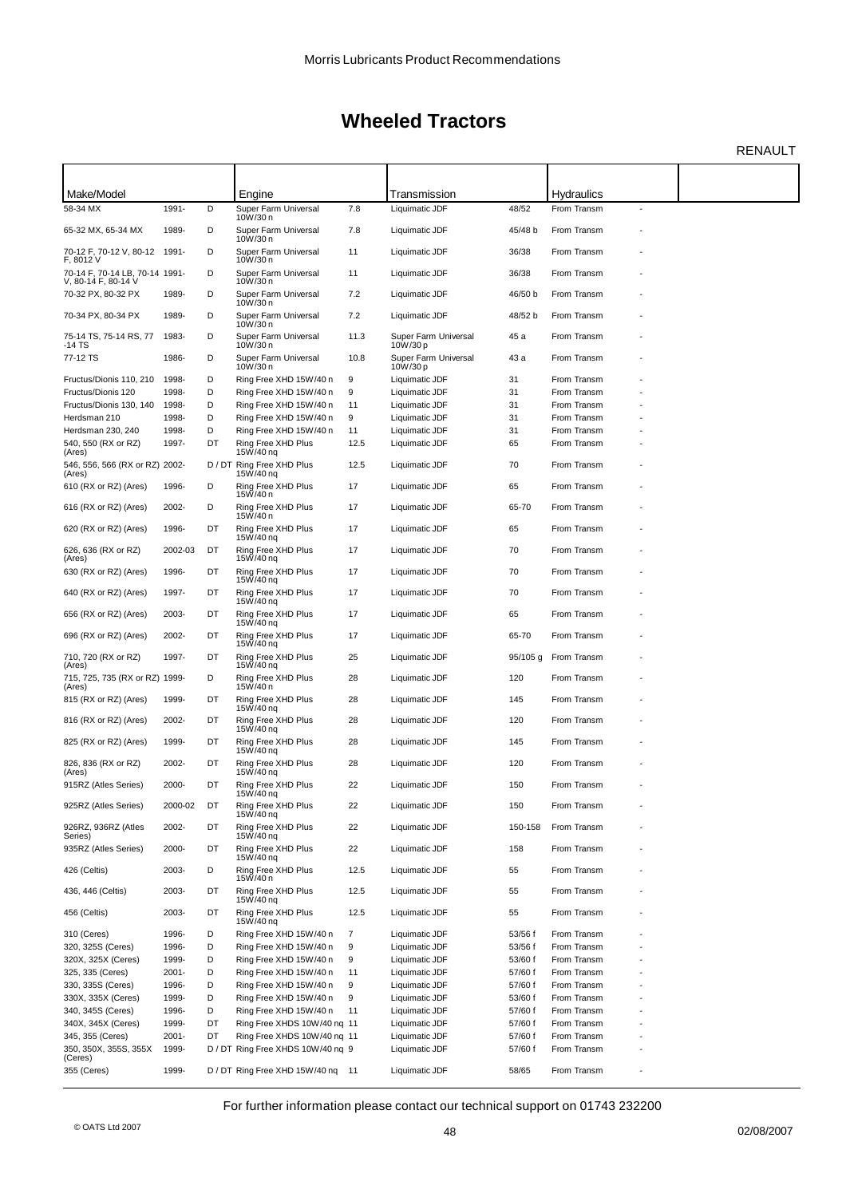RENAULT

| Make/Model                                 |                |    |                                        |                | Transmission                     |          | <b>Hydraulics</b>          |                |  |
|--------------------------------------------|----------------|----|----------------------------------------|----------------|----------------------------------|----------|----------------------------|----------------|--|
| 58-34 MX                                   | 1991-          | D  | Engine<br>Super Farm Universal         | 7.8            | Liquimatic JDF                   | 48/52    | From Transm                | $\blacksquare$ |  |
|                                            |                |    | 10W/30 n                               |                |                                  |          |                            |                |  |
| 65-32 MX, 65-34 MX                         | 1989-          | D  | Super Farm Universal<br>10W/30 n       | 7.8            | Liquimatic JDF                   | 45/48 b  | From Transm                |                |  |
| 70-12 F, 70-12 V, 80-12 1991-<br>F, 8012 V |                | D  | Super Farm Universal<br>10W/30 n       | 11             | Liquimatic JDF                   | 36/38    | From Transm                |                |  |
| 70-14 F, 70-14 LB, 70-14 1991-             |                | D  | Super Farm Universal                   | 11             | Liquimatic JDF                   | 36/38    | From Transm                |                |  |
| V, 80-14 F, 80-14 V<br>70-32 PX, 80-32 PX  |                | D  | 10W/30 n<br>Super Farm Universal       |                |                                  |          |                            |                |  |
|                                            | 1989-          |    | 10W/30 n                               | 7.2            | Liquimatic JDF                   | 46/50 b  | From Transm                |                |  |
| 70-34 PX, 80-34 PX                         | 1989-          | D  | Super Farm Universal<br>10W/30 n       | 7.2            | Liquimatic JDF                   | 48/52 b  | From Transm                |                |  |
| 75-14 TS, 75-14 RS, 77<br>-14 TS           | 1983-          | D  | Super Farm Universal<br>10W/30 n       | 11.3           | Super Farm Universal<br>10W/30 p | 45 a     | From Transm                |                |  |
| 77-12 TS                                   | 1986-          | D  | Super Farm Universal                   | 10.8           | Super Farm Universal             | 43 a     | From Transm                |                |  |
| Fructus/Dionis 110, 210                    | 1998-          | D  | 10W/30 n<br>Ring Free XHD 15W/40 n     | 9              | 10W/30 p<br>Liquimatic JDF       | 31       | From Transm                |                |  |
| Fructus/Dionis 120                         | 1998-          | D  | Ring Free XHD 15W/40 n                 | 9              | Liquimatic JDF                   | 31       | From Transm                |                |  |
| Fructus/Dionis 130, 140                    | 1998-          | D  | Ring Free XHD 15W/40 n                 | 11             | Liquimatic JDF                   | 31       | From Transm                |                |  |
| Herdsman 210                               | 1998-          | D  | Ring Free XHD 15W/40 n                 | 9              | Liquimatic JDF                   | 31       | From Transm                |                |  |
| Herdsman 230, 240                          | 1998-          | D  | Ring Free XHD 15W/40 n                 | 11             | Liquimatic JDF                   | 31       | From Transm                |                |  |
| 540, 550 (RX or RZ)                        | 1997-          | DT | Ring Free XHD Plus                     | 12.5           | Liquimatic JDF                   | 65       | From Transm                |                |  |
| (Ares)                                     |                |    | 15W/40 nq                              |                |                                  |          |                            |                |  |
| 546, 556, 566 (RX or RZ) 2002-<br>(Ares)   |                |    | D / DT Ring Free XHD Plus<br>15W/40 nq | 12.5           | Liquimatic JDF                   | 70       | From Transm                |                |  |
| 610 (RX or RZ) (Ares)                      | 1996-          | D  | Ring Free XHD Plus<br>15W/40 n         | 17             | Liquimatic JDF                   | 65       | From Transm                |                |  |
| 616 (RX or RZ) (Ares)                      | 2002-          | D  | Ring Free XHD Plus                     | 17             | Liquimatic JDF                   | 65-70    | From Transm                |                |  |
| 620 (RX or RZ) (Ares)                      | 1996-          | DT | 15W/40 n<br>Ring Free XHD Plus         | 17             | Liquimatic JDF                   | 65       | From Transm                |                |  |
| 626, 636 (RX or RZ)                        | 2002-03        | DT | 15W/40 nq<br>Ring Free XHD Plus        | 17             | Liquimatic JDF                   | 70       | From Transm                |                |  |
| (Ares)<br>630 (RX or RZ) (Ares)            | 1996-          | DT | 15W/40 nq<br>Ring Free XHD Plus        | 17             | Liquimatic JDF                   | 70       | From Transm                |                |  |
| 640 (RX or RZ) (Ares)                      | 1997-          | DT | 15W/40 nq<br>Ring Free XHD Plus        | 17             | Liquimatic JDF                   | 70       | From Transm                |                |  |
|                                            |                | DT | 15W/40 nq<br>Ring Free XHD Plus        | 17             |                                  | 65       |                            |                |  |
| 656 (RX or RZ) (Ares)                      | 2003-          |    | 15W/40 nq                              |                | Liquimatic JDF                   |          | From Transm                |                |  |
| 696 (RX or RZ) (Ares)                      | 2002-          | DT | Ring Free XHD Plus<br>15W/40 nq        | 17             | Liquimatic JDF                   | 65-70    | From Transm                |                |  |
| 710, 720 (RX or RZ)<br>(Ares)              | 1997-          | DT | Ring Free XHD Plus<br>15W/40 nq        | 25             | Liquimatic JDF                   | 95/105 g | From Transm                |                |  |
| 715, 725, 735 (RX or RZ) 1999-<br>(Ares)   |                | D  | Ring Free XHD Plus<br>15W/40 n         | 28             | Liquimatic JDF                   | 120      | From Transm                |                |  |
| 815 (RX or RZ) (Ares)                      | 1999-          | DT | Ring Free XHD Plus<br>15W/40 nq        | 28             | Liquimatic JDF                   | 145      | From Transm                |                |  |
| 816 (RX or RZ) (Ares)                      | 2002-          | DT | Ring Free XHD Plus<br>15W/40 nq        | 28             | Liquimatic JDF                   | 120      | From Transm                |                |  |
| 825 (RX or RZ) (Ares)                      | 1999-          | DT | Ring Free XHD Plus<br>15W/40 nq        | 28             | Liquimatic JDF                   | 145      | From Transm                |                |  |
| 826, 836 (RX or RZ)<br>(Ares)              | 2002-          | DT | Ring Free XHD Plus<br>15W/40 nq        | 28             | Liquimatic JDF                   | 120      | From Transm                |                |  |
| 915RZ (Atles Series)                       | 2000-          | DT | Ring Free XHD Plus<br>15W/40 nq        | 22             | Liquimatic JDF                   | 150      | From Transm                |                |  |
| 925RZ (Atles Series)                       | 2000-02        | DT | Ring Free XHD Plus<br>15W/40 nq        | 22             | Liquimatic JDF                   | 150      | From Transm                |                |  |
| 926RZ, 936RZ (Atles<br>Series)             | 2002-          | DT | Ring Free XHD Plus<br>15W/40 nq        | 22             | Liquimatic JDF                   | 150-158  | From Transm                |                |  |
| 935RZ (Atles Series)                       | 2000-          | DT | Ring Free XHD Plus<br>15W/40 nq        | 22             | Liquimatic JDF                   | 158      | From Transm                |                |  |
| 426 (Celtis)                               | 2003-          | D  | Ring Free XHD Plus                     | 12.5           | Liquimatic JDF                   | 55       | From Transm                |                |  |
| 436, 446 (Celtis)                          | 2003-          | DT | 15W/40 n<br>Ring Free XHD Plus         | 12.5           | Liquimatic JDF                   | 55       | From Transm                |                |  |
| 456 (Celtis)                               | 2003-          | DT | 15W/40 nq<br>Ring Free XHD Plus        | 12.5           | Liquimatic JDF                   | 55       | From Transm                |                |  |
| 310 (Ceres)                                | 1996-          | D  | 15W/40 nq<br>Ring Free XHD 15W/40 n    | $\overline{7}$ | Liquimatic JDF                   | 53/56 f  | From Transm                |                |  |
| 320, 325S (Ceres)                          |                | D  |                                        |                |                                  |          |                            |                |  |
|                                            | 1996-<br>1999- | D  | Ring Free XHD 15W/40 n                 | 9<br>9         | Liquimatic JDF                   | 53/56 f  | From Transm<br>From Transm |                |  |
| 320X, 325X (Ceres)                         |                |    | Ring Free XHD 15W/40 n                 |                | Liquimatic JDF                   | 53/60 f  |                            |                |  |
| 325, 335 (Ceres)                           | $2001 -$       | D  | Ring Free XHD 15W/40 n                 | 11             | Liquimatic JDF                   | 57/60 f  | From Transm                |                |  |
| 330, 335S (Ceres)                          | 1996-          | D  | Ring Free XHD 15W/40 n                 | 9              | Liquimatic JDF                   | 57/60 f  | From Transm                |                |  |
| 330X, 335X (Ceres)                         | 1999-          | D  | Ring Free XHD 15W/40 n                 | 9              | Liquimatic JDF                   | 53/60 f  | From Transm                |                |  |
| 340, 345S (Ceres)                          | 1996-          | D  | Ring Free XHD 15W/40 n                 | 11             | Liquimatic JDF                   | 57/60 f  | From Transm                |                |  |
| 340X, 345X (Ceres)                         | 1999-          | DT | Ring Free XHDS 10W/40 nq 11            |                | Liquimatic JDF                   | 57/60 f  | From Transm                |                |  |
| 345, 355 (Ceres)                           | $2001 -$       | DT | Ring Free XHDS 10W/40 nq 11            |                | Liquimatic JDF                   | 57/60 f  | From Transm                |                |  |
| 350, 350X, 355S, 355X<br>(Ceres)           | 1999-          |    | D / DT Ring Free XHDS 10W/40 nq 9      |                | Liquimatic JDF                   | 57/60 f  | From Transm                |                |  |
| 355 (Ceres)                                | 1999-          |    | D / DT Ring Free XHD 15W/40 ng 11      |                | Liquimatic JDF                   | 58/65    | From Transm                |                |  |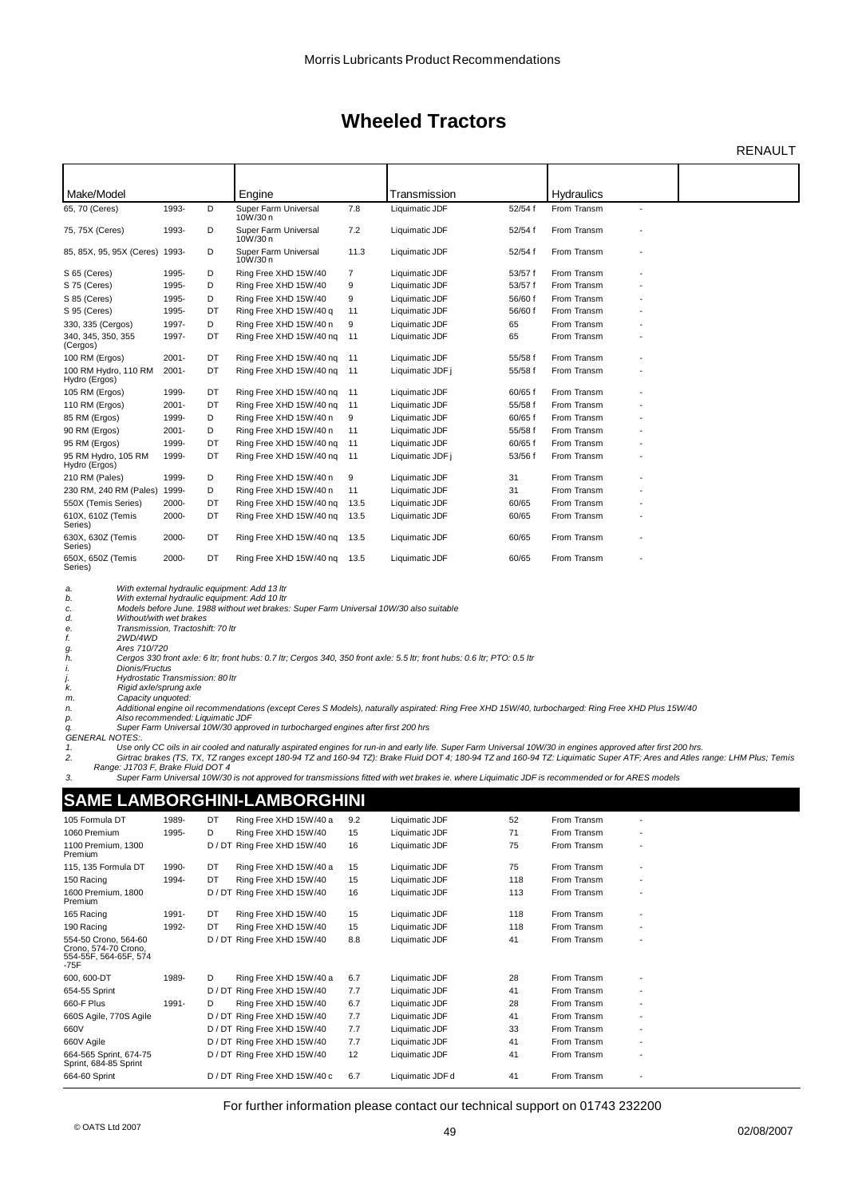RENAULT

| Make/Model                                                                          |          |    | Engine                                                                                                                                                                                   |      | Transmission     |         | Hydraulics  |  |
|-------------------------------------------------------------------------------------|----------|----|------------------------------------------------------------------------------------------------------------------------------------------------------------------------------------------|------|------------------|---------|-------------|--|
| 65, 70 (Ceres)                                                                      | 1993-    | D  | Super Farm Universal<br>10W/30 n                                                                                                                                                         | 7.8  | Liquimatic JDF   | 52/54 f | From Transm |  |
| 75, 75X (Ceres)                                                                     | 1993-    | D  | Super Farm Universal<br>10W/30 n                                                                                                                                                         | 7.2  | Liquimatic JDF   | 52/54 f | From Transm |  |
| 85, 85X, 95, 95X (Ceres) 1993-                                                      |          | D  | Super Farm Universal<br>10W/30 n                                                                                                                                                         | 11.3 | Liquimatic JDF   | 52/54 f | From Transm |  |
| S 65 (Ceres)                                                                        | 1995-    | D  | Ring Free XHD 15W/40                                                                                                                                                                     | 7    | Liquimatic JDF   | 53/57 f | From Transm |  |
| S 75 (Ceres)                                                                        | 1995-    | D  | Ring Free XHD 15W/40                                                                                                                                                                     | 9    | Liquimatic JDF   | 53/57 f | From Transm |  |
| S 85 (Ceres)                                                                        | 1995-    | D  | Ring Free XHD 15W/40                                                                                                                                                                     | 9    | Liquimatic JDF   | 56/60 f | From Transm |  |
| S 95 (Ceres)                                                                        | 1995-    | DT | Ring Free XHD 15W/40 g                                                                                                                                                                   | 11   | Liquimatic JDF   | 56/60 f | From Transm |  |
| 330, 335 (Cergos)                                                                   | 1997-    | D  | Ring Free XHD 15W/40 n                                                                                                                                                                   | 9    | Liquimatic JDF   | 65      | From Transm |  |
| 340, 345, 350, 355<br>(Cergos)                                                      | 1997-    | DT | Ring Free XHD 15W/40 ng                                                                                                                                                                  | 11   | Liquimatic JDF   | 65      | From Transm |  |
| 100 RM (Ergos)                                                                      | $2001 -$ | DT | Ring Free XHD 15W/40 ng                                                                                                                                                                  | 11   | Liquimatic JDF   | 55/58 f | From Transm |  |
| 100 RM Hydro, 110 RM<br>Hydro (Ergos)                                               | $2001 -$ | DT | Ring Free XHD 15W/40 ng                                                                                                                                                                  | 11   | Liquimatic JDF j | 55/58 f | From Transm |  |
| 105 RM (Ergos)                                                                      | 1999-    | DT | Ring Free XHD 15W/40 nq                                                                                                                                                                  | 11   | Liquimatic JDF   | 60/65 f | From Transm |  |
| 110 RM (Ergos)                                                                      | $2001 -$ | DT | Ring Free XHD 15W/40 nq                                                                                                                                                                  | 11   | Liquimatic JDF   | 55/58 f | From Transm |  |
| 85 RM (Ergos)                                                                       | 1999-    | D  | Ring Free XHD 15W/40 n                                                                                                                                                                   | 9    | Liquimatic JDF   | 60/65 f | From Transm |  |
| 90 RM (Ergos)                                                                       | $2001 -$ | D  | Ring Free XHD 15W/40 n                                                                                                                                                                   | 11   | Liquimatic JDF   | 55/58 f | From Transm |  |
| 95 RM (Ergos)                                                                       | 1999-    | DT | Ring Free XHD 15W/40 ng                                                                                                                                                                  | 11   | Liquimatic JDF   | 60/65 f | From Transm |  |
| 95 RM Hydro, 105 RM<br>Hydro (Ergos)                                                | 1999-    | DT | Ring Free XHD 15W/40 nq                                                                                                                                                                  | -11  | Liquimatic JDF j | 53/56 f | From Transm |  |
| 210 RM (Pales)                                                                      | 1999-    | D  | Ring Free XHD 15W/40 n                                                                                                                                                                   | 9    | Liquimatic JDF   | 31      | From Transm |  |
| 230 RM, 240 RM (Pales)                                                              | 1999-    | D  | Ring Free XHD 15W/40 n                                                                                                                                                                   | 11   | Liquimatic JDF   | 31      | From Transm |  |
| 550X (Temis Series)                                                                 | 2000-    | DT | Ring Free XHD 15W/40 ng                                                                                                                                                                  | 13.5 | Liquimatic JDF   | 60/65   | From Transm |  |
| 610X, 610Z (Temis<br>Series)                                                        | 2000-    | DT | Ring Free XHD 15W/40 ng                                                                                                                                                                  | 13.5 | Liquimatic JDF   | 60/65   | From Transm |  |
| 630X, 630Z (Temis<br>Series)                                                        | 2000-    | DT | Ring Free XHD 15W/40 ng                                                                                                                                                                  | 13.5 | Liquimatic JDF   | 60/65   | From Transm |  |
| 650X, 650Z (Temis<br>Series)                                                        | 2000-    | DT | Ring Free XHD 15W/40 ng                                                                                                                                                                  | 13.5 | Liquimatic JDF   | 60/65   | From Transm |  |
| a.<br>b.<br>c.<br>Without/with wet brakes<br>d.<br>Transmission Tractoshift: 70 ltr |          |    | With external hydraulic equipment: Add 13 ltr<br>With external hydraulic equipment: Add 10 Itr<br>Models before June. 1988 without wet brakes: Super Farm Universal 10W/30 also suitable |      |                  |         |             |  |

*f. 2WD/4WD g. Ares 710/720*

Cergos 330 front axle: 6 ltr; front hubs: 0.7 ltr; Cergos 340, 350 front axle: 5.5 ltr; front hubs: 0.6 ltr; PTO: 0.5 ltr

*e. Transmission, Tractoshift: 70 ltr i. Dionis/Fructus j. Hydrostatic Transmission: 80 ltr k. Rigid axle/sprung axle*

*m. Capacity unquoted: n. Additional engine oil recommendations (except Ceres S Models), naturally aspirated: Ring Free XHD 15W/40, turbocharged: Ring Free XHD Plus 15W/40 p. Also recommended: Liquimatic JDF*

*q. Super Farm Universal 10W/30 approved in turbocharged engines after first 200 hrs GENERAL NOTES:.*

1. Use only CC oils in air cooled and naturally aspirated engines for run-in and early life. Super Farm Universal 10W/30 in engines approved after first 200 hrs.<br>2. Girtrac brakes (TS, TX, TZ ranges except 180-94 TZ and 16

### **SAME LAMBORGHINI-LAMBORGHINI**

| 105 Formula DT                                                                  | 1989- | DT     | Ring Free XHD 15W/40 a        | 9.2 | Liquimatic JDF   | 52  | From Transm |                          |
|---------------------------------------------------------------------------------|-------|--------|-------------------------------|-----|------------------|-----|-------------|--------------------------|
| 1060 Premium                                                                    | 1995- | D      | Ring Free XHD 15W/40          | 15  | Liquimatic JDF   | 71  | From Transm | $\overline{\phantom{a}}$ |
| 1100 Premium, 1300<br>Premium                                                   |       |        | D / DT Ring Free XHD 15W/40   | 16  | Liquimatic JDF   | 75  | From Transm |                          |
| 115, 135 Formula DT                                                             | 1990- | DT     | Ring Free XHD 15W/40 a        | 15  | Liquimatic JDF   | 75  | From Transm |                          |
| 150 Racing                                                                      | 1994- | DT     | Ring Free XHD 15W/40          | 15  | Liquimatic JDF   | 118 | From Transm |                          |
| 1600 Premium, 1800<br>Premium                                                   |       |        | D / DT Ring Free XHD 15W/40   | 16  | Liquimatic JDF   | 113 | From Transm | $\overline{\phantom{a}}$ |
| 165 Racing                                                                      | 1991- | DT     | Ring Free XHD 15W/40          | 15  | Liquimatic JDF   | 118 | From Transm |                          |
| 190 Racing                                                                      | 1992- | DT     | Ring Free XHD 15W/40          | 15  | Liquimatic JDF   | 118 | From Transm |                          |
| 554-50 Crono, 564-60<br>Crono, 574-70 Crono,<br>554-55F, 564-65F, 574<br>$-75F$ |       |        | D / DT Ring Free XHD 15W/40   | 8.8 | Liquimatic JDF   | 41  | From Transm |                          |
| 600, 600-DT                                                                     | 1989- | D      | Ring Free XHD 15W/40 a        | 6.7 | Liquimatic JDF   | 28  | From Transm |                          |
| 654-55 Sprint                                                                   |       | D / DT | Ring Free XHD 15W/40          | 7.7 | Liquimatic JDF   | 41  | From Transm | $\overline{\phantom{a}}$ |
| 660-F Plus                                                                      | 1991- | D      | Ring Free XHD 15W/40          | 6.7 | Liquimatic JDF   | 28  | From Transm | $\overline{\phantom{a}}$ |
| 660S Agile, 770S Agile                                                          |       |        | D / DT Ring Free XHD 15W/40   | 7.7 | Liquimatic JDF   | 41  | From Transm | $\overline{\phantom{a}}$ |
| 660V                                                                            |       |        | D / DT Ring Free XHD 15W/40   | 7.7 | Liquimatic JDF   | 33  | From Transm |                          |
| 660V Agile                                                                      |       |        | D / DT Ring Free XHD 15W/40   | 7.7 | Liquimatic JDF   | 41  | From Transm | $\overline{\phantom{a}}$ |
| 664-565 Sprint, 674-75<br>Sprint, 684-85 Sprint                                 |       |        | D / DT Ring Free XHD 15W/40   | 12  | Liquimatic JDF   | 41  | From Transm | $\overline{\phantom{a}}$ |
| 664-60 Sprint                                                                   |       |        | D / DT Ring Free XHD 15W/40 c | 6.7 | Liquimatic JDF d | 41  | From Transm |                          |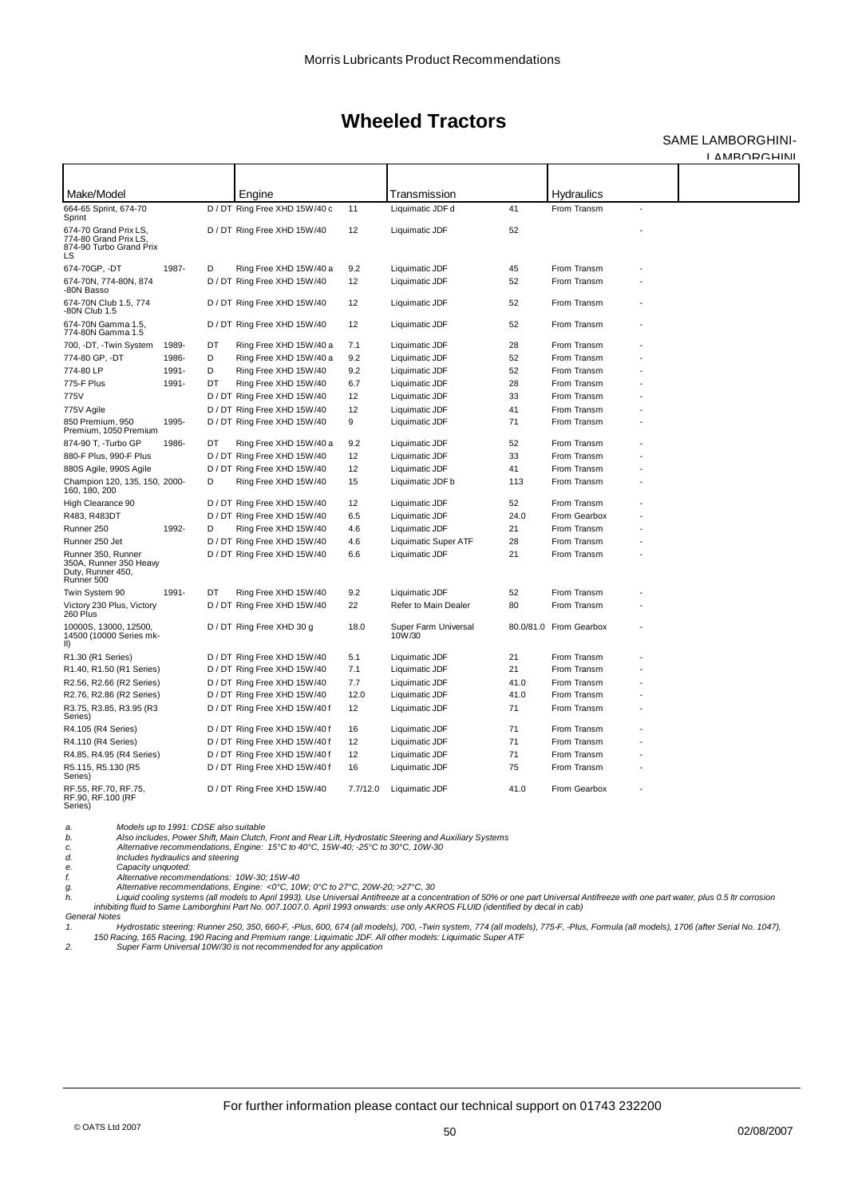### SAME LAMBORGHINI-

LAMBORGHINI

| Make/Model                                                                      |       |    | Engine                        |          | Transmission                   |      | Hydraulics             |  |
|---------------------------------------------------------------------------------|-------|----|-------------------------------|----------|--------------------------------|------|------------------------|--|
| 664-65 Sprint, 674-70<br>Sprint                                                 |       |    | D / DT Ring Free XHD 15W/40 c | 11       | Liquimatic JDF d               | 41   | From Transm            |  |
| 674-70 Grand Prix LS.<br>774-80 Grand Prix LS.<br>874-90 Turbo Grand Prix<br>LS |       |    | D / DT Ring Free XHD 15W/40   | 12       | Liquimatic JDF                 | 52   |                        |  |
| 674-70GP, -DT                                                                   | 1987- | D  | Ring Free XHD 15W/40 a        | 9.2      | Liquimatic JDF                 | 45   | From Transm            |  |
| 674-70N, 774-80N, 874<br>-80N Basso                                             |       |    | D / DT Ring Free XHD 15W/40   | 12       | Liquimatic JDF                 | 52   | From Transm            |  |
| 674-70N Club 1.5, 774<br>-80N Club 1.5                                          |       |    | D / DT Ring Free XHD 15W/40   | 12       | Liquimatic JDF                 | 52   | From Transm            |  |
| 674-70N Gamma 1.5,<br>774-80N Gamma 1.5                                         |       |    | D / DT Ring Free XHD 15W/40   | 12       | Liquimatic JDF                 | 52   | From Transm            |  |
| 700, -DT, -Twin System                                                          | 1989- | DT | Ring Free XHD 15W/40 a        | 7.1      | Liquimatic JDF                 | 28   | From Transm            |  |
| 774-80 GP, -DT                                                                  | 1986- | D  | Ring Free XHD 15W/40 a        | 9.2      | Liquimatic JDF                 | 52   | From Transm            |  |
| 774-80 LP                                                                       | 1991- | D  | Ring Free XHD 15W/40          | 9.2      | Liquimatic JDF                 | 52   | From Transm            |  |
| 775-F Plus                                                                      | 1991- | DT | Ring Free XHD 15W/40          | 6.7      | Liquimatic JDF                 | 28   | From Transm            |  |
| 775V                                                                            |       |    | D / DT Ring Free XHD 15W/40   | 12       | Liquimatic JDF                 | 33   | From Transm            |  |
| 775V Agile                                                                      |       |    | D / DT Ring Free XHD 15W/40   | 12       | Liquimatic JDF                 | 41   | From Transm            |  |
| 850 Premium, 950<br>Premium, 1050 Premium                                       | 1995- |    | D / DT Ring Free XHD 15W/40   | 9        | Liquimatic JDF                 | 71   | From Transm            |  |
| 874-90 T, -Turbo GP                                                             | 1986- | DT | Ring Free XHD 15W/40 a        | 9.2      | Liquimatic JDF                 | 52   | From Transm            |  |
| 880-F Plus, 990-F Plus                                                          |       |    | D / DT Ring Free XHD 15W/40   | 12       | Liquimatic JDF                 | 33   | From Transm            |  |
| 880S Agile, 990S Agile                                                          |       |    | D / DT Ring Free XHD 15W/40   | 12       | Liquimatic JDF                 | 41   | From Transm            |  |
| Champion 120, 135, 150, 2000-<br>160, 180, 200                                  |       | D  | Ring Free XHD 15W/40          | 15       | Liquimatic JDF b               | 113  | From Transm            |  |
| High Clearance 90                                                               |       |    | D / DT Ring Free XHD 15W/40   | 12       | Liquimatic JDF                 | 52   | From Transm            |  |
| R483, R483DT                                                                    |       |    | D / DT Ring Free XHD 15W/40   | 6.5      | Liquimatic JDF                 | 24.0 | From Gearbox           |  |
| Runner 250                                                                      | 1992- | D  | Ring Free XHD 15W/40          | 4.6      | Liquimatic JDF                 | 21   | From Transm            |  |
| Runner 250 Jet                                                                  |       |    | D / DT Ring Free XHD 15W/40   | 4.6      | <b>Liquimatic Super ATF</b>    | 28   | From Transm            |  |
| Runner 350, Runner<br>350A, Runner 350 Heavy<br>Duty, Runner 450,<br>Runner 500 |       |    | D / DT Ring Free XHD 15W/40   | 6.6      | Liquimatic JDF                 | 21   | From Transm            |  |
| Twin System 90                                                                  | 1991- | DT | Ring Free XHD 15W/40          | 9.2      | Liquimatic JDF                 | 52   | From Transm            |  |
| Victory 230 Plus, Victory<br>260 Plus                                           |       |    | D / DT Ring Free XHD 15W/40   | 22       | Refer to Main Dealer           | 80   | From Transm            |  |
| 10000S, 13000, 12500,<br>14500 (10000 Series mk-<br>II)                         |       |    | D / DT Ring Free XHD 30 g     | 18.0     | Super Farm Universal<br>10W/30 |      | 80.0/81.0 From Gearbox |  |
| R1.30 (R1 Series)                                                               |       |    | D / DT Ring Free XHD 15W/40   | 5.1      | Liquimatic JDF                 | 21   | From Transm            |  |
| R1.40, R1.50 (R1 Series)                                                        |       |    | D / DT Ring Free XHD 15W/40   | 7.1      | Liquimatic JDF                 | 21   | From Transm            |  |
| R2.56, R2.66 (R2 Series)                                                        |       |    | D / DT Ring Free XHD 15W/40   | 7.7      | Liquimatic JDF                 | 41.0 | From Transm            |  |
| R2.76, R2.86 (R2 Series)                                                        |       |    | D / DT Ring Free XHD 15W/40   | 12.0     | Liquimatic JDF                 | 41.0 | From Transm            |  |
| R3.75, R3.85, R3.95 (R3<br>Series)                                              |       |    | D / DT Ring Free XHD 15W/40 f | 12       | Liquimatic JDF                 | 71   | From Transm            |  |
| R4.105 (R4 Series)                                                              |       |    | D / DT Ring Free XHD 15W/40 f | 16       | Liquimatic JDF                 | 71   | From Transm            |  |
| R4.110 (R4 Series)                                                              |       |    | D / DT Ring Free XHD 15W/40 f | 12       | Liquimatic JDF                 | 71   | From Transm            |  |
| R4.85, R4.95 (R4 Series)                                                        |       |    | D / DT Ring Free XHD 15W/40 f | 12       | Liquimatic JDF                 | 71   | From Transm            |  |
| R5.115, R5.130 (R5<br>Series)                                                   |       |    | D / DT Ring Free XHD 15W/40 f | 16       | Liquimatic JDF                 | 75   | From Transm            |  |
| RF.55, RF.70, RF.75,<br>RF.90, RF.100 (RF<br>Series)                            |       |    | D / DT Ring Free XHD 15W/40   | 7.7/12.0 | Liquimatic JDF                 | 41.0 | From Gearbox           |  |

*a. Models up to 1991: CDSE also suitable b. Also includes, Power Shift, Main Clutch, Front and Rear Lift, Hydrostatic Steering and Auxiliary Systems c. Alternative recommendations, Engine: 15°C to 40°C, 15W-40; -25°C to 30°C, 10W-30*

*d. Includes hydraulics and steering e. Capacity unquoted:*

*f. Alternative recommendations: 10W-30; 15W-40 g. Alternative recommendations, Engine: <0°C, 10W; 0°C to 27°C, 20W-20; >27°C, 30 h. Liquid cooling systems (all models to April 1993). Use Universal Antifreeze at a concentration of 50% or one part Universal Antifreeze with one part water, plus 0.5 ltr corrosion inhibiting fluid to Same Lamborghini Part No. 007.1007.0. April 1993 onwards: use only AKROS FLUID (identified by decal in cab)*

General Notes<br>1. Hydrostatic steering: Runner 250, 350, 660-F, -Plus, 600, 674 (all models), 700, -Twin system, 774 (all models), 775-F, -Plus, Formula (all models), 1706 (after Serial No. 1047), 150 Racing, 165 Racing, 190 Racing and Premium range: Liquimatic JDF. All other models: Liquimatic Super ATF<br>2. Super Farm Universal 10W/30 is not recommended for any application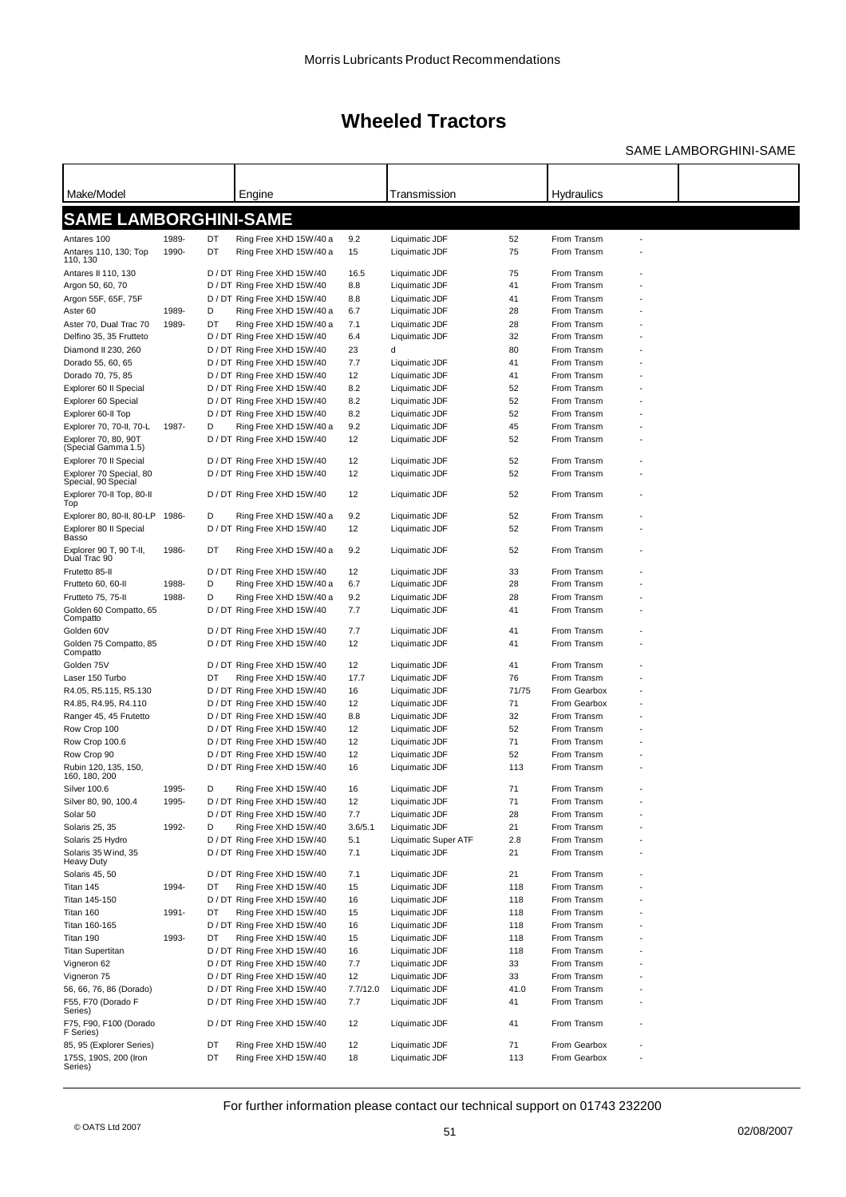### SAME LAMBORGHINI-SAME

| Make/Model                                  |                |          | Engine                                           |          | Transmission         |          | Hydraulics   |  |
|---------------------------------------------|----------------|----------|--------------------------------------------------|----------|----------------------|----------|--------------|--|
|                                             |                |          |                                                  |          |                      |          |              |  |
| <b>SAME LAMBORGHINI-SAME</b>                |                |          |                                                  |          |                      |          |              |  |
|                                             |                |          |                                                  |          |                      |          |              |  |
| Antares 100                                 | 1989-<br>1990- | DT<br>DT | Ring Free XHD 15W/40 a<br>Ring Free XHD 15W/40 a | 9.2      | Liquimatic JDF       | 52<br>75 | From Transm  |  |
| Antares 110, 130; Top<br>110, 130           |                |          |                                                  | 15       | Liquimatic JDF       |          | From Transm  |  |
| Antares II 110, 130                         |                |          | D / DT Ring Free XHD 15W/40                      | 16.5     | Liquimatic JDF       | 75       | From Transm  |  |
| Argon 50, 60, 70                            |                |          | D / DT Ring Free XHD 15W/40                      | 8.8      | Liquimatic JDF       | 41       | From Transm  |  |
| Argon 55F, 65F, 75F                         |                |          | D / DT Ring Free XHD 15W/40                      | 8.8      | Liquimatic JDF       | 41       | From Transm  |  |
| Aster 60                                    | 1989-          | D        | Ring Free XHD 15W/40 a                           | 6.7      | Liquimatic JDF       | 28       | From Transm  |  |
| Aster 70, Dual Trac 70                      | 1989-          | DT       | Ring Free XHD 15W/40 a                           | 7.1      | Liquimatic JDF       | 28       | From Transm  |  |
| Delfino 35, 35 Frutteto                     |                |          | D / DT Ring Free XHD 15W/40                      | 6.4      | Liquimatic JDF       | 32       | From Transm  |  |
| Diamond II 230, 260                         |                |          | D / DT Ring Free XHD 15W/40                      | 23       | d                    | 80       | From Transm  |  |
| Dorado 55, 60, 65                           |                |          | D / DT Ring Free XHD 15W/40                      | 7.7      | Liquimatic JDF       | 41       | From Transm  |  |
| Dorado 70, 75, 85                           |                |          | D / DT Ring Free XHD 15W/40                      | 12       | Liquimatic JDF       | 41       | From Transm  |  |
| Explorer 60 II Special                      |                |          | D / DT Ring Free XHD 15W/40                      | 8.2      | Liquimatic JDF       | 52       | From Transm  |  |
| Explorer 60 Special                         |                |          | D / DT Ring Free XHD 15W/40                      | 8.2      | Liquimatic JDF       | 52       | From Transm  |  |
| Explorer 60-II Top                          |                |          | D / DT Ring Free XHD 15W/40                      | 8.2      | Liquimatic JDF       | 52       | From Transm  |  |
| Explorer 70, 70-II, 70-L                    | 1987-          | D        | Ring Free XHD 15W/40 a                           | 9.2      | Liquimatic JDF       | 45       | From Transm  |  |
| Explorer 70, 80, 90T<br>(Special Gamma 1.5) |                |          | D / DT Ring Free XHD 15W/40                      | 12       | Liquimatic JDF       | 52       | From Transm  |  |
| Explorer 70 Il Special                      |                |          | D / DT Ring Free XHD 15W/40                      | 12       | Liquimatic JDF       | 52       | From Transm  |  |
| Explorer 70 Special, 80                     |                |          | D / DT Ring Free XHD 15W/40                      | 12       | Liquimatic JDF       | 52       | From Transm  |  |
| Special, 90 Special                         |                |          |                                                  |          |                      |          |              |  |
| Explorer 70-II Top, 80-II                   |                |          | D / DT Ring Free XHD 15W/40                      | 12       | Liquimatic JDF       | 52       | From Transm  |  |
| Top                                         |                |          |                                                  |          |                      |          |              |  |
| Explorer 80, 80-II, 80-LP                   | 1986-          | D        | Ring Free XHD 15W/40 a                           | 9.2      | Liquimatic JDF       | 52       | From Transm  |  |
| Explorer 80 II Special<br>Basso             |                |          | D / DT Ring Free XHD 15W/40                      | 12       | Liquimatic JDF       | 52       | From Transm  |  |
| Explorer 90 T, 90 T-II,                     | 1986-          | DT       | Ring Free XHD 15W/40 a                           | 9.2      | Liquimatic JDF       | 52       | From Transm  |  |
| Dual Trac 90                                |                |          |                                                  |          |                      |          |              |  |
| Frutetto 85-II                              |                |          | D / DT Ring Free XHD 15W/40                      | 12       | Liquimatic JDF       | 33       | From Transm  |  |
| Frutteto 60, 60-II                          | 1988-          | D        | Ring Free XHD 15W/40 a                           | 6.7      | Liquimatic JDF       | 28       | From Transm  |  |
| Frutteto 75, 75-II                          | 1988-          | D        | Ring Free XHD 15W/40 a                           | 9.2      | Liquimatic JDF       | 28       | From Transm  |  |
| Golden 60 Compatto, 65                      |                |          | D / DT Ring Free XHD 15W/40                      | 7.7      | Liquimatic JDF       | 41       | From Transm  |  |
| Compatto                                    |                |          |                                                  |          |                      |          |              |  |
| Golden 60V                                  |                |          | D / DT Ring Free XHD 15W/40                      | 7.7      | Liquimatic JDF       | 41       | From Transm  |  |
| Golden 75 Compatto, 85<br>Compatto          |                |          | D / DT Ring Free XHD 15W/40                      | 12       | Liquimatic JDF       | 41       | From Transm  |  |
| Golden 75V                                  |                |          | D / DT Ring Free XHD 15W/40                      | 12       | Liquimatic JDF       | 41       | From Transm  |  |
| Laser 150 Turbo                             |                | DT       | Ring Free XHD 15W/40                             | 17.7     | Liquimatic JDF       | 76       | From Transm  |  |
| R4.05, R5.115, R5.130                       |                |          | D / DT Ring Free XHD 15W/40                      | 16       | Liquimatic JDF       | 71/75    | From Gearbox |  |
| R4.85, R4.95, R4.110                        |                |          | D / DT Ring Free XHD 15W/40                      | 12       | Liquimatic JDF       | 71       | From Gearbox |  |
| Ranger 45, 45 Frutetto                      |                |          | D / DT Ring Free XHD 15W/40                      | 8.8      | Liquimatic JDF       | 32       | From Transm  |  |
| Row Crop 100                                |                |          | D / DT Ring Free XHD 15W/40                      | 12       | Liquimatic JDF       | 52       | From Transm  |  |
| Row Crop 100.6                              |                |          | D / DT Ring Free XHD 15W/40                      | 12       | Liquimatic JDF       | 71       | From Transm  |  |
| Row Crop 90                                 |                |          | D / DT Ring Free XHD 15W/40                      | 12       | Liquimatic JDF       | 52       | From Transm  |  |
| Rubin 120, 135, 150,                        |                |          | D / DT Ring Free XHD 15W/40                      | 16       | Liquimatic JDF       | 113      | From Transm  |  |
| 160, 180, 200                               |                |          |                                                  |          |                      |          |              |  |
| <b>Silver 100.6</b>                         | 1995-          | D        | Ring Free XHD 15W/40                             | 16       | Liquimatic JDF       | 71       | From Transm  |  |
| Silver 80, 90, 100.4                        | 1995-          |          | D / DT Ring Free XHD 15W/40                      | 12       | Liquimatic JDF       | 71       | From Transm  |  |
| Solar 50                                    |                |          | D / DT Ring Free XHD 15W/40                      | 7.7      | Liquimatic JDF       | 28       | From Transm  |  |
| <b>Solaris 25, 35</b>                       | 1992-          | D        | Ring Free XHD 15W/40                             | 3.6/5.1  | Liquimatic JDF       | 21       | From Transm  |  |
| Solaris 25 Hydro                            |                |          | D / DT Ring Free XHD 15W/40                      | 5.1      | Liquimatic Super ATF | 2.8      | From Transm  |  |
| Solaris 35 Wind, 35                         |                |          | D / DT Ring Free XHD 15W/40                      | 7.1      | Liquimatic JDF       | 21       | From Transm  |  |
| Heavy Duty<br>Solaris 45, 50                |                |          | D / DT Ring Free XHD 15W/40                      | 7.1      | Liquimatic JDF       | 21       | From Transm  |  |
| Titan 145                                   | 1994-          | DT       | Ring Free XHD 15W/40                             | 15       | Liquimatic JDF       | 118      | From Transm  |  |
| Titan 145-150                               |                |          | D / DT Ring Free XHD 15W/40                      | 16       | Liquimatic JDF       | 118      | From Transm  |  |
| Titan 160                                   | 1991-          | DT       | Ring Free XHD 15W/40                             | 15       | Liquimatic JDF       | 118      | From Transm  |  |
| Titan 160-165                               |                |          | D / DT Ring Free XHD 15W/40                      | 16       | Liquimatic JDF       | 118      | From Transm  |  |
| Titan 190                                   | 1993-          | DT       | Ring Free XHD 15W/40                             | 15       | Liquimatic JDF       | 118      | From Transm  |  |
| <b>Titan Supertitan</b>                     |                |          | D / DT Ring Free XHD 15W/40                      | 16       | Liquimatic JDF       | 118      | From Transm  |  |
| Vigneron 62                                 |                |          | D / DT Ring Free XHD 15W/40                      | 7.7      | Liquimatic JDF       | 33       | From Transm  |  |
| Vigneron 75                                 |                |          | D / DT Ring Free XHD 15W/40                      | 12       | Liquimatic JDF       | 33       | From Transm  |  |
| 56, 66, 76, 86 (Dorado)                     |                |          | D / DT Ring Free XHD 15W/40                      | 7.7/12.0 | Liquimatic JDF       | 41.0     | From Transm  |  |
| F55, F70 (Dorado F                          |                |          | D / DT Ring Free XHD 15W/40                      | 7.7      | Liquimatic JDF       | 41       | From Transm  |  |
| Series)                                     |                |          |                                                  |          |                      |          |              |  |
| F75, F90, F100 (Dorado                      |                |          | D / DT Ring Free XHD 15W/40                      | 12       | Liquimatic JDF       | 41       | From Transm  |  |
| F Series)                                   |                |          |                                                  |          |                      |          |              |  |
| 85, 95 (Explorer Series)                    |                | DT       | Ring Free XHD 15W/40                             | 12       | Liquimatic JDF       | 71       | From Gearbox |  |
| 175S, 190S, 200 (Iron<br>Series)            |                | DT       | Ring Free XHD 15W/40                             | 18       | Liquimatic JDF       | 113      | From Gearbox |  |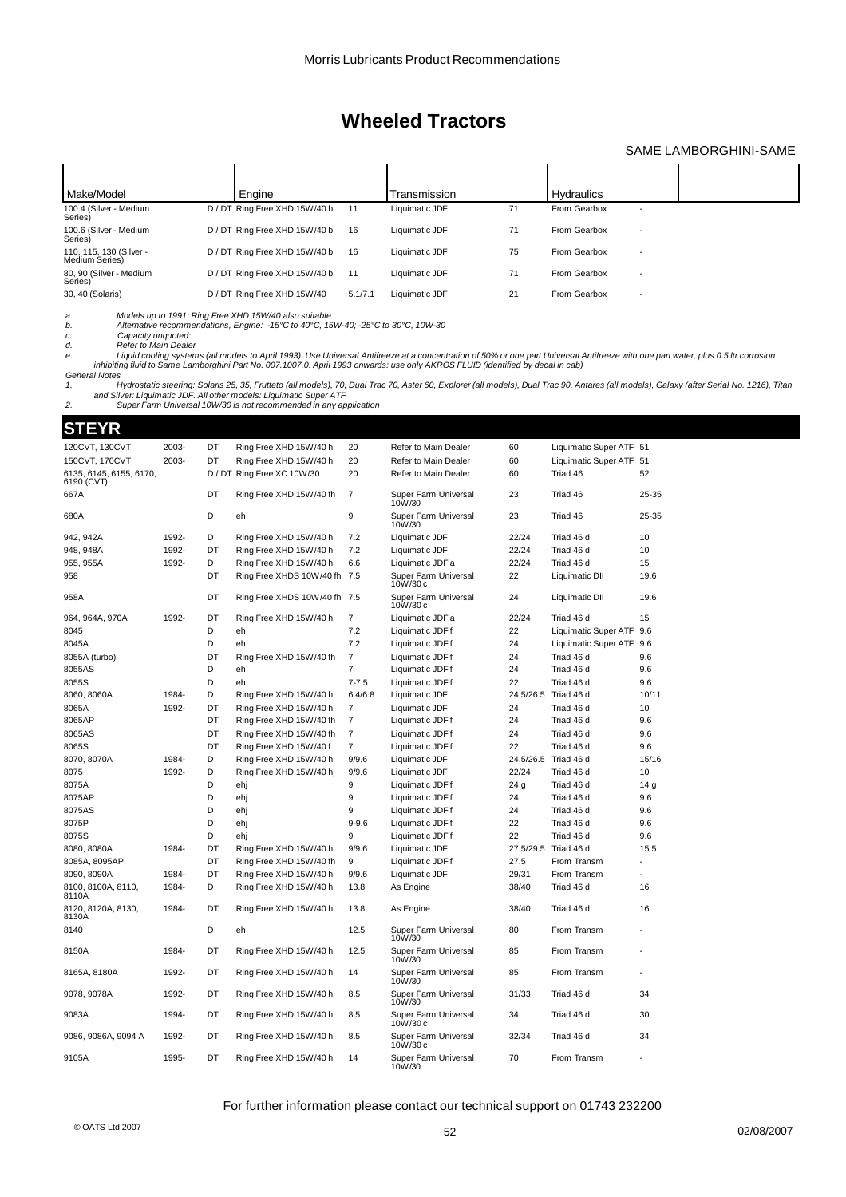### SAME LAMBORGHINI-SAME

| Make/Model                                | Engine                        |         | Transmission   |    | <b>Hydraulics</b> |                          |  |
|-------------------------------------------|-------------------------------|---------|----------------|----|-------------------|--------------------------|--|
| 100.4 (Silver - Medium<br>Series)         | D / DT Ring Free XHD 15W/40 b | 11      | Liquimatic JDF | 71 | From Gearbox      | $\overline{\phantom{a}}$ |  |
| 100.6 (Silver - Medium<br>Series)         | D / DT Ring Free XHD 15W/40 b | 16      | Liquimatic JDF | 71 | From Gearbox      | $\overline{\phantom{a}}$ |  |
| 110, 115, 130 (Silver -<br>Medium Series) | D / DT Ring Free XHD 15W/40 b | 16      | Liquimatic JDF | 75 | From Gearbox      | $\overline{\phantom{a}}$ |  |
| 80, 90 (Silver - Medium<br>Series)        | D / DT Ring Free XHD 15W/40 b | 11      | Liquimatic JDF | 71 | From Gearbox      | $\overline{\phantom{a}}$ |  |
| 30, 40 (Solaris)                          | D / DT Ring Free XHD 15W/40   | 5.1/7.1 | Liquimatic JDF | 21 | From Gearbox      | $\overline{\phantom{a}}$ |  |

*a. Models up to 1991: Ring Free XHD 15W/40 also suitable b. Alternative recommendations, Engine: -15°C to 40°C, 15W-40; -25°C to 30°C, 10W-30 c. Capacity unquoted:*

*d. Refer to Main Dealer e. Liquid cooling systems (all models to April 1993). Use Universal Antifreeze at a concentration of 50% or one part Universal Antifreeze with one part water, plus 0.5 ltr corrosion* inhibiting fluid to Same Lamborghini Part No. 007.1007.0. April 1993 onwards: use only AKROS FLUID (identified by decal in cab)

*General Notes* 1. Hydrostatic steering: Solaris 25, 35, Frutteto (all models), 70, Dual Trac 70, Aster 60, Explorer (all models), Dual Trac 90, Antares (all models), Galaxy (after Serial No. 1216), Titan<br>and Silver: Liquimatic JDF. All o

### **STEYR**

| 120CVT, 130CVT                        | 2003- | DT | Ring Free XHD 15W/40 h       | 20             | Refer to Main Dealer             | 60              | Liquimatic Super ATF 51  |       |
|---------------------------------------|-------|----|------------------------------|----------------|----------------------------------|-----------------|--------------------------|-------|
| 150CVT, 170CVT                        | 2003- | DT | Ring Free XHD 15W/40 h       | 20             | Refer to Main Dealer             | 60              | Liquimatic Super ATF 51  |       |
| 6135, 6145, 6155, 6170,<br>6190 (CVT) |       |    | D / DT Ring Free XC 10W/30   | 20             | Refer to Main Dealer             | 60              | Triad 46                 | 52    |
| 667A                                  |       | DT | Ring Free XHD 15W/40 fh      | 7              | Super Farm Universal<br>10W/30   | 23              | Triad 46                 | 25-35 |
| 680A                                  |       | D  | eh                           | 9              | Super Farm Universal<br>10W/30   | 23              | Triad 46                 | 25-35 |
| 942, 942A                             | 1992- | D  | Ring Free XHD 15W/40 h       | 7.2            | Liquimatic JDF                   | 22/24           | Triad 46 d               | 10    |
| 948, 948A                             | 1992- | DT | Ring Free XHD 15W/40 h       | 7.2            | Liquimatic JDF                   | 22/24           | Triad 46 d               | 10    |
| 955, 955A                             | 1992- | D  | Ring Free XHD 15W/40 h       | 6.6            | Liquimatic JDF a                 | 22/24           | Triad 46 d               | 15    |
| 958                                   |       | DT | Ring Free XHDS 10W/40 fh 7.5 |                | Super Farm Universal<br>10W/30 c | 22              | Liquimatic DII           | 19.6  |
| 958A                                  |       | DT | Ring Free XHDS 10W/40 fh 7.5 |                | Super Farm Universal<br>10W/30 c | 24              | Liquimatic DII           | 19.6  |
| 964, 964A, 970A                       | 1992- | DT | Ring Free XHD 15W/40 h       | $\overline{7}$ | Liquimatic JDF a                 | 22/24           | Triad 46 d               | 15    |
| 8045                                  |       | D  | eh                           | 7.2            | Liquimatic JDFf                  | 22              | Liquimatic Super ATF     | 9.6   |
| 8045A                                 |       | D  | eh                           | 7.2            | Liquimatic JDFf                  | 24              | Liquimatic Super ATF 9.6 |       |
| 8055A (turbo)                         |       | DT | Ring Free XHD 15W/40 fh      | $\overline{7}$ | Liquimatic JDF f                 | 24              | Triad 46 d               | 9.6   |
| 8055AS                                |       | D  | eh                           | $\overline{7}$ | Liquimatic JDF f                 | 24              | Triad 46 d               | 9.6   |
| 8055S                                 |       | D  | eh                           | $7 - 7.5$      | Liquimatic JDF f                 | 22              | Triad 46 d               | 9.6   |
| 8060, 8060A                           | 1984- | D  | Ring Free XHD 15W/40 h       | 6.4/6.8        | Liquimatic JDF                   | 24.5/26.5       | Triad 46 d               | 10/11 |
| 8065A                                 | 1992- | DT | Ring Free XHD 15W/40 h       | $\overline{7}$ | Liquimatic JDF                   | 24              | Triad 46 d               | 10    |
| 8065AP                                |       | DT | Ring Free XHD 15W/40 fh      | $\overline{7}$ | Liquimatic JDF f                 | 24              | Triad 46 d               | 9.6   |
| 8065AS                                |       | DT | Ring Free XHD 15W/40 fh      | $\overline{7}$ | Liquimatic JDF f                 | 24              | Triad 46 d               | 9.6   |
| 8065S                                 |       | DT | Ring Free XHD 15W/40 f       | $\overline{7}$ | Liquimatic JDFf                  | 22              | Triad 46 d               | 9.6   |
| 8070, 8070A                           | 1984- | D  | Ring Free XHD 15W/40 h       | 9/9.6          | Liquimatic JDF                   | 24.5/26.5       | Triad 46 d               | 15/16 |
| 8075                                  | 1992- | D  | Ring Free XHD 15W/40 hj      | 9/9.6          | Liquimatic JDF                   | 22/24           | Triad 46 d               | 10    |
| 8075A                                 |       | D  | ehj                          | 9              | Liquimatic JDF f                 | 24 <sub>g</sub> | Triad 46 d               | 14 g  |
| 8075AP                                |       | D  | ehj                          | 9              | Liquimatic JDF f                 | 24              | Triad 46 d               | 9.6   |
| 8075AS                                |       | D  | ehj                          | 9              | Liquimatic JDF f                 | 24              | Triad 46 d               | 9.6   |
| 8075P                                 |       | D  | ehj                          | $9 - 9.6$      | Liquimatic JDF f                 | 22              | Triad 46 d               | 9.6   |
| 8075S                                 |       | D  | ehj                          | 9              | Liquimatic JDF f                 | 22              | Triad 46 d               | 9.6   |
| 8080, 8080A                           | 1984- | DT | Ring Free XHD 15W/40 h       | 9/9.6          | Liquimatic JDF                   | 27.5/29.5       | Triad 46 d               | 15.5  |
| 8085A, 8095AP                         |       | DT | Ring Free XHD 15W/40 fh      | 9              | Liquimatic JDFf                  | 27.5            | From Transm              |       |
| 8090, 8090A                           | 1984- | DT | Ring Free XHD 15W/40 h       | 9/9.6          | Liquimatic JDF                   | 29/31           | From Transm              |       |
| 8100, 8100A, 8110,<br>8110A           | 1984- | D  | Ring Free XHD 15W/40 h       | 13.8           | As Engine                        | 38/40           | Triad 46 d               | 16    |
| 8120, 8120A, 8130,<br>8130A           | 1984- | DT | Ring Free XHD 15W/40 h       | 13.8           | As Engine                        | 38/40           | Triad 46 d               | 16    |
| 8140                                  |       | D  | eh                           | 12.5           | Super Farm Universal<br>10W/30   | 80              | From Transm              |       |
| 8150A                                 | 1984- | DT | Ring Free XHD 15W/40 h       | 12.5           | Super Farm Universal<br>10W/30   | 85              | From Transm              |       |
| 8165A, 8180A                          | 1992- | DT | Ring Free XHD 15W/40 h       | 14             | Super Farm Universal<br>10W/30   | 85              | From Transm              |       |
| 9078, 9078A                           | 1992- | DT | Ring Free XHD 15W/40 h       | 8.5            | Super Farm Universal<br>10W/30   | 31/33           | Triad 46 d               | 34    |
| 9083A                                 | 1994- | DT | Ring Free XHD 15W/40 h       | 8.5            | Super Farm Universal<br>10W/30 c | 34              | Triad 46 d               | 30    |
| 9086, 9086A, 9094 A                   | 1992- | DT | Ring Free XHD 15W/40 h       | 8.5            | Super Farm Universal<br>10W/30 c | 32/34           | Triad 46 d               | 34    |
| 9105A                                 | 1995- | DT | Ring Free XHD 15W/40 h       | 14             | Super Farm Universal<br>10W/30   | 70              | From Transm              |       |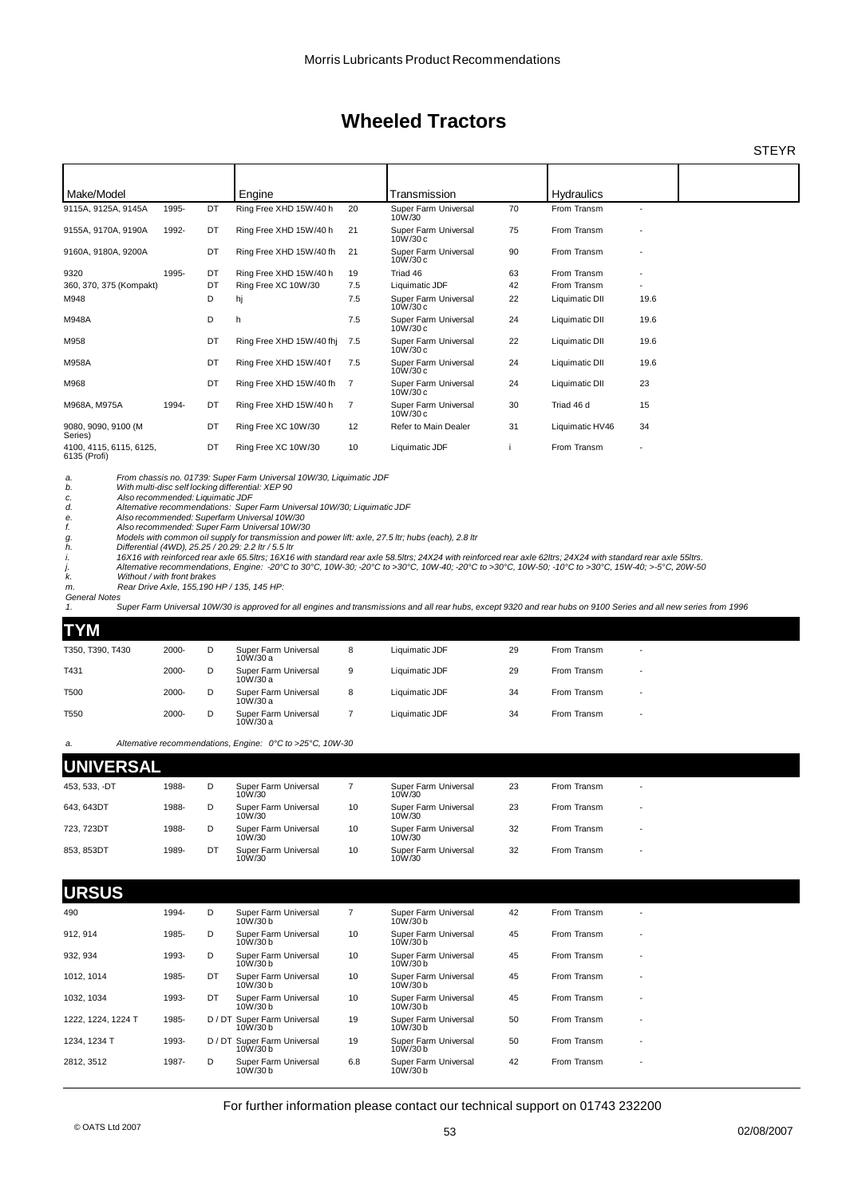**STEYR** 

| Make/Model                              |       |    | Engine                                                                                                                   |     | Transmission                     |    | <b>Hydraulics</b> |                          |  |
|-----------------------------------------|-------|----|--------------------------------------------------------------------------------------------------------------------------|-----|----------------------------------|----|-------------------|--------------------------|--|
| 9115A, 9125A, 9145A                     | 1995- | DT | Ring Free XHD 15W/40 h                                                                                                   | 20  | Super Farm Universal<br>10W/30   | 70 | From Transm       | $\overline{\phantom{a}}$ |  |
| 9155A, 9170A, 9190A                     | 1992- | DT | Ring Free XHD 15W/40 h                                                                                                   | 21  | Super Farm Universal<br>10W/30c  | 75 | From Transm       |                          |  |
| 9160A, 9180A, 9200A                     |       | DT | Ring Free XHD 15W/40 fh                                                                                                  | 21  | Super Farm Universal<br>10W/30c  | 90 | From Transm       |                          |  |
| 9320                                    | 1995- | DT | Ring Free XHD 15W/40 h                                                                                                   | 19  | Triad 46                         | 63 | From Transm       |                          |  |
| 360, 370, 375 (Kompakt)                 |       | DT | Ring Free XC 10W/30                                                                                                      | 7.5 | Liquimatic JDF                   | 42 | From Transm       |                          |  |
| M948                                    |       | D  | hj                                                                                                                       | 7.5 | Super Farm Universal<br>10W/30c  | 22 | Liquimatic DII    | 19.6                     |  |
| M948A                                   |       | D  | h                                                                                                                        | 7.5 | Super Farm Universal<br>10W/30c  | 24 | Liquimatic DII    | 19.6                     |  |
| M958                                    |       | DT | Ring Free XHD 15W/40 fhi                                                                                                 | 7.5 | Super Farm Universal<br>10W/30c  | 22 | Liquimatic DII    | 19.6                     |  |
| M958A                                   |       | DT | Ring Free XHD 15W/40 f                                                                                                   | 7.5 | Super Farm Universal<br>10W/30c  | 24 | Liquimatic DII    | 19.6                     |  |
| M968                                    |       | DT | Ring Free XHD 15W/40 fh                                                                                                  | 7   | Super Farm Universal<br>10W/30c  | 24 | Liquimatic DII    | 23                       |  |
| M968A, M975A                            | 1994- | DT | Ring Free XHD 15W/40 h                                                                                                   | 7   | Super Farm Universal<br>10W/30 c | 30 | Triad 46 d        | 15                       |  |
| 9080, 9090, 9100 (M<br>Series)          |       | DT | Ring Free XC 10W/30                                                                                                      | 12  | Refer to Main Dealer             | 31 | Liquimatic HV46   | 34                       |  |
| 4100, 4115, 6115, 6125,<br>6135 (Profi) |       | DT | Ring Free XC 10W/30                                                                                                      | 10  | Liquimatic JDF                   |    | From Transm       |                          |  |
| a.<br>b.                                |       |    | From chassis no. 01739: Super Farm Universal 10W/30, Liquimatic JDF<br>With multi-disc self locking differential: XEP 90 |     |                                  |    |                   |                          |  |

*c. Also recommended: Liquimatic JDF d. Alternative recommendations: Super Farm Universal 10W/30; Liquimatic JDF*

*e. Also recommended: Superfarm Universal 10W/30 f. Also recommended: Super Farm Universal 10W/30*

*g. Models with common oil supply for transmission and power lift: axle, 27.5 ltr; hubs (each), 2.8 ltr h. Differential (4WD), 25.25 / 20.29: 2.2 ltr / 5.5 ltr*

*i. 16X16 with reinforced rear axle 65.5ltrs; 16X16 with standard rear axle 58.5ltrs; 24X24 with reinforced rear axle 62ltrs; 24X24 with standard rear axle 55ltrs. j. Alternative recommendations, Engine: -20°C to 30°C, 10W-30; -20°C to >30°C, 10W-40; -20°C to >30°C, 10W-50; -10°C to >30°C, 15W-40; >-5°C, 20W-50*

*k. Without / with front brakes*

*m. Rear Drive Axle, 155,190 HP / 135, 145 HP: General Notes*

.<br>Super Farm Universal 10W/30 is approved for all engines and transmissions and all rear hubs, except 9320 and rear hubs on 9100 Series and all new series from 1996

### **TYM**

| T350, T390, T430 | 2000- | Super Farm Universal<br>10W/30 a | 8 | Liquimatic JDF | 29 | From Transm | $\overline{\phantom{0}}$ |
|------------------|-------|----------------------------------|---|----------------|----|-------------|--------------------------|
|                  | 2000- | Super Farm Universal<br>10W/30 a | 9 | Liquimatic JDF | 29 | From Transm | $\overline{\phantom{0}}$ |
|                  | 2000- | Super Farm Universal<br>10W/30 a | 8 | Liquimatic JDF | 34 | From Transm | $\overline{\phantom{0}}$ |
|                  | 2000- | Super Farm Universal<br>10W/30 a |   | Liquimatic JDF | 34 | From Transm | $\overline{\phantom{0}}$ |
|                  |       |                                  |   |                |    |             |                          |

*a. Alternative recommendations, Engine: 0°C to >25°C, 10W-30*

| <b>UNIVERSAL</b> |    |                                |    |                                |    |             |                          |  |  |
|------------------|----|--------------------------------|----|--------------------------------|----|-------------|--------------------------|--|--|
| 1988-            | D  | Super Farm Universal<br>10W/30 |    | Super Farm Universal<br>10W/30 | 23 | From Transm | $\overline{\phantom{0}}$ |  |  |
| 1988-            | D  | Super Farm Universal<br>10W/30 | 10 | Super Farm Universal<br>10W/30 | 23 | From Transm | $\overline{\phantom{a}}$ |  |  |
| 1988-            | D  | Super Farm Universal<br>10W/30 | 10 | Super Farm Universal<br>10W/30 | 32 | From Transm | $\overline{\phantom{a}}$ |  |  |
| 1989-            | DT | Super Farm Universal<br>10W/30 | 10 | Super Farm Universal<br>10W/30 | 32 | From Transm | $\overline{\phantom{a}}$ |  |  |
|                  |    |                                |    |                                |    |             |                          |  |  |

#### **URSUS** 490 1994- D 7 Super Farm Universal 42 From Transm - 10W/30 b Super Farm Universal 10W/30 b 912, 914 1985- D 10 Super Farm Universal 45 From Transm - Super Farm Universal 10W/30 b Super Farm Universal<br>10W/30 b 932, 934 1993- D 10 Super Farm Universal 45 From Transm - Super Farm Universal 10W/30 b Super Farm Universal<br>10W/30 b 1012, 1014 1985- DT 10 Super Farm Universal 45 From Transm - Super Farm Universal 10W/30 b Super Farm Universal<br>10W/30 b 1032, 1034 1993- DT Super Farm Universal 10 Super Farm Universal 45 From Transm -<br>10W/30 b 10W/30b 10W/30b Super Farm Universal 10W/30 b 1222, 1224, 1224 T 1985- D / DT Super Farm Universal 19 Super Farm Universal 50 From Transm -<br>10W/30 b 10W/30 b 10W/30 b Super Farm Universal<br>10W/30 b 1234, 1234 T 1993- D / DT Super Farm Universal 19 Super Farm Universal 50 From Transm -<br>10W/30 b 10W/30 b 10W/30 b Super Farm Universal<br>10W/30 b 2812, 3512 1987- D 6.8 Super Farm Universal 42 From Transm - 10W/30 b Super Farm Universal 10W/30 b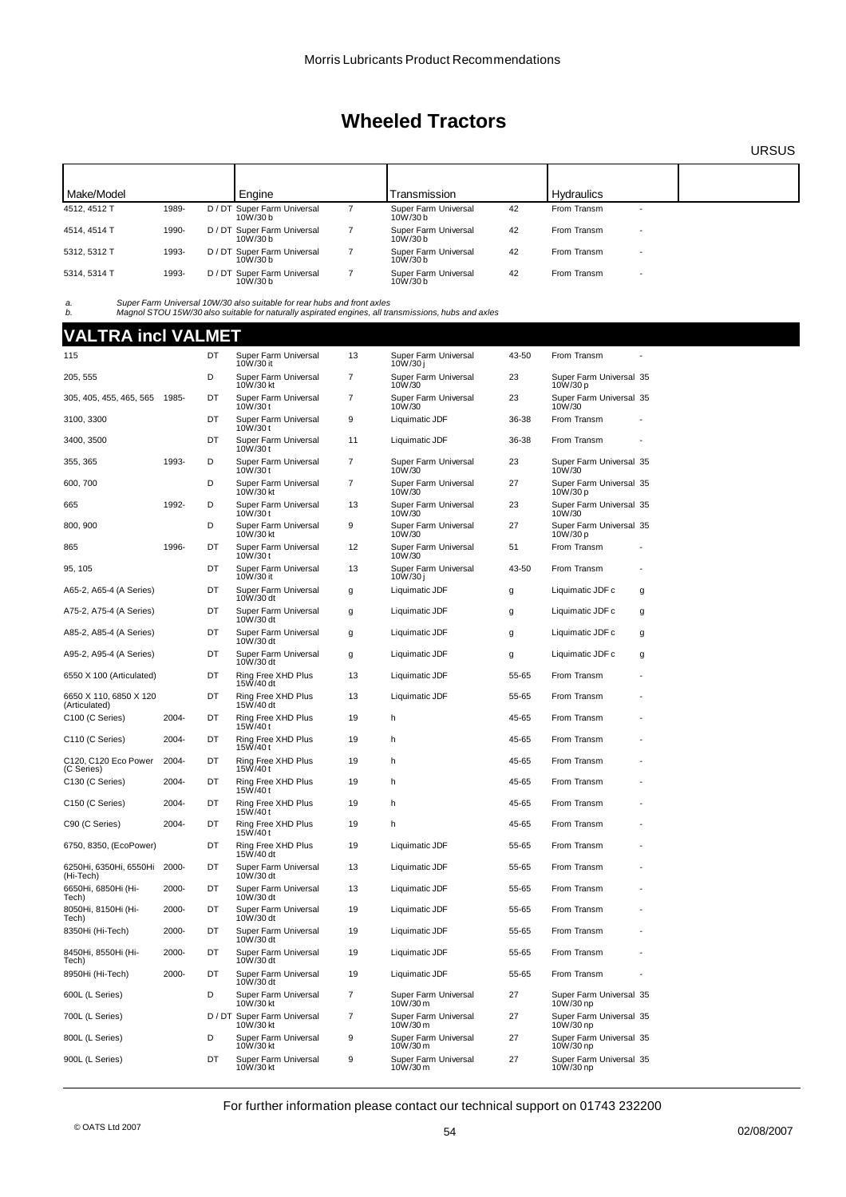URSUS

| Make/Model   |       | Engine                                 | Transmission                    |    | <b>Hydraulics</b> |                          |  |
|--------------|-------|----------------------------------------|---------------------------------|----|-------------------|--------------------------|--|
| 4512, 4512 T | 1989- | D / DT Super Farm Universal<br>10W/30h | Super Farm Universal<br>10W/30b | 42 | From Transm       | $\overline{\phantom{0}}$ |  |
| 4514, 4514 T | 1990- | D / DT Super Farm Universal<br>10W/30h | Super Farm Universal<br>10W/30b | 42 | From Transm       | $\overline{\phantom{a}}$ |  |
| 5312, 5312 T | 1993- | D / DT Super Farm Universal<br>10W/30h | Super Farm Universal<br>10W/30b | 42 | From Transm       | $\overline{\phantom{a}}$ |  |
| 5314, 5314 T | 1993- | D / DT Super Farm Universal<br>10W/30b | Super Farm Universal<br>10W/30b | 42 | From Transm       | $\overline{\phantom{a}}$ |  |

a. Super Farm Universal 10W/30 also suitable for rear hubs and front axles<br>b. Magnol STOU 15W/30 also suitable for naturally aspirated engines, all transmissions, hubs and axles

# **VALTRA incl VALMET**

| 115                                     |       | <b>DT</b> | Super Farm Universal<br>10W/30 it        | 13             | Super Farm Universal<br>10W/30 i | 43-50 | From Transm                          |   |
|-----------------------------------------|-------|-----------|------------------------------------------|----------------|----------------------------------|-------|--------------------------------------|---|
| 205, 555                                |       | D         | Super Farm Universal<br>10W/30 kt        | $\overline{7}$ | Super Farm Universal<br>10W/30   | 23    | Super Farm Universal 35<br>10W/30 p  |   |
| 305, 405, 455, 465, 565 1985-           |       | DT        | Super Farm Universal<br>10W/30 t         | 7              | Super Farm Universal<br>10W/30   | 23    | Super Farm Universal 35<br>10W/30    |   |
| 3100, 3300                              |       | DT        | Super Farm Universal<br>10W/30t          | 9              | Liquimatic JDF                   | 36-38 | From Transm                          |   |
| 3400, 3500                              |       | <b>DT</b> | Super Farm Universal<br>10W/30t          | 11             | Liquimatic JDF                   | 36-38 | From Transm                          |   |
| 355, 365                                | 1993- | D         | Super Farm Universal<br>10W/30t          | 7              | Super Farm Universal<br>10W/30   | 23    | Super Farm Universal 35<br>10W/30    |   |
| 600, 700                                |       | D         | Super Farm Universal<br>10W/30 kt        | 7              | Super Farm Universal<br>10W/30   | 27    | Super Farm Universal 35<br>10W/30 p  |   |
| 665                                     | 1992- | D         | Super Farm Universal<br>10W/30t          | 13             | Super Farm Universal<br>10W/30   | 23    | Super Farm Universal 35<br>10W/30    |   |
| 800, 900                                |       | D         | Super Farm Universal<br>10W/30 kt        | 9              | Super Farm Universal<br>10W/30   | 27    | Super Farm Universal 35<br>10W/30 p  |   |
| 865                                     | 1996- | DT        | Super Farm Universal<br>10W/30t          | 12             | Super Farm Universal<br>10W/30   | 51    | From Transm                          |   |
| 95, 105                                 |       | DT        | Super Farm Universal<br>10W/30 it        | 13             | Super Farm Universal<br>10W/30 j | 43-50 | From Transm                          |   |
| A65-2, A65-4 (A Series)                 |       | DT        | Super Farm Universal<br>10W/30 dt        | g              | Liquimatic JDF                   | g     | Liquimatic JDF c                     | g |
| A75-2, A75-4 (A Series)                 |       | DT        | Super Farm Universal<br>10W/30 dt        | g              | Liquimatic JDF                   | g     | Liquimatic JDF c                     | g |
| A85-2, A85-4 (A Series)                 |       | DT        | Super Farm Universal<br>10W/30 dt        | g              | Liquimatic JDF                   | g     | Liquimatic JDF c                     | g |
| A95-2, A95-4 (A Series)                 |       | DT        | Super Farm Universal<br>10W/30 dt        | g              | Liquimatic JDF                   | g     | Liquimatic JDF c                     | g |
| 6550 X 100 (Articulated)                |       | DT        | Ring Free XHD Plus<br>15W/40 dt          | 13             | Liquimatic JDF                   | 55-65 | From Transm                          |   |
| 6650 X 110, 6850 X 120<br>(Articulated) |       | DT        | Ring Free XHD Plus<br>15W/40 dt          | 13             | Liquimatic JDF                   | 55-65 | From Transm                          |   |
| C100 (C Series)                         | 2004- | DT        | Ring Free XHD Plus<br>15W/40t            | 19             | h                                | 45-65 | From Transm                          |   |
| C110 (C Series)                         | 2004- | DT        | Ring Free XHD Plus<br>15W/40t            | 19             | h                                | 45-65 | From Transm                          |   |
| C120, C120 Eco Power<br>(C Series)      | 2004- | DT        | Ring Free XHD Plus<br>15W/40t            | 19             | h                                | 45-65 | From Transm                          |   |
| C130 (C Series)                         | 2004- | DT        | Ring Free XHD Plus<br>15W/40t            | 19             | h                                | 45-65 | From Transm                          |   |
| C <sub>150</sub> (C Series)             | 2004- | DT        | Ring Free XHD Plus<br>15W/40t            | 19             | h                                | 45-65 | From Transm                          |   |
| C90 (C Series)                          | 2004- | DT        | Ring Free XHD Plus<br>15W/40t            | 19             | h                                | 45-65 | From Transm                          |   |
| 6750, 8350, (EcoPower)                  |       | DT        | Ring Free XHD Plus<br>15W/40 dt          | 19             | Liquimatic JDF                   | 55-65 | From Transm                          |   |
| 6250Hi, 6350Hi, 6550Hi<br>(Hi-Tech)     | 2000- | DT        | Super Farm Universal<br>10W/30 dt        | 13             | Liquimatic JDF                   | 55-65 | From Transm                          |   |
| 6650Hi, 6850Hi (Hi-<br>Tech)            | 2000- | DT        | Super Farm Universal<br>10W/30 dt        | 13             | Liquimatic JDF                   | 55-65 | From Transm                          |   |
| 8050Hi, 8150Hi (Hi-<br>Tech)            | 2000- | DT        | Super Farm Universal<br>10W/30 dt        | 19             | Liquimatic JDF                   | 55-65 | From Transm                          |   |
| 8350Hi (Hi-Tech)                        | 2000- | DT        | Super Farm Universal<br>10W/30 dt        | 19             | Liquimatic JDF                   | 55-65 | From Transm                          |   |
| 8450Hi, 8550Hi (Hi-<br>Tech)            | 2000- | DT        | Super Farm Universal<br>10W/30 dt        | 19             | Liquimatic JDF                   | 55-65 | From Transm                          |   |
| 8950Hi (Hi-Tech)                        | 2000- | DT        | Super Farm Universal<br>10W/30 dt        | 19             | Liquimatic JDF                   | 55-65 | From Transm                          |   |
| 600L (L Series)                         |       | D         | Super Farm Universal<br>10W/30 kt        | 7              | Super Farm Universal<br>10W/30 m | 27    | Super Farm Universal 35<br>10W/30 np |   |
| 700L (L Series)                         |       |           | D / DT Super Farm Universal<br>10W/30 kt | 7              | Super Farm Universal<br>10W/30 m | 27    | Super Farm Universal 35<br>10W/30 np |   |
| 800L (L Series)                         |       | D         | Super Farm Universal<br>10W/30 kt        | 9              | Super Farm Universal<br>10W/30 m | 27    | Super Farm Universal 35<br>10W/30 np |   |
| 900L (L Series)                         |       | DT        | Super Farm Universal<br>10W/30 kt        | 9              | Super Farm Universal<br>10W/30 m | 27    | Super Farm Universal 35<br>10W/30 np |   |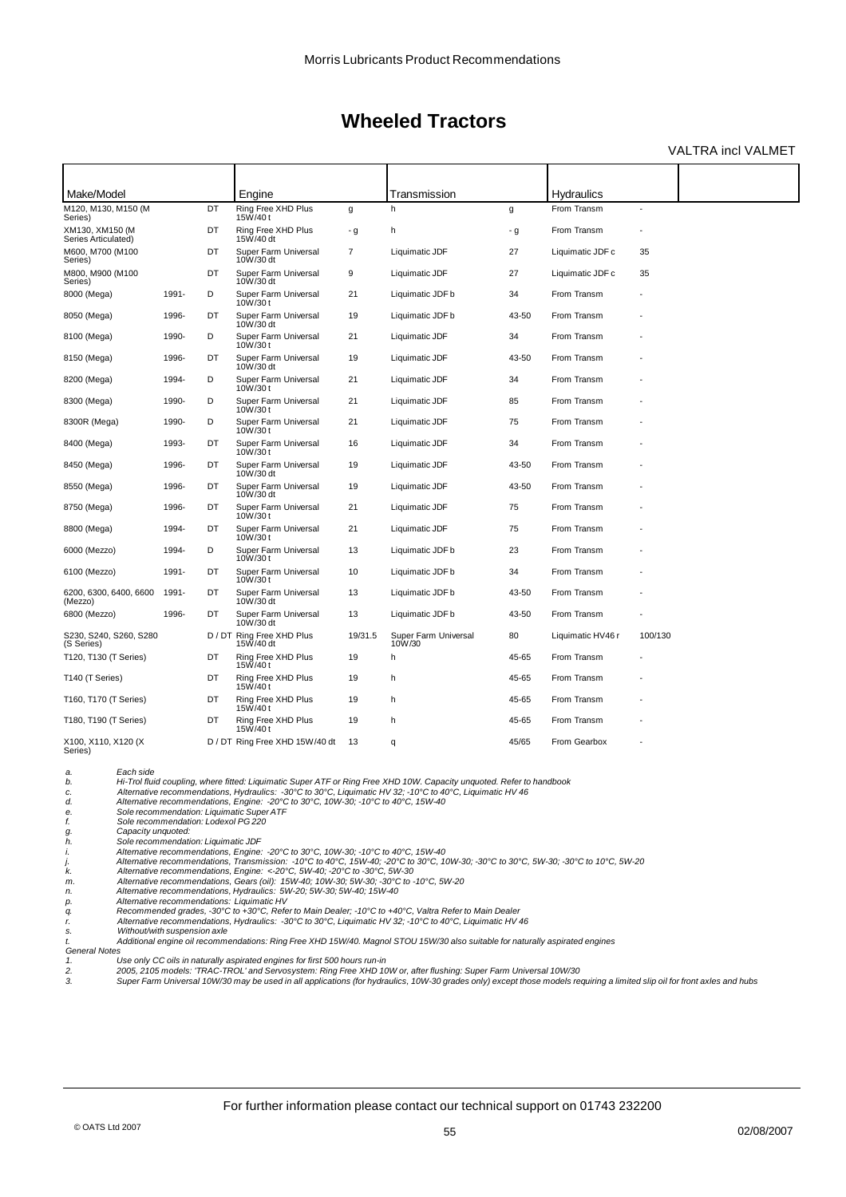### VALTRA incl VALMET

| Make/Model<br>M120, M130, M150 (M      |                                                                                                                                                                                                                                                                                                                                                                                                                                                                                                                                                                                                                                                                                                                                                                                                                                                                                                                                                                                                                                                                                                                                                                                                                                                                                                                                                                                                                                                                                                                                                                                                                                                                                                                                                   | DT | Engine<br>Ring Free XHD Plus      |                | Transmission<br>h              |       | Hydraulics<br>From Transm |         |
|----------------------------------------|---------------------------------------------------------------------------------------------------------------------------------------------------------------------------------------------------------------------------------------------------------------------------------------------------------------------------------------------------------------------------------------------------------------------------------------------------------------------------------------------------------------------------------------------------------------------------------------------------------------------------------------------------------------------------------------------------------------------------------------------------------------------------------------------------------------------------------------------------------------------------------------------------------------------------------------------------------------------------------------------------------------------------------------------------------------------------------------------------------------------------------------------------------------------------------------------------------------------------------------------------------------------------------------------------------------------------------------------------------------------------------------------------------------------------------------------------------------------------------------------------------------------------------------------------------------------------------------------------------------------------------------------------------------------------------------------------------------------------------------------------|----|-----------------------------------|----------------|--------------------------------|-------|---------------------------|---------|
| Series)                                |                                                                                                                                                                                                                                                                                                                                                                                                                                                                                                                                                                                                                                                                                                                                                                                                                                                                                                                                                                                                                                                                                                                                                                                                                                                                                                                                                                                                                                                                                                                                                                                                                                                                                                                                                   |    | 15W/40t                           | g              |                                | g     |                           |         |
| XM130, XM150 (M<br>Series Articulated) |                                                                                                                                                                                                                                                                                                                                                                                                                                                                                                                                                                                                                                                                                                                                                                                                                                                                                                                                                                                                                                                                                                                                                                                                                                                                                                                                                                                                                                                                                                                                                                                                                                                                                                                                                   | DT | Ring Free XHD Plus<br>15W/40 dt   | - g            | h                              | - g   | From Transm               |         |
| M600, M700 (M100<br>Series)            |                                                                                                                                                                                                                                                                                                                                                                                                                                                                                                                                                                                                                                                                                                                                                                                                                                                                                                                                                                                                                                                                                                                                                                                                                                                                                                                                                                                                                                                                                                                                                                                                                                                                                                                                                   | DT | Super Farm Universal<br>10W/30 dt | $\overline{7}$ | Liquimatic JDF                 | 27    | Liquimatic JDF c          | 35      |
| M800, M900 (M100<br>Series)            |                                                                                                                                                                                                                                                                                                                                                                                                                                                                                                                                                                                                                                                                                                                                                                                                                                                                                                                                                                                                                                                                                                                                                                                                                                                                                                                                                                                                                                                                                                                                                                                                                                                                                                                                                   | DT | Super Farm Universal<br>10W/30 dt | 9              | Liquimatic JDF                 | 27    | Liquimatic JDF c          | 35      |
| 8000 (Mega)                            | 1991-                                                                                                                                                                                                                                                                                                                                                                                                                                                                                                                                                                                                                                                                                                                                                                                                                                                                                                                                                                                                                                                                                                                                                                                                                                                                                                                                                                                                                                                                                                                                                                                                                                                                                                                                             | D  | Super Farm Universal<br>10W/30t   | 21             | Liquimatic JDF b               | 34    | From Transm               |         |
| 8050 (Mega)                            | 1996-                                                                                                                                                                                                                                                                                                                                                                                                                                                                                                                                                                                                                                                                                                                                                                                                                                                                                                                                                                                                                                                                                                                                                                                                                                                                                                                                                                                                                                                                                                                                                                                                                                                                                                                                             | DT | Super Farm Universal<br>10W/30 dt | 19             | Liquimatic JDF b               | 43-50 | From Transm               |         |
| 8100 (Mega)                            | 1990-                                                                                                                                                                                                                                                                                                                                                                                                                                                                                                                                                                                                                                                                                                                                                                                                                                                                                                                                                                                                                                                                                                                                                                                                                                                                                                                                                                                                                                                                                                                                                                                                                                                                                                                                             | D  | Super Farm Universal<br>10W/30t   | 21             | Liquimatic JDF                 | 34    | From Transm               |         |
| 8150 (Mega)                            | 1996-                                                                                                                                                                                                                                                                                                                                                                                                                                                                                                                                                                                                                                                                                                                                                                                                                                                                                                                                                                                                                                                                                                                                                                                                                                                                                                                                                                                                                                                                                                                                                                                                                                                                                                                                             | DT | Super Farm Universal<br>10W/30 dt | 19             | Liquimatic JDF                 | 43-50 | From Transm               |         |
| 8200 (Mega)                            | 1994-                                                                                                                                                                                                                                                                                                                                                                                                                                                                                                                                                                                                                                                                                                                                                                                                                                                                                                                                                                                                                                                                                                                                                                                                                                                                                                                                                                                                                                                                                                                                                                                                                                                                                                                                             | D  | Super Farm Universal<br>10W/30t   | 21             | Liquimatic JDF                 | 34    | From Transm               |         |
| 8300 (Mega)                            | 1990-                                                                                                                                                                                                                                                                                                                                                                                                                                                                                                                                                                                                                                                                                                                                                                                                                                                                                                                                                                                                                                                                                                                                                                                                                                                                                                                                                                                                                                                                                                                                                                                                                                                                                                                                             | D  | Super Farm Universal<br>10W/30t   | 21             | Liquimatic JDF                 | 85    | From Transm               |         |
| 8300R (Mega)                           | 1990-                                                                                                                                                                                                                                                                                                                                                                                                                                                                                                                                                                                                                                                                                                                                                                                                                                                                                                                                                                                                                                                                                                                                                                                                                                                                                                                                                                                                                                                                                                                                                                                                                                                                                                                                             | D  | Super Farm Universal<br>10W/30t   | 21             | Liquimatic JDF                 | 75    | From Transm               |         |
| 8400 (Mega)                            | 1993-                                                                                                                                                                                                                                                                                                                                                                                                                                                                                                                                                                                                                                                                                                                                                                                                                                                                                                                                                                                                                                                                                                                                                                                                                                                                                                                                                                                                                                                                                                                                                                                                                                                                                                                                             | DT | Super Farm Universal<br>10W/30t   | 16             | Liquimatic JDF                 | 34    | From Transm               |         |
| 8450 (Mega)                            | 1996-                                                                                                                                                                                                                                                                                                                                                                                                                                                                                                                                                                                                                                                                                                                                                                                                                                                                                                                                                                                                                                                                                                                                                                                                                                                                                                                                                                                                                                                                                                                                                                                                                                                                                                                                             | DT | Super Farm Universal<br>10W/30 dt | 19             | Liquimatic JDF                 | 43-50 | From Transm               |         |
| 8550 (Mega)                            | 1996-                                                                                                                                                                                                                                                                                                                                                                                                                                                                                                                                                                                                                                                                                                                                                                                                                                                                                                                                                                                                                                                                                                                                                                                                                                                                                                                                                                                                                                                                                                                                                                                                                                                                                                                                             | DT | Super Farm Universal<br>10W/30 dt | 19             | Liquimatic JDF                 | 43-50 | From Transm               |         |
| 8750 (Mega)                            | 1996-                                                                                                                                                                                                                                                                                                                                                                                                                                                                                                                                                                                                                                                                                                                                                                                                                                                                                                                                                                                                                                                                                                                                                                                                                                                                                                                                                                                                                                                                                                                                                                                                                                                                                                                                             | DT | Super Farm Universal<br>10W/30t   | 21             | Liquimatic JDF                 | 75    | From Transm               |         |
| 8800 (Mega)                            | 1994-                                                                                                                                                                                                                                                                                                                                                                                                                                                                                                                                                                                                                                                                                                                                                                                                                                                                                                                                                                                                                                                                                                                                                                                                                                                                                                                                                                                                                                                                                                                                                                                                                                                                                                                                             | DT | Super Farm Universal<br>10W/30t   | 21             | Liquimatic JDF                 | 75    | From Transm               |         |
| 6000 (Mezzo)                           | 1994-                                                                                                                                                                                                                                                                                                                                                                                                                                                                                                                                                                                                                                                                                                                                                                                                                                                                                                                                                                                                                                                                                                                                                                                                                                                                                                                                                                                                                                                                                                                                                                                                                                                                                                                                             | D  | Super Farm Universal<br>10W/30t   | 13             | Liquimatic JDF b               | 23    | From Transm               |         |
| 6100 (Mezzo)                           | 1991-                                                                                                                                                                                                                                                                                                                                                                                                                                                                                                                                                                                                                                                                                                                                                                                                                                                                                                                                                                                                                                                                                                                                                                                                                                                                                                                                                                                                                                                                                                                                                                                                                                                                                                                                             | DT | Super Farm Universal<br>10W/30t   | 10             | Liquimatic JDF b               | 34    | From Transm               |         |
| 6200, 6300, 6400, 6600<br>(Mezzo)      | 1991-                                                                                                                                                                                                                                                                                                                                                                                                                                                                                                                                                                                                                                                                                                                                                                                                                                                                                                                                                                                                                                                                                                                                                                                                                                                                                                                                                                                                                                                                                                                                                                                                                                                                                                                                             | DT | Super Farm Universal<br>10W/30 dt | 13             | Liquimatic JDF b               | 43-50 | From Transm               |         |
| 6800 (Mezzo)                           | 1996-                                                                                                                                                                                                                                                                                                                                                                                                                                                                                                                                                                                                                                                                                                                                                                                                                                                                                                                                                                                                                                                                                                                                                                                                                                                                                                                                                                                                                                                                                                                                                                                                                                                                                                                                             | DT | Super Farm Universal<br>10W/30 dt | 13             | Liquimatic JDF b               | 43-50 | From Transm               |         |
| S230, S240, S260, S280<br>(S Series)   |                                                                                                                                                                                                                                                                                                                                                                                                                                                                                                                                                                                                                                                                                                                                                                                                                                                                                                                                                                                                                                                                                                                                                                                                                                                                                                                                                                                                                                                                                                                                                                                                                                                                                                                                                   |    | 15W/40 dt                         | 19/31.5        | Super Farm Universal<br>10W/30 | 80    | Liquimatic HV46 r         | 100/130 |
| T120, T130 (T Series)                  |                                                                                                                                                                                                                                                                                                                                                                                                                                                                                                                                                                                                                                                                                                                                                                                                                                                                                                                                                                                                                                                                                                                                                                                                                                                                                                                                                                                                                                                                                                                                                                                                                                                                                                                                                   | DT | Ring Free XHD Plus<br>15W/40t     | 19             | h                              | 45-65 | From Transm               |         |
| T140 (T Series)                        |                                                                                                                                                                                                                                                                                                                                                                                                                                                                                                                                                                                                                                                                                                                                                                                                                                                                                                                                                                                                                                                                                                                                                                                                                                                                                                                                                                                                                                                                                                                                                                                                                                                                                                                                                   | DT | Ring Free XHD Plus<br>15W/40t     | 19             | h.                             | 45-65 | From Transm               |         |
| T160, T170 (T Series)                  |                                                                                                                                                                                                                                                                                                                                                                                                                                                                                                                                                                                                                                                                                                                                                                                                                                                                                                                                                                                                                                                                                                                                                                                                                                                                                                                                                                                                                                                                                                                                                                                                                                                                                                                                                   | DT | Ring Free XHD Plus<br>15W/40t     | 19             | h                              | 45-65 | From Transm               |         |
| T180, T190 (T Series)                  |                                                                                                                                                                                                                                                                                                                                                                                                                                                                                                                                                                                                                                                                                                                                                                                                                                                                                                                                                                                                                                                                                                                                                                                                                                                                                                                                                                                                                                                                                                                                                                                                                                                                                                                                                   | DT | Ring Free XHD Plus<br>15W/40t     | 19             | h                              | 45-65 | From Transm               |         |
| X100, X110, X120 (X<br>Series)         |                                                                                                                                                                                                                                                                                                                                                                                                                                                                                                                                                                                                                                                                                                                                                                                                                                                                                                                                                                                                                                                                                                                                                                                                                                                                                                                                                                                                                                                                                                                                                                                                                                                                                                                                                   |    |                                   | 13             | q                              | 45/65 | From Gearbox              |         |
| a.                                     |                                                                                                                                                                                                                                                                                                                                                                                                                                                                                                                                                                                                                                                                                                                                                                                                                                                                                                                                                                                                                                                                                                                                                                                                                                                                                                                                                                                                                                                                                                                                                                                                                                                                                                                                                   |    |                                   |                |                                |       |                           |         |
| b.<br>c.                               |                                                                                                                                                                                                                                                                                                                                                                                                                                                                                                                                                                                                                                                                                                                                                                                                                                                                                                                                                                                                                                                                                                                                                                                                                                                                                                                                                                                                                                                                                                                                                                                                                                                                                                                                                   |    |                                   |                |                                |       |                           |         |
| d.                                     |                                                                                                                                                                                                                                                                                                                                                                                                                                                                                                                                                                                                                                                                                                                                                                                                                                                                                                                                                                                                                                                                                                                                                                                                                                                                                                                                                                                                                                                                                                                                                                                                                                                                                                                                                   |    |                                   |                |                                |       |                           |         |
| е.<br>f.                               |                                                                                                                                                                                                                                                                                                                                                                                                                                                                                                                                                                                                                                                                                                                                                                                                                                                                                                                                                                                                                                                                                                                                                                                                                                                                                                                                                                                                                                                                                                                                                                                                                                                                                                                                                   |    |                                   |                |                                |       |                           |         |
| g.                                     |                                                                                                                                                                                                                                                                                                                                                                                                                                                                                                                                                                                                                                                                                                                                                                                                                                                                                                                                                                                                                                                                                                                                                                                                                                                                                                                                                                                                                                                                                                                                                                                                                                                                                                                                                   |    |                                   |                |                                |       |                           |         |
| h.                                     |                                                                                                                                                                                                                                                                                                                                                                                                                                                                                                                                                                                                                                                                                                                                                                                                                                                                                                                                                                                                                                                                                                                                                                                                                                                                                                                                                                                                                                                                                                                                                                                                                                                                                                                                                   |    |                                   |                |                                |       |                           |         |
| i.<br>j.                               |                                                                                                                                                                                                                                                                                                                                                                                                                                                                                                                                                                                                                                                                                                                                                                                                                                                                                                                                                                                                                                                                                                                                                                                                                                                                                                                                                                                                                                                                                                                                                                                                                                                                                                                                                   |    |                                   |                |                                |       |                           |         |
| k.                                     |                                                                                                                                                                                                                                                                                                                                                                                                                                                                                                                                                                                                                                                                                                                                                                                                                                                                                                                                                                                                                                                                                                                                                                                                                                                                                                                                                                                                                                                                                                                                                                                                                                                                                                                                                   |    |                                   |                |                                |       |                           |         |
| m.                                     |                                                                                                                                                                                                                                                                                                                                                                                                                                                                                                                                                                                                                                                                                                                                                                                                                                                                                                                                                                                                                                                                                                                                                                                                                                                                                                                                                                                                                                                                                                                                                                                                                                                                                                                                                   |    |                                   |                |                                |       |                           |         |
| n.                                     |                                                                                                                                                                                                                                                                                                                                                                                                                                                                                                                                                                                                                                                                                                                                                                                                                                                                                                                                                                                                                                                                                                                                                                                                                                                                                                                                                                                                                                                                                                                                                                                                                                                                                                                                                   |    |                                   |                |                                |       |                           |         |
| р.<br>q.                               |                                                                                                                                                                                                                                                                                                                                                                                                                                                                                                                                                                                                                                                                                                                                                                                                                                                                                                                                                                                                                                                                                                                                                                                                                                                                                                                                                                                                                                                                                                                                                                                                                                                                                                                                                   |    |                                   |                |                                |       |                           |         |
| r.                                     | D / DT Ring Free XHD Plus<br>D / DT Ring Free XHD 15W/40 dt<br>Each side<br>Hi-Trol fluid coupling, where fitted: Liquimatic Super ATF or Ring Free XHD 10W. Capacity unquoted. Refer to handbook<br>Alternative recommendations, Hydraulics: -30°C to 30°C, Liquimatic HV 32; -10°C to 40°C, Liquimatic HV 46<br>Alternative recommendations, Engine: -20 $\degree$ C to 30 $\degree$ C, 10W-30; -10 $\degree$ C to 40 $\degree$ C, 15W-40<br>Sole recommendation: Liquimatic Super ATF<br>Sole recommendation: Lodexol PG 220<br>Capacity unquoted:<br>Sole recommendation: Liquimatic JDF<br>Alternative recommendations, Engine: -20°C to 30°C, 10W-30; -10°C to 40°C, 15W-40<br>Alternative recommendations, Transmission: -10°C to 40°C, 15W-40; -20°C to 30°C, 10W-30; -30°C to 30°C, 5W-30; -30°C to 10°C, 5W-20<br>Alternative recommendations, Engine: <- $20^{\circ}$ C, 5W-40; - $20^{\circ}$ C to - $30^{\circ}$ C, 5W-30<br>Alternative recommendations, Gears (oil): 15W-40; 10W-30; 5W-30; -30°C to -10°C, 5W-20<br>Alternative recommendations, Hydraulics: 5W-20; 5W-30; 5W-40; 15W-40<br>Alternative recommendations: Liquimatic HV<br>Recommended grades, -30°C to +30°C, Refer to Main Dealer; -10°C to +40°C, Valtra Refer to Main Dealer<br>Alternative recommendations, Hydraulics: -30°C to 30°C, Liquimatic HV 32; -10°C to 40°C, Liquimatic HV 46<br>Without/with suspension axle<br>Additional engine oil recommendations: Ring Free XHD 15W/40. Magnol STOU 15W/30 also suitable for naturally aspirated engines<br>Use only CC oils in naturally aspirated engines for first 500 hours run-in<br>2005, 2105 modele: 'TRAC TROLLond Consequetorn: Ding Free VHD 1014/or ofter flugbing: Cuper Ferm Universal 1014/20 |    |                                   |                |                                |       |                           |         |
| s.                                     |                                                                                                                                                                                                                                                                                                                                                                                                                                                                                                                                                                                                                                                                                                                                                                                                                                                                                                                                                                                                                                                                                                                                                                                                                                                                                                                                                                                                                                                                                                                                                                                                                                                                                                                                                   |    |                                   |                |                                |       |                           |         |
| t.<br><b>General Notes</b>             |                                                                                                                                                                                                                                                                                                                                                                                                                                                                                                                                                                                                                                                                                                                                                                                                                                                                                                                                                                                                                                                                                                                                                                                                                                                                                                                                                                                                                                                                                                                                                                                                                                                                                                                                                   |    |                                   |                |                                |       |                           |         |
| 1.                                     |                                                                                                                                                                                                                                                                                                                                                                                                                                                                                                                                                                                                                                                                                                                                                                                                                                                                                                                                                                                                                                                                                                                                                                                                                                                                                                                                                                                                                                                                                                                                                                                                                                                                                                                                                   |    |                                   |                |                                |       |                           |         |

*2. 2005, 2105 models: 'TRAC-TROL' and Servosystem: Ring Free XHD 10W or, after flushing: Super Farm Universal 10W/30 3. Super Farm Universal 10W/30 may be used in all applications (for hydraulics, 10W-30 grades only) except those models requiring a limited slip oil for front axles and hubs*